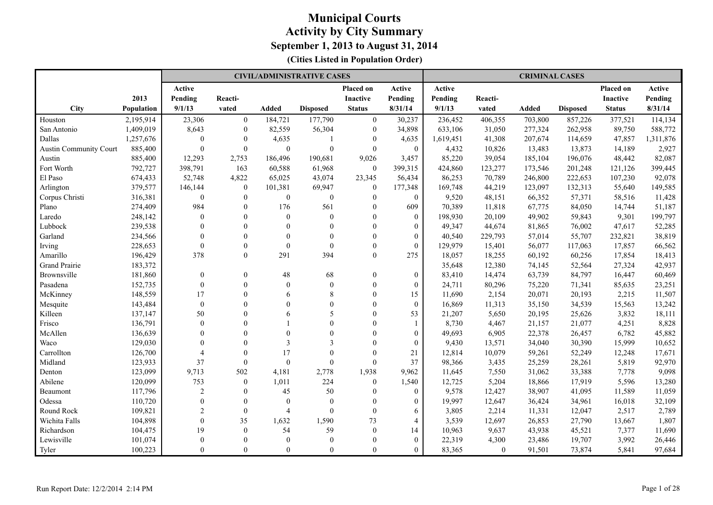|                               |                   |                  |                  |                | <b>CIVIL/ADMINISTRATIVE CASES</b> |                  |                  |           |          | <b>CRIMINAL CASES</b> |                 |               |           |
|-------------------------------|-------------------|------------------|------------------|----------------|-----------------------------------|------------------|------------------|-----------|----------|-----------------------|-----------------|---------------|-----------|
|                               |                   | Active           |                  |                |                                   | Placed on        | Active           | Active    |          |                       |                 | Placed on     | Active    |
|                               | 2013              | Pending          | Reacti-          |                |                                   | <b>Inactive</b>  | Pending          | Pending   | Reacti-  |                       |                 | Inactive      | Pending   |
| <b>City</b>                   | <b>Population</b> | 9/1/13           | vated            | <b>Added</b>   | <b>Disposed</b>                   | <b>Status</b>    | 8/31/14          | 9/1/13    | vated    | Added                 | <b>Disposed</b> | <b>Status</b> | 8/31/14   |
| Houston                       | 2,195,914         | 23,306           | $\mathbf{0}$     | 184,721        | 177,790                           | $\boldsymbol{0}$ | 30,237           | 236,452   | 406,355  | 703,800               | 857,226         | 377,521       | 114,134   |
| San Antonio                   | 1,409,019         | 8,643            | $\mathbf{0}$     | 82,559         | 56,304                            | $\theta$         | 34,898           | 633,106   | 31,050   | 277,324               | 262,958         | 89,750        | 588,772   |
| Dallas                        | 1,257,676         | $\mathbf{0}$     | $\mathbf{0}$     | 4,635          | $\overline{1}$                    | $\Omega$         | 4,635            | 1,619,451 | 41,308   | 207,674               | 114,659         | 47,857        | 1,311,876 |
| <b>Austin Community Court</b> | 885,400           | $\theta$         | $\mathbf{0}$     | $\mathbf{0}$   | $\boldsymbol{0}$                  | $\theta$         | $\mathbf{0}$     | 4,432     | 10,826   | 13,483                | 13,873          | 14,189        | 2,927     |
| Austin                        | 885,400           | 12,293           | 2,753            | 186,496        | 190,681                           | 9,026            | 3,457            | 85,220    | 39,054   | 185,104               | 196,076         | 48,442        | 82,087    |
| Fort Worth                    | 792,727           | 398,791          | 163              | 60,588         | 61,968                            | $\theta$         | 399,315          | 424,860   | 123,277  | 173,546               | 201,248         | 121,126       | 399,445   |
| El Paso                       | 674,433           | 52,748           | 4,822            | 65,025         | 43,074                            | 23,345           | 56,434           | 86,253    | 70,789   | 246,800               | 222,653         | 107,230       | 92,078    |
| Arlington                     | 379,577           | 146,144          | $\boldsymbol{0}$ | 101,381        | 69,947                            | $\boldsymbol{0}$ | 177,348          | 169,748   | 44,219   | 123,097               | 132,313         | 55,640        | 149,585   |
| Corpus Christi                | 316,381           | $\mathbf{0}$     | $\Omega$         | $\overline{0}$ | $\mathbf{0}$                      | $\mathbf{0}$     | $\theta$         | 9,520     | 48,151   | 66,352                | 57,371          | 58,516        | 11,428    |
| Plano                         | 274,409           | 984              | $\theta$         | 176            | 561                               | $\theta$         | 609              | 70,389    | 11,818   | 67,775                | 84,050          | 14,744        | 51,187    |
| Laredo                        | 248,142           | $\mathbf{0}$     | $\Omega$         | $\theta$       | $\mathbf{0}$                      | $\theta$         | $\mathbf{0}$     | 198,930   | 20,109   | 49,902                | 59,843          | 9,301         | 199,797   |
| Lubbock                       | 239,538           | $\Omega$         | $\Omega$         | $\Omega$       | $\theta$                          | $\Omega$         | $\theta$         | 49,347    | 44,674   | 81,865                | 76,002          | 47,617        | 52,285    |
| Garland                       | 234,566           | $\theta$         | $\Omega$         | $\theta$       | $\theta$                          | $\theta$         | $\theta$         | 40,540    | 229,793  | 57,014                | 55,707          | 232,821       | 38,819    |
| Irving                        | 228,653           | $\theta$         | $\Omega$         | $\mathbf{0}$   | $\mathbf{0}$                      | $\mathbf{0}$     | $\boldsymbol{0}$ | 129,979   | 15,401   | 56,077                | 117,063         | 17,857        | 66,562    |
| Amarillo                      | 196,429           | 378              | $\boldsymbol{0}$ | 291            | 394                               | $\overline{0}$   | 275              | 18,057    | 18,255   | 60,192                | 60,256          | 17,854        | 18,413    |
| <b>Grand Prairie</b>          | 183,372           |                  |                  |                |                                   |                  |                  | 35,648    | 12,380   | 74,145                | 52,564          | 27,324        | 42,937    |
| Brownsville                   | 181,860           | $\theta$         | $\Omega$         | 48             | 68                                | $\mathbf{0}$     | $\theta$         | 83,410    | 14,474   | 63,739                | 84,797          | 16,447        | 60,469    |
| Pasadena                      | 152,735           | $\mathbf{0}$     | $\Omega$         | $\mathbf{0}$   | $\mathbf{0}$                      | $\mathbf{0}$     | $\overline{0}$   | 24,711    | 80,296   | 75,220                | 71,341          | 85,635        | 23,251    |
| McKinney                      | 148,559           | 17               |                  | 6              | 8                                 | $\theta$         | 15               | 11,690    | 2,154    | 20,071                | 20,193          | 2,215         | 11,507    |
| Mesquite                      | 143,484           | $\mathbf{0}$     |                  | $\Omega$       | $\Omega$                          | $\Omega$         | $\theta$         | 16,869    | 11,313   | 35,150                | 34,539          | 15,563        | 13,242    |
| Killeen                       | 137,147           | 50               |                  | 6              | 5                                 | $\theta$         | 53               | 21,207    | 5,650    | 20,195                | 25,626          | 3,832         | 18,111    |
| Frisco                        | 136,791           | $\boldsymbol{0}$ |                  |                | $\theta$                          | $\theta$         | 1                | 8,730     | 4,467    | 21,157                | 21,077          | 4,251         | 8,828     |
| McAllen                       | 136,639           | $\theta$         |                  | $\Omega$       | $\Omega$                          | $\theta$         | $\mathbf{0}$     | 49,693    | 6,905    | 22,378                | 26,457          | 6,782         | 45,882    |
| Waco                          | 129,030           | $\Omega$         |                  | 3              | $\mathbf{3}$                      | $\Omega$         | $\theta$         | 9,430     | 13,571   | 34,040                | 30,390          | 15,999        | 10,652    |
| Carrollton                    | 126,700           | $\overline{4}$   |                  | 17             | $\theta$                          | $\theta$         | 21               | 12,814    | 10,079   | 59,261                | 52,249          | 12,248        | 17,671    |
| Midland                       | 123,933           | 37               | $\theta$         | $\mathbf{0}$   | $\mathbf{0}$                      | $\mathbf{0}$     | 37               | 98,366    | 3,435    | 25,259                | 28,261          | 5,819         | 92,970    |
| Denton                        | 123,099           | 9,713            | 502              | 4,181          | 2,778                             | 1,938            | 9.962            | 11,645    | 7,550    | 31,062                | 33,388          | 7,778         | 9,098     |
| Abilene                       | 120,099           | 753              | $\mathbf{0}$     | 1,011          | 224                               | $\overline{0}$   | 1,540            | 12,725    | 5,204    | 18,866                | 17,919          | 5,596         | 13,280    |
| Beaumont                      | 117,796           | $\overline{c}$   | $\theta$         | 45             | 50                                | $\mathbf{0}$     | $\mathbf{0}$     | 9,578     | 12,427   | 38,907                | 41,095          | 11,589        | 11,059    |
| Odessa                        | 110,720           | $\mathbf{0}$     | $\Omega$         | $\mathbf{0}$   | $\mathbf{0}$                      | $\mathbf{0}$     | $\theta$         | 19,997    | 12,647   | 36,424                | 34,961          | 16,018        | 32,109    |
| Round Rock                    | 109,821           | $\overline{c}$   | $\Omega$         | $\overline{4}$ | $\mathbf{0}$                      | $\mathbf{0}$     | 6                | 3,805     | 2,214    | 11,331                | 12,047          | 2,517         | 2,789     |
| Wichita Falls                 | 104,898           | $\theta$         | 35               | 1,632          | 1,590                             | 73               | $\overline{4}$   | 3,539     | 12,697   | 26,853                | 27,790          | 13,667        | 1,807     |
| Richardson                    | 104,475           | 19               | $\mathbf{0}$     | 54             | 59                                | $\theta$         | 14               | 10,963    | 9,637    | 43,938                | 45,521          | 7,377         | 11,690    |
| Lewisville                    | 101,074           | $\theta$         |                  | $\theta$       | $\mathbf{0}$                      | $\theta$         | $\theta$         | 22,319    | 4,300    | 23,486                | 19,707          | 3,992         | 26,446    |
| Tyler                         | 100,223           | $\Omega$         | $\theta$         | $\Omega$       | $\Omega$                          | $\theta$         | $\theta$         | 83,365    | $\theta$ | 91,501                | 73,874          | 5,841         | 97,684    |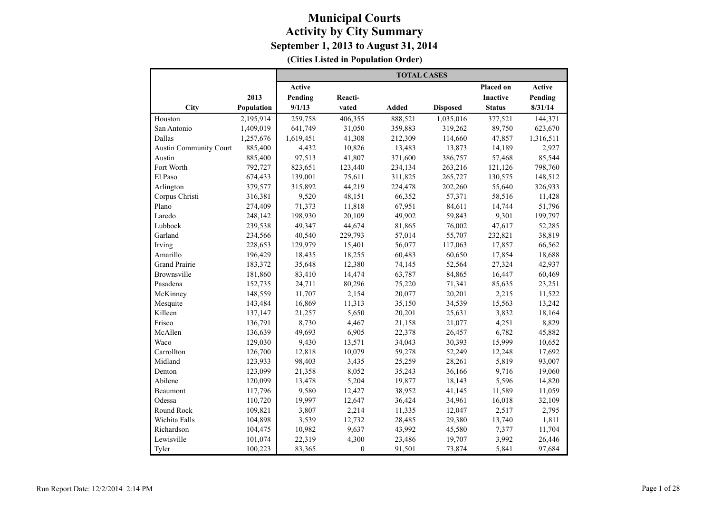|                               |            |           |              | <b>TOTAL CASES</b> |                 |                 |           |
|-------------------------------|------------|-----------|--------------|--------------------|-----------------|-----------------|-----------|
|                               |            | Active    |              |                    |                 | Placed on       | Active    |
|                               | 2013       | Pending   | Reacti-      |                    |                 | <b>Inactive</b> | Pending   |
| City                          | Population | 9/1/13    | vated        | Added              | <b>Disposed</b> | <b>Status</b>   | 8/31/14   |
| Houston                       | 2,195,914  | 259,758   | 406,355      | 888,521            | 1,035,016       | 377,521         | 144,371   |
| San Antonio                   | 1,409,019  | 641,749   | 31,050       | 359,883            | 319,262         | 89,750          | 623,670   |
| Dallas                        | 1,257,676  | 1,619,451 | 41,308       | 212,309            | 114,660         | 47,857          | 1,316,511 |
| <b>Austin Community Court</b> | 885,400    | 4,432     | 10,826       | 13,483             | 13,873          | 14,189          | 2,927     |
| Austin                        | 885,400    | 97,513    | 41,807       | 371,600            | 386,757         | 57,468          | 85,544    |
| Fort Worth                    | 792,727    | 823,651   | 123,440      | 234,134            | 263,216         | 121,126         | 798,760   |
| El Paso                       | 674,433    | 139,001   | 75,611       | 311,825            | 265,727         | 130,575         | 148,512   |
| Arlington                     | 379,577    | 315,892   | 44,219       | 224,478            | 202,260         | 55,640          | 326,933   |
| Corpus Christi                | 316,381    | 9,520     | 48,151       | 66,352             | 57,371          | 58,516          | 11,428    |
| Plano                         | 274,409    | 71,373    | 11,818       | 67,951             | 84,611          | 14,744          | 51,796    |
| Laredo                        | 248,142    | 198,930   | 20,109       | 49,902             | 59,843          | 9,301           | 199,797   |
| Lubbock                       | 239,538    | 49,347    | 44,674       | 81,865             | 76,002          | 47,617          | 52,285    |
| Garland                       | 234,566    | 40.540    | 229,793      | 57,014             | 55,707          | 232,821         | 38,819    |
| Irving                        | 228,653    | 129,979   | 15,401       | 56,077             | 117,063         | 17,857          | 66,562    |
| Amarillo                      | 196,429    | 18,435    | 18,255       | 60,483             | 60,650          | 17,854          | 18,688    |
| <b>Grand Prairie</b>          | 183,372    | 35,648    | 12,380       | 74,145             | 52,564          | 27,324          | 42,937    |
| Brownsville                   | 181,860    | 83,410    | 14,474       | 63,787             | 84,865          | 16,447          | 60,469    |
| Pasadena                      | 152,735    | 24,711    | 80,296       | 75,220             | 71,341          | 85,635          | 23,251    |
| McKinney                      | 148,559    | 11,707    | 2,154        | 20,077             | 20,201          | 2,215           | 11,522    |
| Mesquite                      | 143,484    | 16,869    | 11,313       | 35,150             | 34,539          | 15,563          | 13,242    |
| Killeen                       | 137,147    | 21,257    | 5,650        | 20,201             | 25,631          | 3,832           | 18,164    |
| Frisco                        | 136,791    | 8,730     | 4,467        | 21,158             | 21,077          | 4,251           | 8,829     |
| McAllen                       | 136,639    | 49,693    | 6,905        | 22,378             | 26,457          | 6,782           | 45,882    |
| Waco                          | 129,030    | 9,430     | 13,571       | 34,043             | 30,393          | 15,999          | 10,652    |
| Carrollton                    | 126,700    | 12,818    | 10,079       | 59,278             | 52,249          | 12,248          | 17,692    |
| Midland                       | 123,933    | 98,403    | 3,435        | 25,259             | 28,261          | 5,819           | 93,007    |
| Denton                        | 123,099    | 21,358    | 8,052        | 35,243             | 36,166          | 9,716           | 19,060    |
| Abilene                       | 120,099    | 13,478    | 5,204        | 19,877             | 18,143          | 5,596           | 14,820    |
| Beaumont                      | 117,796    | 9,580     | 12,427       | 38,952             | 41,145          | 11,589          | 11,059    |
| Odessa                        | 110,720    | 19,997    | 12,647       | 36,424             | 34,961          | 16,018          | 32,109    |
| Round Rock                    | 109,821    | 3,807     | 2,214        | 11,335             | 12,047          | 2,517           | 2,795     |
| Wichita Falls                 | 104,898    | 3,539     | 12,732       | 28,485             | 29,380          | 13,740          | 1,811     |
| Richardson                    | 104,475    | 10,982    | 9,637        | 43,992             | 45,580          | 7,377           | 11,704    |
| Lewisville                    | 101,074    | 22,319    | 4,300        | 23,486             | 19,707          | 3,992           | 26,446    |
| Tyler                         | 100,223    | 83,365    | $\mathbf{0}$ | 91,501             | 73,874          | 5,841           | 97,684    |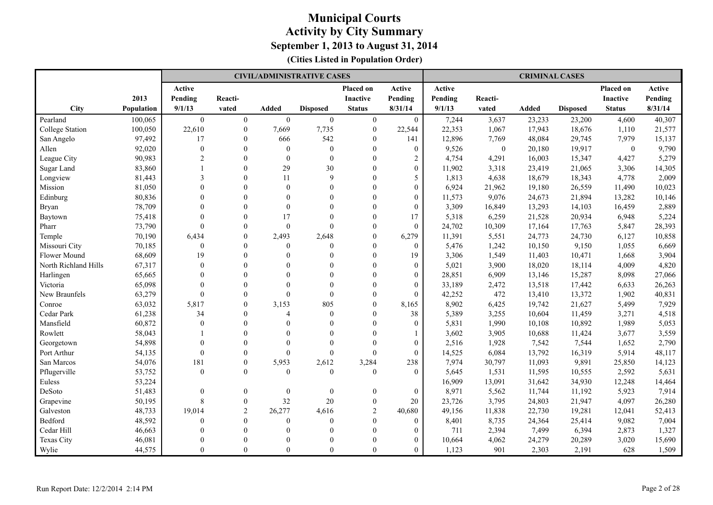|                      |                   |                  |                  |                  | <b>CIVIL/ADMINISTRATIVE CASES</b> |                  |                  |         |              | <b>CRIMINAL CASES</b> |                 |                 |         |
|----------------------|-------------------|------------------|------------------|------------------|-----------------------------------|------------------|------------------|---------|--------------|-----------------------|-----------------|-----------------|---------|
|                      |                   | Active           |                  |                  |                                   | Placed on        | Active           | Active  |              |                       |                 | Placed on       | Active  |
|                      | 2013              | Pending          | Reacti-          |                  |                                   | <b>Inactive</b>  | Pending          | Pending | Reacti-      |                       |                 | <b>Inactive</b> | Pending |
| City                 | <b>Population</b> | 9/1/13           | vated            | <b>Added</b>     | <b>Disposed</b>                   | <b>Status</b>    | 8/31/14          | 9/1/13  | vated        | <b>Added</b>          | <b>Disposed</b> | <b>Status</b>   | 8/31/14 |
| Pearland             | 100,065           | $\boldsymbol{0}$ | $\boldsymbol{0}$ | $\boldsymbol{0}$ | $\boldsymbol{0}$                  | $\boldsymbol{0}$ | $\boldsymbol{0}$ | 7,244   | 3,637        | 23,233                | 23,200          | 4,600           | 40,307  |
| College Station      | 100,050           | 22,610           | $\mathbf{0}$     | 7,669            | 7,735                             | $\mathbf{0}$     | 22,544           | 22,353  | 1,067        | 17,943                | 18,676          | 1,110           | 21,577  |
| San Angelo           | 97,492            | 17               | $\theta$         | 666              | 542                               | $\Omega$         | 141              | 12,896  | 7,769        | 48,084                | 29,745          | 7,979           | 15,137  |
| Allen                | 92,020            | $\mathbf{0}$     | $\theta$         | $\mathbf{0}$     | $\boldsymbol{0}$                  | $\theta$         | $\overline{0}$   | 9,526   | $\mathbf{0}$ | 20,180                | 19,917          | $\overline{0}$  | 9,790   |
| League City          | 90,983            | $\overline{2}$   | $\Omega$         | $\theta$         | $\mathbf{0}$                      | $\Omega$         | $\overline{c}$   | 4,754   | 4,291        | 16,003                | 15,347          | 4,427           | 5,279   |
| <b>Sugar Land</b>    | 83,860            | 1                | $\theta$         | 29               | 30                                | $\theta$         | $\overline{0}$   | 11,902  | 3,318        | 23,419                | 21,065          | 3,306           | 14,305  |
| Longview             | 81,443            | 3                | $\theta$         | 11               | 9                                 | $\Omega$         | 5                | 1,813   | 4,638        | 18,679                | 18,343          | 4,778           | 2,009   |
| Mission              | 81,050            | $\mathbf{0}$     | $\theta$         | $\mathbf{0}$     | $\mathbf{0}$                      | $\mathbf{0}$     | $\boldsymbol{0}$ | 6,924   | 21,962       | 19,180                | 26,559          | 11,490          | 10,023  |
| Edinburg             | 80,836            | $\theta$         | $\Omega$         | $\Omega$         | $\theta$                          | $\Omega$         | $\overline{0}$   | 11,573  | 9,076        | 24,673                | 21,894          | 13,282          | 10,146  |
| <b>Bryan</b>         | 78,709            | $\Omega$         | $\Omega$         | $\Omega$         | $\theta$                          | $\Omega$         | $\overline{0}$   | 3,309   | 16,849       | 13,293                | 14,103          | 16,459          | 2,889   |
| Baytown              | 75,418            | $\theta$         | $\theta$         | 17               | $\theta$                          | $\theta$         | 17               | 5,318   | 6,259        | 21,528                | 20,934          | 6,948           | 5,224   |
| Pharr                | 73,790            | $\theta$         | $\theta$         | $\theta$         | $\Omega$                          | $\Omega$         | $\Omega$         | 24,702  | 10,309       | 17,164                | 17,763          | 5,847           | 28,393  |
| Temple               | 70,190            | 6,434            | $\theta$         | 2,493            | 2,648                             | $\theta$         | 6,279            | 11,391  | 5,551        | 24,773                | 24,730          | 6,127           | 10,858  |
| Missouri City        | 70,185            | $\mathbf{0}$     | $\theta$         | $\mathbf{0}$     | $\mathbf{0}$                      | $\theta$         | $\overline{0}$   | 5,476   | 1,242        | 10,150                | 9,150           | 1,055           | 6,669   |
| Flower Mound         | 68,609            | 19               | $\theta$         | $\Omega$         | $\theta$                          | $\mathbf{0}$     | 19               | 3,306   | 1,549        | 11,403                | 10,471          | 1,668           | 3,904   |
| North Richland Hills | 67,317            | $\Omega$         | $\Omega$         | $\Omega$         | $\theta$                          | $\Omega$         | $\overline{0}$   | 5,021   | 3,900        | 18,020                | 18,114          | 4,009           | 4,820   |
| Harlingen            | 65,665            | $\Omega$         | $\Omega$         | $\Omega$         | $\theta$                          | $\Omega$         | $\overline{0}$   | 28,851  | 6,909        | 13,146                | 15,287          | 8,098           | 27,066  |
| Victoria             | 65,098            | $\theta$         | $\theta$         | $\Omega$         | $\theta$                          | $\Omega$         | $\theta$         | 33,189  | 2,472        | 13,518                | 17,442          | 6,633           | 26,263  |
| New Braunfels        | 63,279            | $\mathbf{0}$     | $\mathbf{0}$     | $\theta$         | $\overline{0}$                    | $\theta$         | $\overline{0}$   | 42,252  | 472          | 13,410                | 13,372          | 1,902           | 40,831  |
| Conroe               | 63,032            | 5,817            | $\theta$         | 3,153            | 805                               | $\Omega$         | 8,165            | 8,902   | 6,425        | 19,742                | 21,627          | 5,499           | 7,929   |
| Cedar Park           | 61,238            | 34               | $\theta$         | $\overline{4}$   | $\mathbf{0}$                      | $\Omega$         | 38               | 5,389   | 3,255        | 10,604                | 11,459          | 3,271           | 4,518   |
| Mansfield            | 60,872            | $\mathbf{0}$     | $\theta$         | $\Omega$         | $\overline{0}$                    | $\theta$         | $\boldsymbol{0}$ | 5,831   | 1,990        | 10,108                | 10,892          | 1,989           | 5,053   |
| Rowlett              | 58,043            |                  | $\Omega$         | $\Omega$         | $\theta$                          | $\Omega$         |                  | 3,602   | 3,905        | 10,688                | 11,424          | 3,677           | 3,559   |
| Georgetown           | 54,898            | $\Omega$         | $\Omega$         | $\Omega$         | $\theta$                          | $\Omega$         | $\overline{0}$   | 2,516   | 1,928        | 7,542                 | 7,544           | 1,652           | 2,790   |
| Port Arthur          | 54,135            | $\mathbf{0}$     | $\theta$         | $\Omega$         | $\mathbf{0}$                      | $\theta$         | $\overline{0}$   | 14,525  | 6,084        | 13,792                | 16,319          | 5,914           | 48,117  |
| San Marcos           | 54,076            | 181              | $\mathbf{0}$     | 5,953            | 2,612                             | 3,284            | 238              | 7,974   | 30,797       | 11,093                | 9,891           | 25,850          | 14,123  |
| Pflugerville         | 53,752            | $\Omega$         | $\Omega$         | $\theta$         | $\theta$                          | $\theta$         | $\theta$         | 5,645   | 1,531        | 11,595                | 10,555          | 2,592           | 5,631   |
| Euless               | 53,224            |                  |                  |                  |                                   |                  |                  | 16,909  | 13,091       | 31,642                | 34,930          | 12,248          | 14,464  |
| DeSoto               | 51,483            | $\boldsymbol{0}$ | $\boldsymbol{0}$ | $\boldsymbol{0}$ | $\boldsymbol{0}$                  | $\boldsymbol{0}$ | $\boldsymbol{0}$ | 8,971   | 5,562        | 11,744                | 11,192          | 5,923           | 7,914   |
| Grapevine            | 50,195            | 8                | $\mathbf{0}$     | 32               | $20\,$                            | $\mathbf{0}$     | 20               | 23,726  | 3,795        | 24,803                | 21,947          | 4,097           | 26,280  |
| Galveston            | 48,733            | 19,014           | $\overline{2}$   | 26,277           | 4,616                             | 2                | 40,680           | 49,156  | 11,838       | 22,730                | 19,281          | 12,041          | 52,413  |
| Bedford              | 48,592            | $\mathbf{0}$     | $\theta$         | $\Omega$         | $\overline{0}$                    | $\theta$         | $\overline{0}$   | 8,401   | 8,735        | 24,364                | 25,414          | 9,082           | 7,004   |
| Cedar Hill           | 46,663            | $\Omega$         | $\theta$         | $\Omega$         | $\theta$                          | $\theta$         | $\overline{0}$   | 711     | 2,394        | 7,499                 | 6,394           | 2,873           | 1,327   |
| Texas City           | 46,081            | $\Omega$         | $\Omega$         | $\Omega$         | $\theta$                          | $\Omega$         | $\overline{0}$   | 10,664  | 4,062        | 24,279                | 20,289          | 3,020           | 15,690  |
| Wylie                | 44,575            | $\Omega$         | $\Omega$         | $\theta$         | $\theta$                          | $\theta$         | $\theta$         | 1,123   | 901          | 2,303                 | 2,191           | 628             | 1,509   |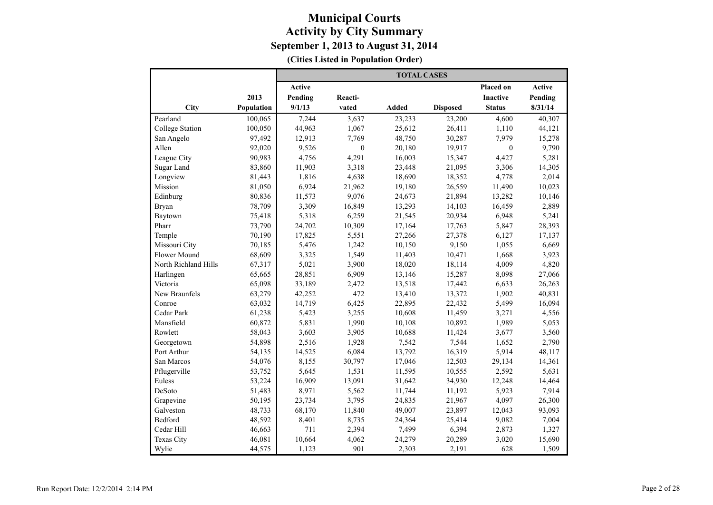|                        |            | <b>TOTAL CASES</b> |              |              |                 |                 |         |  |  |  |
|------------------------|------------|--------------------|--------------|--------------|-----------------|-----------------|---------|--|--|--|
|                        |            | Active             |              |              |                 | Placed on       | Active  |  |  |  |
|                        | 2013       | Pending            | Reacti-      |              |                 | <b>Inactive</b> | Pending |  |  |  |
| City                   | Population | 9/1/13             | vated        | <b>Added</b> | <b>Disposed</b> | <b>Status</b>   | 8/31/14 |  |  |  |
| Pearland               | 100,065    | 7,244              | 3,637        | 23,233       | 23,200          | 4,600           | 40,307  |  |  |  |
| <b>College Station</b> | 100,050    | 44,963             | 1,067        | 25,612       | 26,411          | 1,110           | 44,121  |  |  |  |
| San Angelo             | 97,492     | 12,913             | 7,769        | 48,750       | 30,287          | 7,979           | 15,278  |  |  |  |
| Allen                  | 92,020     | 9,526              | $\mathbf{0}$ | 20,180       | 19,917          | $\mathbf{0}$    | 9,790   |  |  |  |
| League City            | 90,983     | 4,756              | 4,291        | 16,003       | 15,347          | 4,427           | 5,281   |  |  |  |
| Sugar Land             | 83,860     | 11,903             | 3,318        | 23,448       | 21,095          | 3,306           | 14,305  |  |  |  |
| Longview               | 81,443     | 1,816              | 4,638        | 18,690       | 18,352          | 4,778           | 2,014   |  |  |  |
| Mission                | 81,050     | 6,924              | 21,962       | 19,180       | 26,559          | 11,490          | 10,023  |  |  |  |
| Edinburg               | 80,836     | 11,573             | 9,076        | 24,673       | 21,894          | 13,282          | 10,146  |  |  |  |
| <b>Bryan</b>           | 78,709     | 3,309              | 16,849       | 13,293       | 14,103          | 16,459          | 2,889   |  |  |  |
| Baytown                | 75,418     | 5,318              | 6,259        | 21,545       | 20,934          | 6,948           | 5,241   |  |  |  |
| Pharr                  | 73,790     | 24,702             | 10,309       | 17,164       | 17,763          | 5,847           | 28,393  |  |  |  |
| Temple                 | 70,190     | 17,825             | 5,551        | 27,266       | 27,378          | 6,127           | 17,137  |  |  |  |
| Missouri City          | 70,185     | 5,476              | 1,242        | 10,150       | 9,150           | 1,055           | 6,669   |  |  |  |
| <b>Flower Mound</b>    | 68,609     | 3,325              | 1,549        | 11,403       | 10,471          | 1,668           | 3,923   |  |  |  |
| North Richland Hills   | 67,317     | 5,021              | 3,900        | 18,020       | 18,114          | 4,009           | 4,820   |  |  |  |
| Harlingen              | 65,665     | 28,851             | 6,909        | 13,146       | 15,287          | 8,098           | 27,066  |  |  |  |
| Victoria               | 65,098     | 33,189             | 2,472        | 13,518       | 17,442          | 6,633           | 26,263  |  |  |  |
| New Braunfels          | 63,279     | 42,252             | 472          | 13,410       | 13,372          | 1,902           | 40,831  |  |  |  |
| Conroe                 | 63,032     | 14,719             | 6,425        | 22,895       | 22,432          | 5,499           | 16,094  |  |  |  |
| Cedar Park             | 61,238     | 5,423              | 3,255        | 10,608       | 11,459          | 3,271           | 4,556   |  |  |  |
| Mansfield              | 60,872     | 5,831              | 1,990        | 10,108       | 10,892          | 1,989           | 5,053   |  |  |  |
| Rowlett                | 58,043     | 3,603              | 3,905        | 10,688       | 11,424          | 3,677           | 3,560   |  |  |  |
| Georgetown             | 54,898     | 2,516              | 1,928        | 7,542        | 7,544           | 1,652           | 2,790   |  |  |  |
| Port Arthur            | 54,135     | 14,525             | 6,084        | 13,792       | 16,319          | 5,914           | 48,117  |  |  |  |
| San Marcos             | 54,076     | 8,155              | 30,797       | 17,046       | 12,503          | 29,134          | 14,361  |  |  |  |
| Pflugerville           | 53,752     | 5,645              | 1,531        | 11,595       | 10,555          | 2,592           | 5,631   |  |  |  |
| Euless                 | 53,224     | 16,909             | 13,091       | 31,642       | 34,930          | 12,248          | 14,464  |  |  |  |
| DeSoto                 | 51,483     | 8,971              | 5,562        | 11,744       | 11,192          | 5,923           | 7,914   |  |  |  |
| Grapevine              | 50,195     | 23,734             | 3,795        | 24,835       | 21,967          | 4,097           | 26,300  |  |  |  |
| Galveston              | 48,733     | 68,170             | 11,840       | 49,007       | 23,897          | 12,043          | 93,093  |  |  |  |
| Bedford                | 48,592     | 8,401              | 8,735        | 24,364       | 25,414          | 9,082           | 7,004   |  |  |  |
| Cedar Hill             | 46,663     | 711                | 2,394        | 7,499        | 6,394           | 2,873           | 1,327   |  |  |  |
| Texas City             | 46,081     | 10,664             | 4,062        | 24,279       | 20,289          | 3,020           | 15,690  |  |  |  |
| Wylie                  | 44,575     | 1,123              | 901          | 2,303        | 2,191           | 628             | 1,509   |  |  |  |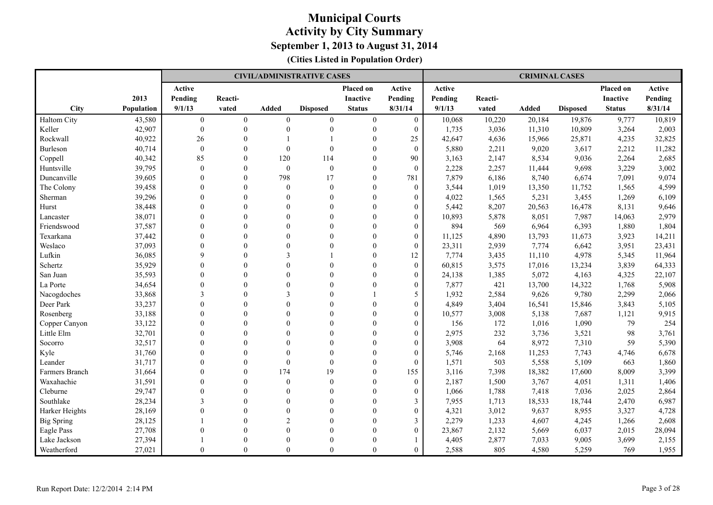|                   |            |                |                |                | <b>CIVIL/ADMINISTRATIVE CASES</b> |                  |                  |         |         | <b>CRIMINAL CASES</b> |                 |                 |         |
|-------------------|------------|----------------|----------------|----------------|-----------------------------------|------------------|------------------|---------|---------|-----------------------|-----------------|-----------------|---------|
|                   |            | Active         |                |                |                                   | Placed on        | Active           | Active  |         |                       |                 | Placed on       | Active  |
|                   | 2013       | Pending        | Reacti-        |                |                                   | <b>Inactive</b>  | Pending          | Pending | Reacti- |                       |                 | <b>Inactive</b> | Pending |
| <b>City</b>       | Population | 9/1/13         | vated          | <b>Added</b>   | <b>Disposed</b>                   | <b>Status</b>    | 8/31/14          | 9/1/13  | vated   | <b>Added</b>          | <b>Disposed</b> | <b>Status</b>   | 8/31/14 |
| Haltom City       | 43,580     | $\overline{0}$ | $\overline{0}$ | $\overline{0}$ | $\mathbf{0}$                      | $\boldsymbol{0}$ | $\mathbf{0}$     | 10,068  | 10,220  | 20,184                | 19,876          | 9,777           | 10,819  |
| Keller            | 42,907     | $\mathbf{0}$   | $\theta$       | $\Omega$       | $\theta$                          | $\mathbf{0}$     | $\mathbf{0}$     | 1,735   | 3,036   | 11,310                | 10,809          | 3,264           | 2,003   |
| Rockwall          | 40,922     | 26             | $\Omega$       |                |                                   | $\Omega$         | 25               | 42,647  | 4,636   | 15,966                | 25,871          | 4,235           | 32,825  |
| Burleson          | 40,714     | $\mathbf{0}$   | $\Omega$       | $\theta$       | $\theta$                          | $\theta$         | $\theta$         | 5,880   | 2,211   | 9,020                 | 3,617           | 2,212           | 11,282  |
| Coppell           | 40,342     | 85             | $\theta$       | 120            | 114                               | $\theta$         | 90               | 3,163   | 2,147   | 8,534                 | 9,036           | 2,264           | 2,685   |
| Huntsville        | 39,795     | $\theta$       | $\Omega$       | $\theta$       | $\mathbf{0}$                      | $\theta$         | $\theta$         | 2,228   | 2,257   | 11,444                | 9,698           | 3,229           | 3,002   |
| Duncanville       | 39,605     | $\Omega$       | $\theta$       | 798            | 17                                | $\mathbf{0}$     | 781              | 7,879   | 6,186   | 8,740                 | 6,674           | 7,091           | 9,074   |
| The Colony        | 39,458     | $\mathbf{0}$   | $\theta$       | $\theta$       | $\mathbf{0}$                      | $\mathbf{0}$     | $\overline{0}$   | 3,544   | 1,019   | 13,350                | 11,752          | 1,565           | 4,599   |
| Sherman           | 39,296     | $\Omega$       | $\Omega$       | $\Omega$       | $\theta$                          | $\Omega$         | $\overline{0}$   | 4,022   | 1,565   | 5,231                 | 3,455           | 1,269           | 6,109   |
| Hurst             | 38,448     | $\Omega$       | $\Omega$       | $\Omega$       | $\theta$                          | $\Omega$         | $\overline{0}$   | 5,442   | 8,207   | 20,563                | 16,478          | 8,131           | 9,646   |
| Lancaster         | 38,071     | $\theta$       | $\theta$       | $\Omega$       | $\theta$                          | $\Omega$         | $\boldsymbol{0}$ | 10,893  | 5,878   | 8,051                 | 7,987           | 14,063          | 2,979   |
| Friendswood       | 37,587     | $\Omega$       | $\Omega$       | $\Omega$       | $\theta$                          | $\Omega$         | $\overline{0}$   | 894     | 569     | 6,964                 | 6,393           | 1,880           | 1,804   |
| Texarkana         | 37,442     | $\Omega$       | $\Omega$       | $\Omega$       | $\theta$                          | $\theta$         | $\overline{0}$   | 11,125  | 4,890   | 13,793                | 11,673          | 3,923           | 14,211  |
| Weslaco           | 37,093     | $\theta$       | $\theta$       | $\Omega$       | $\theta$                          | $\mathbf{0}$     | $\boldsymbol{0}$ | 23,311  | 2,939   | 7,774                 | 6,642           | 3,951           | 23,431  |
| Lufkin            | 36,085     | 9              | $\Omega$       | 3              |                                   | $\theta$         | 12               | 7,774   | 3,435   | 11,110                | 4,978           | 5,345           | 11,964  |
| Schertz           | 35,929     | $\theta$       | $\Omega$       | $\Omega$       | $\Omega$                          | $\theta$         | $\boldsymbol{0}$ | 60,815  | 3,575   | 17,016                | 13,234          | 3,839           | 64,333  |
| San Juan          | 35,593     | $\Omega$       | $\Omega$       | $\Omega$       | $\Omega$                          | $\Omega$         | $\overline{0}$   | 24,138  | 1,385   | 5,072                 | 4,163           | 4,325           | 22,107  |
| La Porte          | 34,654     | $\Omega$       | $\Omega$       | $\Omega$       | $\Omega$                          | $\Omega$         | $\overline{0}$   | 7,877   | 421     | 13,700                | 14,322          | 1,768           | 5,908   |
| Nacogdoches       | 33,868     | $\mathcal{E}$  | $\Omega$       | $\mathbf{3}$   | $\Omega$                          |                  | 5                | 1,932   | 2,584   | 9,626                 | 9,780           | 2,299           | 2,066   |
| Deer Park         | 33,237     | $\Omega$       | $\Omega$       | $\Omega$       | $\Omega$                          | $\Omega$         | $\overline{0}$   | 4,849   | 3,404   | 16,541                | 15,846          | 3,843           | 5,105   |
| Rosenberg         | 33,188     | $\Omega$       | $\Omega$       | $\Omega$       | $\theta$                          | $\theta$         | $\theta$         | 10,577  | 3,008   | 5,138                 | 7,687           | 1,121           | 9,915   |
| Copper Canyon     | 33,122     | $\Omega$       | $\theta$       | $\theta$       | $\mathbf{0}$                      | $\theta$         | $\overline{0}$   | 156     | 172     | 1,016                 | 1,090           | 79              | 254     |
| Little Elm        | 32,701     | $\Omega$       | $\Omega$       | $\Omega$       | $\theta$                          | $\theta$         | $\overline{0}$   | 2,975   | 232     | 3,736                 | 3,521           | 98              | 3,761   |
| Socorro           | 32,517     | $\Omega$       | $\theta$       | $\Omega$       | $\theta$                          | $\theta$         | $\overline{0}$   | 3,908   | 64      | 8,972                 | 7,310           | 59              | 5,390   |
| Kyle              | 31,760     | $\theta$       | $\Omega$       | $\Omega$       | $\theta$                          | $\Omega$         | $\overline{0}$   | 5,746   | 2,168   | 11,253                | 7,743           | 4,746           | 6,678   |
| Leander           | 31,717     | $\Omega$       | $\theta$       | $\Omega$       | $\mathbf{0}$                      | $\Omega$         | $\theta$         | 1,571   | 503     | 5,558                 | 5,109           | 663             | 1,860   |
| Farmers Branch    | 31,664     | $\Omega$       | $\theta$       | 174            | 19                                | $\theta$         | 155              | 3,116   | 7,398   | 18,382                | 17,600          | 8,009           | 3,399   |
| Waxahachie        | 31,591     | $\theta$       | $\theta$       | $\Omega$       | $\mathbf{0}$                      | $\theta$         | $\boldsymbol{0}$ | 2,187   | 1,500   | 3,767                 | 4,051           | 1,311           | 1,406   |
| Cleburne          | 29,747     | $\Omega$       | $\Omega$       | $\Omega$       | $\theta$                          | $\theta$         | $\overline{0}$   | 1,066   | 1,788   | 7,418                 | 7,036           | 2,025           | 2,864   |
| Southlake         | 28,234     | 3              | $\Omega$       | $\theta$       | $\mathbf{0}$                      | $\theta$         | 3                | 7,955   | 1,713   | 18,533                | 18,744          | 2,470           | 6,987   |
| Harker Heights    | 28,169     | $\theta$       | $\Omega$       | $\Omega$       | $\theta$                          | $\theta$         | $\boldsymbol{0}$ | 4,321   | 3,012   | 9,637                 | 8,955           | 3,327           | 4,728   |
| <b>Big Spring</b> | 28,125     |                | $\Omega$       | $\overline{2}$ | $\Omega$                          | $\Omega$         | 3                | 2,279   | 1,233   | 4,607                 | 4,245           | 1,266           | 2,608   |
| Eagle Pass        | 27,708     | $\Omega$       | $\Omega$       | $\Omega$       | $\Omega$                          | $\Omega$         | $\overline{0}$   | 23,867  | 2,132   | 5,669                 | 6,037           | 2,015           | 28,094  |
| Lake Jackson      | 27,394     |                | $\Omega$       | $\Omega$       | $\Omega$                          | $\Omega$         |                  | 4,405   | 2,877   | 7,033                 | 9,005           | 3,699           | 2,155   |
| Weatherford       | 27,021     | $\Omega$       | $\Omega$       | $\Omega$       | $\Omega$                          | $\Omega$         | $\theta$         | 2,588   | 805     | 4,580                 | 5,259           | 769             | 1,955   |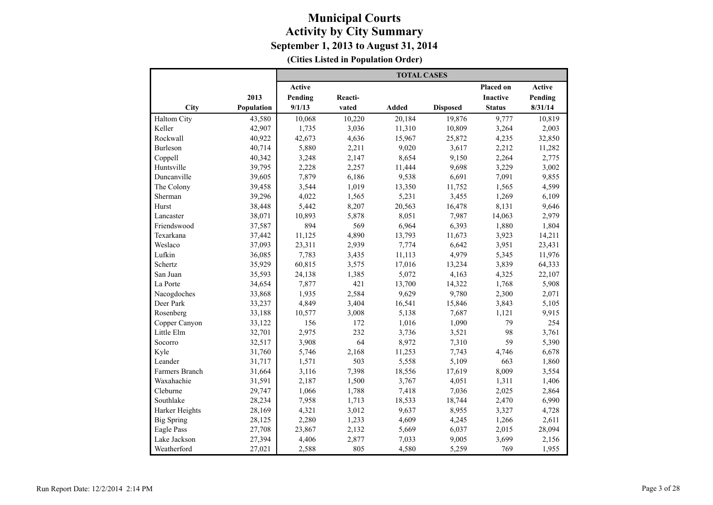|                    |            |         |         | <b>TOTAL CASES</b> |                 |                 |         |
|--------------------|------------|---------|---------|--------------------|-----------------|-----------------|---------|
|                    |            | Active  |         |                    |                 | Placed on       | Active  |
|                    | 2013       | Pending | Reacti- |                    |                 | <b>Inactive</b> | Pending |
| City               | Population | 9/1/13  | vated   | <b>Added</b>       | <b>Disposed</b> | <b>Status</b>   | 8/31/14 |
| <b>Haltom City</b> | 43,580     | 10,068  | 10,220  | 20,184             | 19,876          | 9,777           | 10,819  |
| Keller             | 42,907     | 1,735   | 3,036   | 11,310             | 10,809          | 3,264           | 2,003   |
| Rockwall           | 40,922     | 42,673  | 4,636   | 15,967             | 25,872          | 4,235           | 32,850  |
| <b>Burleson</b>    | 40,714     | 5,880   | 2,211   | 9,020              | 3,617           | 2,212           | 11,282  |
| Coppell            | 40,342     | 3,248   | 2,147   | 8,654              | 9,150           | 2,264           | 2,775   |
| Huntsville         | 39,795     | 2,228   | 2,257   | 11,444             | 9,698           | 3,229           | 3,002   |
| Duncanville        | 39,605     | 7,879   | 6,186   | 9,538              | 6,691           | 7,091           | 9,855   |
| The Colony         | 39,458     | 3,544   | 1,019   | 13,350             | 11,752          | 1,565           | 4,599   |
| Sherman            | 39,296     | 4,022   | 1,565   | 5,231              | 3,455           | 1,269           | 6,109   |
| Hurst              | 38,448     | 5,442   | 8,207   | 20,563             | 16,478          | 8,131           | 9,646   |
| Lancaster          | 38,071     | 10,893  | 5,878   | 8,051              | 7,987           | 14,063          | 2,979   |
| Friendswood        | 37,587     | 894     | 569     | 6,964              | 6,393           | 1,880           | 1,804   |
| Texarkana          | 37,442     | 11,125  | 4,890   | 13,793             | 11,673          | 3,923           | 14,211  |
| Weslaco            | 37,093     | 23,311  | 2,939   | 7,774              | 6,642           | 3,951           | 23,431  |
| Lufkin             | 36,085     | 7,783   | 3,435   | 11,113             | 4,979           | 5,345           | 11,976  |
| Schertz            | 35,929     | 60,815  | 3,575   | 17,016             | 13,234          | 3,839           | 64,333  |
| San Juan           | 35,593     | 24,138  | 1,385   | 5,072              | 4,163           | 4,325           | 22,107  |
| La Porte           | 34,654     | 7,877   | 421     | 13,700             | 14,322          | 1,768           | 5,908   |
| Nacogdoches        | 33,868     | 1,935   | 2,584   | 9,629              | 9,780           | 2,300           | 2,071   |
| Deer Park          | 33,237     | 4,849   | 3,404   | 16,541             | 15,846          | 3,843           | 5,105   |
| Rosenberg          | 33,188     | 10,577  | 3,008   | 5,138              | 7,687           | 1,121           | 9,915   |
| Copper Canyon      | 33,122     | 156     | 172     | 1,016              | 1,090           | 79              | 254     |
| Little Elm         | 32,701     | 2,975   | 232     | 3,736              | 3,521           | 98              | 3,761   |
| Socorro            | 32,517     | 3,908   | 64      | 8,972              | 7,310           | 59              | 5,390   |
| Kyle               | 31,760     | 5,746   | 2,168   | 11,253             | 7,743           | 4,746           | 6,678   |
| Leander            | 31,717     | 1,571   | 503     | 5,558              | 5,109           | 663             | 1,860   |
| Farmers Branch     | 31,664     | 3,116   | 7,398   | 18,556             | 17,619          | 8,009           | 3,554   |
| Waxahachie         | 31,591     | 2,187   | 1,500   | 3,767              | 4,051           | 1,311           | 1,406   |
| Cleburne           | 29,747     | 1,066   | 1,788   | 7,418              | 7,036           | 2,025           | 2,864   |
| Southlake          | 28,234     | 7,958   | 1,713   | 18,533             | 18,744          | 2,470           | 6,990   |
| Harker Heights     | 28,169     | 4,321   | 3,012   | 9,637              | 8,955           | 3,327           | 4,728   |
| <b>Big Spring</b>  | 28,125     | 2,280   | 1,233   | 4,609              | 4,245           | 1,266           | 2,611   |
| <b>Eagle Pass</b>  | 27,708     | 23,867  | 2,132   | 5,669              | 6,037           | 2,015           | 28,094  |
| Lake Jackson       | 27,394     | 4,406   | 2,877   | 7,033              | 9,005           | 3,699           | 2,156   |
| Weatherford        | 27,021     | 2,588   | 805     | 4,580              | 5,259           | 769             | 1,955   |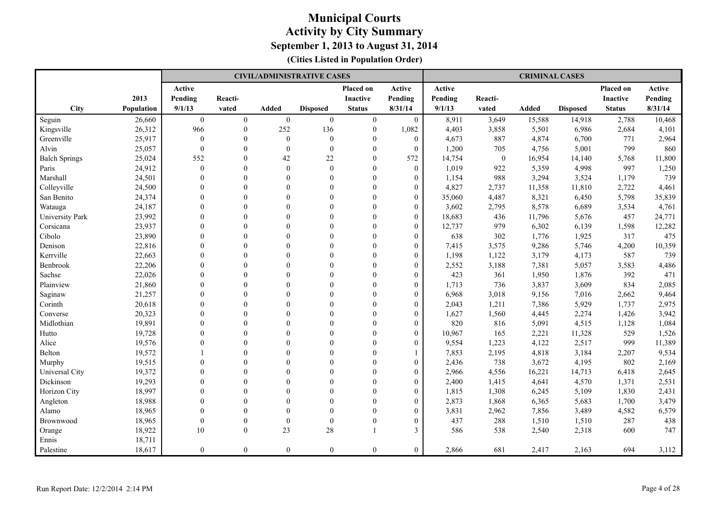|                      |                   |                |                |                  | <b>CIVIL/ADMINISTRATIVE CASES</b> |                  |                  |         |          | <b>CRIMINAL CASES</b> |                 |                 |         |
|----------------------|-------------------|----------------|----------------|------------------|-----------------------------------|------------------|------------------|---------|----------|-----------------------|-----------------|-----------------|---------|
|                      |                   | Active         |                |                  |                                   | Placed on        | Active           | Active  |          |                       |                 | Placed on       | Active  |
|                      | 2013              | Pending        | Reacti-        |                  |                                   | <b>Inactive</b>  | Pending          | Pending | Reacti-  |                       |                 | <b>Inactive</b> | Pending |
| City                 | <b>Population</b> | 9/1/13         | vated          | <b>Added</b>     | <b>Disposed</b>                   | <b>Status</b>    | 8/31/14          | 9/1/13  | vated    | <b>Added</b>          | <b>Disposed</b> | <b>Status</b>   | 8/31/14 |
| Seguin               | 26,660            | $\overline{0}$ | $\overline{0}$ | $\boldsymbol{0}$ | $\boldsymbol{0}$                  | $\boldsymbol{0}$ | $\mathbf{0}$     | 8,911   | 3,649    | 15,588                | 14,918          | 2,788           | 10,468  |
| Kingsville           | 26,312            | 966            | $\mathbf{0}$   | 252              | 136                               | $\mathbf{0}$     | 1,082            | 4,403   | 3,858    | 5,501                 | 6,986           | 2,684           | 4,101   |
| Greenville           | 25,917            | $\mathbf{0}$   | $\mathbf{0}$   | $\theta$         | $\boldsymbol{0}$                  | $\Omega$         | $\mathbf{0}$     | 4,673   | 887      | 4,874                 | 6,700           | 771             | 2,964   |
| Alvin                | 25,057            | $\mathbf{0}$   | $\theta$       | $\Omega$         | $\mathbf{0}$                      | $\theta$         | $\theta$         | 1,200   | 705      | 4,756                 | 5,001           | 799             | 860     |
| <b>Balch Springs</b> | 25,024            | 552            | $\theta$       | 42               | 22                                | $\Omega$         | 572              | 14,754  | $\theta$ | 16,954                | 14,140          | 5,768           | 11,800  |
| Paris                | 24,912            | $\mathbf{0}$   | $\theta$       | $\theta$         | $\mathbf{0}$                      | $\theta$         | $\overline{0}$   | 1,019   | 922      | 5,359                 | 4,998           | 997             | 1,250   |
| Marshall             | 24,501            | $\Omega$       | $\theta$       | $\Omega$         | $\mathbf{0}$                      | $\theta$         | $\overline{0}$   | 1,154   | 988      | 3,294                 | 3,524           | 1,179           | 739     |
| Colleyville          | 24,500            | $\mathbf{0}$   | $\theta$       | $\Omega$         | $\mathbf{0}$                      | $\theta$         | $\overline{0}$   | 4,827   | 2,737    | 11,358                | 11,810          | 2,722           | 4,461   |
| San Benito           | 24,374            | $\mathbf{0}$   | $\theta$       | $\Omega$         | $\mathbf{0}$                      | $\theta$         | $\boldsymbol{0}$ | 35,060  | 4,487    | 8,321                 | 6,450           | 5,798           | 35,839  |
| Watauga              | 24,187            | $\Omega$       | $\Omega$       | $\Omega$         | $\theta$                          | $\Omega$         | $\overline{0}$   | 3,602   | 2,795    | 8,578                 | 6,689           | 3,534           | 4,761   |
| University Park      | 23,992            | $\Omega$       | $\theta$       | $\Omega$         | $\theta$                          | $\Omega$         | $\overline{0}$   | 18,683  | 436      | 11,796                | 5,676           | 457             | 24,771  |
| Corsicana            | 23,937            | $\theta$       | $\theta$       | $\Omega$         | $\theta$                          | $\theta$         | $\overline{0}$   | 12,737  | 979      | 6,302                 | 6,139           | 1,598           | 12,282  |
| Cibolo               | 23,890            | $\Omega$       | $\Omega$       | $\Omega$         | $\theta$                          | $\Omega$         | $\overline{0}$   | 638     | 302      | 1,776                 | 1,925           | 317             | 475     |
| Denison              | 22,816            | $\mathbf{0}$   | $\theta$       | $\Omega$         | $\mathbf{0}$                      | $\mathbf{0}$     | $\overline{0}$   | 7,415   | 3,575    | 9,286                 | 5,746           | 4,200           | 10,359  |
| Kerrville            | 22,663            | $\mathbf{0}$   | $\theta$       | $\theta$         | $\mathbf{0}$                      | $\overline{0}$   | $\boldsymbol{0}$ | 1,198   | 1,122    | 3,179                 | 4,173           | 587             | 739     |
| Benbrook             | 22,206            | $\Omega$       | $\theta$       | $\Omega$         | $\theta$                          | $\Omega$         | $\overline{0}$   | 2,552   | 3,188    | 7,381                 | 5,057           | 3,583           | 4,486   |
| Sachse               | 22,026            | $\Omega$       | $\Omega$       | $\Omega$         | $\theta$                          | $\Omega$         | $\overline{0}$   | 423     | 361      | 1,950                 | 1,876           | 392             | 471     |
| Plainview            | 21,860            | $\theta$       | $\theta$       | $\Omega$         | $\theta$                          | $\Omega$         | $\overline{0}$   | 1,713   | 736      | 3,837                 | 3,609           | 834             | 2,085   |
| Saginaw              | 21,257            | $\Omega$       | $\Omega$       | $\Omega$         | $\theta$                          | $\Omega$         | $\theta$         | 6,968   | 3,018    | 9,156                 | 7,016           | 2,662           | 9,464   |
| Corinth              | 20,618            | $\Omega$       | $\theta$       | $\Omega$         | $\theta$                          | $\Omega$         | $\overline{0}$   | 2,043   | 1,211    | 7,386                 | 5,929           | 1,737           | 2,975   |
| Converse             | 20,323            | $\theta$       | $\theta$       | $\Omega$         | $\theta$                          | $\theta$         | $\overline{0}$   | 1,627   | 1,560    | 4,445                 | 2,274           | 1,426           | 3,942   |
| Midlothian           | 19,891            | $\Omega$       | $\theta$       | $\Omega$         | $\theta$                          | $\Omega$         | $\overline{0}$   | 820     | 816      | 5,091                 | 4,515           | 1,128           | 1,084   |
| Hutto                | 19,728            | $\Omega$       | $\theta$       | $\theta$         | $\theta$                          | $\mathbf{0}$     | $\overline{0}$   | 10,967  | 165      | 2,221                 | 11,328          | 529             | 1,526   |
| Alice                | 19,576            | $\theta$       | $\theta$       | $\Omega$         | $\theta$                          | $\Omega$         | $\boldsymbol{0}$ | 9,554   | 1,223    | 4,122                 | 2,517           | 999             | 11,389  |
| Belton               | 19,572            |                | $\Omega$       | $\Omega$         | $\Omega$                          | $\Omega$         |                  | 7,853   | 2,195    | 4,818                 | 3,184           | 2,207           | 9,534   |
| Murphy               | 19,515            | $\Omega$       | $\Omega$       | $\Omega$         | $\theta$                          | $\Omega$         | $\overline{0}$   | 2,436   | 738      | 3,672                 | 4,195           | 802             | 2,169   |
| Universal City       | 19,372            | $\theta$       | $\theta$       | $\Omega$         | $\theta$                          | $\theta$         | $\overline{0}$   | 2,966   | 4,556    | 16,221                | 14,713          | 6,418           | 2,645   |
| Dickinson            | 19,293            | $\Omega$       | $\Omega$       | $\Omega$         | $\Omega$                          | $\Omega$         | $\theta$         | 2,400   | 1,415    | 4,641                 | 4,570           | 1,371           | 2,531   |
| Horizon City         | 18,997            | $\mathbf{0}$   | $\theta$       | $\Omega$         | $\mathbf{0}$                      | $\mathbf{0}$     | $\overline{0}$   | 1,815   | 1,308    | 6,245                 | 5,109           | 1,830           | 2,431   |
| Angleton             | 18,988            | $\mathbf{0}$   | $\mathbf{0}$   | $\theta$         | $\mathbf{0}$                      | $\theta$         | $\boldsymbol{0}$ | 2,873   | 1,868    | 6,365                 | 5,683           | 1,700           | 3,479   |
| Alamo                | 18,965            | $\theta$       | $\theta$       | $\Omega$         | $\theta$                          | $\Omega$         | $\overline{0}$   | 3,831   | 2,962    | 7,856                 | 3,489           | 4,582           | 6,579   |
| Brownwood            | 18,965            | $\theta$       | $\theta$       | $\Omega$         | $\theta$                          | $\Omega$         | $\overline{0}$   | 437     | 288      | 1,510                 | 1,510           | 287             | 438     |
| Orange               | 18,922            | 10             | $\mathbf{0}$   | 23               | 28                                |                  | 3                | 586     | 538      | 2,540                 | 2,318           | 600             | 747     |
| Ennis                | 18,711            |                |                |                  |                                   |                  |                  |         |          |                       |                 |                 |         |
| Palestine            | 18,617            | $\overline{0}$ | $\mathbf{0}$   | $\overline{0}$   | $\overline{0}$                    | $\mathbf{0}$     | $\overline{0}$   | 2,866   | 681      | 2,417                 | 2,163           | 694             | 3,112   |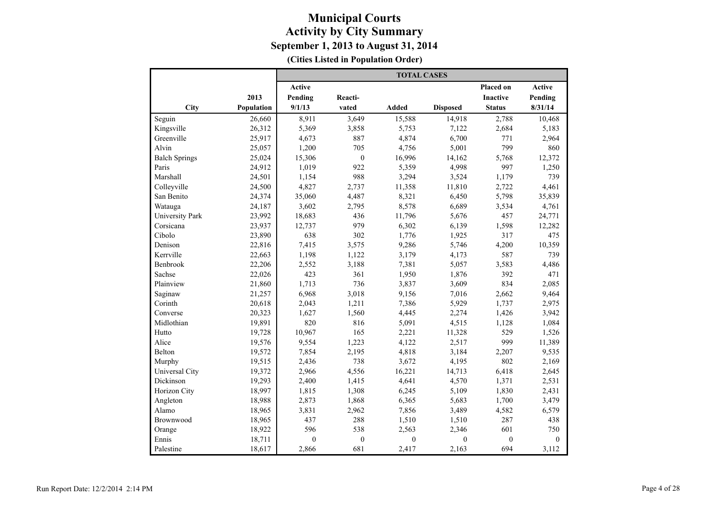|                      |            | <b>TOTAL CASES</b> |                  |                |                 |                 |               |  |  |  |
|----------------------|------------|--------------------|------------------|----------------|-----------------|-----------------|---------------|--|--|--|
|                      |            | <b>Active</b>      |                  |                |                 | Placed on       | <b>Active</b> |  |  |  |
|                      | 2013       | Pending            | Reacti-          |                |                 | <b>Inactive</b> | Pending       |  |  |  |
| City                 | Population | 9/1/13             | vated            | <b>Added</b>   | <b>Disposed</b> | <b>Status</b>   | 8/31/14       |  |  |  |
| Seguin               | 26,660     | 8,911              | 3,649            | 15,588         | 14,918          | 2,788           | 10,468        |  |  |  |
| Kingsville           | 26,312     | 5,369              | 3,858            | 5,753          | 7,122           | 2,684           | 5,183         |  |  |  |
| Greenville           | 25,917     | 4,673              | 887              | 4,874          | 6,700           | 771             | 2,964         |  |  |  |
| Alvin                | 25,057     | 1,200              | 705              | 4,756          | 5,001           | 799             | 860           |  |  |  |
| <b>Balch Springs</b> | 25,024     | 15,306             | $\boldsymbol{0}$ | 16,996         | 14,162          | 5,768           | 12,372        |  |  |  |
| Paris                | 24,912     | 1,019              | 922              | 5,359          | 4,998           | 997             | 1,250         |  |  |  |
| Marshall             | 24,501     | 1,154              | 988              | 3,294          | 3,524           | 1,179           | 739           |  |  |  |
| Colleyville          | 24,500     | 4,827              | 2,737            | 11,358         | 11,810          | 2,722           | 4,461         |  |  |  |
| San Benito           | 24,374     | 35,060             | 4,487            | 8,321          | 6,450           | 5,798           | 35,839        |  |  |  |
| Watauga              | 24,187     | 3,602              | 2,795            | 8,578          | 6,689           | 3,534           | 4,761         |  |  |  |
| University Park      | 23,992     | 18,683             | 436              | 11,796         | 5,676           | 457             | 24,771        |  |  |  |
| Corsicana            | 23,937     | 12,737             | 979              | 6,302          | 6,139           | 1,598           | 12,282        |  |  |  |
| Cibolo               | 23,890     | 638                | 302              | 1,776          | 1,925           | 317             | 475           |  |  |  |
| Denison              | 22,816     | 7,415              | 3,575            | 9,286          | 5,746           | 4,200           | 10,359        |  |  |  |
| Kerrville            | 22,663     | 1,198              | 1,122            | 3,179          | 4,173           | 587             | 739           |  |  |  |
| Benbrook             | 22,206     | 2,552              | 3,188            | 7,381          | 5,057           | 3,583           | 4,486         |  |  |  |
| Sachse               | 22,026     | 423                | 361              | 1,950          | 1,876           | 392             | 471           |  |  |  |
| Plainview            | 21,860     | 1,713              | 736              | 3,837          | 3,609           | 834             | 2,085         |  |  |  |
| Saginaw              | 21,257     | 6,968              | 3,018            | 9,156          | 7,016           | 2,662           | 9,464         |  |  |  |
| Corinth              | 20,618     | 2,043              | 1,211            | 7,386          | 5,929           | 1,737           | 2,975         |  |  |  |
| Converse             | 20,323     | 1,627              | 1,560            | 4,445          | 2,274           | 1,426           | 3,942         |  |  |  |
| Midlothian           | 19,891     | 820                | 816              | 5,091          | 4,515           | 1,128           | 1,084         |  |  |  |
| Hutto                | 19,728     | 10,967             | 165              | 2.221          | 11,328          | 529             | 1,526         |  |  |  |
| Alice                | 19,576     | 9,554              | 1,223            | 4,122          | 2,517           | 999             | 11,389        |  |  |  |
| Belton               | 19,572     | 7,854              | 2,195            | 4,818          | 3,184           | 2,207           | 9,535         |  |  |  |
| Murphy               | 19,515     | 2,436              | 738              | 3,672          | 4,195           | 802             | 2,169         |  |  |  |
| Universal City       | 19,372     | 2,966              | 4,556            | 16,221         | 14,713          | 6,418           | 2,645         |  |  |  |
| Dickinson            | 19,293     | 2,400              | 1,415            | 4,641          | 4,570           | 1,371           | 2,531         |  |  |  |
| Horizon City         | 18,997     | 1,815              | 1,308            | 6,245          | 5,109           | 1,830           | 2,431         |  |  |  |
| Angleton             | 18,988     | 2,873              | 1,868            | 6,365          | 5,683           | 1,700           | 3,479         |  |  |  |
| Alamo                | 18,965     | 3,831              | 2,962            | 7,856          | 3,489           | 4,582           | 6,579         |  |  |  |
| Brownwood            | 18,965     | 437                | 288              | 1,510          | 1,510           | 287             | 438           |  |  |  |
| Orange               | 18,922     | 596                | 538              | 2,563          | 2,346           | 601             | 750           |  |  |  |
| Ennis                | 18,711     | $\theta$           | $\mathbf{0}$     | $\overline{0}$ | $\mathbf{0}$    | $\mathbf{0}$    | $\mathbf{0}$  |  |  |  |
| Palestine            | 18,617     | 2,866              | 681              | 2,417          | 2,163           | 694             | 3,112         |  |  |  |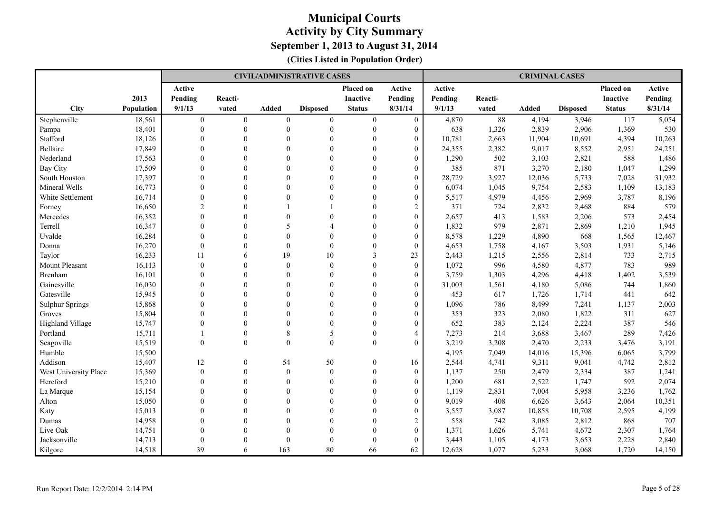|                        |            |                |                |                | <b>CIVIL/ADMINISTRATIVE CASES</b> |                 |                  |         |         | <b>CRIMINAL CASES</b> |                 |                 |         |
|------------------------|------------|----------------|----------------|----------------|-----------------------------------|-----------------|------------------|---------|---------|-----------------------|-----------------|-----------------|---------|
|                        |            | Active         |                |                |                                   | Placed on       | Active           | Active  |         |                       |                 | Placed on       | Active  |
|                        | 2013       | Pending        | Reacti-        |                |                                   | <b>Inactive</b> | Pending          | Pending | Reacti- |                       |                 | <b>Inactive</b> | Pending |
| <b>City</b>            | Population | 9/1/13         | vated          | <b>Added</b>   | <b>Disposed</b>                   | <b>Status</b>   | 8/31/14          | 9/1/13  | vated   | Added                 | <b>Disposed</b> | <b>Status</b>   | 8/31/14 |
| Stephenville           | 18,561     | $\overline{0}$ | $\overline{0}$ | $\overline{0}$ | $\mathbf{0}$                      | $\overline{0}$  | $\mathbf{0}$     | 4,870   | 88      | 4,194                 | 3,946           | 117             | 5,054   |
| Pampa                  | 18,401     | $\mathbf{0}$   | $\theta$       | $\theta$       | $\theta$                          | $\mathbf{0}$    | $\overline{0}$   | 638     | 1,326   | 2,839                 | 2,906           | 1,369           | 530     |
| Stafford               | 18,126     | $\Omega$       | $\Omega$       | $\Omega$       | $\theta$                          | $\Omega$        | $\overline{0}$   | 10,781  | 2,663   | 11,904                | 10,691          | 4,394           | 10,263  |
| <b>Bellaire</b>        | 17,849     | $\Omega$       | $\Omega$       | $\Omega$       | $\theta$                          | $\theta$        | $\Omega$         | 24,355  | 2,382   | 9,017                 | 8,552           | 2,951           | 24,251  |
| Nederland              | 17,563     | $\theta$       | $\theta$       | $\Omega$       | $\theta$                          | $\theta$        | $\overline{0}$   | 1,290   | 502     | 3,103                 | 2,821           | 588             | 1,486   |
| <b>Bay City</b>        | 17,509     | $\Omega$       | $\Omega$       | $\Omega$       | $\Omega$                          | $\Omega$        | $\theta$         | 385     | 871     | 3,270                 | 2,180           | 1,047           | 1,299   |
| South Houston          | 17,397     | $\Omega$       | $\theta$       | $\theta$       | $\mathbf{0}$                      | $\Omega$        | $\overline{0}$   | 28,729  | 3,927   | 12,036                | 5,733           | 7,028           | 31,932  |
| Mineral Wells          | 16,773     | $\mathbf{0}$   | $\theta$       | $\theta$       | $\mathbf{0}$                      | $\mathbf{0}$    | $\overline{0}$   | 6,074   | 1,045   | 9,754                 | 2,583           | 1,109           | 13,183  |
| White Settlement       | 16,714     | $\mathbf{0}$   | $\Omega$       | $\Omega$       | $\theta$                          | $\Omega$        | $\overline{0}$   | 5,517   | 4,979   | 4,456                 | 2,969           | 3,787           | 8,196   |
| Forney                 | 16,650     | $\overline{2}$ | $\Omega$       |                |                                   | $\Omega$        | $\overline{c}$   | 371     | 724     | 2,832                 | 2,468           | 884             | 579     |
| Mercedes               | 16,352     | $\theta$       | $\theta$       | $\Omega$       | $\Omega$                          | $\Omega$        | $\boldsymbol{0}$ | 2,657   | 413     | 1,583                 | 2,206           | 573             | 2,454   |
| Terrell                | 16,347     | $\Omega$       | $\Omega$       | 5              | $\Delta$                          | $\Omega$        | $\overline{0}$   | 1,832   | 979     | 2,871                 | 2,869           | 1,210           | 1,945   |
| Uvalde                 | 16,284     | $\Omega$       | $\Omega$       | $\Omega$       | $\theta$                          | $\Omega$        | $\overline{0}$   | 8,578   | 1,229   | 4,890                 | 668             | 1,565           | 12,467  |
| Donna                  | 16,270     | $\mathbf{0}$   | $\theta$       | $\theta$       | $\mathbf{0}$                      | $\mathbf{0}$    | $\overline{0}$   | 4,653   | 1,758   | 4,167                 | 3,503           | 1,931           | 5,146   |
| Taylor                 | 16,233     | 11             | 6              | 19             | 10                                | $\mathfrak{Z}$  | 23               | 2,443   | 1,215   | 2,556                 | 2,814           | 733             | 2,715   |
| Mount Pleasant         | 16,113     | $\mathbf{0}$   | $\Omega$       | $\mathbf{0}$   | $\mathbf{0}$                      | $\theta$        | $\overline{0}$   | 1,072   | 996     | 4,580                 | 4,877           | 783             | 989     |
| <b>Brenham</b>         | 16,101     | $\Omega$       | $\Omega$       | $\Omega$       | $\theta$                          | $\Omega$        | $\overline{0}$   | 3,759   | 1,303   | 4,296                 | 4,418           | 1,402           | 3,539   |
| Gainesville            | 16,030     | $\Omega$       | $\Omega$       | $\Omega$       | $\theta$                          | $\Omega$        | $\overline{0}$   | 31,003  | 1,561   | 4,180                 | 5,086           | 744             | 1,860   |
| Gatesville             | 15,945     | $\Omega$       | $\theta$       | $\Omega$       | $\theta$                          | $\Omega$        | $\theta$         | 453     | 617     | 1,726                 | 1,714           | 441             | 642     |
| <b>Sulphur Springs</b> | 15,868     | $\Omega$       | $\Omega$       | $\Omega$       | $\Omega$                          | $\Omega$        | $\theta$         | 1,096   | 786     | 8,499                 | 7,241           | 1,137           | 2,003   |
| Groves                 | 15,804     | $\Omega$       | $\Omega$       | $\Omega$       | $\theta$                          | $\Omega$        | $\Omega$         | 353     | 323     | 2,080                 | 1,822           | 311             | 627     |
| Highland Village       | 15,747     | $\Omega$       | $\theta$       | $\Omega$       | $\mathbf{0}$                      | $\mathbf{0}$    | $\overline{0}$   | 652     | 383     | 2,124                 | 2,224           | 387             | 546     |
| Portland               | 15,711     |                | $\theta$       | 8              | 5                                 | $\mathbf{0}$    | $\overline{4}$   | 7,273   | 214     | 3,688                 | 3,467           | 289             | 7,426   |
| Seagoville             | 15,519     | $\theta$       | $\theta$       | $\Omega$       | $\theta$                          | $\mathbf{0}$    | $\overline{0}$   | 3,219   | 3,208   | 2,470                 | 2,233           | 3,476           | 3,191   |
| Humble                 | 15,500     |                |                |                |                                   |                 |                  | 4,195   | 7,049   | 14,016                | 15,396          | 6,065           | 3,799   |
| Addison                | 15,407     | 12             | $\theta$       | 54             | 50                                | $\overline{0}$  | 16               | 2,544   | 4,741   | 9,311                 | 9,041           | 4,742           | 2,812   |
| West University Place  | 15,369     | $\theta$       | $\theta$       | $\Omega$       | $\mathbf{0}$                      | $\theta$        | $\overline{0}$   | 1,137   | 250     | 2,479                 | 2,334           | 387             | 1,241   |
| Hereford               | 15,210     | $\Omega$       | $\theta$       | $\theta$       | $\mathbf{0}$                      | $\theta$        | $\overline{0}$   | 1,200   | 681     | 2,522                 | 1,747           | 592             | 2,074   |
| La Marque              | 15,154     | $\Omega$       | $\Omega$       | $\Omega$       | $\theta$                          | $\theta$        | $\overline{0}$   | 1,119   | 2,831   | 7,004                 | 5,958           | 3,236           | 1,762   |
| Alton                  | 15,050     | $\mathbf{0}$   | $\theta$       | $\theta$       | $\mathbf{0}$                      | $\theta$        | $\overline{0}$   | 9,019   | 408     | 6,626                 | 3,643           | 2,064           | 10,351  |
| Katy                   | 15,013     | $\mathbf{0}$   | $\Omega$       | $\theta$       | $\theta$                          | $\theta$        | $\boldsymbol{0}$ | 3,557   | 3,087   | 10,858                | 10,708          | 2,595           | 4,199   |
| Dumas                  | 14,958     | $\Omega$       | $\Omega$       | $\Omega$       | $\Omega$                          | $\Omega$        | $\overline{2}$   | 558     | 742     | 3,085                 | 2,812           | 868             | 707     |
| Live Oak               | 14,751     | $\Omega$       | $\Omega$       | $\Omega$       | $\theta$                          | $\Omega$        | $\overline{0}$   | 1,371   | 1,626   | 5,741                 | 4,672           | 2,307           | 1,764   |
| Jacksonville           | 14,713     | $\Omega$       | $\Omega$       | $\Omega$       | $\theta$                          | $\Omega$        | $\theta$         | 3,443   | 1,105   | 4,173                 | 3,653           | 2,228           | 2,840   |
| Kilgore                | 14,518     | 39             | 6              | 163            | 80                                | 66              | 62               | 12,628  | 1,077   | 5,233                 | 3,068           | 1,720           | 14,150  |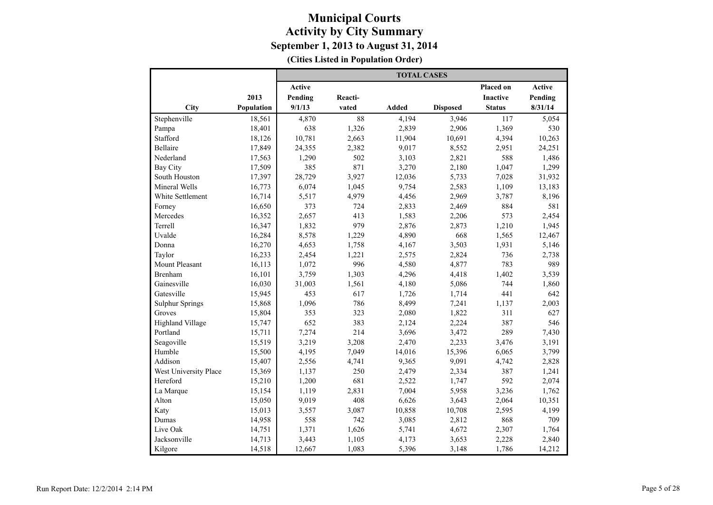|                         |            |         |         | <b>TOTAL CASES</b> |                 |                 |         |
|-------------------------|------------|---------|---------|--------------------|-----------------|-----------------|---------|
|                         |            | Active  |         |                    |                 | Placed on       | Active  |
|                         | 2013       | Pending | Reacti- |                    |                 | <b>Inactive</b> | Pending |
| City                    | Population | 9/1/13  | vated   | <b>Added</b>       | <b>Disposed</b> | <b>Status</b>   | 8/31/14 |
| Stephenville            | 18,561     | 4,870   | 88      | 4,194              | 3,946           | 117             | 5,054   |
| Pampa                   | 18,401     | 638     | 1,326   | 2,839              | 2,906           | 1,369           | 530     |
| Stafford                | 18,126     | 10,781  | 2,663   | 11,904             | 10,691          | 4,394           | 10,263  |
| Bellaire                | 17,849     | 24,355  | 2,382   | 9,017              | 8,552           | 2,951           | 24,251  |
| Nederland               | 17,563     | 1,290   | 502     | 3,103              | 2,821           | 588             | 1,486   |
| <b>Bay City</b>         | 17,509     | 385     | 871     | 3,270              | 2,180           | 1,047           | 1,299   |
| South Houston           | 17,397     | 28,729  | 3,927   | 12,036             | 5,733           | 7,028           | 31,932  |
| Mineral Wells           | 16,773     | 6,074   | 1,045   | 9,754              | 2,583           | 1,109           | 13,183  |
| White Settlement        | 16,714     | 5,517   | 4,979   | 4,456              | 2,969           | 3,787           | 8,196   |
| Forney                  | 16,650     | 373     | 724     | 2,833              | 2,469           | 884             | 581     |
| Mercedes                | 16,352     | 2,657   | 413     | 1,583              | 2,206           | 573             | 2,454   |
| Terrell                 | 16,347     | 1,832   | 979     | 2,876              | 2,873           | 1,210           | 1,945   |
| Uvalde                  | 16,284     | 8,578   | 1,229   | 4,890              | 668             | 1,565           | 12,467  |
| Donna                   | 16,270     | 4,653   | 1,758   | 4,167              | 3,503           | 1,931           | 5,146   |
| Taylor                  | 16,233     | 2,454   | 1,221   | 2,575              | 2,824           | 736             | 2,738   |
| <b>Mount Pleasant</b>   | 16,113     | 1,072   | 996     | 4,580              | 4,877           | 783             | 989     |
| <b>Brenham</b>          | 16,101     | 3,759   | 1,303   | 4,296              | 4,418           | 1,402           | 3,539   |
| Gainesville             | 16,030     | 31,003  | 1,561   | 4,180              | 5,086           | 744             | 1,860   |
| Gatesville              | 15,945     | 453     | 617     | 1,726              | 1,714           | 441             | 642     |
| <b>Sulphur Springs</b>  | 15,868     | 1,096   | 786     | 8,499              | 7,241           | 1,137           | 2,003   |
| Groves                  | 15,804     | 353     | 323     | 2,080              | 1,822           | 311             | 627     |
| <b>Highland Village</b> | 15,747     | 652     | 383     | 2,124              | 2,224           | 387             | 546     |
| Portland                | 15,711     | 7,274   | 214     | 3,696              | 3,472           | 289             | 7,430   |
| Seagoville              | 15,519     | 3,219   | 3,208   | 2,470              | 2,233           | 3,476           | 3,191   |
| Humble                  | 15,500     | 4,195   | 7,049   | 14,016             | 15,396          | 6,065           | 3,799   |
| Addison                 | 15,407     | 2,556   | 4,741   | 9,365              | 9,091           | 4,742           | 2,828   |
| West University Place   | 15,369     | 1,137   | 250     | 2,479              | 2,334           | 387             | 1,241   |
| Hereford                | 15,210     | 1,200   | 681     | 2,522              | 1,747           | 592             | 2,074   |
| La Marque               | 15,154     | 1,119   | 2,831   | 7,004              | 5,958           | 3,236           | 1,762   |
| Alton                   | 15,050     | 9,019   | 408     | 6,626              | 3,643           | 2,064           | 10,351  |
| Katy                    | 15,013     | 3,557   | 3,087   | 10,858             | 10,708          | 2,595           | 4,199   |
| Dumas                   | 14,958     | 558     | 742     | 3,085              | 2,812           | 868             | 709     |
| Live Oak                | 14,751     | 1,371   | 1,626   | 5,741              | 4,672           | 2,307           | 1,764   |
| Jacksonville            | 14,713     | 3,443   | 1,105   | 4,173              | 3,653           | 2,228           | 2,840   |
| Kilgore                 | 14,518     | 12,667  | 1,083   | 5,396              | 3,148           | 1,786           | 14,212  |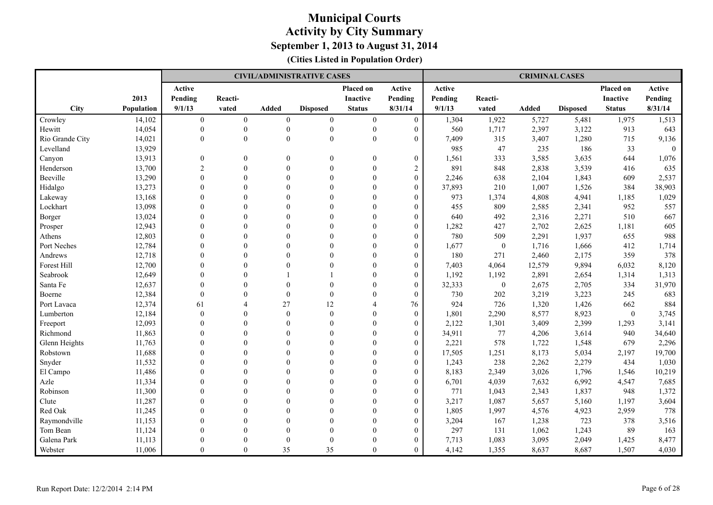|                 |                   |                |                |                | <b>CIVIL/ADMINISTRATIVE CASES</b> |                 |                  |         |                  | <b>CRIMINAL CASES</b> |                 |                 |          |
|-----------------|-------------------|----------------|----------------|----------------|-----------------------------------|-----------------|------------------|---------|------------------|-----------------------|-----------------|-----------------|----------|
|                 |                   | Active         |                |                |                                   | Placed on       | Active           | Active  |                  |                       |                 | Placed on       | Active   |
|                 | 2013              | Pending        | Reacti-        |                |                                   | <b>Inactive</b> | Pending          | Pending | Reacti-          |                       |                 | <b>Inactive</b> | Pending  |
| City            | <b>Population</b> | 9/1/13         | vated          | <b>Added</b>   | <b>Disposed</b>                   | <b>Status</b>   | 8/31/14          | 9/1/13  | vated            | <b>Added</b>          | <b>Disposed</b> | <b>Status</b>   | 8/31/14  |
| Crowley         | 14,102            | $\overline{0}$ | $\overline{0}$ | $\overline{0}$ | $\mathbf{0}$                      | $\overline{0}$  | $\boldsymbol{0}$ | 1,304   | 1,922            | 5,727                 | 5,481           | 1,975           | 1,513    |
| Hewitt          | 14,054            | $\mathbf{0}$   | $\mathbf{0}$   | $\theta$       | $\mathbf{0}$                      | $\mathbf{0}$    | $\overline{0}$   | 560     | 1,717            | 2,397                 | 3,122           | 913             | 643      |
| Rio Grande City | 14,021            | $\mathbf{0}$   | $\mathbf{0}$   | $\mathbf{0}$   | $\mathbf{0}$                      | $\mathbf{0}$    | $\overline{0}$   | 7,409   | 315              | 3,407                 | 1,280           | 715             | 9,136    |
| Levelland       | 13,929            |                |                |                |                                   |                 |                  | 985     | 47               | 235                   | 186             | 33              | $\theta$ |
| Canyon          | 13,913            | $\mathbf{0}$   | $\theta$       | $\Omega$       | $\theta$                          | $\theta$        | $\boldsymbol{0}$ | 1,561   | 333              | 3,585                 | 3,635           | 644             | 1,076    |
| Henderson       | 13,700            | $\overline{c}$ | $\theta$       | $\theta$       | $\mathbf{0}$                      | $\mathbf{0}$    | $\overline{c}$   | 891     | 848              | 2,838                 | 3,539           | 416             | 635      |
| Beeville        | 13,290            | $\theta$       | $\theta$       | $\Omega$       | $\mathbf{0}$                      | $\theta$        | $\overline{0}$   | 2,246   | 638              | 2,104                 | 1,843           | 609             | 2,537    |
| Hidalgo         | 13,273            | $\mathbf{0}$   | $\theta$       | $\Omega$       | $\theta$                          | $\theta$        | $\overline{0}$   | 37,893  | 210              | 1,007                 | 1,526           | 384             | 38,903   |
| Lakeway         | 13,168            | $\mathbf{0}$   | $\theta$       | $\Omega$       | $\theta$                          | $\Omega$        | $\boldsymbol{0}$ | 973     | 1,374            | 4,808                 | 4,941           | 1,185           | 1,029    |
| Lockhart        | 13,098            | $\Omega$       | $\Omega$       | $\Omega$       | $\theta$                          | $\Omega$        | $\overline{0}$   | 455     | 809              | 2,585                 | 2,341           | 952             | 557      |
| Borger          | 13,024            | $\Omega$       | $\theta$       | $\Omega$       | $\theta$                          | $\Omega$        | $\overline{0}$   | 640     | 492              | 2,316                 | 2,271           | 510             | 667      |
| Prosper         | 12,943            | $\theta$       | $\theta$       | $\Omega$       | $\theta$                          | $\theta$        | $\overline{0}$   | 1,282   | 427              | 2,702                 | 2,625           | 1,181           | 605      |
| Athens          | 12,803            | $\Omega$       | $\Omega$       | $\Omega$       | $\Omega$                          | $\Omega$        | $\overline{0}$   | 780     | 509              | 2,291                 | 1,937           | 655             | 988      |
| Port Neches     | 12,784            | $\Omega$       | $\theta$       | $\Omega$       | $\mathbf{0}$                      | $\mathbf{0}$    | $\overline{0}$   | 1,677   | $\mathbf{0}$     | 1,716                 | 1,666           | 412             | 1,714    |
| Andrews         | 12,718            | $\mathbf{0}$   | $\theta$       | $\theta$       | $\theta$                          | $\theta$        | $\boldsymbol{0}$ | 180     | 271              | 2,460                 | 2,175           | 359             | 378      |
| Forest Hill     | 12,700            | $\Omega$       | $\theta$       | $\Omega$       | $\theta$                          | $\Omega$        | $\overline{0}$   | 7,403   | 4,064            | 12,579                | 9,894           | 6,032           | 8,120    |
| Seabrook        | 12,649            | $\theta$       | $\Omega$       |                |                                   | $\Omega$        | $\overline{0}$   | 1,192   | 1,192            | 2,891                 | 2,654           | 1,314           | 1,313    |
| Santa Fe        | 12,637            | $\theta$       | $\theta$       | $\Omega$       | $\theta$                          | $\Omega$        | $\overline{0}$   | 32,333  | $\boldsymbol{0}$ | 2,675                 | 2,705           | 334             | 31,970   |
| Boerne          | 12,384            | $\Omega$       | $\Omega$       | $\theta$       | $\theta$                          | $\Omega$        | $\theta$         | 730     | 202              | 3,219                 | 3,223           | 245             | 683      |
| Port Lavaca     | 12,374            | 61             | Δ              | 27             | 12                                | $\overline{A}$  | 76               | 924     | 726              | 1,320                 | 1,426           | 662             | 884      |
| Lumberton       | 12,184            | $\theta$       | $\theta$       | $\theta$       | $\mathbf{0}$                      | $\Omega$        | $\overline{0}$   | 1,801   | 2,290            | 8,577                 | 8,923           | $\overline{0}$  | 3,745    |
| Freeport        | 12,093            | $\Omega$       | $\theta$       | $\Omega$       | $\mathbf{0}$                      | $\theta$        | $\overline{0}$   | 2,122   | 1,301            | 3,409                 | 2,399           | 1,293           | 3,141    |
| Richmond        | 11,863            | $\Omega$       | $\theta$       | $\Omega$       | $\theta$                          | $\Omega$        | $\overline{0}$   | 34,911  | 77               | 4,206                 | 3,614           | 940             | 34,640   |
| Glenn Heights   | 11,763            | $\theta$       | $\Omega$       | $\Omega$       | $\theta$                          | $\Omega$        | $\boldsymbol{0}$ | 2,221   | 578              | 1,722                 | 1,548           | 679             | 2,296    |
| Robstown        | 11,688            | $\Omega$       | $\Omega$       | $\Omega$       | $\Omega$                          | $\Omega$        | $\overline{0}$   | 17,505  | 1,251            | 8,173                 | 5,034           | 2,197           | 19,700   |
| Snyder          | 11,532            | $\Omega$       | $\Omega$       | $\Omega$       | $\theta$                          | $\Omega$        | $\overline{0}$   | 1,243   | 238              | 2,262                 | 2,279           | 434             | 1,030    |
| El Campo        | 11,486            | $\theta$       | $\theta$       | $\Omega$       | $\theta$                          | $\theta$        | $\overline{0}$   | 8,183   | 2,349            | 3,026                 | 1,796           | 1,546           | 10,219   |
| Azle            | 11,334            | $\Omega$       | $\Omega$       | $\Omega$       | $\Omega$                          | $\Omega$        | $\theta$         | 6,701   | 4,039            | 7,632                 | 6,992           | 4,547           | 7,685    |
| Robinson        | 11,300            | $\Omega$       | $\theta$       | $\Omega$       | $\mathbf{0}$                      | $\mathbf{0}$    | $\overline{0}$   | 771     | 1,043            | 2,343                 | 1,837           | 948             | 1,372    |
| Clute           | 11,287            | $\mathbf{0}$   | $\theta$       | $\theta$       | $\mathbf{0}$                      | $\theta$        | $\boldsymbol{0}$ | 3,217   | 1,087            | 5,657                 | 5,160           | 1,197           | 3,604    |
| Red Oak         | 11,245            | $\theta$       | $\theta$       | $\Omega$       | $\theta$                          | $\Omega$        | $\overline{0}$   | 1,805   | 1,997            | 4,576                 | 4,923           | 2,959           | 778      |
| Raymondville    | 11,153            | $\Omega$       | $\Omega$       | $\Omega$       | $\theta$                          | $\Omega$        | $\overline{0}$   | 3,204   | 167              | 1,238                 | 723             | 378             | 3,516    |
| Tom Bean        | 11,124            | $\Omega$       | $\theta$       | $\Omega$       | $\theta$                          | $\Omega$        | $\overline{0}$   | 297     | 131              | 1,062                 | 1,243           | 89              | 163      |
| Galena Park     | 11,113            | $\Omega$       | $\Omega$       | $\Omega$       | $\theta$                          | $\Omega$        | $\overline{0}$   | 7,713   | 1,083            | 3,095                 | 2,049           | 1,425           | 8,477    |
| Webster         | 11,006            | $\Omega$       | $\theta$       | 35             | 35                                | $\theta$        | $\overline{0}$   | 4,142   | 1,355            | 8,637                 | 8,687           | 1,507           | 4,030    |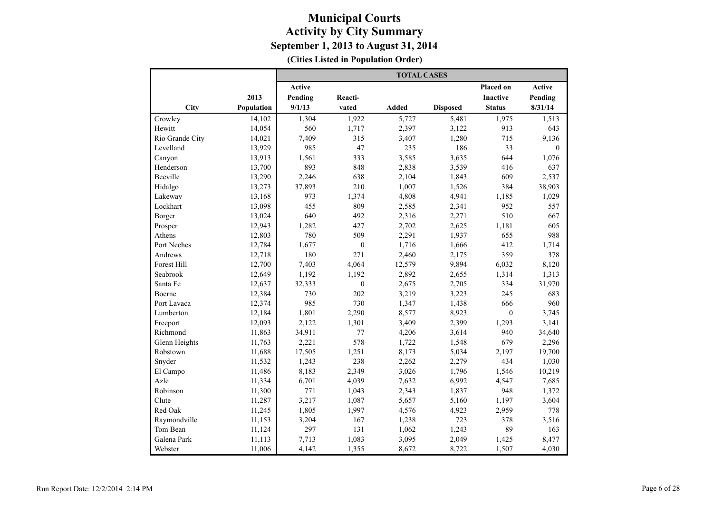|                    |            |               |              | <b>TOTAL CASES</b> |                 |                 |          |
|--------------------|------------|---------------|--------------|--------------------|-----------------|-----------------|----------|
|                    |            | <b>Active</b> |              |                    |                 | Placed on       | Active   |
|                    | 2013       | Pending       | Reacti-      |                    |                 | <b>Inactive</b> | Pending  |
| City               | Population | 9/1/13        | vated        | <b>Added</b>       | <b>Disposed</b> | <b>Status</b>   | 8/31/14  |
| Crowley            | 14,102     | 1,304         | 1,922        | 5,727              | 5,481           | 1,975           | 1,513    |
| Hewitt             | 14,054     | 560           | 1,717        | 2,397              | 3,122           | 913             | 643      |
| Rio Grande City    | 14,021     | 7,409         | 315          | 3,407              | 1,280           | 715             | 9,136    |
| Levelland          | 13,929     | 985           | 47           | 235                | 186             | 33              | $\Omega$ |
| Canyon             | 13,913     | 1,561         | 333          | 3,585              | 3,635           | 644             | 1,076    |
| Henderson          | 13,700     | 893           | 848          | 2,838              | 3,539           | 416             | 637      |
| Beeville           | 13,290     | 2,246         | 638          | 2,104              | 1,843           | 609             | 2,537    |
| Hidalgo            | 13,273     | 37,893        | 210          | 1,007              | 1,526           | 384             | 38,903   |
| Lakeway            | 13,168     | 973           | 1,374        | 4,808              | 4,941           | 1,185           | 1,029    |
| Lockhart           | 13,098     | 455           | 809          | 2,585              | 2,341           | 952             | 557      |
| Borger             | 13,024     | 640           | 492          | 2,316              | 2,271           | 510             | 667      |
| Prosper            | 12,943     | 1,282         | 427          | 2,702              | 2,625           | 1,181           | 605      |
| Athens             | 12,803     | 780           | 509          | 2,291              | 1,937           | 655             | 988      |
| Port Neches        | 12,784     | 1,677         | $\mathbf{0}$ | 1,716              | 1,666           | 412             | 1,714    |
| Andrews            | 12,718     | 180           | 271          | 2,460              | 2,175           | 359             | 378      |
| <b>Forest Hill</b> | 12,700     | 7,403         | 4,064        | 12,579             | 9,894           | 6,032           | 8,120    |
| Seabrook           | 12,649     | 1,192         | 1,192        | 2,892              | 2,655           | 1,314           | 1,313    |
| Santa Fe           | 12,637     | 32,333        | $\mathbf{0}$ | 2,675              | 2,705           | 334             | 31,970   |
| Boerne             | 12,384     | 730           | 202          | 3,219              | 3,223           | 245             | 683      |
| Port Lavaca        | 12,374     | 985           | 730          | 1,347              | 1,438           | 666             | 960      |
| Lumberton          | 12,184     | 1,801         | 2,290        | 8,577              | 8,923           | $\mathbf{0}$    | 3,745    |
| Freeport           | 12,093     | 2,122         | 1,301        | 3,409              | 2,399           | 1,293           | 3,141    |
| Richmond           | 11,863     | 34,911        | 77           | 4,206              | 3,614           | 940             | 34,640   |
| Glenn Heights      | 11,763     | 2,221         | 578          | 1,722              | 1,548           | 679             | 2,296    |
| Robstown           | 11,688     | 17,505        | 1,251        | 8,173              | 5,034           | 2,197           | 19,700   |
| Snyder             | 11,532     | 1,243         | 238          | 2,262              | 2,279           | 434             | 1,030    |
| El Campo           | 11,486     | 8,183         | 2,349        | 3,026              | 1,796           | 1,546           | 10,219   |
| Azle               | 11,334     | 6,701         | 4,039        | 7,632              | 6,992           | 4,547           | 7,685    |
| Robinson           | 11,300     | 771           | 1,043        | 2,343              | 1,837           | 948             | 1,372    |
| Clute              | 11,287     | 3,217         | 1,087        | 5,657              | 5,160           | 1,197           | 3,604    |
| Red Oak            | 11,245     | 1,805         | 1,997        | 4,576              | 4,923           | 2,959           | 778      |
| Raymondville       | 11,153     | 3,204         | 167          | 1,238              | 723             | 378             | 3,516    |
| Tom Bean           | 11,124     | 297           | 131          | 1,062              | 1,243           | 89              | 163      |
| Galena Park        | 11,113     | 7,713         | 1,083        | 3,095              | 2,049           | 1,425           | 8,477    |
| Webster            | 11,006     | 4,142         | 1,355        | 8,672              | 8,722           | 1,507           | 4,030    |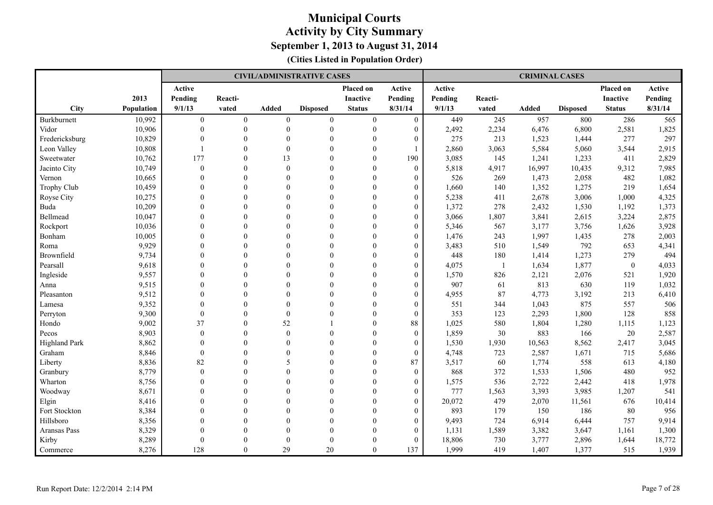|                      |            |                |                |                | <b>CIVIL/ADMINISTRATIVE CASES</b> |                  |                  |         |                | <b>CRIMINAL CASES</b> |                 |                  |         |
|----------------------|------------|----------------|----------------|----------------|-----------------------------------|------------------|------------------|---------|----------------|-----------------------|-----------------|------------------|---------|
|                      |            | Active         |                |                |                                   | Placed on        | Active           | Active  |                |                       |                 | Placed on        | Active  |
|                      | 2013       | Pending        | Reacti-        |                |                                   | <b>Inactive</b>  | Pending          | Pending | Reacti-        |                       |                 | <b>Inactive</b>  | Pending |
| <b>City</b>          | Population | 9/1/13         | vated          | <b>Added</b>   | <b>Disposed</b>                   | <b>Status</b>    | 8/31/14          | 9/1/13  | vated          | <b>Added</b>          | <b>Disposed</b> | <b>Status</b>    | 8/31/14 |
| Burkburnett          | 10,992     | $\overline{0}$ | $\overline{0}$ | $\overline{0}$ | $\mathbf{0}$                      | $\boldsymbol{0}$ | $\mathbf{0}$     | 449     | 245            | 957                   | 800             | 286              | 565     |
| Vidor                | 10,906     | $\theta$       | $\theta$       | $\Omega$       | $\theta$                          | $\boldsymbol{0}$ | $\overline{0}$   | 2,492   | 2,234          | 6,476                 | 6,800           | 2,581            | 1,825   |
| Fredericksburg       | 10,829     | $\Omega$       | $\theta$       | $\Omega$       | $\theta$                          | $\theta$         | $\overline{0}$   | 275     | 213            | 1,523                 | 1,444           | 277              | 297     |
| Leon Valley          | 10,808     | $\overline{1}$ | $\theta$       | $\theta$       | $\theta$                          | $\theta$         |                  | 2,860   | 3,063          | 5,584                 | 5,060           | 3,544            | 2,915   |
| Sweetwater           | 10,762     | 177            | $\theta$       | 13             | $\theta$                          | $\theta$         | 190              | 3,085   | 145            | 1,241                 | 1,233           | 411              | 2,829   |
| Jacinto City         | 10,749     | $\mathbf{0}$   | $\Omega$       | $\Omega$       | $\theta$                          | $\theta$         | $\theta$         | 5,818   | 4,917          | 16,997                | 10,435          | 9,312            | 7,985   |
| Vernon               | 10,665     | $\mathbf{0}$   | $\theta$       | $\Omega$       | $\mathbf{0}$                      | $\mathbf{0}$     | $\overline{0}$   | 526     | 269            | 1,473                 | 2,058           | 482              | 1,082   |
| <b>Trophy Club</b>   | 10,459     | $\mathbf{0}$   | $\theta$       | $\theta$       | $\mathbf{0}$                      | $\mathbf{0}$     | $\boldsymbol{0}$ | 1,660   | 140            | 1,352                 | 1,275           | 219              | 1,654   |
| Royse City           | 10,275     | $\theta$       | $\theta$       | $\Omega$       | $\theta$                          | $\Omega$         | $\overline{0}$   | 5,238   | 411            | 2,678                 | 3,006           | 1,000            | 4,325   |
| Buda                 | 10,209     | $\Omega$       | $\Omega$       | $\Omega$       | $\theta$                          | $\Omega$         | $\overline{0}$   | 1,372   | 278            | 2,432                 | 1,530           | 1,192            | 1,373   |
| Bellmead             | 10,047     | $\theta$       | $\theta$       | $\Omega$       | $\theta$                          | $\Omega$         | $\boldsymbol{0}$ | 3,066   | 1,807          | 3,841                 | 2,615           | 3,224            | 2,875   |
| Rockport             | 10,036     | $\Omega$       | $\Omega$       | $\Omega$       | $\theta$                          | $\theta$         | $\overline{0}$   | 5,346   | 567            | 3,177                 | 3,756           | 1,626            | 3,928   |
| Bonham               | 10,005     | $\Omega$       | $\theta$       | $\Omega$       | $\theta$                          | $\theta$         | $\overline{0}$   | 1,476   | 243            | 1,997                 | 1,435           | 278              | 2,003   |
| Roma                 | 9,929      | $\mathbf{0}$   | $\theta$       | $\Omega$       | $\mathbf{0}$                      | $\mathbf{0}$     | $\overline{0}$   | 3,483   | 510            | 1,549                 | 792             | 653              | 4,341   |
| Brownfield           | 9,734      | $\mathbf{0}$   | $\theta$       | $\theta$       | $\mathbf{0}$                      | $\theta$         | $\overline{0}$   | 448     | 180            | 1,414                 | 1,273           | 279              | 494     |
| Pearsall             | 9,618      | $\mathbf{0}$   | $\Omega$       | $\theta$       | $\theta$                          | $\theta$         | $\overline{0}$   | 4,075   | $\overline{1}$ | 1,634                 | 1,877           | $\boldsymbol{0}$ | 4,033   |
| Ingleside            | 9,557      | $\Omega$       | $\Omega$       | $\Omega$       | $\Omega$                          | $\Omega$         | $\boldsymbol{0}$ | 1,570   | 826            | 2,121                 | 2,076           | 521              | 1,920   |
| Anna                 | 9,515      | $\Omega$       | $\Omega$       | $\Omega$       | $\Omega$                          | $\Omega$         | $\overline{0}$   | 907     | 61             | 813                   | 630             | 119              | 1,032   |
| Pleasanton           | 9,512      | $\Omega$       | $\theta$       | $\Omega$       | $\Omega$                          | $\Omega$         | $\overline{0}$   | 4,955   | 87             | 4,773                 | 3,192           | 213              | 6,410   |
| Lamesa               | 9,352      | $\Omega$       | $\Omega$       | $\Omega$       | $\Omega$                          | $\Omega$         | $\overline{0}$   | 551     | 344            | 1,043                 | 875             | 557              | 506     |
| Perryton             | 9,300      | $\Omega$       | $\Omega$       | $\theta$       | $\theta$                          | $\theta$         | $\Omega$         | 353     | 123            | 2,293                 | 1,800           | 128              | 858     |
| Hondo                | 9,002      | 37             | $\theta$       | 52             |                                   | $\mathbf{0}$     | 88               | 1,025   | 580            | 1,804                 | 1,280           | 1,115            | 1,123   |
| Pecos                | 8,903      | $\mathbf{0}$   | $\theta$       | $\theta$       | $\theta$                          | $\mathbf{0}$     | $\overline{0}$   | 1,859   | 30             | 883                   | 166             | 20               | 2,587   |
| <b>Highland Park</b> | 8,862      | $\mathbf{0}$   | $\theta$       | $\Omega$       | $\theta$                          | $\mathbf{0}$     | $\overline{0}$   | 1,530   | 1,930          | 10,563                | 8,562           | 2,417            | 3,045   |
| Graham               | 8,846      | $\mathbf{0}$   | $\theta$       | $\Omega$       | $\theta$                          | $\theta$         | $\overline{0}$   | 4,748   | 723            | 2,587                 | 1,671           | 715              | 5,686   |
| Liberty              | 8,836      | 82             | $\Omega$       | 5              | $\theta$                          | $\Omega$         | 87               | 3,517   | 60             | 1,774                 | 558             | 613              | 4,180   |
| Granbury             | 8,779      | $\theta$       | $\theta$       | $\Omega$       | $\theta$                          | $\theta$         | $\overline{0}$   | 868     | 372            | 1,533                 | 1,506           | 480              | 952     |
| Wharton              | 8,756      | $\theta$       | $\theta$       | $\Omega$       | $\theta$                          | $\theta$         | $\boldsymbol{0}$ | 1,575   | 536            | 2,722                 | 2,442           | 418              | 1,978   |
| Woodway              | 8,671      | $\Omega$       | $\Omega$       | $\Omega$       | $\theta$                          | $\theta$         | $\overline{0}$   | 777     | 1,563          | 3,393                 | 3,985           | 1,207            | 541     |
| Elgin                | 8,416      | $\mathbf{0}$   | $\theta$       | $\theta$       | $\mathbf{0}$                      | $\theta$         | $\boldsymbol{0}$ | 20,072  | 479            | 2,070                 | 11,561          | 676              | 10,414  |
| Fort Stockton        | 8,384      | $\mathbf{0}$   | $\theta$       | $\theta$       | $\theta$                          | $\overline{0}$   | $\boldsymbol{0}$ | 893     | 179            | 150                   | 186             | 80               | 956     |
| Hillsboro            | 8,356      | $\theta$       | $\Omega$       | $\Omega$       | $\theta$                          | $\Omega$         | $\overline{0}$   | 9,493   | 724            | 6,914                 | 6,444           | 757              | 9,914   |
| Aransas Pass         | 8,329      | $\Omega$       | $\Omega$       | $\Omega$       | $\theta$                          | $\Omega$         | $\overline{0}$   | 1,131   | 1,589          | 3,382                 | 3,647           | 1,161            | 1,300   |
| Kirby                | 8,289      | $\mathbf{0}$   | $\Omega$       | $\Omega$       | $\theta$                          | $\Omega$         | $\theta$         | 18,806  | 730            | 3,777                 | 2,896           | 1,644            | 18,772  |
| Commerce             | 8,276      | 128            | $\theta$       | 29             | 20                                | $\Omega$         | 137              | 1,999   | 419            | 1,407                 | 1,377           | 515              | 1,939   |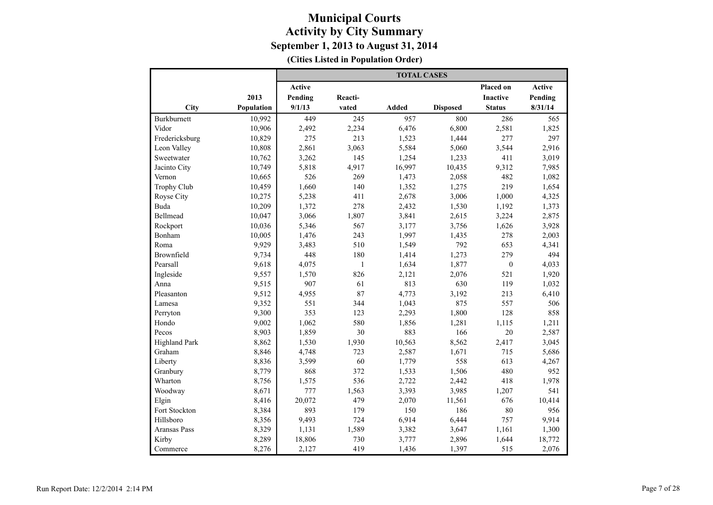|                      |            | <b>TOTAL CASES</b> |              |        |                 |                  |         |  |  |  |
|----------------------|------------|--------------------|--------------|--------|-----------------|------------------|---------|--|--|--|
|                      |            | <b>Active</b>      |              |        |                 | Placed on        | Active  |  |  |  |
|                      | 2013       | Pending            | Reacti-      |        |                 | <b>Inactive</b>  | Pending |  |  |  |
| City                 | Population | 9/1/13             | vated        | Added  | <b>Disposed</b> | <b>Status</b>    | 8/31/14 |  |  |  |
| Burkburnett          | 10,992     | 449                | 245          | 957    | 800             | 286              | 565     |  |  |  |
| Vidor                | 10,906     | 2,492              | 2,234        | 6,476  | 6,800           | 2,581            | 1,825   |  |  |  |
| Fredericksburg       | 10,829     | 275                | 213          | 1,523  | 1,444           | 277              | 297     |  |  |  |
| Leon Valley          | 10,808     | 2,861              | 3,063        | 5,584  | 5,060           | 3,544            | 2,916   |  |  |  |
| Sweetwater           | 10,762     | 3,262              | 145          | 1,254  | 1,233           | 411              | 3,019   |  |  |  |
| Jacinto City         | 10,749     | 5,818              | 4,917        | 16,997 | 10,435          | 9,312            | 7,985   |  |  |  |
| Vernon               | 10,665     | 526                | 269          | 1,473  | 2,058           | 482              | 1,082   |  |  |  |
| <b>Trophy Club</b>   | 10,459     | 1,660              | 140          | 1,352  | 1,275           | 219              | 1,654   |  |  |  |
| Royse City           | 10,275     | 5,238              | 411          | 2,678  | 3,006           | 1,000            | 4,325   |  |  |  |
| <b>Buda</b>          | 10,209     | 1,372              | 278          | 2,432  | 1,530           | 1,192            | 1,373   |  |  |  |
| Bellmead             | 10,047     | 3,066              | 1,807        | 3,841  | 2,615           | 3,224            | 2,875   |  |  |  |
| Rockport             | 10,036     | 5,346              | 567          | 3,177  | 3,756           | 1,626            | 3,928   |  |  |  |
| Bonham               | 10,005     | 1,476              | 243          | 1,997  | 1,435           | 278              | 2,003   |  |  |  |
| Roma                 | 9,929      | 3,483              | 510          | 1,549  | 792             | 653              | 4,341   |  |  |  |
| Brownfield           | 9,734      | 448                | 180          | 1,414  | 1,273           | 279              | 494     |  |  |  |
| Pearsall             | 9,618      | 4,075              | $\mathbf{1}$ | 1,634  | 1,877           | $\boldsymbol{0}$ | 4,033   |  |  |  |
| Ingleside            | 9,557      | 1,570              | 826          | 2,121  | 2,076           | 521              | 1,920   |  |  |  |
| Anna                 | 9,515      | 907                | 61           | 813    | 630             | 119              | 1,032   |  |  |  |
| Pleasanton           | 9,512      | 4,955              | 87           | 4,773  | 3,192           | 213              | 6,410   |  |  |  |
| Lamesa               | 9,352      | 551                | 344          | 1,043  | 875             | 557              | 506     |  |  |  |
| Perryton             | 9,300      | 353                | 123          | 2,293  | 1,800           | 128              | 858     |  |  |  |
| Hondo                | 9,002      | 1,062              | 580          | 1,856  | 1,281           | 1,115            | 1,211   |  |  |  |
| Pecos                | 8,903      | 1,859              | 30           | 883    | 166             | 20               | 2,587   |  |  |  |
| <b>Highland Park</b> | 8,862      | 1,530              | 1,930        | 10,563 | 8,562           | 2,417            | 3,045   |  |  |  |
| Graham               | 8,846      | 4,748              | 723          | 2,587  | 1,671           | 715              | 5,686   |  |  |  |
| Liberty              | 8,836      | 3,599              | 60           | 1,779  | 558             | 613              | 4,267   |  |  |  |
| Granbury             | 8,779      | 868                | 372          | 1,533  | 1,506           | 480              | 952     |  |  |  |
| Wharton              | 8,756      | 1,575              | 536          | 2,722  | 2,442           | 418              | 1,978   |  |  |  |
| Woodway              | 8,671      | 777                | 1,563        | 3,393  | 3,985           | 1,207            | 541     |  |  |  |
| Elgin                | 8,416      | 20,072             | 479          | 2,070  | 11,561          | 676              | 10,414  |  |  |  |
| Fort Stockton        | 8,384      | 893                | 179          | 150    | 186             | 80               | 956     |  |  |  |
| Hillsboro            | 8,356      | 9,493              | 724          | 6,914  | 6,444           | 757              | 9,914   |  |  |  |
| Aransas Pass         | 8,329      | 1,131              | 1,589        | 3,382  | 3,647           | 1,161            | 1,300   |  |  |  |
| Kirby                | 8,289      | 18,806             | 730          | 3,777  | 2,896           | 1,644            | 18,772  |  |  |  |
| Commerce             | 8,276      | 2,127              | 419          | 1,436  | 1,397           | 515              | 2,076   |  |  |  |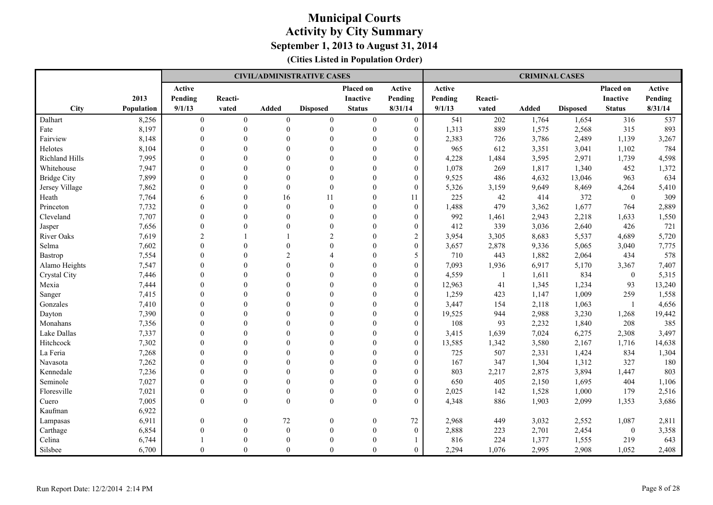|                    |                   |                  |                  |                | <b>CIVIL/ADMINISTRATIVE CASES</b> |                  |                  |         |              | <b>CRIMINAL CASES</b> |                 |                 |         |
|--------------------|-------------------|------------------|------------------|----------------|-----------------------------------|------------------|------------------|---------|--------------|-----------------------|-----------------|-----------------|---------|
|                    |                   | Active           |                  |                |                                   | Placed on        | Active           | Active  |              |                       |                 | Placed on       | Active  |
|                    | 2013              | Pending          | Reacti-          |                |                                   | <b>Inactive</b>  | Pending          | Pending | Reacti-      |                       |                 | <b>Inactive</b> | Pending |
| City               | <b>Population</b> | 9/1/13           | vated            | Added          | <b>Disposed</b>                   | <b>Status</b>    | 8/31/14          | 9/1/13  | vated        | <b>Added</b>          | <b>Disposed</b> | <b>Status</b>   | 8/31/14 |
| Dalhart            | 8,256             | $\boldsymbol{0}$ | $\boldsymbol{0}$ | $\mathbf{0}$   | $\boldsymbol{0}$                  | $\boldsymbol{0}$ | $\boldsymbol{0}$ | 541     | 202          | 1,764                 | 1,654           | 316             | 537     |
| Fate               | 8,197             | $\mathbf{0}$     | $\mathbf{0}$     | $\theta$       | $\mathbf{0}$                      | $\mathbf{0}$     | $\boldsymbol{0}$ | 1,313   | 889          | 1,575                 | 2,568           | 315             | 893     |
| Fairview           | 8,148             | $\Omega$         | $\theta$         | $\Omega$       | $\theta$                          | $\Omega$         | $\overline{0}$   | 2,383   | 726          | 3,786                 | 2,489           | 1,139           | 3,267   |
| Helotes            | 8,104             | $\Omega$         | $\theta$         | $\Omega$       | $\theta$                          | $\theta$         | $\overline{0}$   | 965     | 612          | 3,351                 | 3,041           | 1,102           | 784     |
| Richland Hills     | 7,995             | $\theta$         | $\theta$         | $\Omega$       | $\theta$                          | $\theta$         | $\overline{0}$   | 4,228   | 1,484        | 3,595                 | 2,971           | 1,739           | 4,598   |
| Whitehouse         | 7,947             | $\mathbf{0}$     | $\theta$         | $\Omega$       | $\mathbf{0}$                      | $\mathbf{0}$     | $\boldsymbol{0}$ | 1,078   | 269          | 1,817                 | 1,340           | 452             | 1,372   |
| <b>Bridge City</b> | 7,899             | $\Omega$         | $\theta$         | $\Omega$       | $\theta$                          | $\theta$         | $\overline{0}$   | 9,525   | 486          | 4,632                 | 13,046          | 963             | 634     |
| Jersey Village     | 7,862             | $\mathbf{0}$     | $\theta$         | $\theta$       | $\mathbf{0}$                      | $\mathbf{0}$     | $\overline{0}$   | 5,326   | 3,159        | 9,649                 | 8,469           | 4,264           | 5,410   |
| Heath              | 7,764             | 6                | $\theta$         | 16             | 11                                | $\Omega$         | 11               | 225     | 42           | 414                   | 372             | $\mathbf{0}$    | 309     |
| Princeton          | 7,732             | $\theta$         | $\theta$         | $\theta$       | $\boldsymbol{0}$                  | $\theta$         | $\mathbf{0}$     | 1,488   | 479          | 3,362                 | 1,677           | 764             | 2,889   |
| Cleveland          | 7,707             | $\theta$         | $\theta$         | $\Omega$       | $\mathbf{0}$                      | $\mathbf{0}$     | $\boldsymbol{0}$ | 992     | 1,461        | 2,943                 | 2,218           | 1,633           | 1,550   |
| Jasper             | 7,656             | $\Omega$         | $\Omega$         | $\Omega$       | $\theta$                          | $\Omega$         | $\overline{0}$   | 412     | 339          | 3,036                 | 2,640           | 426             | 721     |
| River Oaks         | 7,619             | $\overline{2}$   |                  | $\mathbf{1}$   | $\overline{2}$                    | $\theta$         | $\overline{c}$   | 3,954   | 3,305        | 8,683                 | 5,537           | 4,689           | 5,720   |
| Selma              | 7,602             | $\mathbf{0}$     | $\theta$         | $\theta$       | $\theta$                          | $\theta$         | $\boldsymbol{0}$ | 3,657   | 2,878        | 9,336                 | 5,065           | 3,040           | 7,775   |
| Bastrop            | 7,554             | $\mathbf{0}$     | $\theta$         | $\overline{2}$ | $\overline{\mathcal{A}}$          | $\theta$         | 5                | 710     | 443          | 1,882                 | 2,064           | 434             | 578     |
| Alamo Heights      | 7,547             | $\Omega$         | $\Omega$         | $\Omega$       | $\theta$                          | $\Omega$         | $\overline{0}$   | 7,093   | 1,936        | 6,917                 | 5,170           | 3,367           | 7,407   |
| Crystal City       | 7,446             | $\Omega$         | $\theta$         | $\Omega$       | $\theta$                          | $\Omega$         | $\overline{0}$   | 4,559   | $\mathbf{1}$ | 1,611                 | 834             | $\mathbf{0}$    | 5,315   |
| Mexia              | 7,444             | $\theta$         | $\theta$         | $\Omega$       | $\theta$                          | $\Omega$         | $\overline{0}$   | 12,963  | 41           | 1,345                 | 1,234           | 93              | 13,240  |
| Sanger             | 7,415             | $\theta$         | $\theta$         | $\Omega$       | $\theta$                          | $\theta$         | $\overline{0}$   | 1,259   | 423          | 1,147                 | 1,009           | 259             | 1,558   |
| Gonzales           | 7,410             | $\Omega$         | $\Omega$         | $\Omega$       | $\theta$                          | $\theta$         | $\theta$         | 3,447   | 154          | 2,118                 | 1,063           | $\overline{1}$  | 4,656   |
| Dayton             | 7,390             | $\Omega$         | $\theta$         | $\Omega$       | $\theta$                          | $\Omega$         | $\overline{0}$   | 19,525  | 944          | 2,988                 | 3,230           | 1,268           | 19,442  |
| Monahans           | 7,356             | $\mathbf{0}$     | $\theta$         | $\theta$       | $\theta$                          | $\theta$         | $\overline{0}$   | 108     | 93           | 2,232                 | 1,840           | 208             | 385     |
| Lake Dallas        | 7,337             | $\theta$         | $\theta$         | $\Omega$       | $\theta$                          | $\theta$         | $\overline{0}$   | 3,415   | 1,639        | 7,024                 | 6,275           | 2,308           | 3,497   |
| Hitchcock          | 7,302             | $\theta$         | $\theta$         | $\Omega$       | $\theta$                          | $\Omega$         | $\boldsymbol{0}$ | 13,585  | 1,342        | 3,580                 | 2,167           | 1,716           | 14,638  |
| La Feria           | 7,268             | $\Omega$         | $\Omega$         | $\Omega$       | $\theta$                          | $\theta$         | $\overline{0}$   | 725     | 507          | 2,331                 | 1,424           | 834             | 1,304   |
| Navasota           | 7,262             | $\Omega$         | $\theta$         | $\Omega$       | $\theta$                          | $\theta$         | $\overline{0}$   | 167     | 347          | 1,304                 | 1,312           | 327             | 180     |
| Kennedale          | 7,236             | $\theta$         | $\theta$         | $\Omega$       | $\theta$                          | $\mathbf{0}$     | $\overline{0}$   | 803     | 2,217        | 2,875                 | 3,894           | 1,447           | 803     |
| Seminole           | 7,027             | $\mathbf{0}$     | $\mathbf{0}$     | $\theta$       | $\boldsymbol{0}$                  | $\boldsymbol{0}$ | $\boldsymbol{0}$ | 650     | 405          | 2,150                 | 1,695           | 404             | 1,106   |
| Floresville        | 7,021             | $\mathbf{0}$     | $\mathbf{0}$     | $\theta$       | $\mathbf{0}$                      | $\mathbf{0}$     | $\overline{0}$   | 2,025   | 142          | 1,528                 | 1,000           | 179             | 2,516   |
| Cuero              | 7,005             | $\mathbf{0}$     | $\theta$         | $\Omega$       | $\mathbf{0}$                      | $\mathbf{0}$     | $\overline{0}$   | 4,348   | 886          | 1,903                 | 2,099           | 1,353           | 3,686   |
| Kaufman            | 6,922             |                  |                  |                |                                   |                  |                  |         |              |                       |                 |                 |         |
| Lampasas           | 6,911             | $\mathbf{0}$     | $\mathbf{0}$     | 72             | $\boldsymbol{0}$                  | $\mathbf{0}$     | 72               | 2,968   | 449          | 3,032                 | 2,552           | 1,087           | 2,811   |
| Carthage           | 6,854             | $\Omega$         | $\theta$         | $\theta$       | $\theta$                          | $\theta$         | $\overline{0}$   | 2,888   | 223          | 2,701                 | 2,454           | $\mathbf{0}$    | 3,358   |
| Celina             | 6,744             | 1                | $\theta$         | $\Omega$       | $\theta$                          | $\theta$         |                  | 816     | 224          | 1,377                 | 1,555           | 219             | 643     |
| Silsbee            | 6,700             | $\Omega$         | $\theta$         | $\theta$       | $\Omega$                          | $\Omega$         | $\overline{0}$   | 2,294   | 1,076        | 2,995                 | 2,908           | 1,052           | 2,408   |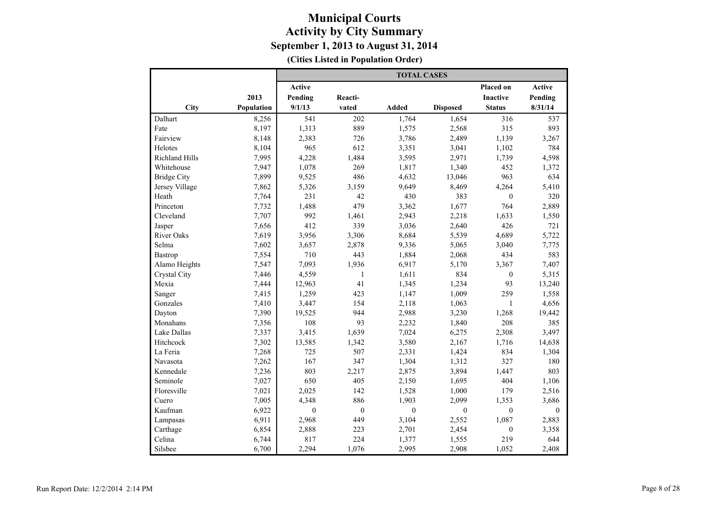|                       |            | <b>TOTAL CASES</b> |                  |              |                  |                  |                  |  |  |  |
|-----------------------|------------|--------------------|------------------|--------------|------------------|------------------|------------------|--|--|--|
|                       |            | Active             |                  |              |                  | Placed on        | Active           |  |  |  |
|                       | 2013       | Pending            | Reacti-          |              |                  | <b>Inactive</b>  | Pending          |  |  |  |
| City                  | Population | 9/1/13             | vated            | <b>Added</b> | <b>Disposed</b>  | <b>Status</b>    | 8/31/14          |  |  |  |
| Dalhart               | 8,256      | 541                | 202              | 1,764        | 1,654            | 316              | 537              |  |  |  |
| Fate                  | 8,197      | 1,313              | 889              | 1,575        | 2,568            | 315              | 893              |  |  |  |
| Fairview              | 8,148      | 2,383              | 726              | 3,786        | 2,489            | 1,139            | 3,267            |  |  |  |
| Helotes               | 8,104      | 965                | 612              | 3,351        | 3,041            | 1,102            | 784              |  |  |  |
| <b>Richland Hills</b> | 7,995      | 4,228              | 1,484            | 3,595        | 2,971            | 1,739            | 4,598            |  |  |  |
| Whitehouse            | 7,947      | 1,078              | 269              | 1,817        | 1,340            | 452              | 1,372            |  |  |  |
| <b>Bridge City</b>    | 7,899      | 9,525              | 486              | 4,632        | 13,046           | 963              | 634              |  |  |  |
| Jersey Village        | 7,862      | 5,326              | 3,159            | 9,649        | 8,469            | 4,264            | 5,410            |  |  |  |
| Heath                 | 7,764      | 231                | 42               | 430          | 383              | $\boldsymbol{0}$ | 320              |  |  |  |
| Princeton             | 7,732      | 1,488              | 479              | 3,362        | 1,677            | 764              | 2,889            |  |  |  |
| Cleveland             | 7,707      | 992                | 1,461            | 2,943        | 2,218            | 1,633            | 1,550            |  |  |  |
| Jasper                | 7,656      | 412                | 339              | 3,036        | 2,640            | 426              | 721              |  |  |  |
| <b>River Oaks</b>     | 7,619      | 3,956              | 3,306            | 8,684        | 5,539            | 4,689            | 5,722            |  |  |  |
| Selma                 | 7,602      | 3,657              | 2,878            | 9,336        | 5,065            | 3,040            | 7,775            |  |  |  |
| Bastrop               | 7,554      | 710                | 443              | 1,884        | 2,068            | 434              | 583              |  |  |  |
| Alamo Heights         | 7,547      | 7,093              | 1,936            | 6,917        | 5,170            | 3,367            | 7,407            |  |  |  |
| Crystal City          | 7,446      | 4,559              | $\mathbf{1}$     | 1,611        | 834              | $\boldsymbol{0}$ | 5,315            |  |  |  |
| Mexia                 | 7,444      | 12,963             | 41               | 1,345        | 1,234            | 93               | 13,240           |  |  |  |
| Sanger                | 7,415      | 1,259              | 423              | 1,147        | 1,009            | 259              | 1,558            |  |  |  |
| Gonzales              | 7,410      | 3,447              | 154              | 2,118        | 1,063            | 1                | 4,656            |  |  |  |
| Dayton                | 7,390      | 19,525             | 944              | 2,988        | 3,230            | 1,268            | 19,442           |  |  |  |
| Monahans              | 7,356      | 108                | 93               | 2,232        | 1,840            | 208              | 385              |  |  |  |
| Lake Dallas           | 7,337      | 3,415              | 1,639            | 7,024        | 6,275            | 2,308            | 3,497            |  |  |  |
| Hitchcock             | 7,302      | 13,585             | 1,342            | 3,580        | 2,167            | 1,716            | 14,638           |  |  |  |
| La Feria              | 7,268      | 725                | 507              | 2,331        | 1,424            | 834              | 1,304            |  |  |  |
| Navasota              | 7,262      | 167                | 347              | 1,304        | 1,312            | 327              | 180              |  |  |  |
| Kennedale             | 7,236      | 803                | 2,217            | 2,875        | 3,894            | 1,447            | 803              |  |  |  |
| Seminole              | 7,027      | 650                | 405              | 2,150        | 1,695            | 404              | 1,106            |  |  |  |
| Floresville           | 7,021      | 2,025              | 142              | 1,528        | 1,000            | 179              | 2,516            |  |  |  |
| Cuero                 | 7,005      | 4,348              | 886              | 1,903        | 2,099            | 1,353            | 3,686            |  |  |  |
| Kaufman               | 6,922      | $\boldsymbol{0}$   | $\boldsymbol{0}$ | $\theta$     | $\boldsymbol{0}$ | $\boldsymbol{0}$ | $\boldsymbol{0}$ |  |  |  |
| Lampasas              | 6,911      | 2,968              | 449              | 3,104        | 2,552            | 1,087            | 2,883            |  |  |  |
| Carthage              | 6,854      | 2,888              | 223              | 2,701        | 2,454            | $\boldsymbol{0}$ | 3,358            |  |  |  |
| Celina                | 6,744      | 817                | 224              | 1,377        | 1,555            | 219              | 644              |  |  |  |
| Silsbee               | 6,700      | 2,294              | 1,076            | 2,995        | 2,908            | 1,052            | 2,408            |  |  |  |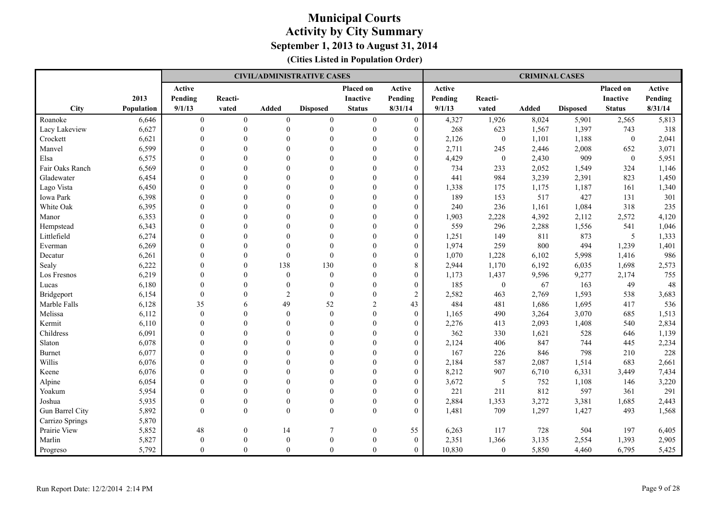|                 |                   |                |                |                | <b>CIVIL/ADMINISTRATIVE CASES</b> |                  |                  |         |              | <b>CRIMINAL CASES</b> |                 |                 |         |
|-----------------|-------------------|----------------|----------------|----------------|-----------------------------------|------------------|------------------|---------|--------------|-----------------------|-----------------|-----------------|---------|
|                 |                   | Active         |                |                |                                   | Placed on        | Active           | Active  |              |                       |                 | Placed on       | Active  |
|                 | 2013              | Pending        | Reacti-        |                |                                   | Inactive         | Pending          | Pending | Reacti-      |                       |                 | <b>Inactive</b> | Pending |
| City            | <b>Population</b> | 9/1/13         | vated          | <b>Added</b>   | <b>Disposed</b>                   | <b>Status</b>    | 8/31/14          | 9/1/13  | vated        | <b>Added</b>          | <b>Disposed</b> | <b>Status</b>   | 8/31/14 |
| Roanoke         | 6,646             | $\overline{0}$ | $\overline{0}$ | $\overline{0}$ | $\mathbf{0}$                      | $\mathbf{0}$     | $\mathbf{0}$     | 4,327   | 1,926        | 8,024                 | 5,901           | 2,565           | 5,813   |
| Lacy Lakeview   | 6,627             | $\mathbf{0}$   | $\theta$       | $\theta$       | $\theta$                          | $\mathbf{0}$     | $\overline{0}$   | 268     | 623          | 1,567                 | 1,397           | 743             | 318     |
| Crockett        | 6,621             | $\theta$       | $\theta$       | $\Omega$       | $\theta$                          | $\theta$         | $\boldsymbol{0}$ | 2,126   | $\theta$     | 1,101                 | 1,188           | $\overline{0}$  | 2,041   |
| Manvel          | 6,599             | $\Omega$       | $\Omega$       | $\Omega$       | $\mathbf{0}$                      | $\mathbf{0}$     | $\overline{0}$   | 2,711   | 245          | 2,446                 | 2,008           | 652             | 3,071   |
| Elsa            | 6,575             | $\Omega$       | $\theta$       | $\Omega$       | $\theta$                          | $\Omega$         | $\overline{0}$   | 4,429   | $\theta$     | 2,430                 | 909             | $\mathbf{0}$    | 5,951   |
| Fair Oaks Ranch | 6,569             | $\Omega$       | $\theta$       | $\Omega$       | $\theta$                          | $\theta$         | $\overline{0}$   | 734     | 233          | 2,052                 | 1,549           | 324             | 1,146   |
| Gladewater      | 6,454             | $\mathbf{0}$   | $\mathbf{0}$   | $\theta$       | $\mathbf{0}$                      | $\theta$         | $\boldsymbol{0}$ | 441     | 984          | 3,239                 | 2,391           | 823             | 1,450   |
| Lago Vista      | 6,450             | $\theta$       | $\theta$       | $\Omega$       | $\theta$                          | $\Omega$         | $\overline{0}$   | 1,338   | 175          | 1,175                 | 1,187           | 161             | 1,340   |
| Iowa Park       | 6,398             | $\Omega$       | $\Omega$       | $\Omega$       | $\theta$                          | $\Omega$         | $\overline{0}$   | 189     | 153          | 517                   | 427             | 131             | 301     |
| White Oak       | 6,395             | $\theta$       | $\theta$       | $\Omega$       | $\theta$                          | $\Omega$         | $\boldsymbol{0}$ | 240     | 236          | 1,161                 | 1,084           | 318             | 235     |
| Manor           | 6,353             | $\Omega$       | $\Omega$       | $\Omega$       | $\theta$                          | $\Omega$         | $\overline{0}$   | 1,903   | 2,228        | 4,392                 | 2,112           | 2,572           | 4,120   |
| Hempstead       | 6,343             | $\Omega$       | $\theta$       | $\Omega$       | $\theta$                          | $\theta$         | $\overline{0}$   | 559     | 296          | 2,288                 | 1,556           | 541             | 1,046   |
| Littlefield     | 6,274             | $\theta$       | $\theta$       | $\Omega$       | $\theta$                          | $\theta$         | $\overline{0}$   | 1,251   | 149          | 811                   | 873             | 5               | 1,333   |
| Everman         | 6,269             | $\theta$       | $\theta$       | $\theta$       | $\mathbf{0}$                      | $\mathbf{0}$     | $\overline{0}$   | 1,974   | 259          | 800                   | 494             | 1,239           | 1,401   |
| Decatur         | 6,261             | $\mathbf{0}$   | $\theta$       | $\mathbf{0}$   | $\mathbf{0}$                      | $\mathbf{0}$     | $\overline{0}$   | 1,070   | 1,228        | 6,102                 | 5,998           | 1,416           | 986     |
| Sealy           | 6,222             | $\mathbf{0}$   | $\theta$       | 138            | 130                               | $\theta$         | 8                | 2,944   | 1,170        | 6,192                 | 6,035           | 1,698           | 2,573   |
| Los Fresnos     | 6,219             | $\theta$       | $\theta$       | $\theta$       | $\mathbf{0}$                      | $\mathbf{0}$     | $\overline{0}$   | 1,173   | 1,437        | 9,596                 | 9,277           | 2,174           | 755     |
| Lucas           | 6,180             | $\Omega$       | $\theta$       | $\Omega$       | $\mathbf{0}$                      | $\Omega$         | $\overline{0}$   | 185     | $\mathbf{0}$ | 67                    | 163             | 49              | $48\,$  |
| Bridgeport      | 6,154             | $\mathbf{0}$   | $\theta$       | 2              | $\mathbf{0}$                      | $\mathbf{0}$     | $\overline{c}$   | 2,582   | 463          | 2,769                 | 1,593           | 538             | 3,683   |
| Marble Falls    | 6,128             | 35             | 6              | 49             | 52                                | $\overline{2}$   | 43               | 484     | 481          | 1,686                 | 1,695           | 417             | 536     |
| Melissa         | 6,112             | $\theta$       | $\Omega$       | $\theta$       | $\theta$                          | $\theta$         | $\overline{0}$   | 1,165   | 490          | 3,264                 | 3,070           | 685             | 1,513   |
| Kermit          | 6,110             | $\mathbf{0}$   | $\theta$       | $\theta$       | $\mathbf{0}$                      | $\mathbf{0}$     | $\boldsymbol{0}$ | 2,276   | 413          | 2,093                 | 1,408           | 540             | 2,834   |
| Childress       | 6,091             | $\mathbf{0}$   | $\Omega$       | $\theta$       | $\mathbf{0}$                      | $\theta$         | $\boldsymbol{0}$ | 362     | 330          | 1,621                 | 528             | 646             | 1,139   |
| Slaton          | 6,078             | $\Omega$       | $\Omega$       | $\Omega$       | $\theta$                          | $\Omega$         | $\overline{0}$   | 2,124   | 406          | 847                   | 744             | 445             | 2,234   |
| <b>Burnet</b>   | 6,077             | $\Omega$       | $\Omega$       | $\Omega$       | $\theta$                          | $\Omega$         | $\overline{0}$   | 167     | 226          | 846                   | 798             | 210             | 228     |
| Willis          | 6,076             | $\theta$       | $\theta$       | $\theta$       | $\theta$                          | $\Omega$         | $\overline{0}$   | 2,184   | 587          | 2,087                 | 1,514           | 683             | 2,661   |
| Keene           | 6,076             | $\theta$       | $\theta$       | $\Omega$       | $\theta$                          | $\theta$         | $\boldsymbol{0}$ | 8,212   | 907          | 6,710                 | 6,331           | 3,449           | 7,434   |
| Alpine          | 6,054             | $\Omega$       | $\Omega$       | $\Omega$       | $\theta$                          | $\theta$         | $\Omega$         | 3,672   | 5            | 752                   | 1,108           | 146             | 3,220   |
| Yoakum          | 5,954             | $\mathbf{0}$   | $\mathbf{0}$   | $\theta$       | $\mathbf{0}$                      | $\mathbf{0}$     | $\boldsymbol{0}$ | 221     | 211          | 812                   | 597             | 361             | 291     |
| Joshua          | 5,935             | $\mathbf{0}$   | $\mathbf{0}$   | $\theta$       | $\boldsymbol{0}$                  | $\boldsymbol{0}$ | $\boldsymbol{0}$ | 2,884   | 1,353        | 3,272                 | 3,381           | 1,685           | 2,443   |
| Gun Barrel City | 5,892             | $\theta$       | $\theta$       | $\theta$       | $\mathbf{0}$                      | $\mathbf{0}$     | $\overline{0}$   | 1,481   | 709          | 1,297                 | 1,427           | 493             | 1,568   |
| Carrizo Springs | 5,870             |                |                |                |                                   |                  |                  |         |              |                       |                 |                 |         |
| Prairie View    | 5,852             | $48\,$         | $\mathbf{0}$   | 14             | $\overline{7}$                    | $\mathbf{0}$     | 55               | 6,263   | 117          | 728                   | 504             | 197             | 6,405   |
| Marlin          | 5,827             | $\theta$       | $\theta$       | $\theta$       | $\mathbf{0}$                      | $\theta$         | $\mathbf{0}$     | 2,351   | 1,366        | 3,135                 | 2,554           | 1,393           | 2,905   |
| Progreso        | 5,792             | $\Omega$       | $\Omega$       | $\theta$       | $\Omega$                          | $\theta$         | $\Omega$         | 10,830  | $\Omega$     | 5,850                 | 4,460           | 6,795           | 5,425   |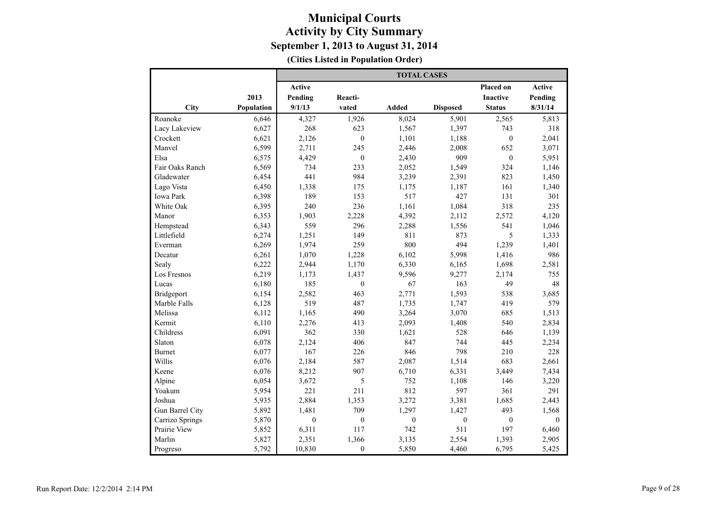|                 |            | <b>TOTAL CASES</b> |                  |              |                  |                  |              |  |  |  |
|-----------------|------------|--------------------|------------------|--------------|------------------|------------------|--------------|--|--|--|
|                 |            | <b>Active</b>      |                  |              |                  | Placed on        | Active       |  |  |  |
|                 | 2013       | Pending            | Reacti-          |              |                  | <b>Inactive</b>  | Pending      |  |  |  |
| City            | Population | 9/1/13             | vated            | Added        | <b>Disposed</b>  | <b>Status</b>    | 8/31/14      |  |  |  |
| Roanoke         | 6,646      | 4,327              | 1,926            | 8,024        | 5,901            | 2,565            | 5,813        |  |  |  |
| Lacy Lakeview   | 6,627      | 268                | 623              | 1,567        | 1,397            | 743              | 318          |  |  |  |
| Crockett        | 6,621      | 2,126              | $\boldsymbol{0}$ | 1,101        | 1,188            | $\boldsymbol{0}$ | 2,041        |  |  |  |
| Manvel          | 6,599      | 2,711              | 245              | 2,446        | 2,008            | 652              | 3,071        |  |  |  |
| Elsa            | 6,575      | 4,429              | $\mathbf{0}$     | 2,430        | 909              | $\mathbf{0}$     | 5,951        |  |  |  |
| Fair Oaks Ranch | 6,569      | 734                | 233              | 2,052        | 1,549            | 324              | 1,146        |  |  |  |
| Gladewater      | 6,454      | 441                | 984              | 3,239        | 2,391            | 823              | 1,450        |  |  |  |
| Lago Vista      | 6,450      | 1,338              | 175              | 1,175        | 1,187            | 161              | 1,340        |  |  |  |
| Iowa Park       | 6,398      | 189                | 153              | 517          | 427              | 131              | 301          |  |  |  |
| White Oak       | 6,395      | 240                | 236              | 1,161        | 1,084            | 318              | 235          |  |  |  |
| Manor           | 6,353      | 1,903              | 2,228            | 4,392        | 2,112            | 2,572            | 4,120        |  |  |  |
| Hempstead       | 6,343      | 559                | 296              | 2,288        | 1,556            | 541              | 1,046        |  |  |  |
| Littlefield     | 6,274      | 1,251              | 149              | 811          | 873              | 5                | 1,333        |  |  |  |
| Everman         | 6,269      | 1,974              | 259              | 800          | 494              | 1,239            | 1,401        |  |  |  |
| Decatur         | 6,261      | 1,070              | 1,228            | 6,102        | 5,998            | 1,416            | 986          |  |  |  |
| Sealy           | 6,222      | 2,944              | 1,170            | 6,330        | 6,165            | 1,698            | 2,581        |  |  |  |
| Los Fresnos     | 6,219      | 1,173              | 1,437            | 9,596        | 9,277            | 2,174            | 755          |  |  |  |
| Lucas           | 6,180      | 185                | $\mathbf{0}$     | 67           | 163              | 49               | 48           |  |  |  |
| Bridgeport      | 6,154      | 2,582              | 463              | 2,771        | 1,593            | 538              | 3,685        |  |  |  |
| Marble Falls    | 6,128      | 519                | 487              | 1,735        | 1,747            | 419              | 579          |  |  |  |
| Melissa         | 6,112      | 1,165              | 490              | 3,264        | 3,070            | 685              | 1,513        |  |  |  |
| Kermit          | 6,110      | 2,276              | 413              | 2,093        | 1,408            | 540              | 2,834        |  |  |  |
| Childress       | 6,091      | 362                | 330              | 1,621        | 528              | 646              | 1,139        |  |  |  |
| Slaton          | 6,078      | 2,124              | 406              | 847          | 744              | 445              | 2,234        |  |  |  |
| <b>Burnet</b>   | 6,077      | 167                | 226              | 846          | 798              | 210              | 228          |  |  |  |
| Willis          | 6,076      | 2,184              | 587              | 2,087        | 1,514            | 683              | 2,661        |  |  |  |
| Keene           | 6,076      | 8,212              | 907              | 6,710        | 6,331            | 3,449            | 7,434        |  |  |  |
| Alpine          | 6,054      | 3,672              | 5                | 752          | 1,108            | 146              | 3,220        |  |  |  |
| Yoakum          | 5,954      | 221                | 211              | 812          | 597              | 361              | 291          |  |  |  |
| Joshua          | 5,935      | 2,884              | 1,353            | 3,272        | 3,381            | 1,685            | 2,443        |  |  |  |
| Gun Barrel City | 5,892      | 1,481              | 709              | 1,297        | 1,427            | 493              | 1,568        |  |  |  |
| Carrizo Springs | 5,870      | $\mathbf{0}$       | $\boldsymbol{0}$ | $\mathbf{0}$ | $\boldsymbol{0}$ | $\boldsymbol{0}$ | $\mathbf{0}$ |  |  |  |
| Prairie View    | 5,852      | 6,311              | 117              | 742          | 511              | 197              | 6,460        |  |  |  |
| Marlin          | 5,827      | 2,351              | 1,366            | 3,135        | 2,554            | 1,393            | 2,905        |  |  |  |
| Progreso        | 5,792      | 10,830             | $\mathbf{0}$     | 5,850        | 4,460            | 6,795            | 5,425        |  |  |  |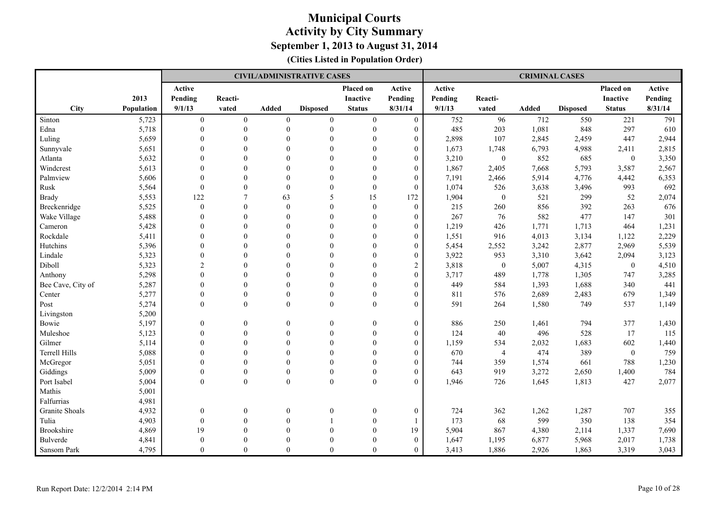|                       |                   |                  |                  |                  | <b>CIVIL/ADMINISTRATIVE CASES</b> |                  |                  |         |                | <b>CRIMINAL CASES</b> |                 |                  |         |
|-----------------------|-------------------|------------------|------------------|------------------|-----------------------------------|------------------|------------------|---------|----------------|-----------------------|-----------------|------------------|---------|
|                       |                   | Active           |                  |                  |                                   | Placed on        | Active           | Active  |                |                       |                 | Placed on        | Active  |
|                       | 2013              | Pending          | Reacti-          |                  |                                   | Inactive         | Pending          | Pending | Reacti-        |                       |                 | <b>Inactive</b>  | Pending |
| City                  | <b>Population</b> | 9/1/13           | vated            | Added            | <b>Disposed</b>                   | <b>Status</b>    | 8/31/14          | 9/1/13  | vated          | <b>Added</b>          | <b>Disposed</b> | <b>Status</b>    | 8/31/14 |
| Sinton                | 5,723             | $\boldsymbol{0}$ | $\boldsymbol{0}$ | $\boldsymbol{0}$ | $\boldsymbol{0}$                  | $\boldsymbol{0}$ | $\boldsymbol{0}$ | 752     | 96             | 712                   | 550             | 221              | 791     |
| Edna                  | 5,718             | $\mathbf{0}$     | $\theta$         | $\mathbf{0}$     | $\mathbf{0}$                      | $\mathbf{0}$     | $\overline{0}$   | 485     | 203            | 1,081                 | 848             | 297              | 610     |
| Luling                | 5,659             | $\Omega$         | $\theta$         | $\Omega$         | $\mathbf{0}$                      | $\theta$         | $\overline{0}$   | 2,898   | 107            | 2,845                 | 2,459           | 447              | 2,944   |
| Sunnyvale             | 5,651             | $\theta$         | $\theta$         | $\Omega$         | $\theta$                          | $\mathbf{0}$     | $\overline{0}$   | 1,673   | 1,748          | 6,793                 | 4,988           | 2,411            | 2,815   |
| Atlanta               | 5,632             | $\theta$         | $\Omega$         | $\Omega$         | $\theta$                          | $\Omega$         | $\overline{0}$   | 3,210   | $\mathbf{0}$   | 852                   | 685             | $\mathbf{0}$     | 3,350   |
| Windcrest             | 5,613             | $\Omega$         | $\theta$         | $\Omega$         | $\theta$                          | $\theta$         | $\overline{0}$   | 1,867   | 2,405          | 7,668                 | 5,793           | 3,587            | 2,567   |
| Palmview              | 5,606             | $\mathbf{0}$     | $\theta$         | $\theta$         | $\mathbf{0}$                      | $\mathbf{0}$     | $\boldsymbol{0}$ | 7,191   | 2,466          | 5,914                 | 4,776           | 4,442            | 6,353   |
| Rusk                  | 5,564             | $\boldsymbol{0}$ | $\mathbf{0}$     | $\mathbf{0}$     | $\mathbf{0}$                      | $\boldsymbol{0}$ | $\boldsymbol{0}$ | 1,074   | 526            | 3,638                 | 3,496           | 993              | 692     |
| <b>Brady</b>          | 5,553             | 122              | 7                | 63               | 5                                 | 15               | 172              | 1,904   | $\mathbf{0}$   | 521                   | 299             | 52               | 2,074   |
| Breckenridge          | 5,525             | $\mathbf{0}$     | $\theta$         | $\Omega$         | $\mathbf{0}$                      | $\overline{0}$   | $\overline{0}$   | 215     | 260            | 856                   | 392             | 263              | 676     |
| Wake Village          | 5,488             | $\theta$         | $\theta$         | $\Omega$         | $\mathbf{0}$                      | $\mathbf{0}$     | $\overline{0}$   | 267     | 76             | 582                   | 477             | 147              | 301     |
| Cameron               | 5,428             | $\theta$         | $\theta$         | $\theta$         | $\theta$                          | $\theta$         | $\boldsymbol{0}$ | 1,219   | 426            | 1,771                 | 1,713           | 464              | 1,231   |
| Rockdale              | 5,411             | $\Omega$         | $\theta$         | $\Omega$         | $\theta$                          | $\mathbf{0}$     | $\overline{0}$   | 1,551   | 916            | 4,013                 | 3,134           | 1,122            | 2,229   |
| Hutchins              | 5,396             | $\mathbf{0}$     | $\theta$         | $\theta$         | $\mathbf{0}$                      | $\boldsymbol{0}$ | $\boldsymbol{0}$ | 5,454   | 2,552          | 3,242                 | 2,877           | 2,969            | 5,539   |
| Lindale               | 5,323             | $\boldsymbol{0}$ | $\theta$         | $\theta$         | $\mathbf{0}$                      | $\boldsymbol{0}$ | $\boldsymbol{0}$ | 3,922   | 953            | 3,310                 | 3,642           | 2,094            | 3,123   |
| Diboll                | 5,323             | $\overline{2}$   | $\Omega$         | $\Omega$         | $\theta$                          | $\Omega$         | $\overline{2}$   | 3,818   | $\mathbf{0}$   | 5,007                 | 4,315           | $\boldsymbol{0}$ | 4,510   |
| Anthony               | 5,298             | $\theta$         | $\theta$         | $\Omega$         | $\theta$                          | $\Omega$         | $\overline{0}$   | 3,717   | 489            | 1,778                 | 1,305           | 747              | 3,285   |
| Bee Cave, City of     | 5,287             | $\theta$         | $\mathbf{0}$     | $\Omega$         | $\mathbf{0}$                      | $\theta$         | $\boldsymbol{0}$ | 449     | 584            | 1,393                 | 1,688           | 340              | 441     |
| Center                | 5,277             | $\mathbf{0}$     | $\mathbf{0}$     | $\theta$         | $\mathbf{0}$                      | $\mathbf{0}$     | $\boldsymbol{0}$ | 811     | 576            | 2,689                 | 2,483           | 679              | 1,349   |
| Post                  | 5,274             | $\Omega$         | $\theta$         | $\theta$         | $\theta$                          | $\theta$         | $\Omega$         | 591     | 264            | 1,580                 | 749             | 537              | 1,149   |
| Livingston            | 5,200             |                  |                  |                  |                                   |                  |                  |         |                |                       |                 |                  |         |
| Bowie                 | 5,197             | $\boldsymbol{0}$ | $\mathbf{0}$     | $\overline{0}$   | $\boldsymbol{0}$                  | $\overline{0}$   | $\boldsymbol{0}$ | 886     | 250            | 1,461                 | 794             | 377              | 1,430   |
| Muleshoe              | 5,123             | $\mathbf{0}$     | $\theta$         | $\theta$         | $\mathbf{0}$                      | $\mathbf{0}$     | $\overline{0}$   | 124     | 40             | 496                   | 528             | 17               | 115     |
| Gilmer                | 5,114             | $\theta$         | $\theta$         | $\Omega$         | $\theta$                          | $\mathbf{0}$     | $\overline{0}$   | 1,159   | 534            | 2,032                 | 1,683           | 602              | 1,440   |
| <b>Terrell Hills</b>  | 5,088             | $\theta$         | $\theta$         | $\Omega$         | $\mathbf{0}$                      | $\theta$         | $\boldsymbol{0}$ | 670     | $\overline{4}$ | 474                   | 389             | $\boldsymbol{0}$ | 759     |
| McGregor              | 5,051             | $\theta$         | $\mathbf{0}$     | $\theta$         | $\mathbf{0}$                      | $\mathbf{0}$     | $\boldsymbol{0}$ | 744     | 359            | 1,574                 | 661             | 788              | 1,230   |
| Giddings              | 5,009             | $\Omega$         | $\theta$         | $\theta$         | $\mathbf{0}$                      | $\theta$         | $\overline{0}$   | 643     | 919            | 3,272                 | 2,650           | 1,400            | 784     |
| Port Isabel           | 5,004             | $\Omega$         | $\theta$         | $\mathbf{0}$     | $\theta$                          | $\mathbf{0}$     | $\Omega$         | 1,946   | 726            | 1,645                 | 1,813           | 427              | 2,077   |
| Mathis                | 5,001             |                  |                  |                  |                                   |                  |                  |         |                |                       |                 |                  |         |
| Falfurrias            | 4,981             |                  |                  |                  |                                   |                  |                  |         |                |                       |                 |                  |         |
| <b>Granite Shoals</b> | 4,932             | $\boldsymbol{0}$ | $\mathbf{0}$     | $\overline{0}$   | $\boldsymbol{0}$                  | $\boldsymbol{0}$ | $\boldsymbol{0}$ | 724     | 362            | 1,262                 | 1,287           | 707              | 355     |
| Tulia                 | 4,903             | $\boldsymbol{0}$ | $\mathbf{0}$     | $\theta$         | 1                                 | $\boldsymbol{0}$ |                  | 173     | 68             | 599                   | 350             | 138              | 354     |
| <b>Brookshire</b>     | 4,869             | 19               | $\theta$         | $\Omega$         | $\theta$                          | $\theta$         | 19               | 5,904   | 867            | 4,380                 | 2,114           | 1,337            | 7,690   |
| <b>Bulverde</b>       | 4,841             | $\Omega$         | $\theta$         | $\Omega$         | $\theta$                          | $\theta$         | $\overline{0}$   | 1,647   | 1,195          | 6,877                 | 5,968           | 2,017            | 1,738   |
| Sansom Park           | 4,795             | $\Omega$         | $\theta$         | $\theta$         | $\Omega$                          | $\theta$         | $\Omega$         | 3,413   | 1,886          | 2,926                 | 1,863           | 3,319            | 3,043   |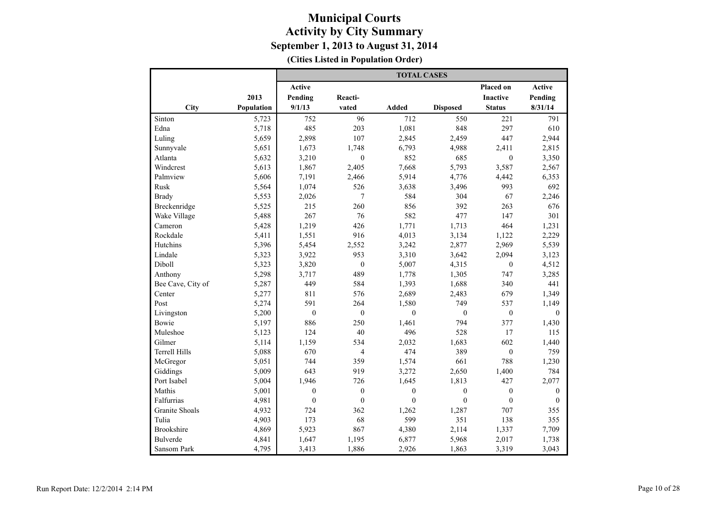|                       |            |                  |                  | <b>TOTAL CASES</b> |                  |                  |              |
|-----------------------|------------|------------------|------------------|--------------------|------------------|------------------|--------------|
|                       |            | <b>Active</b>    |                  |                    |                  | Placed on        | Active       |
|                       | 2013       | Pending          | Reacti-          |                    |                  | <b>Inactive</b>  | Pending      |
| City                  | Population | 9/1/13           | vated            | Added              | <b>Disposed</b>  | <b>Status</b>    | 8/31/14      |
| Sinton                | 5,723      | 752              | 96               | 712                | 550              | 221              | 791          |
| Edna                  | 5,718      | 485              | 203              | 1,081              | 848              | 297              | 610          |
| Luling                | 5,659      | 2,898            | 107              | 2,845              | 2,459            | 447              | 2,944        |
| Sunnyvale             | 5,651      | 1,673            | 1,748            | 6,793              | 4,988            | 2,411            | 2,815        |
| Atlanta               | 5,632      | 3,210            | $\mathbf{0}$     | 852                | 685              | $\mathbf{0}$     | 3,350        |
| Windcrest             | 5,613      | 1,867            | 2,405            | 7,668              | 5,793            | 3,587            | 2,567        |
| Palmview              | 5,606      | 7,191            | 2,466            | 5,914              | 4,776            | 4,442            | 6,353        |
| Rusk                  | 5,564      | 1,074            | 526              | 3,638              | 3,496            | 993              | 692          |
| <b>Brady</b>          | 5,553      | 2,026            | 7                | 584                | 304              | 67               | 2,246        |
| Breckenridge          | 5,525      | 215              | 260              | 856                | 392              | 263              | 676          |
| Wake Village          | 5,488      | 267              | 76               | 582                | 477              | 147              | 301          |
| Cameron               | 5,428      | 1,219            | 426              | 1,771              | 1,713            | 464              | 1,231        |
| Rockdale              | 5,411      | 1,551            | 916              | 4,013              | 3,134            | 1,122            | 2,229        |
| Hutchins              | 5,396      | 5,454            | 2,552            | 3,242              | 2,877            | 2,969            | 5,539        |
| Lindale               | 5,323      | 3,922            | 953              | 3,310              | 3,642            | 2,094            | 3,123        |
| Diboll                | 5,323      | 3,820            | $\boldsymbol{0}$ | 5,007              | 4,315            | $\boldsymbol{0}$ | 4,512        |
| Anthony               | 5,298      | 3,717            | 489              | 1,778              | 1,305            | 747              | 3,285        |
| Bee Cave, City of     | 5,287      | 449              | 584              | 1,393              | 1,688            | 340              | 441          |
| Center                | 5,277      | 811              | 576              | 2,689              | 2,483            | 679              | 1,349        |
| Post                  | 5,274      | 591              | 264              | 1,580              | 749              | 537              | 1,149        |
| Livingston            | 5,200      | $\mathbf{0}$     | $\mathbf{0}$     | $\theta$           | $\mathbf{0}$     | $\mathbf{0}$     | $\theta$     |
| Bowie                 | 5,197      | 886              | 250              | 1,461              | 794              | 377              | 1,430        |
| Muleshoe              | 5,123      | 124              | 40               | 496                | 528              | 17               | 115          |
| Gilmer                | 5,114      | 1,159            | 534              | 2,032              | 1,683            | 602              | 1,440        |
| <b>Terrell Hills</b>  | 5,088      | 670              | $\overline{4}$   | 474                | 389              | $\boldsymbol{0}$ | 759          |
| McGregor              | 5,051      | 744              | 359              | 1,574              | 661              | 788              | 1,230        |
| Giddings              | 5,009      | 643              | 919              | 3,272              | 2,650            | 1,400            | 784          |
| Port Isabel           | 5,004      | 1,946            | 726              | 1.645              | 1,813            | 427              | 2,077        |
| Mathis                | 5,001      | $\mathbf{0}$     | $\mathbf{0}$     | $\mathbf{0}$       | $\mathbf{0}$     | $\mathbf{0}$     | $\mathbf{0}$ |
| Falfurrias            | 4,981      | $\boldsymbol{0}$ | $\boldsymbol{0}$ | $\mathbf{0}$       | $\boldsymbol{0}$ | $\boldsymbol{0}$ | $\mathbf{0}$ |
| <b>Granite Shoals</b> | 4,932      | 724              | 362              | 1,262              | 1,287            | 707              | 355          |
| Tulia                 | 4,903      | 173              | 68               | 599                | 351              | 138              | 355          |
| <b>Brookshire</b>     | 4,869      | 5,923            | 867              | 4,380              | 2,114            | 1,337            | 7,709        |
| <b>Bulverde</b>       | 4,841      | 1,647            | 1,195            | 6,877              | 5,968            | 2,017            | 1,738        |
| Sansom Park           | 4,795      | 3,413            | 1,886            | 2,926              | 1,863            | 3,319            | 3,043        |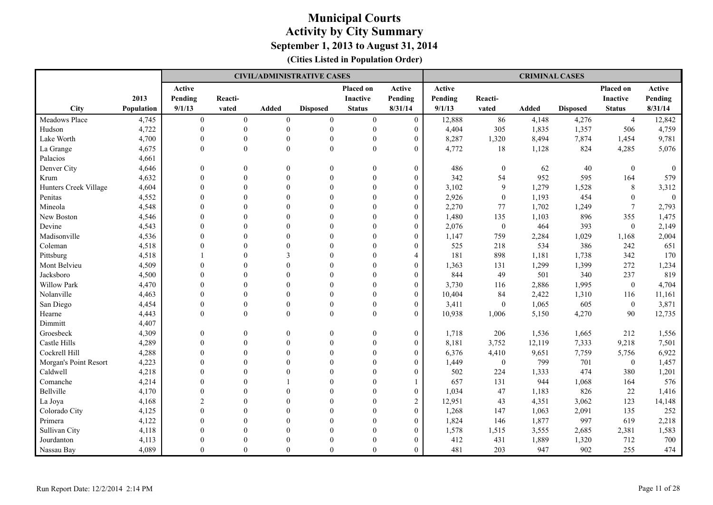|                       |            |                |                |                | <b>CIVIL/ADMINISTRATIVE CASES</b> |                  |                  |         |                  | <b>CRIMINAL CASES</b> |                 |                 |                |
|-----------------------|------------|----------------|----------------|----------------|-----------------------------------|------------------|------------------|---------|------------------|-----------------------|-----------------|-----------------|----------------|
|                       |            | Active         |                |                |                                   | Placed on        | Active           | Active  |                  |                       |                 | Placed on       | Active         |
|                       | 2013       | Pending        | Reacti-        |                |                                   | <b>Inactive</b>  | Pending          | Pending | Reacti-          |                       |                 | <b>Inactive</b> | Pending        |
| City                  | Population | 9/1/13         | vated          | <b>Added</b>   | <b>Disposed</b>                   | <b>Status</b>    | 8/31/14          | 9/1/13  | vated            | <b>Added</b>          | <b>Disposed</b> | <b>Status</b>   | 8/31/14        |
| Meadows Place         | 4,745      | $\overline{0}$ | $\overline{0}$ | $\overline{0}$ | $\mathbf{0}$                      | $\boldsymbol{0}$ | $\mathbf{0}$     | 12,888  | 86               | 4,148                 | 4,276           | $\overline{4}$  | 12,842         |
| Hudson                | 4,722      | $\mathbf{0}$   | $\mathbf{0}$   | $\mathbf{0}$   | $\boldsymbol{0}$                  | $\boldsymbol{0}$ | $\overline{0}$   | 4,404   | 305              | 1,835                 | 1,357           | 506             | 4,759          |
| Lake Worth            | 4,700      | $\theta$       | $\theta$       | $\Omega$       | $\mathbf{0}$                      | $\mathbf{0}$     | $\overline{0}$   | 8,287   | 1,320            | 8,494                 | 7,874           | 1,454           | 9,781          |
| La Grange             | 4,675      | $\theta$       | $\theta$       | $\theta$       | $\mathbf{0}$                      | $\mathbf{0}$     | $\Omega$         | 4,772   | 18               | 1,128                 | 824             | 4,285           | 5,076          |
| Palacios              | 4,661      |                |                |                |                                   |                  |                  |         |                  |                       |                 |                 |                |
| Denver City           | 4,646      | $\Omega$       | $\theta$       | $\Omega$       | $\theta$                          | $\theta$         | $\overline{0}$   | 486     | $\mathbf{0}$     | 62                    | 40              | $\theta$        | $\overline{0}$ |
| Krum                  | 4,632      | $\mathbf{0}$   | $\theta$       | $\theta$       | $\mathbf{0}$                      | $\mathbf{0}$     | $\overline{0}$   | 342     | 54               | 952                   | 595             | 164             | 579            |
| Hunters Creek Village | 4,604      | $\mathbf{0}$   | $\mathbf{0}$   | $\theta$       | $\mathbf{0}$                      | $\boldsymbol{0}$ | $\boldsymbol{0}$ | 3,102   | 9                | 1,279                 | 1,528           | $\,8\,$         | 3,312          |
| Penitas               | 4,552      | $\theta$       | $\Omega$       | $\Omega$       | $\theta$                          | $\Omega$         | $\overline{0}$   | 2,926   | $\mathbf{0}$     | 1,193                 | 454             | $\mathbf{0}$    | $\overline{0}$ |
| Mineola               | 4,548      | $\Omega$       | $\Omega$       | $\Omega$       | $\theta$                          | $\Omega$         | $\overline{0}$   | 2,270   | 77               | 1,702                 | 1,249           | $7\phantom{.0}$ | 2,793          |
| New Boston            | 4,546      | $\theta$       | $\theta$       | $\Omega$       | $\theta$                          | $\Omega$         | $\boldsymbol{0}$ | 1,480   | 135              | 1,103                 | 896             | 355             | 1,475          |
| Devine                | 4,543      | $\Omega$       | $\Omega$       | $\Omega$       | $\Omega$                          | $\theta$         | $\overline{0}$   | 2,076   | $\mathbf{0}$     | 464                   | 393             | $\mathbf{0}$    | 2,149          |
| Madisonville          | 4,536      | $\Omega$       | $\Omega$       | $\Omega$       | $\theta$                          | $\Omega$         | $\overline{0}$   | 1,147   | 759              | 2,284                 | 1,029           | 1,168           | 2,004          |
| Coleman               | 4,518      | $\mathbf{0}$   | $\theta$       | $\Omega$       | $\theta$                          | $\mathbf{0}$     | $\boldsymbol{0}$ | 525     | 218              | 534                   | 386             | 242             | 651            |
| Pittsburg             | 4,518      |                | $\theta$       | 3              | $\theta$                          | $\theta$         | 4                | 181     | 898              | 1,181                 | 1,738           | 342             | 170            |
| Mont Belvieu          | 4,509      | $\theta$       | $\Omega$       | $\Omega$       | $\theta$                          | $\theta$         | $\boldsymbol{0}$ | 1,363   | 131              | 1,299                 | 1,399           | 272             | 1,234          |
| Jacksboro             | 4,500      | $\Omega$       | $\Omega$       | $\Omega$       | $\Omega$                          | $\Omega$         | $\boldsymbol{0}$ | 844     | 49               | 501                   | 340             | 237             | 819            |
| <b>Willow Park</b>    | 4,470      | $\Omega$       | $\Omega$       | $\Omega$       | $\Omega$                          | $\Omega$         | $\overline{0}$   | 3,730   | 116              | 2,886                 | 1,995           | $\mathbf{0}$    | 4,704          |
| Nolanville            | 4,463      | $\Omega$       | $\theta$       | $\Omega$       | $\theta$                          | $\theta$         | $\overline{0}$   | 10,404  | 84               | 2,422                 | 1,310           | 116             | 11,161         |
| San Diego             | 4,454      | $\Omega$       | $\theta$       | $\Omega$       | $\theta$                          | $\theta$         | $\overline{0}$   | 3,411   | $\theta$         | 1,065                 | 605             | $\theta$        | 3,871          |
| Hearne                | 4,443      | $\Omega$       | $\theta$       | $\theta$       | $\theta$                          | $\theta$         | $\Omega$         | 10,938  | 1,006            | 5,150                 | 4,270           | 90              | 12,735         |
| Dimmitt               | 4,407      |                |                |                |                                   |                  |                  |         |                  |                       |                 |                 |                |
| Groesbeck             | 4,309      | $\mathbf{0}$   | $\theta$       | $\overline{0}$ | $\mathbf{0}$                      | $\boldsymbol{0}$ | $\boldsymbol{0}$ | 1,718   | 206              | 1,536                 | 1,665           | 212             | 1,556          |
| Castle Hills          | 4,289      | $\mathbf{0}$   | $\theta$       | $\theta$       | $\mathbf{0}$                      | $\mathbf{0}$     | $\boldsymbol{0}$ | 8,181   | 3,752            | 12,119                | 7,333           | 9,218           | 7,501          |
| Cockrell Hill         | 4,288      | $\theta$       | $\theta$       | $\Omega$       | $\mathbf{0}$                      | $\mathbf{0}$     | $\overline{0}$   | 6,376   | 4,410            | 9,651                 | 7,759           | 5,756           | 6,922          |
| Morgan's Point Resort | 4,223      | $\Omega$       | $\Omega$       | $\Omega$       | $\theta$                          | $\theta$         | $\overline{0}$   | 1,449   | $\boldsymbol{0}$ | 799                   | 701             | $\overline{0}$  | 1,457          |
| Caldwell              | 4,218      | $\Omega$       | $\Omega$       | $\Omega$       | $\theta$                          | $\theta$         | $\overline{0}$   | 502     | 224              | 1,333                 | 474             | 380             | 1,201          |
| Comanche              | 4,214      | $\theta$       | $\theta$       |                | $\theta$                          | $\theta$         |                  | 657     | 131              | 944                   | 1,068           | 164             | 576            |
| Bellville             | 4,170      | $\Omega$       | $\Omega$       | $\Omega$       | $\Omega$                          | $\theta$         | $\overline{0}$   | 1,034   | 47               | 1,183                 | 826             | 22              | 1,416          |
| La Joya               | 4,168      | $\overline{2}$ | $\theta$       | $\theta$       | $\mathbf{0}$                      | $\theta$         | $\overline{c}$   | 12,951  | 43               | 4,351                 | 3,062           | 123             | 14,148         |
| Colorado City         | 4,125      | $\mathbf{0}$   | $\theta$       | $\theta$       | $\theta$                          | $\overline{0}$   | $\boldsymbol{0}$ | 1,268   | 147              | 1,063                 | 2,091           | 135             | 252            |
| Primera               | 4,122      | $\Omega$       | $\Omega$       | $\Omega$       | $\Omega$                          | $\Omega$         | $\overline{0}$   | 1,824   | 146              | 1,877                 | 997             | 619             | 2,218          |
| Sullivan City         | 4,118      | $\Omega$       | $\Omega$       | $\Omega$       | $\Omega$                          | $\Omega$         | $\overline{0}$   | 1,578   | 1,515            | 3,555                 | 2,685           | 2,381           | 1,583          |
| Jourdanton            | 4,113      | $\Omega$       | $\Omega$       | $\Omega$       | $\Omega$                          | $\Omega$         | $\boldsymbol{0}$ | 412     | 431              | 1,889                 | 1,320           | 712             | 700            |
| Nassau Bay            | 4,089      | $\Omega$       | $\Omega$       | $\Omega$       | $\Omega$                          | $\Omega$         | $\Omega$         | 481     | 203              | 947                   | 902             | 255             | 474            |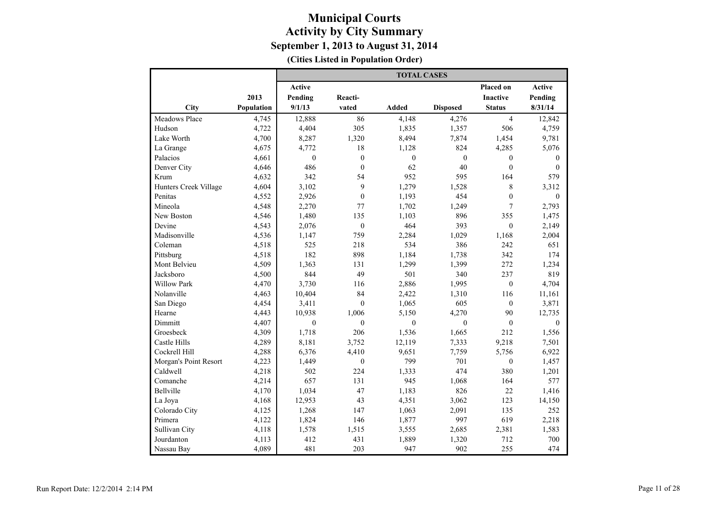|                       |            |               |                  | <b>TOTAL CASES</b> |                 |                  |               |
|-----------------------|------------|---------------|------------------|--------------------|-----------------|------------------|---------------|
|                       |            | <b>Active</b> |                  |                    |                 | <b>Placed on</b> | <b>Active</b> |
|                       | 2013       | Pending       | Reacti-          |                    |                 | Inactive         | Pending       |
| City                  | Population | 9/1/13        | vated            | Added              | <b>Disposed</b> | <b>Status</b>    | 8/31/14       |
| <b>Meadows Place</b>  | 4,745      | 12,888        | 86               | 4,148              | 4,276           | $\overline{4}$   | 12,842        |
| Hudson                | 4,722      | 4,404         | 305              | 1,835              | 1,357           | 506              | 4,759         |
| Lake Worth            | 4,700      | 8,287         | 1,320            | 8,494              | 7,874           | 1,454            | 9,781         |
| La Grange             | 4,675      | 4,772         | 18               | 1,128              | 824             | 4,285            | 5,076         |
| Palacios              | 4,661      | $\mathbf{0}$  | $\overline{0}$   | $\mathbf{0}$       | $\mathbf{0}$    | $\mathbf{0}$     | $\theta$      |
| Denver City           | 4,646      | 486           | $\overline{0}$   | 62                 | 40              | $\mathbf{0}$     | $\theta$      |
| Krum                  | 4,632      | 342           | 54               | 952                | 595             | 164              | 579           |
| Hunters Creek Village | 4,604      | 3,102         | 9                | 1,279              | 1,528           | 8                | 3,312         |
| Penitas               | 4,552      | 2,926         | $\overline{0}$   | 1,193              | 454             | $\boldsymbol{0}$ | $\mathbf{0}$  |
| Mineola               | 4,548      | 2,270         | 77               | 1,702              | 1,249           | 7                | 2,793         |
| New Boston            | 4,546      | 1,480         | 135              | 1,103              | 896             | 355              | 1,475         |
| Devine                | 4,543      | 2,076         | $\boldsymbol{0}$ | 464                | 393             | $\mathbf{0}$     | 2,149         |
| Madisonville          | 4,536      | 1,147         | 759              | 2,284              | 1,029           | 1,168            | 2,004         |
| Coleman               | 4,518      | 525           | 218              | 534                | 386             | 242              | 651           |
| Pittsburg             | 4,518      | 182           | 898              | 1,184              | 1,738           | 342              | 174           |
| Mont Belvieu          | 4,509      | 1,363         | 131              | 1,299              | 1,399           | 272              | 1,234         |
| Jacksboro             | 4,500      | 844           | 49               | 501                | 340             | 237              | 819           |
| <b>Willow Park</b>    | 4,470      | 3,730         | 116              | 2,886              | 1,995           | $\mathbf{0}$     | 4,704         |
| Nolanville            | 4,463      | 10,404        | 84               | 2,422              | 1,310           | 116              | 11,161        |
| San Diego             | 4,454      | 3,411         | $\theta$         | 1,065              | 605             | $\mathbf{0}$     | 3,871         |
| Hearne                | 4,443      | 10,938        | 1,006            | 5,150              | 4,270           | 90               | 12,735        |
| Dimmitt               | 4,407      | $\theta$      | $\theta$         | $\theta$           | $\theta$        | $\overline{0}$   | $\theta$      |
| Groesbeck             | 4,309      | 1,718         | 206              | 1,536              | 1,665           | 212              | 1,556         |
| Castle Hills          | 4,289      | 8,181         | 3,752            | 12,119             | 7,333           | 9,218            | 7,501         |
| Cockrell Hill         | 4,288      | 6,376         | 4,410            | 9,651              | 7,759           | 5,756            | 6,922         |
| Morgan's Point Resort | 4,223      | 1,449         | $\mathbf{0}$     | 799                | 701             | $\mathbf{0}$     | 1,457         |
| Caldwell              | 4,218      | 502           | 224              | 1,333              | 474             | 380              | 1,201         |
| Comanche              | 4,214      | 657           | 131              | 945                | 1,068           | 164              | 577           |
| Bellville             | 4,170      | 1,034         | 47               | 1,183              | 826             | 22               | 1,416         |
| La Joya               | 4,168      | 12,953        | 43               | 4,351              | 3,062           | 123              | 14,150        |
| Colorado City         | 4,125      | 1,268         | 147              | 1,063              | 2,091           | 135              | 252           |
| Primera               | 4,122      | 1,824         | 146              | 1,877              | 997             | 619              | 2,218         |
| Sullivan City         | 4,118      | 1,578         | 1,515            | 3,555              | 2,685           | 2,381            | 1,583         |
| Jourdanton            | 4,113      | 412           | 431              | 1,889              | 1,320           | 712              | 700           |
| Nassau Bay            | 4,089      | 481           | 203              | 947                | 902             | 255              | 474           |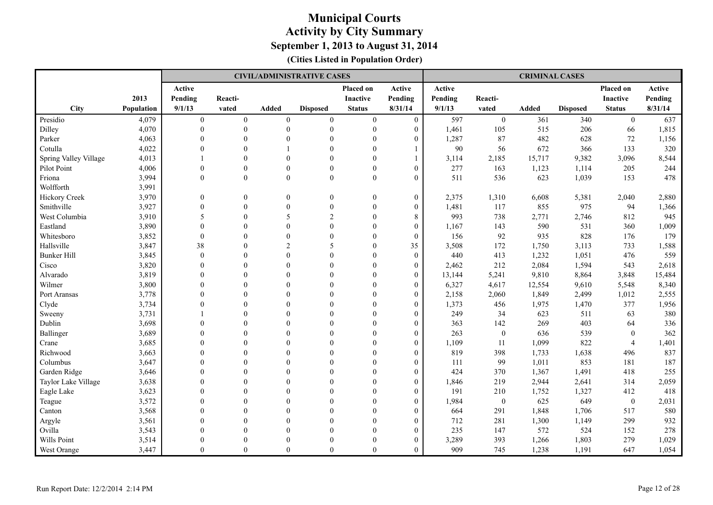|                       |                   |                  |                |                | <b>CIVIL/ADMINISTRATIVE CASES</b> |                 |                  |         |                  | <b>CRIMINAL CASES</b> |                 |                  |         |
|-----------------------|-------------------|------------------|----------------|----------------|-----------------------------------|-----------------|------------------|---------|------------------|-----------------------|-----------------|------------------|---------|
|                       |                   | Active           |                |                |                                   | Placed on       | Active           | Active  |                  |                       |                 | Placed on        | Active  |
|                       | 2013              | Pending          | Reacti-        |                |                                   | <b>Inactive</b> | Pending          | Pending | Reacti-          |                       |                 | <b>Inactive</b>  | Pending |
| City                  | <b>Population</b> | 9/1/13           | vated          | <b>Added</b>   | <b>Disposed</b>                   | <b>Status</b>   | 8/31/14          | 9/1/13  | vated            | <b>Added</b>          | <b>Disposed</b> | <b>Status</b>    | 8/31/14 |
| Presidio              | 4,079             | $\overline{0}$   | $\overline{0}$ | $\overline{0}$ | $\mathbf{0}$                      | $\overline{0}$  | $\mathbf{0}$     | 597     | $\boldsymbol{0}$ | 361                   | 340             | $\overline{0}$   | 637     |
| Dilley                | 4,070             | $\mathbf{0}$     | $\theta$       | $\Omega$       | $\overline{0}$                    | $\mathbf{0}$    | $\overline{0}$   | 1,461   | 105              | 515                   | 206             | 66               | 1,815   |
| Parker                | 4,063             | $\Omega$         | $\theta$       | $\Omega$       | $\mathbf{0}$                      | $\theta$        | $\boldsymbol{0}$ | 1,287   | 87               | 482                   | 628             | 72               | 1,156   |
| Cotulla               | 4,022             | $\Omega$         | $\Omega$       |                | $\theta$                          | $\theta$        |                  | 90      | 56               | 672                   | 366             | 133              | 320     |
| Spring Valley Village | 4,013             |                  | $\theta$       | $\Omega$       | $\theta$                          | $\Omega$        |                  | 3,114   | 2,185            | 15,717                | 9,382           | 3,096            | 8,544   |
| Pilot Point           | 4,006             | $\theta$         | $\theta$       | $\Omega$       | $\mathbf{0}$                      | $\mathbf{0}$    | $\overline{0}$   | 277     | 163              | 1,123                 | 1,114           | 205              | 244     |
| Friona                | 3,994             | $\theta$         | $\theta$       | $\theta$       | $\mathbf{0}$                      | $\mathbf{0}$    | $\overline{0}$   | 511     | 536              | 623                   | 1,039           | 153              | 478     |
| Wolfforth             | 3,991             |                  |                |                |                                   |                 |                  |         |                  |                       |                 |                  |         |
| Hickory Creek         | 3,970             | $\boldsymbol{0}$ | $\mathbf{0}$   | $\theta$       | $\mathbf{0}$                      | $\overline{0}$  | $\boldsymbol{0}$ | 2,375   | 1,310            | 6,608                 | 5,381           | 2,040            | 2,880   |
| Smithville            | 3,927             | $\theta$         | $\theta$       | $\Omega$       | $\theta$                          | $\theta$        | $\overline{0}$   | 1,481   | 117              | 855                   | 975             | 94               | 1,366   |
| West Columbia         | 3,910             | 5                | $\theta$       | 5              | $\overline{c}$                    | $\theta$        | 8                | 993     | 738              | 2,771                 | 2,746           | 812              | 945     |
| Eastland              | 3,890             | $\theta$         | $\theta$       | $\Omega$       | $\mathbf{0}$                      | $\theta$        | $\overline{0}$   | 1,167   | 143              | 590                   | 531             | 360              | 1,009   |
| Whitesboro            | 3,852             | $\Omega$         | $\Omega$       | $\Omega$       | $\theta$                          | $\theta$        | $\theta$         | 156     | 92               | 935                   | 828             | 176              | 179     |
| Hallsville            | 3,847             | 38               | $\theta$       | $\overline{2}$ | 5                                 | $\theta$        | 35               | 3,508   | 172              | 1,750                 | 3,113           | 733              | 1,588   |
| <b>Bunker Hill</b>    | 3,845             | $\mathbf{0}$     | $\theta$       | $\theta$       | $\mathbf{0}$                      | $\theta$        | $\boldsymbol{0}$ | 440     | 413              | 1,232                 | 1,051           | 476              | 559     |
| Cisco                 | 3,820             | $\mathbf{0}$     | $\theta$       | $\Omega$       | $\theta$                          | $\Omega$        | $\overline{0}$   | 2,462   | 212              | 2,084                 | 1,594           | 543              | 2,618   |
| Alvarado              | 3,819             | $\Omega$         | $\Omega$       | $\Omega$       | $\theta$                          | $\Omega$        | $\overline{0}$   | 13,144  | 5,241            | 9,810                 | 8,864           | 3,848            | 15,484  |
| Wilmer                | 3,800             | $\theta$         | $\theta$       | $\Omega$       | $\theta$                          | $\Omega$        | $\overline{0}$   | 6,327   | 4,617            | 12,554                | 9,610           | 5,548            | 8,340   |
| Port Aransas          | 3,778             | $\Omega$         | $\Omega$       | $\Omega$       | $\theta$                          | $\Omega$        | $\theta$         | 2,158   | 2,060            | 1,849                 | 2,499           | 1,012            | 2,555   |
| Clyde                 | 3,734             | $\Omega$         | $\theta$       | $\Omega$       | $\theta$                          | $\Omega$        | $\overline{0}$   | 1,373   | 456              | 1,975                 | 1,470           | 377              | 1,956   |
| Sweeny                | 3,731             |                  | $\theta$       | $\Omega$       | $\theta$                          | $\Omega$        | $\overline{0}$   | 249     | 34               | 623                   | 511             | 63               | 380     |
| Dublin                | 3,698             | $\Omega$         | $\theta$       | $\Omega$       | $\theta$                          | $\Omega$        | $\overline{0}$   | 363     | 142              | 269                   | 403             | 64               | 336     |
| Ballinger             | 3,689             | $\Omega$         | $\theta$       | $\Omega$       | $\theta$                          | $\theta$        | $\overline{0}$   | 263     | $\boldsymbol{0}$ | 636                   | 539             | $\mathbf{0}$     | 362     |
| Crane                 | 3,685             | $\theta$         | $\theta$       | $\Omega$       | $\theta$                          | $\Omega$        | $\boldsymbol{0}$ | 1,109   | 11               | 1,099                 | 822             | $\overline{4}$   | 1,401   |
| Richwood              | 3,663             | $\Omega$         | $\Omega$       | $\Omega$       | $\Omega$                          | $\Omega$        | $\overline{0}$   | 819     | 398              | 1,733                 | 1,638           | 496              | 837     |
| Columbus              | 3,647             | $\Omega$         | $\Omega$       | $\Omega$       | $\theta$                          | $\Omega$        | $\overline{0}$   | 111     | 99               | 1,011                 | 853             | 181              | 187     |
| Garden Ridge          | 3,646             | $\theta$         | $\theta$       | $\Omega$       | $\theta$                          | $\theta$        | $\overline{0}$   | 424     | 370              | 1,367                 | 1,491           | 418              | 255     |
| Taylor Lake Village   | 3,638             | $\Omega$         | $\Omega$       | $\Omega$       | $\Omega$                          | $\Omega$        | $\theta$         | 1,846   | 219              | 2,944                 | 2,641           | 314              | 2,059   |
| Eagle Lake            | 3,623             | $\mathbf{0}$     | $\theta$       | $\Omega$       | $\mathbf{0}$                      | $\mathbf{0}$    | $\overline{0}$   | 191     | 210              | 1,752                 | 1,327           | 412              | 418     |
| Teague                | 3,572             | $\mathbf{0}$     | $\theta$       | $\theta$       | $\mathbf{0}$                      | $\overline{0}$  | $\boldsymbol{0}$ | 1,984   | $\boldsymbol{0}$ | 625                   | 649             | $\boldsymbol{0}$ | 2,031   |
| Canton                | 3,568             | $\theta$         | $\theta$       | $\Omega$       | $\theta$                          | $\Omega$        | $\overline{0}$   | 664     | 291              | 1,848                 | 1,706           | 517              | 580     |
| Argyle                | 3,561             | $\Omega$         | $\Omega$       | $\Omega$       | $\theta$                          | $\Omega$        | $\overline{0}$   | 712     | 281              | 1,300                 | 1,149           | 299              | 932     |
| Ovilla                | 3,543             | $\Omega$         | $\theta$       | $\Omega$       | $\theta$                          | $\Omega$        | $\overline{0}$   | 235     | 147              | 572                   | 524             | 152              | 278     |
| Wills Point           | 3,514             | $\Omega$         | $\Omega$       | $\Omega$       | $\Omega$                          | $\Omega$        | $\overline{0}$   | 3,289   | 393              | 1,266                 | 1,803           | 279              | 1,029   |
| West Orange           | 3,447             | $\Omega$         | $\theta$       | $\theta$       | $\Omega$                          | $\theta$        | $\overline{0}$   | 909     | 745              | 1,238                 | 1,191           | 647              | 1,054   |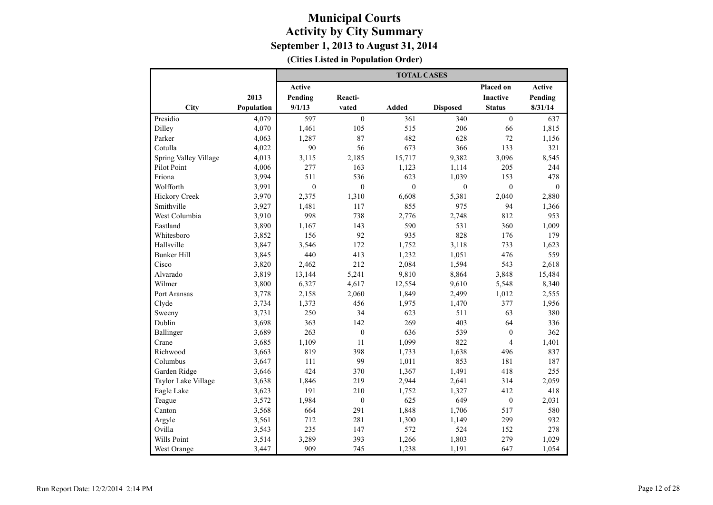|                       |            | <b>TOTAL CASES</b> |                  |                  |                  |                  |              |  |  |  |
|-----------------------|------------|--------------------|------------------|------------------|------------------|------------------|--------------|--|--|--|
|                       |            | Active             |                  |                  |                  | Placed on        | Active       |  |  |  |
|                       | 2013       | Pending            | Reacti-          |                  |                  | <b>Inactive</b>  | Pending      |  |  |  |
| City                  | Population | 9/1/13             | vated            | <b>Added</b>     | <b>Disposed</b>  | <b>Status</b>    | 8/31/14      |  |  |  |
| Presidio              | 4,079      | 597                | $\mathbf{0}$     | 361              | 340              | $\mathbf{0}$     | 637          |  |  |  |
| Dilley                | 4,070      | 1,461              | 105              | 515              | 206              | 66               | 1,815        |  |  |  |
| Parker                | 4,063      | 1,287              | 87               | 482              | 628              | 72               | 1,156        |  |  |  |
| Cotulla               | 4,022      | 90                 | 56               | 673              | 366              | 133              | 321          |  |  |  |
| Spring Valley Village | 4,013      | 3,115              | 2,185            | 15,717           | 9,382            | 3,096            | 8,545        |  |  |  |
| Pilot Point           | 4,006      | 277                | 163              | 1,123            | 1,114            | 205              | 244          |  |  |  |
| Friona                | 3,994      | 511                | 536              | 623              | 1,039            | 153              | 478          |  |  |  |
| Wolfforth             | 3,991      | $\boldsymbol{0}$   | $\boldsymbol{0}$ | $\boldsymbol{0}$ | $\boldsymbol{0}$ | $\overline{0}$   | $\mathbf{0}$ |  |  |  |
| <b>Hickory Creek</b>  | 3,970      | 2,375              | 1,310            | 6,608            | 5,381            | 2,040            | 2,880        |  |  |  |
| Smithville            | 3,927      | 1,481              | 117              | 855              | 975              | 94               | 1,366        |  |  |  |
| West Columbia         | 3,910      | 998                | 738              | 2,776            | 2,748            | 812              | 953          |  |  |  |
| Eastland              | 3,890      | 1,167              | 143              | 590              | 531              | 360              | 1,009        |  |  |  |
| Whitesboro            | 3,852      | 156                | 92               | 935              | 828              | 176              | 179          |  |  |  |
| Hallsville            | 3,847      | 3,546              | 172              | 1,752            | 3,118            | 733              | 1,623        |  |  |  |
| <b>Bunker Hill</b>    | 3,845      | 440                | 413              | 1,232            | 1,051            | 476              | 559          |  |  |  |
| Cisco                 | 3,820      | 2,462              | 212              | 2,084            | 1,594            | 543              | 2,618        |  |  |  |
| Alvarado              | 3,819      | 13,144             | 5,241            | 9,810            | 8,864            | 3,848            | 15,484       |  |  |  |
| Wilmer                | 3,800      | 6,327              | 4,617            | 12,554           | 9,610            | 5,548            | 8,340        |  |  |  |
| Port Aransas          | 3,778      | 2,158              | 2,060            | 1,849            | 2,499            | 1,012            | 2,555        |  |  |  |
| Clyde                 | 3,734      | 1,373              | 456              | 1,975            | 1,470            | 377              | 1,956        |  |  |  |
| Sweeny                | 3,731      | 250                | 34               | 623              | 511              | 63               | 380          |  |  |  |
| Dublin                | 3,698      | 363                | 142              | 269              | 403              | 64               | 336          |  |  |  |
| Ballinger             | 3,689      | 263                | $\mathbf{0}$     | 636              | 539              | $\boldsymbol{0}$ | 362          |  |  |  |
| Crane                 | 3,685      | 1,109              | 11               | 1,099            | 822              | $\overline{4}$   | 1,401        |  |  |  |
| Richwood              | 3,663      | 819                | 398              | 1,733            | 1,638            | 496              | 837          |  |  |  |
| Columbus              | 3,647      | 111                | 99               | 1,011            | 853              | 181              | 187          |  |  |  |
| Garden Ridge          | 3,646      | 424                | 370              | 1,367            | 1,491            | 418              | 255          |  |  |  |
| Taylor Lake Village   | 3,638      | 1,846              | 219              | 2,944            | 2,641            | 314              | 2,059        |  |  |  |
| Eagle Lake            | 3,623      | 191                | 210              | 1,752            | 1,327            | 412              | 418          |  |  |  |
| Teague                | 3,572      | 1,984              | $\boldsymbol{0}$ | 625              | 649              | $\boldsymbol{0}$ | 2,031        |  |  |  |
| Canton                | 3,568      | 664                | 291              | 1,848            | 1,706            | 517              | 580          |  |  |  |
| Argyle                | 3,561      | 712                | 281              | 1,300            | 1,149            | 299              | 932          |  |  |  |
| Ovilla                | 3,543      | 235                | 147              | 572              | 524              | 152              | 278          |  |  |  |
| Wills Point           | 3,514      | 3,289              | 393              | 1,266            | 1,803            | 279              | 1,029        |  |  |  |
| West Orange           | 3,447      | 909                | 745              | 1,238            | 1,191            | 647              | 1,054        |  |  |  |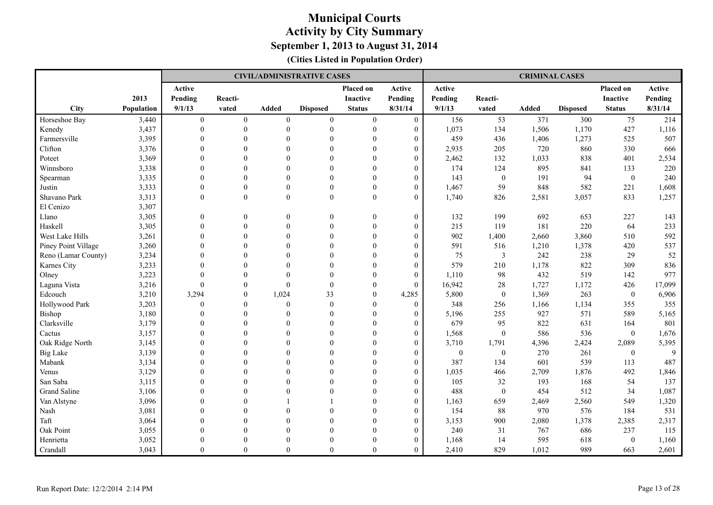|                     |                   |                |                |                | <b>CIVIL/ADMINISTRATIVE CASES</b> |                |                  |                  |                  | <b>CRIMINAL CASES</b> |                 |                  |         |
|---------------------|-------------------|----------------|----------------|----------------|-----------------------------------|----------------|------------------|------------------|------------------|-----------------------|-----------------|------------------|---------|
|                     |                   | Active         |                |                |                                   | Placed on      | Active           | Active           |                  |                       |                 | Placed on        | Active  |
|                     | 2013              | Pending        | Reacti-        |                |                                   | Inactive       | Pending          | Pending          | Reacti-          |                       |                 | Inactive         | Pending |
| City                | <b>Population</b> | 9/1/13         | vated          | <b>Added</b>   | <b>Disposed</b>                   | <b>Status</b>  | 8/31/14          | 9/1/13           | vated            | <b>Added</b>          | <b>Disposed</b> | <b>Status</b>    | 8/31/14 |
| Horseshoe Bay       | 3,440             | $\overline{0}$ | $\overline{0}$ | $\overline{0}$ | $\mathbf{0}$                      | $\overline{0}$ | $\mathbf{0}$     | 156              | 53               | 371                   | 300             | 75               | 214     |
| Kenedy              | 3,437             | $\mathbf{0}$   | $\theta$       | $\theta$       | $\mathbf{0}$                      | $\mathbf{0}$   | $\overline{0}$   | 1,073            | 134              | 1,506                 | 1,170           | 427              | 1,116   |
| Farmersville        | 3,395             | $\theta$       | $\theta$       | $\Omega$       | $\theta$                          | $\theta$       | $\boldsymbol{0}$ | 459              | 436              | 1,406                 | 1,273           | 525              | 507     |
| Clifton             | 3,376             | $\Omega$       | $\Omega$       | $\Omega$       | $\Omega$                          | $\Omega$       | $\overline{0}$   | 2,935            | 205              | 720                   | 860             | 330              | 666     |
| Poteet              | 3,369             | $\Omega$       | $\Omega$       | $\Omega$       | $\theta$                          | $\Omega$       | $\overline{0}$   | 2,462            | 132              | 1,033                 | 838             | 401              | 2,534   |
| Winnsboro           | 3,338             | $\Omega$       | $\theta$       | $\Omega$       | $\theta$                          | $\Omega$       | $\overline{0}$   | 174              | 124              | 895                   | 841             | 133              | 220     |
| Spearman            | 3,335             | $\mathbf{0}$   | $\mathbf{0}$   | $\theta$       | $\mathbf{0}$                      | $\theta$       | $\boldsymbol{0}$ | 143              | $\boldsymbol{0}$ | 191                   | 94              | $\boldsymbol{0}$ | 240     |
| Justin              | 3,333             | $\mathbf{0}$   | $\theta$       | $\Omega$       | $\mathbf{0}$                      | $\mathbf{0}$   | $\overline{0}$   | 1,467            | 59               | 848                   | 582             | 221              | 1,608   |
| Shavano Park        | 3,313             | $\theta$       | $\theta$       | $\theta$       | $\mathbf{0}$                      | $\theta$       | $\overline{0}$   | 1,740            | 826              | 2,581                 | 3,057           | 833              | 1,257   |
| El Cenizo           | 3,307             |                |                |                |                                   |                |                  |                  |                  |                       |                 |                  |         |
| Llano               | 3,305             | $\mathbf{0}$   | $\theta$       | $\theta$       | $\theta$                          | $\overline{0}$ | $\overline{0}$   | 132              | 199              | 692                   | 653             | 227              | 143     |
| Haskell             | 3,305             | $\Omega$       | $\theta$       | $\theta$       | $\theta$                          | $\mathbf{0}$   | $\overline{0}$   | 215              | 119              | 181                   | 220             | 64               | 233     |
| West Lake Hills     | 3,261             | $\theta$       | $\theta$       | $\theta$       | $\theta$                          | $\mathbf{0}$   | $\overline{0}$   | 902              | 1,400            | 2,660                 | 3,860           | 510              | 592     |
| Piney Point Village | 3,260             | $\Omega$       | $\theta$       | $\Omega$       | $\theta$                          | $\theta$       | $\overline{0}$   | 591              | 516              | 1,210                 | 1,378           | 420              | 537     |
| Reno (Lamar County) | 3,234             | $\Omega$       | $\theta$       | $\Omega$       | $\mathbf{0}$                      | $\theta$       | $\overline{0}$   | 75               | $\mathfrak{Z}$   | 242                   | 238             | 29               | 52      |
| Karnes City         | 3,233             | $\theta$       | $\theta$       | $\Omega$       | $\mathbf{0}$                      | $\theta$       | $\overline{0}$   | 579              | 210              | 1,178                 | 822             | 309              | 836     |
| Olney               | 3,223             | $\theta$       | $\theta$       | $\Omega$       | $\theta$                          | $\mathbf{0}$   | $\overline{0}$   | 1,110            | 98               | 432                   | 519             | 142              | 977     |
| Laguna Vista        | 3,216             | $\theta$       | $\theta$       | $\Omega$       | $\mathbf{0}$                      | $\theta$       | $\Omega$         | 16,942           | 28               | 1,727                 | 1,172           | 426              | 17,099  |
| Edcouch             | 3,210             | 3,294          | $\theta$       | 1,024          | 33                                | $\Omega$       | 4,285            | 5,800            | $\theta$         | 1,369                 | 263             | $\mathbf{0}$     | 6,906   |
| Hollywood Park      | 3,203             | $\mathbf{0}$   | $\theta$       | $\Omega$       | $\mathbf{0}$                      | $\Omega$       | $\overline{0}$   | 348              | 256              | 1,166                 | 1,134           | 355              | 355     |
| Bishop              | 3,180             | $\Omega$       | $\Omega$       | $\Omega$       | $\theta$                          | $\theta$       | $\overline{0}$   | 5,196            | 255              | 927                   | 571             | 589              | 5,165   |
| Clarksville         | 3,179             | $\mathbf{0}$   | $\theta$       | $\theta$       | $\mathbf{0}$                      | $\theta$       | $\boldsymbol{0}$ | 679              | 95               | 822                   | 631             | 164              | 801     |
| Cactus              | 3,157             | $\mathbf{0}$   | $\theta$       | $\theta$       | $\mathbf{0}$                      | $\theta$       | $\boldsymbol{0}$ | 1,568            | $\boldsymbol{0}$ | 586                   | 536             | $\overline{0}$   | 1,676   |
| Oak Ridge North     | 3,145             | $\Omega$       | $\Omega$       | $\Omega$       | $\Omega$                          | $\Omega$       | $\overline{0}$   | 3,710            | 1,791            | 4,396                 | 2,424           | 2,089            | 5,395   |
| <b>Big Lake</b>     | 3,139             | $\Omega$       | $\Omega$       | $\Omega$       | $\theta$                          | $\Omega$       | $\overline{0}$   | $\boldsymbol{0}$ | $\mathbf{0}$     | 270                   | 261             | $\mathbf{0}$     | 9       |
| Mabank              | 3,134             | $\Omega$       | $\Omega$       | $\Omega$       | $\theta$                          | $\Omega$       | $\overline{0}$   | 387              | 134              | 601                   | 539             | 113              | 487     |
| Venus               | 3,129             | $\theta$       | $\Omega$       | $\Omega$       | $\theta$                          | $\theta$       | $\boldsymbol{0}$ | 1,035            | 466              | 2,709                 | 1,876           | 492              | 1,846   |
| San Saba            | 3,115             | $\Omega$       | $\Omega$       | $\Omega$       | $\Omega$                          | $\theta$       | $\Omega$         | 105              | 32               | 193                   | 168             | 54               | 137     |
| <b>Grand Saline</b> | 3,106             | $\mathbf{0}$   | $\theta$       | $\theta$       | $\mathbf{0}$                      | $\mathbf{0}$   | $\boldsymbol{0}$ | 488              | $\boldsymbol{0}$ | 454                   | 512             | 34               | 1,087   |
| Van Alstyne         | 3,096             | $\mathbf{0}$   | $\theta$       |                |                                   | $\theta$       | $\boldsymbol{0}$ | 1,163            | 659              | 2,469                 | 2,560           | 549              | 1,320   |
| Nash                | 3,081             | $\theta$       | $\Omega$       | $\Omega$       | $\Omega$                          | $\Omega$       | $\overline{0}$   | 154              | 88               | 970                   | 576             | 184              | 531     |
| Taft                | 3,064             | $\Omega$       | $\Omega$       | $\Omega$       | $\theta$                          | $\Omega$       | $\overline{0}$   | 3,153            | 900              | 2,080                 | 1,378           | 2,385            | 2,317   |
| Oak Point           | 3,055             | $\Omega$       | $\theta$       | $\Omega$       | $\theta$                          | $\Omega$       | $\boldsymbol{0}$ | 240              | 31               | 767                   | 686             | 237              | 115     |
| Henrietta           | 3,052             | $\Omega$       | $\Omega$       | $\Omega$       | $\Omega$                          | $\Omega$       | $\overline{0}$   | 1,168            | 14               | 595                   | 618             | $\mathbf{0}$     | 1,160   |
| Crandall            | 3,043             | $\Omega$       | $\Omega$       | $\theta$       | $\theta$                          | $\theta$       | $\Omega$         | 2,410            | 829              | 1,012                 | 989             | 663              | 2,601   |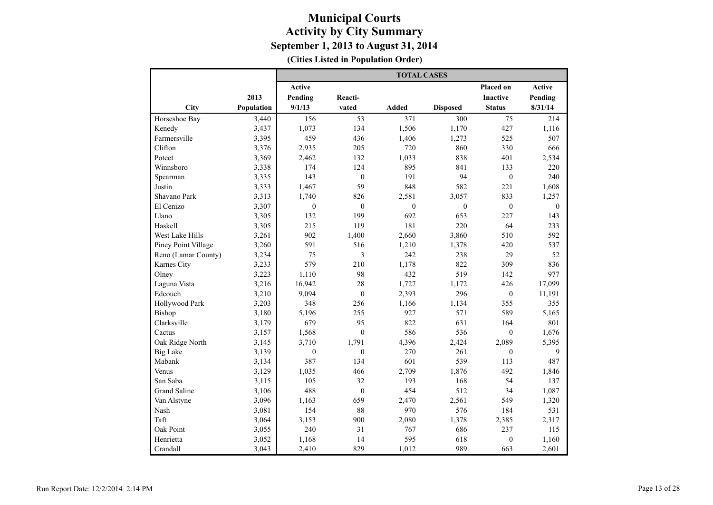|                     |            |                  |                  | <b>TOTAL CASES</b> |                  |                  |                  |
|---------------------|------------|------------------|------------------|--------------------|------------------|------------------|------------------|
|                     |            | <b>Active</b>    |                  |                    |                  | Placed on        | Active           |
|                     | 2013       | Pending          | Reacti-          |                    |                  | <b>Inactive</b>  | Pending          |
| City                | Population | 9/1/13           | vated            | <b>Added</b>       | <b>Disposed</b>  | <b>Status</b>    | 8/31/14          |
| Horseshoe Bay       | 3,440      | 156              | 53               | 371                | 300              | 75               | 214              |
| Kenedy              | 3,437      | 1,073            | 134              | 1,506              | 1,170            | 427              | 1,116            |
| Farmersville        | 3,395      | 459              | 436              | 1,406              | 1,273            | 525              | 507              |
| Clifton             | 3,376      | 2,935            | 205              | 720                | 860              | 330              | 666              |
| Poteet              | 3,369      | 2,462            | 132              | 1,033              | 838              | 401              | 2,534            |
| Winnsboro           | 3,338      | 174              | 124              | 895                | 841              | 133              | 220              |
| Spearman            | 3,335      | 143              | $\boldsymbol{0}$ | 191                | 94               | $\boldsymbol{0}$ | 240              |
| Justin              | 3,333      | 1,467            | 59               | 848                | 582              | 221              | 1,608            |
| Shavano Park        | 3,313      | 1,740            | 826              | 2,581              | 3,057            | 833              | 1,257            |
| El Cenizo           | 3,307      | $\boldsymbol{0}$ | $\boldsymbol{0}$ | $\mathbf{0}$       | $\boldsymbol{0}$ | $\boldsymbol{0}$ | $\boldsymbol{0}$ |
| Llano               | 3,305      | 132              | 199              | 692                | 653              | 227              | 143              |
| Haskell             | 3,305      | 215              | 119              | 181                | 220              | 64               | 233              |
| West Lake Hills     | 3,261      | 902              | 1,400            | 2,660              | 3,860            | 510              | 592              |
| Piney Point Village | 3,260      | 591              | 516              | 1,210              | 1,378            | 420              | 537              |
| Reno (Lamar County) | 3,234      | 75               | 3                | 242                | 238              | 29               | 52               |
| Karnes City         | 3,233      | 579              | 210              | 1,178              | 822              | 309              | 836              |
| Olney               | 3,223      | 1,110            | 98               | 432                | 519              | 142              | 977              |
| Laguna Vista        | 3,216      | 16,942           | 28               | 1,727              | 1,172            | 426              | 17,099           |
| Edcouch             | 3,210      | 9,094            | $\mathbf{0}$     | 2,393              | 296              | $\boldsymbol{0}$ | 11,191           |
| Hollywood Park      | 3,203      | 348              | 256              | 1,166              | 1,134            | 355              | 355              |
| Bishop              | 3,180      | 5,196            | 255              | 927                | 571              | 589              | 5,165            |
| Clarksville         | 3,179      | 679              | 95               | 822                | 631              | 164              | 801              |
| Cactus              | 3,157      | 1,568            | $\boldsymbol{0}$ | 586                | 536              | $\boldsymbol{0}$ | 1,676            |
| Oak Ridge North     | 3,145      | 3,710            | 1,791            | 4,396              | 2,424            | 2,089            | 5,395            |
| <b>Big Lake</b>     | 3,139      | $\mathbf{0}$     | $\mathbf{0}$     | 270                | 261              | $\mathbf{0}$     | 9                |
| Mabank              | 3,134      | 387              | 134              | 601                | 539              | 113              | 487              |
| Venus               | 3,129      | 1,035            | 466              | 2,709              | 1,876            | 492              | 1,846            |
| San Saba            | 3,115      | 105              | 32               | 193                | 168              | 54               | 137              |
| <b>Grand Saline</b> | 3,106      | 488              | $\mathbf{0}$     | 454                | 512              | 34               | 1,087            |
| Van Alstyne         | 3,096      | 1,163            | 659              | 2,470              | 2,561            | 549              | 1,320            |
| Nash                | 3,081      | 154              | 88               | 970                | 576              | 184              | 531              |
| Taft                | 3,064      | 3,153            | 900              | 2,080              | 1,378            | 2,385            | 2,317            |
| Oak Point           | 3,055      | 240              | 31               | 767                | 686              | 237              | 115              |
| Henrietta           | 3,052      | 1,168            | 14               | 595                | 618              | $\overline{0}$   | 1,160            |
| Crandall            | 3,043      | 2,410            | 829              | 1,012              | 989              | 663              | 2,601            |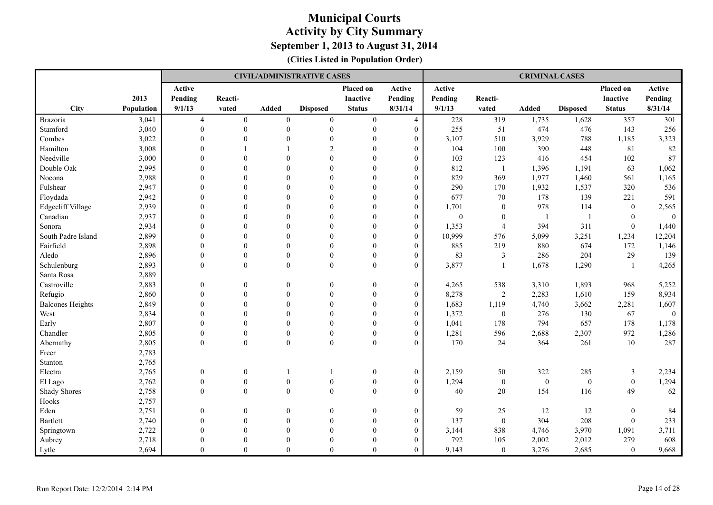|                         |            |                  |                  |                  | <b>CIVIL/ADMINISTRATIVE CASES</b> |                  |                  |                  |                  | <b>CRIMINAL CASES</b> |                  |                  |                |
|-------------------------|------------|------------------|------------------|------------------|-----------------------------------|------------------|------------------|------------------|------------------|-----------------------|------------------|------------------|----------------|
|                         |            | Active           |                  |                  |                                   | <b>Placed on</b> | Active           | Active           |                  |                       |                  | Placed on        | Active         |
|                         | 2013       | Pending          | Reacti-          |                  |                                   | <b>Inactive</b>  | Pending          | Pending          | Reacti-          |                       |                  | <b>Inactive</b>  | Pending        |
| City                    | Population | 9/1/13           | vated            | Added            | <b>Disposed</b>                   | <b>Status</b>    | 8/31/14          | 9/1/13           | vated            | Added                 | <b>Disposed</b>  | <b>Status</b>    | 8/31/14        |
| Brazoria                | 3,041      | $\overline{4}$   | $\boldsymbol{0}$ | $\boldsymbol{0}$ | $\boldsymbol{0}$                  | $\boldsymbol{0}$ | $\overline{4}$   | 228              | 319              | 1,735                 | 1,628            | 357              | 301            |
| Stamford                | 3,040      | $\mathbf{0}$     | $\boldsymbol{0}$ | $\boldsymbol{0}$ | $\boldsymbol{0}$                  | $\boldsymbol{0}$ | $\overline{0}$   | 255              | 51               | 474                   | 476              | 143              | 256            |
| Combes                  | 3,022      | $\theta$         | $\overline{0}$   | $\overline{0}$   | $\overline{0}$                    | $\mathbf{0}$     | $\theta$         | 3,107            | 510              | 3,929                 | 788              | 1,185            | 3,323          |
| Hamilton                | 3,008      | $\theta$         | $\mathbf{1}$     |                  | $\overline{2}$                    | $\boldsymbol{0}$ | $\theta$         | 104              | 100              | 390                   | 448              | 81               | $82\,$         |
| Needville               | 3,000      | $\Omega$         | $\theta$         | $\theta$         | $\theta$                          | $\theta$         | $\theta$         | 103              | 123              | 416                   | 454              | 102              | 87             |
| Double Oak              | 2,995      | $\theta$         | $\Omega$         | $\theta$         | $\theta$                          | $\theta$         | $\Omega$         | 812              | $\mathbf{1}$     | 1,396                 | 1,191            | 63               | 1,062          |
| Nocona                  | 2,988      | $\mathbf{0}$     | $\mathbf{0}$     | $\boldsymbol{0}$ | $\theta$                          | $\boldsymbol{0}$ | $\overline{0}$   | 829              | 369              | 1,977                 | 1,460            | 561              | 1,165          |
| Fulshear                | 2,947      | $\overline{0}$   | $\overline{0}$   | $\overline{0}$   | $\overline{0}$                    | $\boldsymbol{0}$ | $\overline{0}$   | 290              | 170              | 1,932                 | 1,537            | 320              | 536            |
| Floydada                | 2,942      | $\overline{0}$   | $\mathbf{0}$     | $\theta$         | $\theta$                          | $\boldsymbol{0}$ | $\overline{0}$   | 677              | 70               | 178                   | 139              | 221              | 591            |
| Edgecliff Village       | 2,939      | $\theta$         | $\Omega$         | $\Omega$         | $\theta$                          | $\theta$         | $\overline{0}$   | 1,701            | $\boldsymbol{0}$ | 978                   | 114              | $\mathbf{0}$     | 2,565          |
| Canadian                | 2,937      | $\theta$         | $\mathbf{0}$     | $\Omega$         | $\theta$                          | $\theta$         | $\mathbf{0}$     | $\boldsymbol{0}$ | $\boldsymbol{0}$ | $\overline{1}$        |                  | $\mathbf{0}$     | $\mathbf{0}$   |
| Sonora                  | 2,934      | $\Omega$         | $\mathbf{0}$     | $\boldsymbol{0}$ | $\overline{0}$                    | $\boldsymbol{0}$ | $\theta$         | 1,353            | $\overline{4}$   | 394                   | 311              | $\mathbf{0}$     | 1,440          |
| South Padre Island      | 2,899      | $\Omega$         | $\Omega$         | $\theta$         | $\theta$                          | $\theta$         | $\theta$         | 10,999           | 576              | 5,099                 | 3,251            | 1,234            | 12,204         |
| Fairfield               | 2,898      | $\mathbf{0}$     | $\overline{0}$   | $\overline{0}$   | $\theta$                          | $\mathbf{0}$     | $\overline{0}$   | 885              | 219              | 880                   | 674              | 172              | 1,146          |
| Aledo                   | 2,896      | $\mathbf{0}$     | $\boldsymbol{0}$ | $\boldsymbol{0}$ | $\boldsymbol{0}$                  | $\boldsymbol{0}$ | $\boldsymbol{0}$ | 83               | $\mathfrak{Z}$   | 286                   | 204              | 29               | 139            |
| Schulenburg             | 2,893      | $\mathbf{0}$     | $\mathbf{0}$     | $\boldsymbol{0}$ | $\boldsymbol{0}$                  | $\boldsymbol{0}$ | $\overline{0}$   | 3,877            | $\mathbf{1}$     | 1,678                 | 1,290            | $\overline{1}$   | 4,265          |
| Santa Rosa              | 2,889      |                  |                  |                  |                                   |                  |                  |                  |                  |                       |                  |                  |                |
| Castroville             | 2,883      | $\mathbf{0}$     | $\mathbf{0}$     | $\boldsymbol{0}$ | $\overline{0}$                    | $\boldsymbol{0}$ | $\boldsymbol{0}$ | 4,265            | 538              | 3,310                 | 1,893            | 968              | 5,252          |
| Refugio                 | 2,860      | $\mathbf{0}$     | $\mathbf{0}$     | $\boldsymbol{0}$ | $\boldsymbol{0}$                  | $\boldsymbol{0}$ | $\theta$         | 8,278            | $\sqrt{2}$       | 2,283                 | 1,610            | 159              | 8,934          |
| <b>Balcones Heights</b> | 2,849      | $\theta$         | $\overline{0}$   | $\theta$         | $\theta$                          | $\theta$         | $\theta$         | 1,683            | 1,119            | 4,740                 | 3,662            | 2,281            | 1,607          |
| West                    | 2,834      | $\theta$         | $\Omega$         | $\theta$         | $\theta$                          | $\theta$         | $\Omega$         | 1,372            | $\boldsymbol{0}$ | 276                   | 130              | 67               | $\overline{0}$ |
| Early                   | 2,807      | $\mathbf{0}$     | $\boldsymbol{0}$ | $\overline{0}$   | $\overline{0}$                    | $\boldsymbol{0}$ | $\boldsymbol{0}$ | 1,041            | 178              | 794                   | 657              | 178              | 1,178          |
| Chandler                | 2,805      | $\mathbf{0}$     | $\mathbf{0}$     | $\theta$         | $\boldsymbol{0}$                  | $\boldsymbol{0}$ | $\overline{0}$   | 1,281            | 596              | 2,688                 | 2,307            | 972              | 1,286          |
| Abernathy               | 2,805      | $\theta$         | $\mathbf{0}$     | $\theta$         | $\boldsymbol{0}$                  | $\theta$         | $\Omega$         | 170              | 24               | 364                   | 261              | 10               | 287            |
| Freer                   | 2,783      |                  |                  |                  |                                   |                  |                  |                  |                  |                       |                  |                  |                |
| Stanton                 | 2,765      |                  |                  |                  |                                   |                  |                  |                  |                  |                       |                  |                  |                |
| Electra                 | 2,765      | $\mathbf{0}$     | $\boldsymbol{0}$ |                  | $\mathbf{1}$                      | $\boldsymbol{0}$ | $\overline{0}$   | 2,159            | 50               | 322                   | 285              | 3                | 2,234          |
| El Lago                 | 2,762      | $\mathbf{0}$     | $\boldsymbol{0}$ | $\boldsymbol{0}$ | $\boldsymbol{0}$                  | $\boldsymbol{0}$ | $\overline{0}$   | 1,294            | $\boldsymbol{0}$ | $\mathbf{0}$          | $\boldsymbol{0}$ | $\mathbf{0}$     | 1,294          |
| <b>Shady Shores</b>     | 2,758      | $\mathbf{0}$     | $\boldsymbol{0}$ | $\mathbf{0}$     | $\boldsymbol{0}$                  | $\boldsymbol{0}$ | $\overline{0}$   | 40               | 20               | 154                   | 116              | 49               | 62             |
| Hooks                   | 2,757      |                  |                  |                  |                                   |                  |                  |                  |                  |                       |                  |                  |                |
| Eden                    | 2,751      | $\boldsymbol{0}$ | $\overline{0}$   | $\boldsymbol{0}$ | $\overline{0}$                    | $\boldsymbol{0}$ | $\boldsymbol{0}$ | 59               | 25               | 12                    | 12               | $\boldsymbol{0}$ | 84             |
| <b>Bartlett</b>         | 2,740      | $\theta$         | $\overline{0}$   | $\boldsymbol{0}$ | $\theta$                          | $\boldsymbol{0}$ | $\overline{0}$   | 137              | $\mathbf{0}$     | 304                   | 208              | $\boldsymbol{0}$ | 233            |
| Springtown              | 2,722      | $\theta$         | $\mathbf{0}$     | $\Omega$         | $\theta$                          | $\theta$         | $\mathbf{0}$     | 3,144            | 838              | 4,746                 | 3,970            | 1,091            | 3,711          |
| Aubrey                  | 2,718      | $\theta$         | $\Omega$         | $\theta$         | $\theta$                          | $\theta$         | $\theta$         | 792              | 105              | 2,002                 | 2,012            | 279              | 608            |
| Lytle                   | 2,694      | $\theta$         | $\Omega$         | $\Omega$         | $\theta$                          | $\Omega$         | $\theta$         | 9,143            | $\theta$         | 3,276                 | 2,685            | $\theta$         | 9,668          |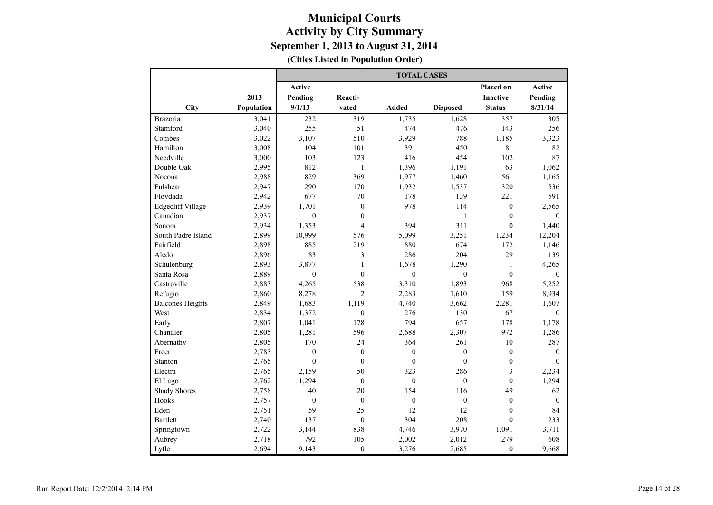|                          |            |                  |                         | <b>TOTAL CASES</b> |                  |                  |                |
|--------------------------|------------|------------------|-------------------------|--------------------|------------------|------------------|----------------|
|                          |            | Active           |                         |                    |                  | Placed on        | <b>Active</b>  |
|                          | 2013       | Pending          | Reacti-                 |                    |                  | <b>Inactive</b>  | Pending        |
| City                     | Population | 9/1/13           | vated                   | <b>Added</b>       | <b>Disposed</b>  | <b>Status</b>    | 8/31/14        |
| Brazoria                 | 3,041      | 232              | 319                     | 1,735              | 1,628            | 357              | 305            |
| Stamford                 | 3,040      | 255              | 51                      | 474                | 476              | 143              | 256            |
| Combes                   | 3,022      | 3,107            | 510                     | 3,929              | 788              | 1,185            | 3,323          |
| Hamilton                 | 3,008      | 104              | 101                     | 391                | 450              | 81               | 82             |
| Needville                | 3,000      | 103              | 123                     | 416                | 454              | 102              | 87             |
| Double Oak               | 2,995      | 812              | $\mathbf{1}$            | 1,396              | 1,191            | 63               | 1,062          |
| Nocona                   | 2,988      | 829              | 369                     | 1,977              | 1,460            | 561              | 1,165          |
| Fulshear                 | 2,947      | 290              | 170                     | 1,932              | 1,537            | 320              | 536            |
| Floydada                 | 2,942      | 677              | 70                      | 178                | 139              | 221              | 591            |
| <b>Edgecliff Village</b> | 2,939      | 1,701            | $\mathbf{0}$            | 978                | 114              | $\mathbf{0}$     | 2,565          |
| Canadian                 | 2,937      | $\mathbf{0}$     | $\boldsymbol{0}$        | 1                  | $\mathbf{1}$     | $\boldsymbol{0}$ | $\Omega$       |
| Sonora                   | 2,934      | 1,353            | $\overline{4}$          | 394                | 311              | $\mathbf{0}$     | 1,440          |
| South Padre Island       | 2,899      | 10,999           | 576                     | 5,099              | 3,251            | 1,234            | 12,204         |
| Fairfield                | 2,898      | 885              | 219                     | 880                | 674              | 172              | 1,146          |
| Aledo                    | 2,896      | 83               | $\overline{\mathbf{3}}$ | 286                | 204              | 29               | 139            |
| Schulenburg              | 2,893      | 3,877            | $\mathbf{1}$            | 1,678              | 1,290            | $\mathbf{1}$     | 4,265          |
| Santa Rosa               | 2,889      | $\mathbf{0}$     | $\mathbf{0}$            | $\mathbf{0}$       | $\mathbf{0}$     | $\mathbf{0}$     | $\mathbf{0}$   |
| Castroville              | 2,883      | 4,265            | 538                     | 3,310              | 1,893            | 968              | 5,252          |
| Refugio                  | 2,860      | 8,278            | $\overline{2}$          | 2,283              | 1,610            | 159              | 8,934          |
| <b>Balcones Heights</b>  | 2,849      | 1,683            | 1,119                   | 4,740              | 3,662            | 2,281            | 1,607          |
| West                     | 2,834      | 1,372            | $\boldsymbol{0}$        | 276                | 130              | 67               | $\overline{0}$ |
| Early                    | 2,807      | 1,041            | 178                     | 794                | 657              | 178              | 1,178          |
| Chandler                 | 2,805      | 1,281            | 596                     | 2,688              | 2,307            | 972              | 1,286          |
| Abernathy                | 2,805      | 170              | 24                      | 364                | 261              | 10               | 287            |
| Freer                    | 2,783      | $\mathbf{0}$     | $\mathbf{0}$            | $\mathbf{0}$       | $\mathbf{0}$     | $\boldsymbol{0}$ | $\mathbf{0}$   |
| Stanton                  | 2,765      | $\theta$         | $\mathbf{0}$            | $\mathbf{0}$       | $\overline{0}$   | $\boldsymbol{0}$ | $\Omega$       |
| Electra                  | 2,765      | 2,159            | 50                      | 323                | 286              | 3                | 2,234          |
| El Lago                  | 2,762      | 1,294            | $\boldsymbol{0}$        | $\boldsymbol{0}$   | $\boldsymbol{0}$ | $\boldsymbol{0}$ | 1,294          |
| <b>Shady Shores</b>      | 2,758      | 40               | 20                      | 154                | 116              | 49               | 62             |
| Hooks                    | 2,757      | $\boldsymbol{0}$ | $\boldsymbol{0}$        | $\boldsymbol{0}$   | $\boldsymbol{0}$ | $\boldsymbol{0}$ | $\mathbf{0}$   |
| Eden                     | 2,751      | 59               | 25                      | 12                 | 12               | $\boldsymbol{0}$ | 84             |
| <b>Bartlett</b>          | 2,740      | 137              | $\mathbf{0}$            | 304                | 208              | $\mathbf{0}$     | 233            |
| Springtown               | 2,722      | 3,144            | 838                     | 4,746              | 3,970            | 1,091            | 3,711          |
| Aubrey                   | 2,718      | 792              | 105                     | 2,002              | 2,012            | 279              | 608            |
| Lytle                    | 2,694      | 9,143            | $\mathbf{0}$            | 3,276              | 2,685            | $\mathbf{0}$     | 9,668          |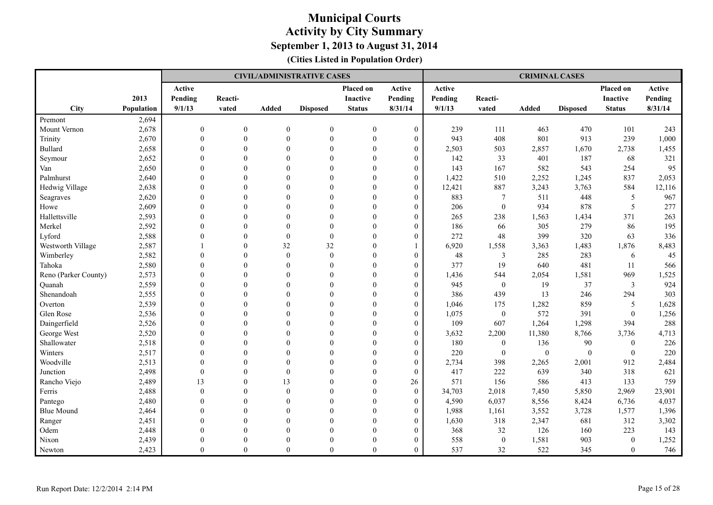|                      |            |                |                |                  | <b>CIVIL/ADMINISTRATIVE CASES</b> |                  |                  |         |                  | <b>CRIMINAL CASES</b> |                 |                 |         |
|----------------------|------------|----------------|----------------|------------------|-----------------------------------|------------------|------------------|---------|------------------|-----------------------|-----------------|-----------------|---------|
|                      |            | Active         |                |                  |                                   | Placed on        | Active           | Active  |                  |                       |                 | Placed on       | Active  |
|                      | 2013       | Pending        | Reacti-        |                  |                                   | Inactive         | Pending          | Pending | Reacti-          |                       |                 | <b>Inactive</b> | Pending |
| <b>City</b>          | Population | 9/1/13         | vated          | Added            | <b>Disposed</b>                   | <b>Status</b>    | 8/31/14          | 9/1/13  | vated            | <b>Added</b>          | <b>Disposed</b> | <b>Status</b>   | 8/31/14 |
| Premont              | 2,694      |                |                |                  |                                   |                  |                  |         |                  |                       |                 |                 |         |
| Mount Vernon         | 2,678      | $\mathbf{0}$   | $\overline{0}$ | $\theta$         | $\boldsymbol{0}$                  | $\boldsymbol{0}$ | $\overline{0}$   | 239     | 111              | 463                   | 470             | 101             | 243     |
| Trinity              | 2,670      | $\mathbf{0}$   | $\overline{0}$ | $\mathbf{0}$     | $\boldsymbol{0}$                  | $\overline{0}$   | $\boldsymbol{0}$ | 943     | 408              | 801                   | 913             | 239             | 1,000   |
| <b>Bullard</b>       | 2,658      | $\theta$       | $\overline{0}$ | $\theta$         | $\boldsymbol{0}$                  | $\theta$         | $\overline{0}$   | 2,503   | 503              | 2,857                 | 1,670           | 2,738           | 1,455   |
| Seymour              | 2,652      | $\Omega$       | $\theta$       | $\Omega$         | $\theta$                          | $\theta$         | $\theta$         | 142     | 33               | 401                   | 187             | 68              | 321     |
| Van                  | 2,650      | $\Omega$       | $\Omega$       | $\Omega$         | $\Omega$                          | $\theta$         | $\overline{0}$   | 143     | 167              | 582                   | 543             | 254             | 95      |
| Palmhurst            | 2,640      | $\Omega$       | $\overline{0}$ | $\theta$         | $\theta$                          | $\overline{0}$   | $\boldsymbol{0}$ | 1,422   | 510              | 2,252                 | 1,245           | 837             | 2,053   |
| Hedwig Village       | 2,638      | $\overline{0}$ | $\overline{0}$ | $\theta$         | $\overline{0}$                    | $\overline{0}$   | $\boldsymbol{0}$ | 12,421  | 887              | 3,243                 | 3,763           | 584             | 12,116  |
| Seagraves            | 2,620      | $\theta$       | $\Omega$       | $\theta$         | $\Omega$                          | $\overline{0}$   | $\overline{0}$   | 883     | 7                | 511                   | 448             | 5               | 967     |
| Howe                 | 2,609      | $\Omega$       | $\Omega$       | $\Omega$         | $\Omega$                          | $\theta$         | $\theta$         | 206     | $\mathbf{0}$     | 934                   | 878             | 5               | 277     |
| Hallettsville        | 2,593      | $\theta$       | $\Omega$       | $\Omega$         | $\theta$                          | $\theta$         | $\overline{0}$   | 265     | 238              | 1,563                 | 1,434           | 371             | 263     |
| Merkel               | 2,592      | $\Omega$       | $\mathbf{0}$   | $\boldsymbol{0}$ | $\mathbf{0}$                      | $\Omega$         | $\overline{0}$   | 186     | 66               | 305                   | 279             | 86              | 195     |
| Lyford               | 2,588      | $\theta$       | $\Omega$       | $\theta$         | $\boldsymbol{0}$                  | $\Omega$         | $\theta$         | 272     | 48               | 399                   | 320             | 63              | 336     |
| Westworth Village    | 2,587      |                | $\overline{0}$ | 32               | 32                                | $\theta$         | $\mathbf{1}$     | 6,920   | 1,558            | 3,363                 | 1,483           | 1,876           | 8,483   |
| Wimberley            | 2,582      | $\overline{0}$ | $\overline{0}$ | $\theta$         | $\overline{0}$                    | $\overline{0}$   | $\boldsymbol{0}$ | 48      | $\mathfrak{Z}$   | 285                   | 283             | 6               | 45      |
| Tahoka               | 2,580      | $\overline{0}$ | $\overline{0}$ | $\theta$         | $\theta$                          | $\overline{0}$   | $\theta$         | 377     | 19               | 640                   | 481             | 11              | 566     |
| Reno (Parker County) | 2,573      | $\theta$       | $\Omega$       | $\theta$         | $\Omega$                          | $\theta$         | $\theta$         | 1,436   | 544              | 2,054                 | 1,581           | 969             | 1,525   |
| Ouanah               | 2,559      | $\Omega$       | $\theta$       | $\Omega$         | $\theta$                          | $\theta$         | $\overline{0}$   | 945     | $\boldsymbol{0}$ | 19                    | 37              | $\overline{3}$  | 924     |
| Shenandoah           | 2,555      | $\theta$       | $\Omega$       | $\theta$         | $\mathbf{0}$                      | $\theta$         | $\overline{0}$   | 386     | 439              | 13                    | 246             | 294             | 303     |
| Overton              | 2,539      | $\Omega$       | $\Omega$       | $\Omega$         | $\theta$                          | $\Omega$         | $\theta$         | 1,046   | 175              | 1,282                 | 859             | 5               | 1,628   |
| Glen Rose            | 2,536      | $\theta$       | $\Omega$       | $\Omega$         | $\theta$                          | $\theta$         | $\theta$         | 1,075   | $\boldsymbol{0}$ | 572                   | 391             | $\overline{0}$  | 1,256   |
| Daingerfield         | 2,526      | $\overline{0}$ | $\overline{0}$ | $\theta$         | $\theta$                          | $\overline{0}$   | $\overline{0}$   | 109     | 607              | 1,264                 | 1,298           | 394             | 288     |
| George West          | 2,520      | $\theta$       | $\Omega$       | $\theta$         | $\theta$                          | $\overline{0}$   | $\theta$         | 3,632   | 2,200            | 11,380                | 8,766           | 3,736           | 4,713   |
| Shallowater          | 2,518      | $\theta$       | $\Omega$       | $\Omega$         | $\Omega$                          | $\theta$         | $\theta$         | 180     | $\boldsymbol{0}$ | 136                   | $90\,$          | $\mathbf{0}$    | 226     |
| Winters              | 2,517      | $\Omega$       | $\theta$       | $\Omega$         | $\Omega$                          | $\theta$         | $\boldsymbol{0}$ | 220     | $\boldsymbol{0}$ | $\mathbf{0}$          | $\overline{0}$  | $\mathbf{0}$    | 220     |
| Woodville            | 2,513      | $\theta$       | $\Omega$       | $\Omega$         | $\theta$                          | $\theta$         | $\boldsymbol{0}$ | 2,734   | 398              | 2,265                 | 2,001           | 912             | 2,484   |
| Junction             | 2,498      | $\theta$       | $\Omega$       | $\theta$         | $\theta$                          | $\Omega$         | $\overline{0}$   | 417     | 222              | 639                   | 340             | 318             | 621     |
| Rancho Viejo         | 2,489      | 13             | $\theta$       | 13               | $\Omega$                          | $\theta$         | 26               | 571     | 156              | 586                   | 413             | 133             | 759     |
| Ferris               | 2,488      | $\mathbf{0}$   | $\overline{0}$ | $\theta$         | $\mathbf{0}$                      | $\overline{0}$   | $\boldsymbol{0}$ | 34,703  | 2,018            | 7,450                 | 5,850           | 2,969           | 23,901  |
| Pantego              | 2,480      | $\theta$       | $\Omega$       | $\theta$         | $\theta$                          | $\theta$         | $\boldsymbol{0}$ | 4,590   | 6,037            | 8,556                 | 8,424           | 6,736           | 4,037   |
| <b>Blue Mound</b>    | 2,464      | $\overline{0}$ | $\Omega$       | $\theta$         | $\Omega$                          | $\overline{0}$   | $\theta$         | 1,988   | 1,161            | 3,552                 | 3,728           | 1,577           | 1,396   |
| Ranger               | 2,451      | $\theta$       | $\Omega$       | $\Omega$         | $\Omega$                          | $\theta$         | $\theta$         | 1,630   | 318              | 2,347                 | 681             | 312             | 3,302   |
| Odem                 | 2,448      | $\Omega$       | $\Omega$       | $\Omega$         | $\theta$                          | $\theta$         | $\overline{0}$   | 368     | 32               | 126                   | 160             | 223             | 143     |
| Nixon                | 2,439      | $\theta$       | $\Omega$       | $\theta$         | $\Omega$                          | $\theta$         | $\mathbf{0}$     | 558     | $\mathbf{0}$     | 1,581                 | 903             | $\theta$        | 1,252   |
| Newton               | 2,423      | $\theta$       | $\Omega$       | $\theta$         | $\theta$                          | $\Omega$         | $\theta$         | 537     | 32               | 522                   | 345             | $\theta$        | 746     |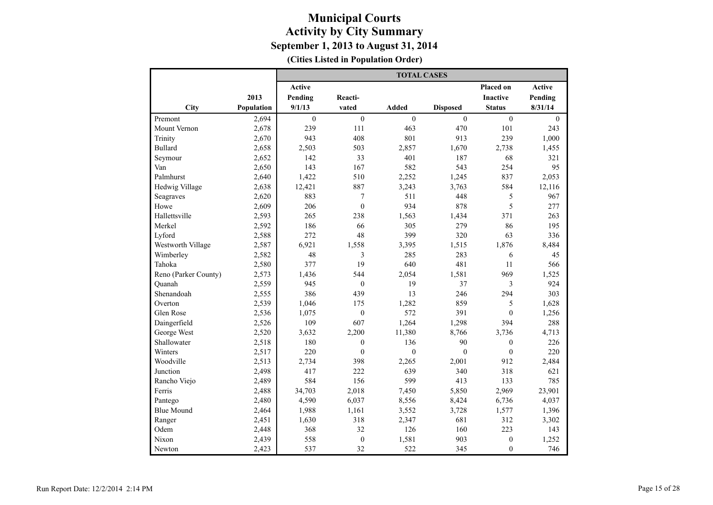|                      |            |               |                  | <b>TOTAL CASES</b> |                 |                  |                  |
|----------------------|------------|---------------|------------------|--------------------|-----------------|------------------|------------------|
|                      |            | <b>Active</b> |                  |                    |                 | Placed on        | Active           |
|                      | 2013       | Pending       | Reacti-          |                    |                 | <b>Inactive</b>  | Pending          |
| City                 | Population | 9/1/13        | vated            | <b>Added</b>       | <b>Disposed</b> | <b>Status</b>    | 8/31/14          |
| Premont              | 2,694      | $\mathbf{0}$  | $\boldsymbol{0}$ | $\mathbf{0}$       | $\overline{0}$  | $\mathbf{0}$     | $\boldsymbol{0}$ |
| Mount Vernon         | 2,678      | 239           | 111              | 463                | 470             | 101              | 243              |
| Trinity              | 2,670      | 943           | 408              | 801                | 913             | 239              | 1,000            |
| <b>Bullard</b>       | 2,658      | 2,503         | 503              | 2,857              | 1,670           | 2,738            | 1,455            |
| Seymour              | 2,652      | 142           | 33               | 401                | 187             | 68               | 321              |
| Van                  | 2,650      | 143           | 167              | 582                | 543             | 254              | 95               |
| Palmhurst            | 2,640      | 1,422         | 510              | 2,252              | 1,245           | 837              | 2,053            |
| Hedwig Village       | 2,638      | 12,421        | 887              | 3,243              | 3,763           | 584              | 12,116           |
| Seagraves            | 2,620      | 883           | $\tau$           | 511                | 448             | 5                | 967              |
| Howe                 | 2,609      | 206           | $\theta$         | 934                | 878             | 5                | 277              |
| Hallettsville        | 2,593      | 265           | 238              | 1,563              | 1,434           | 371              | 263              |
| Merkel               | 2,592      | 186           | 66               | 305                | 279             | 86               | 195              |
| Lyford               | 2,588      | 272           | 48               | 399                | 320             | 63               | 336              |
| Westworth Village    | 2,587      | 6,921         | 1,558            | 3,395              | 1,515           | 1,876            | 8,484            |
| Wimberley            | 2,582      | 48            | 3                | 285                | 283             | 6                | 45               |
| Tahoka               | 2,580      | 377           | 19               | 640                | 481             | 11               | 566              |
| Reno (Parker County) | 2,573      | 1,436         | 544              | 2,054              | 1,581           | 969              | 1,525            |
| Quanah               | 2,559      | 945           | $\mathbf{0}$     | 19                 | 37              | 3                | 924              |
| Shenandoah           | 2,555      | 386           | 439              | 13                 | 246             | 294              | 303              |
| Overton              | 2,539      | 1.046         | 175              | 1,282              | 859             | 5                | 1,628            |
| Glen Rose            | 2,536      | 1,075         | $\boldsymbol{0}$ | 572                | 391             | $\mathbf{0}$     | 1,256            |
| Daingerfield         | 2,526      | 109           | 607              | 1,264              | 1,298           | 394              | 288              |
| George West          | 2,520      | 3,632         | 2,200            | 11,380             | 8,766           | 3,736            | 4,713            |
| Shallowater          | 2,518      | 180           | $\boldsymbol{0}$ | 136                | 90              | $\boldsymbol{0}$ | 226              |
| Winters              | 2,517      | 220           | $\mathbf{0}$     | $\theta$           | $\theta$        | $\boldsymbol{0}$ | 220              |
| Woodville            | 2,513      | 2,734         | 398              | 2,265              | 2,001           | 912              | 2,484            |
| Junction             | 2,498      | 417           | 222              | 639                | 340             | 318              | 621              |
| Rancho Viejo         | 2,489      | 584           | 156              | 599                | 413             | 133              | 785              |
| Ferris               | 2,488      | 34,703        | 2,018            | 7,450              | 5,850           | 2,969            | 23,901           |
| Pantego              | 2,480      | 4,590         | 6,037            | 8,556              | 8,424           | 6,736            | 4,037            |
| <b>Blue Mound</b>    | 2,464      | 1,988         | 1,161            | 3,552              | 3,728           | 1,577            | 1,396            |
| Ranger               | 2,451      | 1,630         | 318              | 2,347              | 681             | 312              | 3,302            |
| Odem                 | 2,448      | 368           | 32               | 126                | 160             | 223              | 143              |
| Nixon                | 2,439      | 558           | $\boldsymbol{0}$ | 1,581              | 903             | $\boldsymbol{0}$ | 1,252            |
| Newton               | 2,423      | 537           | 32               | 522                | 345             | $\mathbf{0}$     | 746              |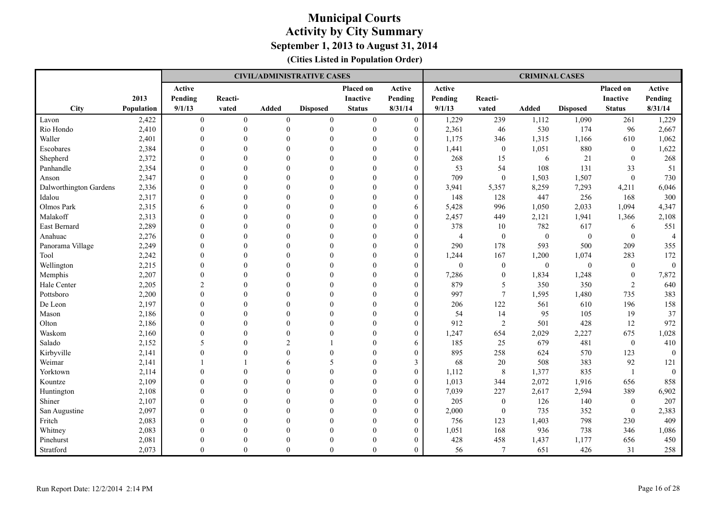|                        |            |                |                |                | <b>CIVIL/ADMINISTRATIVE CASES</b> |                  |                |                |                  | <b>CRIMINAL CASES</b> |                 |                  |                |
|------------------------|------------|----------------|----------------|----------------|-----------------------------------|------------------|----------------|----------------|------------------|-----------------------|-----------------|------------------|----------------|
|                        |            | Active         |                |                |                                   | Placed on        | Active         | Active         |                  |                       |                 | Placed on        | Active         |
|                        | 2013       | Pending        | Reacti-        |                |                                   | <b>Inactive</b>  | Pending        | Pending        | Reacti-          |                       |                 | <b>Inactive</b>  | Pending        |
| City                   | Population | 9/1/13         | vated          | Added          | <b>Disposed</b>                   | <b>Status</b>    | 8/31/14        | 9/1/13         | vated            | Added                 | <b>Disposed</b> | <b>Status</b>    | 8/31/14        |
| Lavon                  | 2,422      | $\mathbf{0}$   | $\overline{0}$ | $\mathbf{0}$   | $\mathbf{0}$                      | $\boldsymbol{0}$ | $\mathbf{0}$   | 1,229          | 239              | 1,112                 | 1,090           | 261              | 1,229          |
| Rio Hondo              | 2,410      | $\mathbf{0}$   | $\mathbf{0}$   | $\theta$       | $\boldsymbol{0}$                  | $\overline{0}$   | $\mathbf{0}$   | 2,361          | 46               | 530                   | 174             | 96               | 2,667          |
| Waller                 | 2,401      | $\theta$       | $\overline{0}$ | $\theta$       | $\theta$                          | $\theta$         | $\overline{0}$ | 1,175          | 346              | 1,315                 | 1,166           | 610              | 1,062          |
| Escobares              | 2,384      | $\Omega$       | $\Omega$       | $\Omega$       | $\theta$                          | $\theta$         | $\theta$       | 1,441          | $\mathbf{0}$     | 1,051                 | 880             | $\theta$         | 1,622          |
| Shepherd               | 2,372      | $\theta$       | $\Omega$       | $\Omega$       | $\theta$                          | $\theta$         | $\theta$       | 268            | 15               | 6                     | $21\,$          | $\mathbf{0}$     | 268            |
| Panhandle              | 2,354      | $\theta$       | $\Omega$       | $\theta$       | $\theta$                          | $\theta$         | $\theta$       | 53             | 54               | 108                   | 131             | 33               | 51             |
| Anson                  | 2,347      | $\theta$       | $\Omega$       | $\theta$       | $\theta$                          | $\theta$         | $\theta$       | 709            | $\mathbf{0}$     | 1,503                 | 1,507           | $\mathbf{0}$     | 730            |
| Dalworthington Gardens | 2,336      | $\Omega$       | $\overline{0}$ | $\theta$       | $\theta$                          | $\overline{0}$   | $\theta$       | 3,941          | 5,357            | 8,259                 | 7,293           | 4,211            | 6,046          |
| Idalou                 | 2,317      | $\Omega$       | $\theta$       | $\theta$       | $\theta$                          | $\overline{0}$   | $\theta$       | 148            | 128              | 447                   | 256             | 168              | 300            |
| Olmos Park             | 2,315      | 6              | $\Omega$       | $\Omega$       | $\theta$                          | $\theta$         | 6              | 5,428          | 996              | 1,050                 | 2,033           | 1,094            | 4,347          |
| Malakoff               | 2,313      | $\Omega$       | $\Omega$       | $\Omega$       | $\theta$                          | $\theta$         | $\overline{0}$ | 2,457          | 449              | 2,121                 | 1,941           | 1,366            | 2,108          |
| East Bernard           | 2,289      | $\theta$       | $\mathbf{0}$   | $\theta$       | $\mathbf{0}$                      | $\theta$         | $\theta$       | 378            | 10               | 782                   | 617             | 6                | 551            |
| Anahuac                | 2,276      | $\Omega$       | $\Omega$       | $\Omega$       | $\theta$                          | $\theta$         | $\theta$       | $\overline{4}$ | $\mathbf{0}$     | $\theta$              | $\mathbf{0}$    | $\theta$         | $\overline{4}$ |
| Panorama Village       | 2,249      | $\mathbf{0}$   | $\overline{0}$ | $\theta$       | $\theta$                          | $\overline{0}$   | $\overline{0}$ | 290            | 178              | 593                   | 500             | 209              | 355            |
| Tool                   | 2,242      | $\theta$       | $\overline{0}$ | $\theta$       | $\overline{0}$                    | $\overline{0}$   | $\overline{0}$ | 1,244          | 167              | 1,200                 | 1,074           | 283              | 172            |
| Wellington             | 2,215      | $\theta$       | $\theta$       | $\theta$       | $\theta$                          | $\overline{0}$   | $\theta$       | $\theta$       | $\mathbf{0}$     | $\mathbf{0}$          | $\mathbf{0}$    | $\mathbf{0}$     | $\theta$       |
| Memphis                | 2,207      | $\Omega$       | $\theta$       | $\Omega$       | $\theta$                          | $\theta$         | $\theta$       | 7,286          | $\mathbf{0}$     | 1,834                 | 1,248           | $\mathbf{0}$     | 7,872          |
| Hale Center            | 2,205      | $\mathfrak{D}$ | $\Omega$       | $\theta$       | $\theta$                          | $\theta$         | $\overline{0}$ | 879            | 5                | 350                   | 350             | $\overline{2}$   | 640            |
| Pottsboro              | 2,200      | $\Omega$       | $\Omega$       | $\Omega$       | $\theta$                          | $\theta$         | $\theta$       | 997            | $\overline{7}$   | 1,595                 | 1,480           | 735              | 383            |
| De Leon                | 2,197      | $\Omega$       | $\Omega$       | $\Omega$       | $\theta$                          | $\theta$         | $\theta$       | 206            | 122              | 561                   | 610             | 196              | 158            |
| Mason                  | 2,186      | $\theta$       | $\Omega$       | $\theta$       | $\theta$                          | $\theta$         | $\theta$       | 54             | 14               | 95                    | 105             | 19               | 37             |
| Olton                  | 2,186      | $\theta$       | $\Omega$       | $\theta$       | $\theta$                          | $\theta$         | $\theta$       | 912            | $\overline{2}$   | 501                   | 428             | 12               | 972            |
| Waskom                 | 2,160      | $\theta$       | $\overline{0}$ | $\theta$       | $\theta$                          | $\overline{0}$   | $\theta$       | 1,247          | 654              | 2,029                 | 2,227           | 675              | 1,028          |
| Salado                 | 2,152      | 5              | $\theta$       | $\overline{2}$ |                                   | $\overline{0}$   | 6              | 185            | 25               | 679                   | 481             | $\boldsymbol{0}$ | 410            |
| Kirbyville             | 2,141      | $\Omega$       | $\Omega$       | $\theta$       | $\theta$                          | $\theta$         | $\theta$       | 895            | 258              | 624                   | 570             | 123              | $\Omega$       |
| Weimar                 | 2,141      |                |                | 6              | 5                                 | $\theta$         | 3              | 68             | 20               | 508                   | 383             | 92               | 121            |
| Yorktown               | 2,114      | $\theta$       | $\theta$       | $\theta$       | $\boldsymbol{0}$                  | $\theta$         | $\theta$       | 1,112          | $\,8\,$          | 1,377                 | 835             |                  | $\mathbf{0}$   |
| Kountze                | 2,109      | $\Omega$       | $\Omega$       | $\Omega$       | $\theta$                          | $\theta$         | $\theta$       | 1,013          | 344              | 2,072                 | 1,916           | 656              | 858            |
| Huntington             | 2,108      | $\mathbf{0}$   | $\overline{0}$ | $\theta$       | $\theta$                          | $\overline{0}$   | $\theta$       | 7,039          | 227              | 2,617                 | 2,594           | 389              | 6,902          |
| Shiner                 | 2,107      | $\mathbf{0}$   | $\theta$       | $\theta$       | $\overline{0}$                    | $\overline{0}$   | $\overline{0}$ | 205            | $\boldsymbol{0}$ | 126                   | 140             | $\boldsymbol{0}$ | 207            |
| San Augustine          | 2,097      | $\theta$       | $\theta$       | $\theta$       | $\theta$                          | $\overline{0}$   | $\theta$       | 2,000          | $\mathbf{0}$     | 735                   | 352             | $\mathbf{0}$     | 2,383          |
| Fritch                 | 2,083      | $\theta$       | $\theta$       | $\Omega$       | $\theta$                          | $\theta$         | $\theta$       | 756            | 123              | 1,403                 | 798             | 230              | 409            |
| Whitney                | 2,083      | $\Omega$       | $\Omega$       | $\theta$       | $\theta$                          | $\theta$         | $\overline{0}$ | 1,051          | 168              | 936                   | 738             | 346              | 1,086          |
| Pinehurst              | 2,081      | $\Omega$       | $\Omega$       | $\Omega$       | $\theta$                          | $\theta$         | $\theta$       | 428            | 458              | 1,437                 | 1,177           | 656              | 450            |
| Stratford              | 2,073      | $\theta$       | $\Omega$       | $\theta$       | $\theta$                          | $\theta$         | $\theta$       | 56             | 7                | 651                   | 426             | 31               | 258            |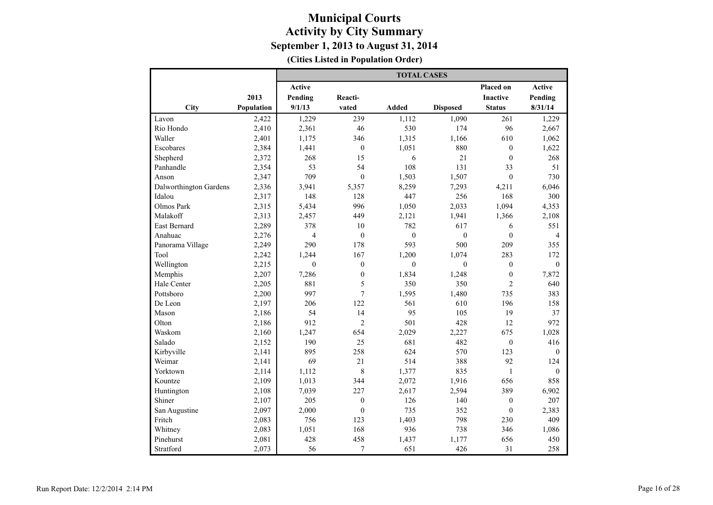|                        |            |               |                  | <b>TOTAL CASES</b> |                 |                  |                |
|------------------------|------------|---------------|------------------|--------------------|-----------------|------------------|----------------|
|                        |            | <b>Active</b> |                  |                    |                 | Placed on        | <b>Active</b>  |
|                        | 2013       | Pending       | Reacti-          |                    |                 | <b>Inactive</b>  | Pending        |
| City                   | Population | 9/1/13        | vated            | <b>Added</b>       | <b>Disposed</b> | <b>Status</b>    | 8/31/14        |
| Lavon                  | 2,422      | 1,229         | 239              | 1,112              | 1,090           | 261              | 1,229          |
| Rio Hondo              | 2,410      | 2,361         | 46               | 530                | 174             | 96               | 2,667          |
| Waller                 | 2,401      | 1,175         | 346              | 1,315              | 1,166           | 610              | 1,062          |
| Escobares              | 2,384      | 1,441         | $\boldsymbol{0}$ | 1,051              | 880             | $\boldsymbol{0}$ | 1,622          |
| Shepherd               | 2,372      | 268           | 15               | 6                  | 21              | $\theta$         | 268            |
| Panhandle              | 2,354      | 53            | 54               | 108                | 131             | 33               | 51             |
| Anson                  | 2,347      | 709           | $\boldsymbol{0}$ | 1,503              | 1,507           | $\overline{0}$   | 730            |
| Dalworthington Gardens | 2,336      | 3,941         | 5,357            | 8,259              | 7,293           | 4,211            | 6,046          |
| Idalou                 | 2,317      | 148           | 128              | 447                | 256             | 168              | 300            |
| Olmos Park             | 2,315      | 5,434         | 996              | 1,050              | 2,033           | 1,094            | 4,353          |
| Malakoff               | 2,313      | 2,457         | 449              | 2,121              | 1,941           | 1,366            | 2,108          |
| <b>East Bernard</b>    | 2,289      | 378           | 10               | 782                | 617             | 6                | 551            |
| Anahuac                | 2,276      | 4             | $\mathbf{0}$     | $\mathbf{0}$       | $\mathbf{0}$    | $\theta$         | $\overline{4}$ |
| Panorama Village       | 2,249      | 290           | 178              | 593                | 500             | 209              | 355            |
| Tool                   | 2,242      | 1,244         | 167              | 1,200              | 1,074           | 283              | 172            |
| Wellington             | 2,215      | $\theta$      | $\mathbf{0}$     | $\mathbf{0}$       | $\mathbf{0}$    | $\mathbf{0}$     | $\mathbf{0}$   |
| Memphis                | 2,207      | 7,286         | $\boldsymbol{0}$ | 1,834              | 1,248           | $\boldsymbol{0}$ | 7,872          |
| Hale Center            | 2,205      | 881           | 5                | 350                | 350             | $\overline{2}$   | 640            |
| Pottsboro              | 2,200      | 997           | $\overline{7}$   | 1,595              | 1,480           | 735              | 383            |
| De Leon                | 2,197      | 206           | 122              | 561                | 610             | 196              | 158            |
| Mason                  | 2,186      | 54            | 14               | 95                 | 105             | 19               | 37             |
| Olton                  | 2,186      | 912           | $\overline{2}$   | 501                | 428             | 12               | 972            |
| Waskom                 | 2,160      | 1,247         | 654              | 2,029              | 2,227           | 675              | 1,028          |
| Salado                 | 2,152      | 190           | 25               | 681                | 482             | $\mathbf{0}$     | 416            |
| Kirbyville             | 2,141      | 895           | 258              | 624                | 570             | 123              | $\mathbf{0}$   |
| Weimar                 | 2,141      | 69            | 21               | 514                | 388             | 92               | 124            |
| Yorktown               | 2,114      | 1.112         | 8                | 1,377              | 835             | $\mathbf{1}$     | $\theta$       |
| Kountze                | 2,109      | 1,013         | 344              | 2,072              | 1,916           | 656              | 858            |
| Huntington             | 2,108      | 7,039         | 227              | 2,617              | 2,594           | 389              | 6,902          |
| Shiner                 | 2,107      | 205           | $\boldsymbol{0}$ | 126                | 140             | $\boldsymbol{0}$ | 207            |
| San Augustine          | 2,097      | 2,000         | $\mathbf{0}$     | 735                | 352             | $\mathbf{0}$     | 2,383          |
| Fritch                 | 2,083      | 756           | 123              | 1,403              | 798             | 230              | 409            |
| Whitney                | 2,083      | 1,051         | 168              | 936                | 738             | 346              | 1,086          |
| Pinehurst              | 2,081      | 428           | 458              | 1,437              | 1,177           | 656              | 450            |
| Stratford              | 2,073      | 56            | 7                | 651                | 426             | 31               | 258            |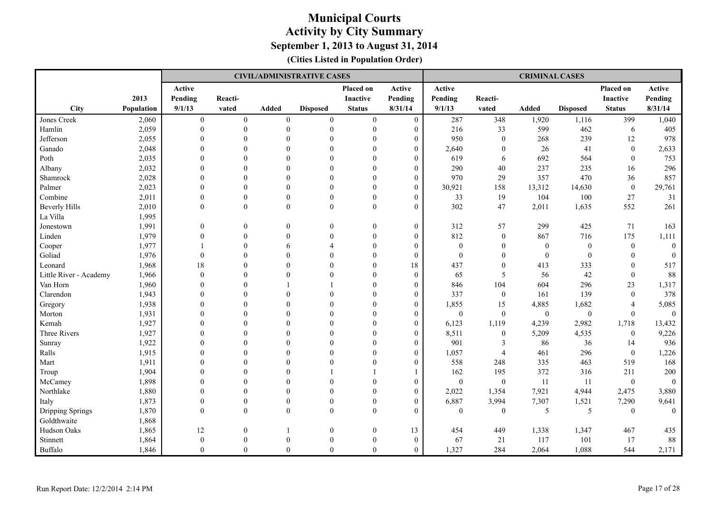|                        |            |                  |                  |                  | <b>CIVIL/ADMINISTRATIVE CASES</b> |                  |                  |                  |                  | <b>CRIMINAL CASES</b> |                  |                  |                |
|------------------------|------------|------------------|------------------|------------------|-----------------------------------|------------------|------------------|------------------|------------------|-----------------------|------------------|------------------|----------------|
|                        |            | Active           |                  |                  |                                   | Placed on        | Active           | Active           |                  |                       |                  | Placed on        | Active         |
|                        | 2013       | Pending          | Reacti-          |                  |                                   | Inactive         | Pending          | Pending          | Reacti-          |                       |                  | Inactive         | Pending        |
| City                   | Population | 9/1/13           | vated            | Added            | <b>Disposed</b>                   | <b>Status</b>    | 8/31/14          | 9/1/13           | vated            | <b>Added</b>          | <b>Disposed</b>  | <b>Status</b>    | 8/31/14        |
| Jones Creek            | 2,060      | $\boldsymbol{0}$ | $\boldsymbol{0}$ | $\boldsymbol{0}$ | $\boldsymbol{0}$                  | $\boldsymbol{0}$ | $\boldsymbol{0}$ | 287              | 348              | 1,920                 | 1,116            | 399              | 1,040          |
| Hamlin                 | 2,059      | $\theta$         | $\theta$         | $\theta$         | $\mathbf{0}$                      | $\mathbf{0}$     | $\overline{0}$   | 216              | 33               | 599                   | 462              | 6                | 405            |
| Jefferson              | 2,055      | $\Omega$         | $\Omega$         | $\Omega$         | $\theta$                          | $\Omega$         | $\overline{0}$   | 950              | $\theta$         | 268                   | 239              | 12               | 978            |
| Ganado                 | 2,048      | $\theta$         | $\theta$         | $\Omega$         | $\theta$                          | $\theta$         | $\overline{0}$   | 2,640            | $\theta$         | 26                    | 41               | $\boldsymbol{0}$ | 2,633          |
| Poth                   | 2,035      | $\Omega$         | $\Omega$         | $\Omega$         | $\Omega$                          | $\Omega$         | $\overline{0}$   | 619              | 6                | 692                   | 564              | $\theta$         | 753            |
| Albany                 | 2,032      | $\Omega$         | $\Omega$         | $\Omega$         | $\theta$                          | $\theta$         | $\overline{0}$   | 290              | 40               | 237                   | 235              | 16               | 296            |
| Shamrock               | 2,028      | $\theta$         | $\theta$         | $\Omega$         | $\mathbf{0}$                      | $\theta$         | $\boldsymbol{0}$ | 970              | 29               | 357                   | 470              | 36               | 857            |
| Palmer                 | 2,023      | $\mathbf{0}$     | $\mathbf{0}$     | $\theta$         | $\mathbf{0}$                      | $\theta$         | $\boldsymbol{0}$ | 30,921           | 158              | 13,312                | 14,630           | $\boldsymbol{0}$ | 29,761         |
| Combine                | 2,011      | $\theta$         | $\theta$         | $\Omega$         | $\theta$                          | $\theta$         | $\overline{0}$   | 33               | 19               | 104                   | 100              | 27               | 31             |
| <b>Beverly Hills</b>   | 2,010      | $\theta$         | $\theta$         | $\theta$         | $\mathbf{0}$                      | $\mathbf{0}$     | $\overline{0}$   | 302              | 47               | 2,011                 | 1,635            | 552              | 261            |
| La Villa               | 1,995      |                  |                  |                  |                                   |                  |                  |                  |                  |                       |                  |                  |                |
| Jonestown              | 1,991      | $\boldsymbol{0}$ | $\theta$         | $\boldsymbol{0}$ | $\theta$                          | $\boldsymbol{0}$ | $\boldsymbol{0}$ | 312              | 57               | 299                   | 425              | 71               | 163            |
| Linden                 | 1,979      | $\Omega$         | $\theta$         | $\mathbf{0}$     | $\theta$                          | $\mathbf{0}$     | $\overline{0}$   | 812              | $\mathbf{0}$     | 867                   | 716              | 175              | 1,111          |
| Cooper                 | 1,977      |                  | $\theta$         | 6                | $\overline{4}$                    | $\boldsymbol{0}$ | $\boldsymbol{0}$ | $\boldsymbol{0}$ | $\boldsymbol{0}$ | $\mathbf{0}$          | $\mathbf{0}$     | $\boldsymbol{0}$ | $\mathbf{0}$   |
| Goliad                 | 1,976      | $\mathbf{0}$     | $\theta$         | $\theta$         | $\theta$                          | $\boldsymbol{0}$ | $\boldsymbol{0}$ | $\boldsymbol{0}$ | $\boldsymbol{0}$ | $\boldsymbol{0}$      | $\boldsymbol{0}$ | $\mathbf{0}$     | $\mathbf{0}$   |
| Leonard                | 1,968      | 18               | $\Omega$         | $\Omega$         | $\Omega$                          | $\Omega$         | 18               | 437              | $\boldsymbol{0}$ | 413                   | 333              | $\theta$         | 517            |
| Little River - Academy | 1,966      | $\theta$         | $\Omega$         | $\Omega$         | $\Omega$                          | $\Omega$         | $\overline{0}$   | 65               | 5                | 56                    | 42               | $\mathbf{0}$     | $88\,$         |
| Van Horn               | 1,960      | $\theta$         | $\Omega$         |                  |                                   | $\Omega$         | $\boldsymbol{0}$ | 846              | 104              | 604                   | 296              | 23               | 1,317          |
| Clarendon              | 1,943      | $\theta$         | $\theta$         | $\Omega$         | $\Omega$                          | $\theta$         | $\boldsymbol{0}$ | 337              | $\boldsymbol{0}$ | 161                   | 139              | $\mathbf{0}$     | 378            |
| Gregory                | 1,938      | $\Omega$         | $\Omega$         | $\Omega$         | $\Omega$                          | $\Omega$         | $\overline{0}$   | 1,855            | 15               | 4,885                 | 1,682            | $\overline{4}$   | 5,085          |
| Morton                 | 1,931      | $\Omega$         | $\theta$         | $\Omega$         | $\theta$                          | $\Omega$         | $\overline{0}$   | $\boldsymbol{0}$ | $\mathbf{0}$     | $\mathbf{0}$          | $\boldsymbol{0}$ | $\overline{0}$   | $\theta$       |
| Kemah                  | 1,927      | $\theta$         | $\theta$         | $\overline{0}$   | $\theta$                          | $\theta$         | $\boldsymbol{0}$ | 6,123            | 1,119            | 4,239                 | 2,982            | 1,718            | 13,432         |
| <b>Three Rivers</b>    | 1,927      | $\Omega$         | $\Omega$         | $\Omega$         | $\theta$                          | $\Omega$         | $\overline{0}$   | 8,511            | $\mathbf{0}$     | 5,209                 | 4,535            | $\overline{0}$   | 9,226          |
| Sunray                 | 1,922      | $\Omega$         | $\Omega$         | $\Omega$         | $\Omega$                          | $\Omega$         | $\overline{0}$   | 901              | 3                | 86                    | 36               | 14               | 936            |
| Ralls                  | 1,915      | $\theta$         | $\Omega$         | $\Omega$         | $\theta$                          | $\Omega$         | $\boldsymbol{0}$ | 1,057            | $\overline{4}$   | 461                   | 296              | $\mathbf{0}$     | 1,226          |
| Mart                   | 1,911      | $\theta$         | $\theta$         | $\Omega$         | $\theta$                          | $\mathbf{0}$     | $\overline{0}$   | 558              | 248              | 335                   | 463              | 519              | 168            |
| Troup                  | 1,904      | $\Omega$         | $\Omega$         | $\Omega$         |                                   |                  |                  | 162              | 195              | 372                   | 316              | 211              | 200            |
| McCamey                | 1,898      | $\Omega$         | $\theta$         | $\Omega$         | $\theta$                          | $\Omega$         | $\overline{0}$   | $\mathbf{0}$     | $\mathbf{0}$     | 11                    | 11               | $\mathbf{0}$     | $\mathbf{0}$   |
| Northlake              | 1,880      | $\mathbf{0}$     | $\mathbf{0}$     | $\theta$         | $\theta$                          | $\boldsymbol{0}$ | $\boldsymbol{0}$ | 2,022            | 1,354            | 7,921                 | 4,944            | 2,475            | 3,880          |
| Italy                  | 1,873      | $\mathbf{0}$     | $\theta$         | $\Omega$         | $\theta$                          | $\mathbf{0}$     | $\overline{0}$   | 6,887            | 3,994            | 7,307                 | 1,521            | 7,290            | 9,641          |
| Dripping Springs       | 1,870      | $\theta$         | $\theta$         | $\theta$         | $\theta$                          | $\theta$         | $\overline{0}$   | $\mathbf{0}$     | $\mathbf{0}$     | 5                     | 5                | $\overline{0}$   | $\overline{0}$ |
| Goldthwaite            | 1,868      |                  |                  |                  |                                   |                  |                  |                  |                  |                       |                  |                  |                |
| Hudson Oaks            | 1,865      | 12               | $\mathbf{0}$     |                  | $\mathbf{0}$                      | $\boldsymbol{0}$ | 13               | 454              | 449              | 1,338                 | 1,347            | 467              | 435            |
| Stinnett               | 1,864      | $\mathbf{0}$     | $\theta$         | $\Omega$         | $\theta$                          | $\mathbf{0}$     | $\mathbf{0}$     | 67               | 21               | 117                   | 101              | 17               | $88\,$         |
| Buffalo                | 1,846      | $\Omega$         | $\theta$         | $\theta$         | $\theta$                          | $\theta$         | $\theta$         | 1,327            | 284              | 2,064                 | 1,088            | 544              | 2,171          |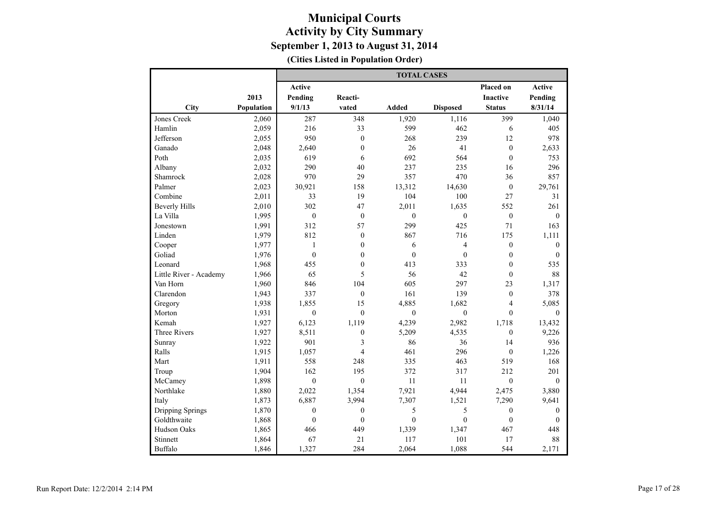|                        |            |                  |                  | <b>TOTAL CASES</b> |                  |                  |              |
|------------------------|------------|------------------|------------------|--------------------|------------------|------------------|--------------|
|                        |            | <b>Active</b>    |                  |                    |                  | <b>Placed on</b> | Active       |
|                        | 2013       | Pending          | Reacti-          |                    |                  | <b>Inactive</b>  | Pending      |
| City                   | Population | 9/1/13           | vated            | Added              | <b>Disposed</b>  | <b>Status</b>    | 8/31/14      |
| Jones Creek            | 2,060      | 287              | 348              | 1,920              | 1,116            | 399              | 1,040        |
| Hamlin                 | 2,059      | 216              | 33               | 599                | 462              | 6                | 405          |
| Jefferson              | 2,055      | 950              | $\mathbf{0}$     | 268                | 239              | 12               | 978          |
| Ganado                 | 2,048      | 2,640            | $\boldsymbol{0}$ | 26                 | 41               | $\boldsymbol{0}$ | 2,633        |
| Poth                   | 2,035      | 619              | 6                | 692                | 564              | $\theta$         | 753          |
| Albany                 | 2,032      | 290              | 40               | 237                | 235              | 16               | 296          |
| Shamrock               | 2,028      | 970              | 29               | 357                | 470              | 36               | 857          |
| Palmer                 | 2,023      | 30,921           | 158              | 13,312             | 14,630           | $\boldsymbol{0}$ | 29,761       |
| Combine                | 2,011      | 33               | 19               | 104                | 100              | 27               | 31           |
| <b>Beverly Hills</b>   | 2,010      | 302              | 47               | 2,011              | 1,635            | 552              | 261          |
| La Villa               | 1,995      | $\boldsymbol{0}$ | $\boldsymbol{0}$ | $\mathbf{0}$       | $\boldsymbol{0}$ | $\boldsymbol{0}$ | $\mathbf{0}$ |
| Jonestown              | 1,991      | 312              | 57               | 299                | 425              | 71               | 163          |
| Linden                 | 1,979      | 812              | $\mathbf{0}$     | 867                | 716              | 175              | 1,111        |
| Cooper                 | 1,977      | $\mathbf{1}$     | $\mathbf{0}$     | 6                  | $\overline{4}$   | $\boldsymbol{0}$ | $\mathbf{0}$ |
| Goliad                 | 1,976      | $\boldsymbol{0}$ | $\boldsymbol{0}$ | $\boldsymbol{0}$   | $\boldsymbol{0}$ | $\boldsymbol{0}$ | $\mathbf{0}$ |
| Leonard                | 1,968      | 455              | $\mathbf{0}$     | 413                | 333              | $\mathbf{0}$     | 535          |
| Little River - Academy | 1,966      | 65               | 5                | 56                 | 42               | $\mathbf{0}$     | 88           |
| Van Horn               | 1,960      | 846              | 104              | 605                | 297              | 23               | 1,317        |
| Clarendon              | 1,943      | 337              | $\boldsymbol{0}$ | 161                | 139              | $\boldsymbol{0}$ | 378          |
| Gregory                | 1,938      | 1,855            | 15               | 4,885              | 1,682            | $\overline{4}$   | 5,085        |
| Morton                 | 1,931      | $\theta$         | $\theta$         | $\theta$           | $\mathbf{0}$     | $\theta$         | $\theta$     |
| Kemah                  | 1,927      | 6,123            | 1,119            | 4,239              | 2,982            | 1,718            | 13,432       |
| <b>Three Rivers</b>    | 1,927      | 8,511            | $\mathbf{0}$     | 5,209              | 4,535            | $\mathbf{0}$     | 9,226        |
| Sunray                 | 1,922      | 901              | 3                | 86                 | 36               | 14               | 936          |
| Ralls                  | 1,915      | 1,057            | $\overline{4}$   | 461                | 296              | $\mathbf{0}$     | 1,226        |
| Mart                   | 1,911      | 558              | 248              | 335                | 463              | 519              | 168          |
| Troup                  | 1,904      | 162              | 195              | 372                | 317              | 212              | 201          |
| McCamey                | 1,898      | $\mathbf{0}$     | $\mathbf{0}$     | 11                 | 11               | $\mathbf{0}$     | $\theta$     |
| Northlake              | 1,880      | 2,022            | 1,354            | 7,921              | 4,944            | 2,475            | 3,880        |
| Italy                  | 1,873      | 6,887            | 3,994            | 7,307              | 1,521            | 7,290            | 9,641        |
| Dripping Springs       | 1,870      | $\boldsymbol{0}$ | $\boldsymbol{0}$ | 5                  | 5                | $\boldsymbol{0}$ | $\mathbf{0}$ |
| Goldthwaite            | 1,868      | $\mathbf{0}$     | $\mathbf{0}$     | $\theta$           | $\mathbf{0}$     | $\boldsymbol{0}$ | $\theta$     |
| Hudson Oaks            | 1,865      | 466              | 449              | 1,339              | 1,347            | 467              | 448          |
| Stinnett               | 1,864      | 67               | 21               | 117                | 101              | 17               | 88           |
| Buffalo                | 1,846      | 1,327            | 284              | 2,064              | 1,088            | 544              | 2,171        |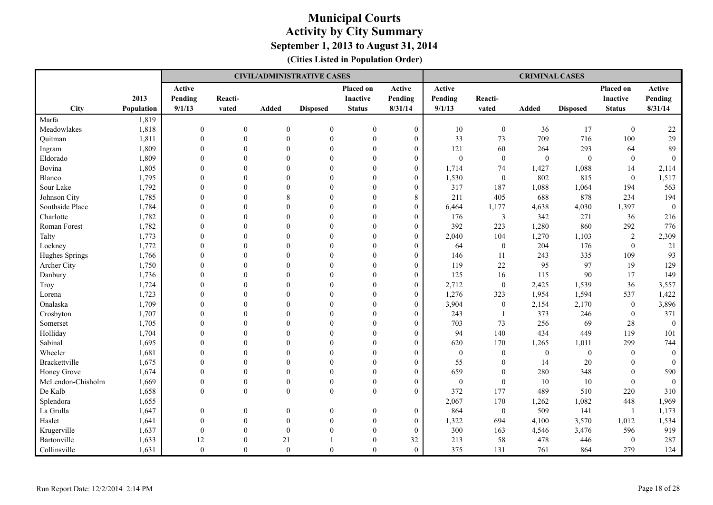|                      |            |                |                |                  | <b>CIVIL/ADMINISTRATIVE CASES</b> |                  |                  |              |                  | <b>CRIMINAL CASES</b> |                  |                  |              |
|----------------------|------------|----------------|----------------|------------------|-----------------------------------|------------------|------------------|--------------|------------------|-----------------------|------------------|------------------|--------------|
|                      |            | Active         |                |                  |                                   | Placed on        | Active           | Active       |                  |                       |                  | Placed on        | Active       |
|                      | 2013       | Pending        | Reacti-        |                  |                                   | <b>Inactive</b>  | Pending          | Pending      | Reacti-          |                       |                  | Inactive         | Pending      |
| <b>City</b>          | Population | 9/1/13         | vated          | Added            | <b>Disposed</b>                   | <b>Status</b>    | 8/31/14          | 9/1/13       | vated            | Added                 | <b>Disposed</b>  | <b>Status</b>    | 8/31/14      |
| Marfa                | 1,819      |                |                |                  |                                   |                  |                  |              |                  |                       |                  |                  |              |
| Meadowlakes          | 1,818      | $\overline{0}$ | $\overline{0}$ | $\mathbf{0}$     | $\boldsymbol{0}$                  | $\overline{0}$   | $\boldsymbol{0}$ | 10           | $\mathbf{0}$     | 36                    | 17               | $\mathbf{0}$     | 22           |
| Quitman              | 1,811      | $\theta$       | $\overline{0}$ | $\theta$         | $\mathbf{0}$                      | $\theta$         | $\boldsymbol{0}$ | 33           | 73               | 709                   | 716              | 100              | 29           |
| Ingram               | 1,809      | $\theta$       | $\theta$       | $\theta$         | $\mathbf{0}$                      | $\theta$         | $\overline{0}$   | 121          | 60               | 264                   | 293              | 64               | 89           |
| Eldorado             | 1,809      | $\Omega$       | $\Omega$       | $\Omega$         | $\theta$                          | $\theta$         | $\theta$         | $\theta$     | $\mathbf{0}$     | $\theta$              | $\overline{0}$   | $\theta$         | $\Omega$     |
| Bovina               | 1,805      | $\theta$       | $\Omega$       | $\theta$         | $\Omega$                          | $\theta$         | $\overline{0}$   | 1,714        | 74               | 1,427                 | 1,088            | 14               | 2,114        |
| Blanco               | 1,795      | $\overline{0}$ | $\overline{0}$ | $\Omega$         | $\theta$                          | $\theta$         | $\overline{0}$   | 1,530        | $\boldsymbol{0}$ | 802                   | 815              | $\boldsymbol{0}$ | 1,517        |
| Sour Lake            | 1,792      | $\overline{0}$ | $\mathbf{0}$   | $\theta$         | $\theta$                          | $\overline{0}$   | $\boldsymbol{0}$ | 317          | 187              | 1,088                 | 1,064            | 194              | 563          |
| Johnson City         | 1,785      | $\theta$       | $\Omega$       | 8                | $\Omega$                          | $\theta$         | 8                | 211          | 405              | 688                   | 878              | 234              | 194          |
| Southside Place      | 1,784      | $\Omega$       | $\Omega$       | $\Omega$         | $\theta$                          | $\theta$         | $\boldsymbol{0}$ | 6,464        | 1,177            | 4,638                 | 4,030            | 1,397            | $\mathbf{0}$ |
| Charlotte            | 1,782      | $\Omega$       | $\Omega$       | $\Omega$         | $\boldsymbol{0}$                  | $\theta$         | $\overline{0}$   | 176          | 3                | 342                   | 271              | 36               | 216          |
| Roman Forest         | 1,782      | $\Omega$       | $\Omega$       | $\Omega$         | $\Omega$                          | $\Omega$         | $\boldsymbol{0}$ | 392          | 223              | 1,280                 | 860              | 292              | 776          |
| Talty                | 1,773      | $\Omega$       | $\Omega$       | $\theta$         | $\theta$                          | $\theta$         | $\overline{0}$   | 2,040        | 104              | 1,270                 | 1,103            | $\overline{2}$   | 2,309        |
| Lockney              | 1,772      | $\mathbf{0}$   | $\overline{0}$ | $\Omega$         | $\theta$                          | $\theta$         | $\overline{0}$   | 64           | $\boldsymbol{0}$ | 204                   | 176              | $\overline{0}$   | 21           |
| Hughes Springs       | 1,766      | $\overline{0}$ | $\overline{0}$ | $\theta$         | $\overline{0}$                    | $\overline{0}$   | $\overline{0}$   | 146          | 11               | 243                   | 335              | 109              | 93           |
| Archer City          | 1,750      | $\theta$       | $\Omega$       | $\Omega$         | $\Omega$                          | $\theta$         | $\theta$         | 119          | 22               | 95                    | 97               | 19               | 129          |
| Danbury              | 1,736      | $\Omega$       | $\Omega$       | $\Omega$         | $\Omega$                          | $\Omega$         | $\overline{0}$   | 125          | 16               | 115                   | 90               | 17               | 149          |
| Troy                 | 1,724      | $\Omega$       | $\Omega$       | $\Omega$         | $\theta$                          | $\Omega$         | $\overline{0}$   | 2,712        | $\boldsymbol{0}$ | 2,425                 | 1,539            | 36               | 3,557        |
| Lorena               | 1,723      | $\Omega$       | $\mathbf{0}$   | $\theta$         | $\mathbf{0}$                      | $\theta$         | $\overline{0}$   | 1,276        | 323              | 1,954                 | 1,594            | 537              | 1,422        |
| Onalaska             | 1,709      | $\Omega$       | $\Omega$       | $\Omega$         | $\Omega$                          | $\Omega$         | $\theta$         | 3,904        | $\mathbf{0}$     | 2,154                 | 2,170            | $\mathbf{0}$     | 3,896        |
| Crosbyton            | 1,707      | $\Omega$       | $\Omega$       | $\Omega$         | $\theta$                          | $\theta$         | $\boldsymbol{0}$ | 243          | -1               | 373                   | 246              | $\overline{0}$   | 371          |
| Somerset             | 1,705      | $\theta$       | $\overline{0}$ | $\theta$         | $\theta$                          | $\overline{0}$   | $\overline{0}$   | 703          | 73               | 256                   | 69               | 28               | $\mathbf{0}$ |
| Holliday             | 1,704      | $\theta$       | $\Omega$       | $\Omega$         | $\Omega$                          | $\theta$         | $\theta$         | 94           | 140              | 434                   | 449              | 119              | 101          |
| Sabinal              | 1,695      | $\Omega$       | $\Omega$       | $\Omega$         | $\Omega$                          | $\theta$         | $\theta$         | 620          | 170              | 1,265                 | 1,011            | 299              | 744          |
| Wheeler              | 1,681      | $\theta$       | $\theta$       | $\Omega$         | $\Omega$                          | $\theta$         | $\overline{0}$   | $\mathbf{0}$ | $\boldsymbol{0}$ | $\mathbf{0}$          | $\boldsymbol{0}$ | $\mathbf{0}$     | $\Omega$     |
| <b>Brackettville</b> | 1,675      | $\theta$       | $\theta$       | $\theta$         | $\mathbf{0}$                      | $\theta$         | $\overline{0}$   | 55           | $\mathbf{0}$     | 14                    | 20               | $\theta$         | $\theta$     |
| Honey Grove          | 1,674      | $\theta$       | $\Omega$       | $\Omega$         | $\theta$                          | $\theta$         | $\theta$         | 659          | $\theta$         | 280                   | 348              | $\Omega$         | 590          |
| McLendon-Chisholm    | 1,669      | $\mathbf{0}$   | $\overline{0}$ | $\mathbf{0}$     | $\mathbf{0}$                      | $\mathbf{0}$     | $\overline{0}$   | $\mathbf{0}$ | $\mathbf{0}$     | 10                    | 10               | $\theta$         | $\theta$     |
| De Kalb              | 1,658      | $\mathbf{0}$   | $\mathbf{0}$   | $\boldsymbol{0}$ | $\boldsymbol{0}$                  | $\boldsymbol{0}$ | $\overline{0}$   | 372          | 177              | 489                   | 510              | 220              | 310          |
| Splendora            | 1,655      |                |                |                  |                                   |                  |                  | 2,067        | 170              | 1,262                 | 1,082            | 448              | 1,969        |
| La Grulla            | 1,647      | $\overline{0}$ | $\overline{0}$ | $\theta$         | $\boldsymbol{0}$                  | $\boldsymbol{0}$ | $\theta$         | 864          | $\boldsymbol{0}$ | 509                   | 141              | $\overline{1}$   | 1,173        |
| Haslet               | 1,641      | $\theta$       | $\mathbf{0}$   | $\boldsymbol{0}$ | $\boldsymbol{0}$                  | $\boldsymbol{0}$ | $\boldsymbol{0}$ | 1,322        | 694              | 4,100                 | 3,570            | 1,012            | 1,534        |
| Krugerville          | 1,637      | $\mathbf{0}$   | $\overline{0}$ | $\theta$         | $\mathbf{0}$                      | $\theta$         | $\overline{0}$   | 300          | 163              | 4,546                 | 3,476            | 596              | 919          |
| Bartonville          | 1,633      | 12             | $\overline{0}$ | 21               |                                   | $\Omega$         | 32               | 213          | 58               | 478                   | 446              | $\mathbf{0}$     | 287          |
| Collinsville         | 1,631      | $\theta$       | $\Omega$       | $\theta$         | $\theta$                          | $\theta$         | $\overline{0}$   | 375          | 131              | 761                   | 864              | 279              | 124          |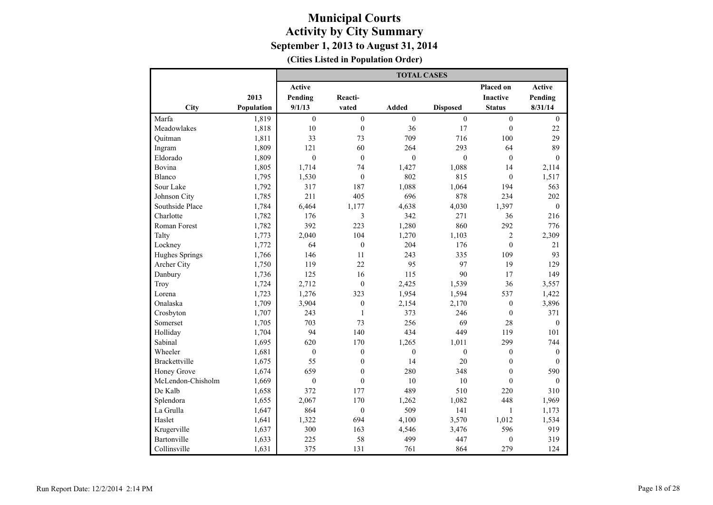|                     |            |                  |                  | <b>TOTAL CASES</b> |                 |                  |               |
|---------------------|------------|------------------|------------------|--------------------|-----------------|------------------|---------------|
|                     |            | <b>Active</b>    |                  |                    |                 | Placed on        | <b>Active</b> |
|                     | 2013       | Pending          | Reacti-          |                    |                 | Inactive         | Pending       |
| City                | Population | 9/1/13           | vated            | Added              | <b>Disposed</b> | <b>Status</b>    | 8/31/14       |
| Marfa               | 1,819      | $\mathbf{0}$     | $\overline{0}$   | $\overline{0}$     | $\mathbf{0}$    | $\mathbf{0}$     | $\mathbf{0}$  |
| Meadowlakes         | 1,818      | 10               | $\boldsymbol{0}$ | 36                 | 17              | $\boldsymbol{0}$ | 22            |
| Quitman             | 1,811      | 33               | 73               | 709                | 716             | 100              | 29            |
| Ingram              | 1,809      | 121              | 60               | 264                | 293             | 64               | 89            |
| Eldorado            | 1,809      | $\mathbf{0}$     | $\theta$         | $\mathbf{0}$       | $\mathbf{0}$    | $\mathbf{0}$     | $\mathbf{0}$  |
| Bovina              | 1,805      | 1,714            | 74               | 1,427              | 1,088           | 14               | 2,114         |
| Blanco              | 1,795      | 1,530            | $\mathbf{0}$     | 802                | 815             | $\mathbf{0}$     | 1,517         |
| Sour Lake           | 1,792      | 317              | 187              | 1,088              | 1,064           | 194              | 563           |
| Johnson City        | 1,785      | 211              | 405              | 696                | 878             | 234              | 202           |
| Southside Place     | 1,784      | 6,464            | 1,177            | 4,638              | 4,030           | 1,397            | $\mathbf{0}$  |
| Charlotte           | 1,782      | 176              | 3                | 342                | 271             | 36               | 216           |
| <b>Roman Forest</b> | 1,782      | 392              | 223              | 1,280              | 860             | 292              | 776           |
| Talty               | 1,773      | 2,040            | 104              | 1,270              | 1,103           | $\overline{c}$   | 2,309         |
| Lockney             | 1,772      | 64               | $\mathbf{0}$     | 204                | 176             | $\theta$         | 21            |
| Hughes Springs      | 1,766      | 146              | 11               | 243                | 335             | 109              | 93            |
| Archer City         | 1,750      | 119              | 22               | 95                 | 97              | 19               | 129           |
| Danbury             | 1,736      | 125              | 16               | 115                | 90              | 17               | 149           |
| Troy                | 1,724      | 2,712            | $\mathbf{0}$     | 2,425              | 1,539           | 36               | 3,557         |
| Lorena              | 1,723      | 1,276            | 323              | 1,954              | 1,594           | 537              | 1,422         |
| Onalaska            | 1,709      | 3,904            | $\boldsymbol{0}$ | 2,154              | 2,170           | $\mathbf{0}$     | 3,896         |
| Crosbyton           | 1,707      | 243              | $\mathbf{1}$     | 373                | 246             | $\boldsymbol{0}$ | 371           |
| Somerset            | 1,705      | 703              | 73               | 256                | 69              | 28               | $\theta$      |
| Holliday            | 1,704      | 94               | 140              | 434                | 449             | 119              | 101           |
| Sabinal             | 1,695      | 620              | 170              | 1,265              | 1,011           | 299              | 744           |
| Wheeler             | 1,681      | $\mathbf{0}$     | $\mathbf{0}$     | $\theta$           | $\theta$        | $\mathbf{0}$     | $\mathbf{0}$  |
| Brackettville       | 1,675      | 55               | $\mathbf{0}$     | 14                 | 20              | $\mathbf{0}$     | $\Omega$      |
| Honey Grove         | 1,674      | 659              | $\boldsymbol{0}$ | 280                | 348             | $\boldsymbol{0}$ | 590           |
| McLendon-Chisholm   | 1,669      | $\boldsymbol{0}$ | $\theta$         | 10                 | 10              | $\boldsymbol{0}$ | $\theta$      |
| De Kalb             | 1,658      | 372              | 177              | 489                | 510             | 220              | 310           |
| Splendora           | 1,655      | 2,067            | 170              | 1,262              | 1,082           | 448              | 1,969         |
| La Grulla           | 1,647      | 864              | $\boldsymbol{0}$ | 509                | 141             | $\,1$            | 1,173         |
| Haslet              | 1,641      | 1,322            | 694              | 4,100              | 3,570           | 1,012            | 1,534         |
| Krugerville         | 1,637      | 300              | 163              | 4,546              | 3,476           | 596              | 919           |
| Bartonville         | 1,633      | 225              | 58               | 499                | 447             | $\boldsymbol{0}$ | 319           |
| Collinsville        | 1,631      | 375              | 131              | 761                | 864             | 279              | 124           |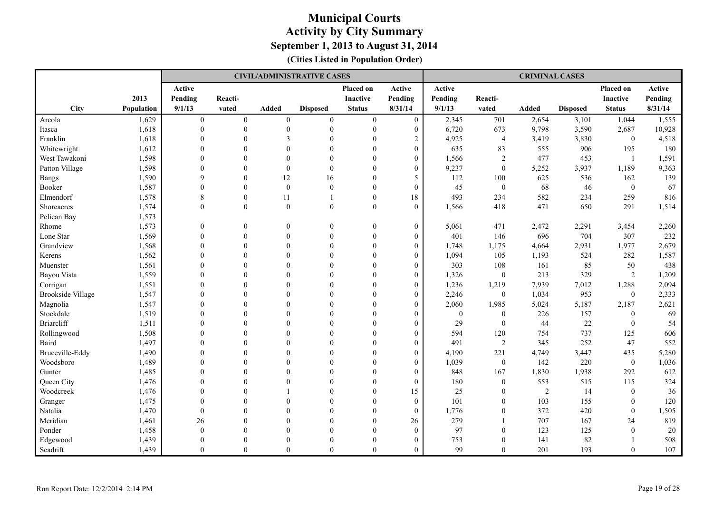|                          |                   |                |                |                | <b>CIVIL/ADMINISTRATIVE CASES</b> |                  |                  |              |                  | <b>CRIMINAL CASES</b> |                 |                  |         |
|--------------------------|-------------------|----------------|----------------|----------------|-----------------------------------|------------------|------------------|--------------|------------------|-----------------------|-----------------|------------------|---------|
|                          |                   | Active         |                |                |                                   | Placed on        | Active           | Active       |                  |                       |                 | Placed on        | Active  |
|                          | 2013              | Pending        | Reacti-        |                |                                   | <b>Inactive</b>  | Pending          | Pending      | Reacti-          |                       |                 | Inactive         | Pending |
| City                     | <b>Population</b> | 9/1/13         | vated          | <b>Added</b>   | <b>Disposed</b>                   | <b>Status</b>    | 8/31/14          | 9/1/13       | vated            | <b>Added</b>          | <b>Disposed</b> | <b>Status</b>    | 8/31/14 |
| Arcola                   | 1,629             | $\overline{0}$ | $\overline{0}$ | $\overline{0}$ | $\mathbf{0}$                      | $\mathbf{0}$     | $\mathbf{0}$     | 2,345        | 701              | 2,654                 | 3,101           | 1,044            | 1,555   |
| Itasca                   | 1,618             | $\mathbf{0}$   | $\theta$       | $\theta$       | $\mathbf{0}$                      | $\mathbf{0}$     | $\boldsymbol{0}$ | 6,720        | 673              | 9,798                 | 3,590           | 2,687            | 10,928  |
| Franklin                 | 1,618             | $\theta$       | $\theta$       | 3              | $\theta$                          | $\theta$         | $\overline{2}$   | 4,925        | $\overline{4}$   | 3,419                 | 3,830           | $\boldsymbol{0}$ | 4,518   |
| Whitewright              | 1,612             | $\Omega$       | $\Omega$       | $\Omega$       | $\mathbf{0}$                      | $\Omega$         | $\boldsymbol{0}$ | 635          | 83               | 555                   | 906             | 195              | 180     |
| West Tawakoni            | 1,598             | $\Omega$       | $\theta$       | $\Omega$       | $\theta$                          | $\Omega$         | $\overline{0}$   | 1,566        | $\overline{2}$   | 477                   | 453             | $\overline{1}$   | 1,591   |
| Patton Village           | 1,598             | $\Omega$       | $\theta$       | $\Omega$       | $\theta$                          | $\theta$         | $\overline{0}$   | 9,237        | $\boldsymbol{0}$ | 5,252                 | 3,937           | 1,189            | 9,363   |
| <b>Bangs</b>             | 1,590             | 9              | $\mathbf{0}$   | 12             | 16                                | $\mathbf{0}$     | 5                | 112          | 100              | 625                   | 536             | 162              | 139     |
| Booker                   | 1,587             | $\theta$       | $\theta$       | $\theta$       | $\mathbf{0}$                      | $\mathbf{0}$     | $\overline{0}$   | 45           | $\boldsymbol{0}$ | 68                    | 46              | $\mathbf{0}$     | 67      |
| Elmendorf                | 1,578             | 8              | $\mathbf{0}$   | 11             | $\mathbf{1}$                      | $\mathbf{0}$     | 18               | 493          | 234              | 582                   | 234             | 259              | 816     |
| Shoreacres               | 1,574             | $\mathbf{0}$   | $\mathbf{0}$   | $\mathbf{0}$   | $\mathbf{0}$                      | $\boldsymbol{0}$ | $\mathbf{0}$     | 1,566        | 418              | 471                   | 650             | 291              | 1,514   |
| Pelican Bay              | 1,573             |                |                |                |                                   |                  |                  |              |                  |                       |                 |                  |         |
| Rhome                    | 1,573             | $\mathbf{0}$   | $\mathbf{0}$   | $\mathbf{0}$   | $\mathbf{0}$                      | $\mathbf{0}$     | $\boldsymbol{0}$ | 5,061        | 471              | 2,472                 | 2,291           | 3,454            | 2,260   |
| Lone Star                | 1,569             | $\mathbf{0}$   | $\theta$       | $\mathbf{0}$   | $\mathbf{0}$                      | $\boldsymbol{0}$ | $\boldsymbol{0}$ | 401          | 146              | 696                   | 704             | 307              | 232     |
| Grandview                | 1,568             | $\Omega$       | $\theta$       | $\theta$       | $\mathbf{0}$                      | $\mathbf{0}$     | $\overline{0}$   | 1,748        | 1,175            | 4,664                 | 2,931           | 1,977            | 2,679   |
| Kerens                   | 1,562             | $\mathbf{0}$   | $\theta$       | $\theta$       | $\mathbf{0}$                      | $\mathbf{0}$     | $\overline{0}$   | 1,094        | 105              | 1,193                 | 524             | 282              | 1,587   |
| Muenster                 | 1,561             | $\mathbf{0}$   | $\theta$       | $\Omega$       | $\mathbf{0}$                      | $\theta$         | $\boldsymbol{0}$ | 303          | 108              | 161                   | 85              | 50               | 438     |
| Bayou Vista              | 1,559             | $\theta$       | $\theta$       | $\Omega$       | $\mathbf{0}$                      | $\theta$         | $\boldsymbol{0}$ | 1,326        | $\mathbf{0}$     | 213                   | 329             | $\overline{2}$   | 1,209   |
| Corrigan                 | 1,551             | $\Omega$       | $\theta$       | $\Omega$       | $\theta$                          | $\Omega$         | $\overline{0}$   | 1,236        | 1,219            | 7,939                 | 7,012           | 1,288            | 2,094   |
| <b>Brookside Village</b> | 1,547             | $\Omega$       | $\theta$       | $\Omega$       | $\theta$                          | $\Omega$         | $\overline{0}$   | 2,246        | $\mathbf{0}$     | 1,034                 | 953             | $\mathbf{0}$     | 2,333   |
| Magnolia                 | 1,547             | $\theta$       | $\theta$       | $\Omega$       | $\theta$                          | $\theta$         | $\boldsymbol{0}$ | 2,060        | 1,985            | 5,024                 | 5,187           | 2,187            | 2,621   |
| Stockdale                | 1,519             | $\Omega$       | $\Omega$       | $\Omega$       | $\theta$                          | $\theta$         | $\overline{0}$   | $\mathbf{0}$ | $\boldsymbol{0}$ | 226                   | 157             | $\mathbf{0}$     | 69      |
| <b>Briarcliff</b>        | 1,511             | $\mathbf{0}$   | $\theta$       | $\Omega$       | $\mathbf{0}$                      | $\theta$         | $\overline{0}$   | 29           | $\boldsymbol{0}$ | 44                    | 22              | $\boldsymbol{0}$ | 54      |
| Rollingwood              | 1,508             | $\mathbf{0}$   | $\theta$       | $\Omega$       | $\theta$                          | $\theta$         | $\boldsymbol{0}$ | 594          | 120              | 754                   | 737             | 125              | 606     |
| Baird                    | 1,497             | $\Omega$       | $\Omega$       | $\Omega$       | $\Omega$                          | $\Omega$         | $\overline{0}$   | 491          | $\overline{2}$   | 345                   | 252             | 47               | 552     |
| Bruceville-Eddy          | 1,490             | $\Omega$       | $\Omega$       | $\Omega$       | $\theta$                          | $\Omega$         | $\overline{0}$   | 4,190        | 221              | 4,749                 | 3,447           | 435              | 5,280   |
| Woodsboro                | 1,489             | $\Omega$       | $\Omega$       | $\Omega$       | $\theta$                          | $\Omega$         | $\boldsymbol{0}$ | 1,039        | $\overline{0}$   | 142                   | 220             | $\boldsymbol{0}$ | 1,036   |
| Gunter                   | 1,485             | $\theta$       | $\theta$       | $\Omega$       | $\theta$                          | $\theta$         | $\boldsymbol{0}$ | 848          | 167              | 1,830                 | 1,938           | 292              | 612     |
| Queen City               | 1,476             | $\Omega$       | $\Omega$       | $\Omega$       | $\theta$                          | $\theta$         | $\theta$         | 180          | $\overline{0}$   | 553                   | 515             | 115              | 324     |
| Woodcreek                | 1,476             | $\mathbf{0}$   | $\theta$       |                | $\mathbf{0}$                      | $\mathbf{0}$     | 15               | 25           | $\boldsymbol{0}$ | 2                     | 14              | $\mathbf{0}$     | 36      |
| Granger                  | 1,475             | $\mathbf{0}$   | $\theta$       | $\overline{0}$ | $\theta$                          | $\mathbf{0}$     | $\boldsymbol{0}$ | 101          | $\boldsymbol{0}$ | 103                   | 155             | $\mathbf{0}$     | 120     |
| Natalia                  | 1,470             | $\mathbf{0}$   | $\Omega$       | $\Omega$       | $\theta$                          | $\Omega$         | $\overline{0}$   | 1,776        | $\mathbf{0}$     | 372                   | 420             | $\mathbf{0}$     | 1,505   |
| Meridian                 | 1,461             | 26             | $\Omega$       | $\Omega$       | $\theta$                          | $\Omega$         | 26               | 279          | 1                | 707                   | 167             | 24               | 819     |
| Ponder                   | 1,458             | $\theta$       | $\theta$       | $\Omega$       | $\theta$                          | $\Omega$         | $\overline{0}$   | 97           | $\boldsymbol{0}$ | 123                   | 125             | $\mathbf{0}$     | $20\,$  |
| Edgewood                 | 1,439             | $\Omega$       | $\theta$       | $\Omega$       | $\Omega$                          | $\Omega$         | $\overline{0}$   | 753          | $\theta$         | 141                   | 82              |                  | 508     |
| Seadrift                 | 1,439             | $\Omega$       | $\Omega$       | $\theta$       | $\Omega$                          | $\theta$         | $\theta$         | 99           | $\Omega$         | 201                   | 193             | $\Omega$         | 107     |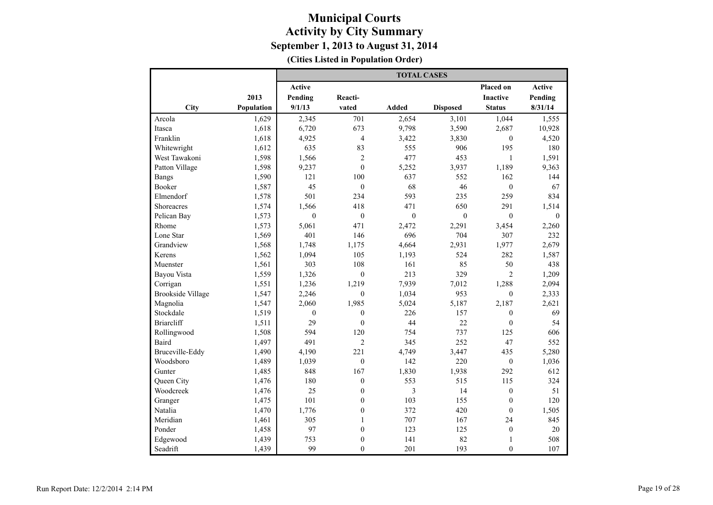|                          |            | <b>TOTAL CASES</b> |                  |              |                 |                  |              |  |  |  |
|--------------------------|------------|--------------------|------------------|--------------|-----------------|------------------|--------------|--|--|--|
|                          |            | <b>Active</b>      |                  |              |                 | Placed on        | Active       |  |  |  |
|                          | 2013       | Pending            | Reacti-          |              |                 | <b>Inactive</b>  | Pending      |  |  |  |
| City                     | Population | 9/1/13             | vated            | <b>Added</b> | <b>Disposed</b> | <b>Status</b>    | 8/31/14      |  |  |  |
| Arcola                   | 1,629      | 2,345              | 701              | 2,654        | 3,101           | 1,044            | 1,555        |  |  |  |
| Itasca                   | 1,618      | 6,720              | 673              | 9,798        | 3,590           | 2,687            | 10,928       |  |  |  |
| Franklin                 | 1,618      | 4,925              | $\overline{4}$   | 3,422        | 3,830           | $\mathbf{0}$     | 4,520        |  |  |  |
| Whitewright              | 1,612      | 635                | 83               | 555          | 906             | 195              | 180          |  |  |  |
| West Tawakoni            | 1,598      | 1,566              | $\overline{c}$   | 477          | 453             | $\mathbf{1}$     | 1,591        |  |  |  |
| Patton Village           | 1,598      | 9,237              | $\theta$         | 5,252        | 3,937           | 1,189            | 9,363        |  |  |  |
| <b>Bangs</b>             | 1,590      | 121                | 100              | 637          | 552             | 162              | 144          |  |  |  |
| <b>Booker</b>            | 1,587      | 45                 | $\boldsymbol{0}$ | 68           | 46              | $\boldsymbol{0}$ | 67           |  |  |  |
| Elmendorf                | 1,578      | 501                | 234              | 593          | 235             | 259              | 834          |  |  |  |
| Shoreacres               | 1,574      | 1,566              | 418              | 471          | 650             | 291              | 1,514        |  |  |  |
| Pelican Bay              | 1,573      | $\mathbf{0}$       | $\boldsymbol{0}$ | $\mathbf{0}$ | $\mathbf{0}$    | $\boldsymbol{0}$ | $\mathbf{0}$ |  |  |  |
| Rhome                    | 1,573      | 5,061              | 471              | 2,472        | 2,291           | 3,454            | 2,260        |  |  |  |
| Lone Star                | 1,569      | 401                | 146              | 696          | 704             | 307              | 232          |  |  |  |
| Grandview                | 1,568      | 1,748              | 1,175            | 4,664        | 2,931           | 1,977            | 2,679        |  |  |  |
| Kerens                   | 1,562      | 1,094              | 105              | 1,193        | 524             | 282              | 1,587        |  |  |  |
| Muenster                 | 1,561      | 303                | 108              | 161          | 85              | 50               | 438          |  |  |  |
| Bayou Vista              | 1,559      | 1,326              | $\mathbf{0}$     | 213          | 329             | $\overline{c}$   | 1,209        |  |  |  |
| Corrigan                 | 1,551      | 1,236              | 1,219            | 7,939        | 7,012           | 1,288            | 2,094        |  |  |  |
| <b>Brookside Village</b> | 1,547      | 2,246              | $\mathbf{0}$     | 1,034        | 953             | $\boldsymbol{0}$ | 2,333        |  |  |  |
| Magnolia                 | 1,547      | 2,060              | 1,985            | 5,024        | 5,187           | 2,187            | 2,621        |  |  |  |
| Stockdale                | 1,519      | $\mathbf{0}$       | $\mathbf{0}$     | 226          | 157             | $\mathbf{0}$     | 69           |  |  |  |
| <b>Briarcliff</b>        | 1,511      | 29                 | $\mathbf{0}$     | 44           | 22              | $\boldsymbol{0}$ | 54           |  |  |  |
| Rollingwood              | 1,508      | 594                | 120              | 754          | 737             | 125              | 606          |  |  |  |
| Baird                    | 1,497      | 491                | $\overline{c}$   | 345          | 252             | 47               | 552          |  |  |  |
| Bruceville-Eddy          | 1,490      | 4,190              | 221              | 4,749        | 3,447           | 435              | 5,280        |  |  |  |
| Woodsboro                | 1,489      | 1,039              | $\boldsymbol{0}$ | 142          | 220             | $\boldsymbol{0}$ | 1,036        |  |  |  |
| Gunter                   | 1,485      | 848                | 167              | 1,830        | 1,938           | 292              | 612          |  |  |  |
| Queen City               | 1,476      | 180                | $\mathbf{0}$     | 553          | 515             | 115              | 324          |  |  |  |
| Woodcreek                | 1,476      | 25                 | $\boldsymbol{0}$ | 3            | 14              | $\boldsymbol{0}$ | 51           |  |  |  |
| Granger                  | 1,475      | 101                | $\boldsymbol{0}$ | 103          | 155             | $\boldsymbol{0}$ | 120          |  |  |  |
| Natalia                  | 1,470      | 1,776              | $\mathbf{0}$     | 372          | 420             | $\mathbf{0}$     | 1,505        |  |  |  |
| Meridian                 | 1,461      | 305                | $\mathbf{1}$     | 707          | 167             | 24               | 845          |  |  |  |
| Ponder                   | 1,458      | 97                 | $\boldsymbol{0}$ | 123          | 125             | $\boldsymbol{0}$ | 20           |  |  |  |
| Edgewood                 | 1,439      | 753                | $\mathbf{0}$     | 141          | 82              | $\mathbf{1}$     | 508          |  |  |  |
| Seadrift                 | 1,439      | 99                 | $\theta$         | 201          | 193             | $\mathbf{0}$     | 107          |  |  |  |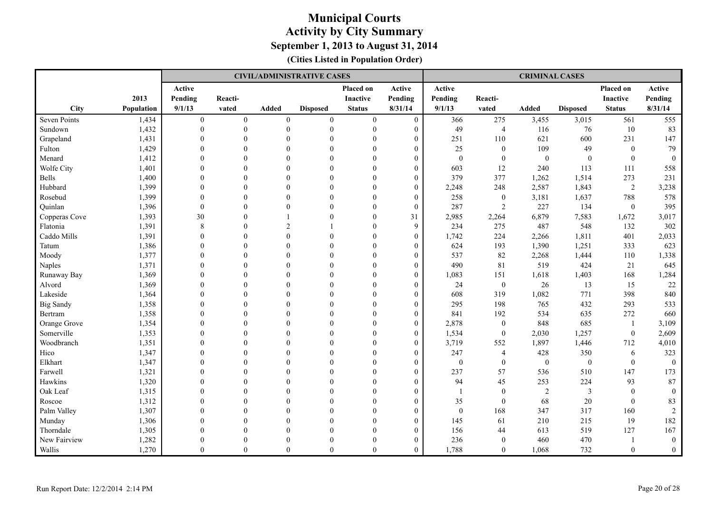|                  |            |                  |              |                  | <b>CIVIL/ADMINISTRATIVE CASES</b> |                  |                  |                  |                  | <b>CRIMINAL CASES</b> |                  |                  |                |
|------------------|------------|------------------|--------------|------------------|-----------------------------------|------------------|------------------|------------------|------------------|-----------------------|------------------|------------------|----------------|
|                  |            | Active           |              |                  |                                   | Placed on        | Active           | Active           |                  |                       |                  | Placed on        | Active         |
|                  | 2013       | Pending          | Reacti-      |                  |                                   | <b>Inactive</b>  | Pending          | Pending          | Reacti-          |                       |                  | <b>Inactive</b>  | Pending        |
| City             | Population | 9/1/13           | vated        | Added            | <b>Disposed</b>                   | <b>Status</b>    | 8/31/14          | 9/1/13           | vated            | <b>Added</b>          | <b>Disposed</b>  | <b>Status</b>    | 8/31/14        |
| Seven Points     | 1,434      | $\boldsymbol{0}$ | $\mathbf{0}$ | $\boldsymbol{0}$ | $\mathbf{0}$                      | $\boldsymbol{0}$ | $\boldsymbol{0}$ | 366              | 275              | 3,455                 | 3,015            | 561              | 555            |
| Sundown          | 1,432      | $\theta$         | $\theta$     | $\Omega$         | $\mathbf{0}$                      | $\mathbf{0}$     | $\overline{0}$   | 49               | $\overline{4}$   | 116                   | 76               | 10               | 83             |
| Grapeland        | 1,431      | $\Omega$         | $\theta$     | $\Omega$         | $\theta$                          | $\Omega$         | $\overline{0}$   | 251              | 110              | 621                   | 600              | 231              | 147            |
| Fulton           | 1,429      | $\Omega$         | $\theta$     | $\Omega$         | $\theta$                          | $\theta$         | $\theta$         | 25               | $\boldsymbol{0}$ | 109                   | 49               | $\mathbf{0}$     | 79             |
| Menard           | 1,412      | $\Omega$         | $\Omega$     | $\Omega$         | $\Omega$                          | $\Omega$         | $\theta$         | $\mathbf{0}$     | $\mathbf{0}$     | $\mathbf{0}$          | $\mathbf{0}$     | $\theta$         | $\theta$       |
| Wolfe City       | 1,401      | $\Omega$         | $\theta$     | $\Omega$         | $\theta$                          | $\Omega$         | $\Omega$         | 603              | 12               | 240                   | 113              | 111              | 558            |
| <b>Bells</b>     | 1,400      | $\theta$         | $\theta$     | $\Omega$         | $\mathbf{0}$                      | $\Omega$         | $\overline{0}$   | 379              | 377              | 1,262                 | 1,514            | 273              | 231            |
| Hubbard          | 1,399      | $\theta$         | $\theta$     | $\Omega$         | $\theta$                          | $\theta$         | $\boldsymbol{0}$ | 2,248            | 248              | 2,587                 | 1,843            | $\sqrt{2}$       | 3,238          |
| Rosebud          | 1,399      | $\Omega$         | $\Omega$     | $\Omega$         | $\Omega$                          | $\Omega$         | $\overline{0}$   | 258              | $\boldsymbol{0}$ | 3,181                 | 1,637            | 788              | 578            |
| Quinlan          | 1,396      | $\theta$         | $\theta$     | $\Omega$         | $\theta$                          | $\Omega$         | $\overline{0}$   | 287              | $\overline{2}$   | 227                   | 134              | $\boldsymbol{0}$ | 395            |
| Copperas Cove    | 1,393      | 30               | $\Omega$     |                  | $\theta$                          | $\theta$         | 31               | 2,985            | 2,264            | 6,879                 | 7,583            | 1,672            | 3,017          |
| Flatonia         | 1,391      | $\,$ 8 $\,$      | $\Omega$     | $\overline{2}$   |                                   | $\Omega$         | 9                | 234              | 275              | 487                   | 548              | 132              | 302            |
| Caddo Mills      | 1,391      | $\Omega$         | $\Omega$     | $\Omega$         | $\Omega$                          | $\Omega$         | $\theta$         | 1,742            | 224              | 2,266                 | 1,811            | 401              | 2,033          |
| Tatum            | 1,386      | $\theta$         | $\theta$     | $\theta$         | $\theta$                          | $\theta$         | $\overline{0}$   | 624              | 193              | 1,390                 | 1,251            | 333              | 623            |
| Moody            | 1,377      | $\theta$         | $\theta$     | $\theta$         | $\theta$                          | $\theta$         | $\overline{0}$   | 537              | 82               | 2,268                 | 1,444            | 110              | 1,338          |
| Naples           | 1,371      | $\Omega$         | $\Omega$     | $\Omega$         | $\Omega$                          | $\Omega$         | $\overline{0}$   | 490              | 81               | 519                   | 424              | 21               | 645            |
| Runaway Bay      | 1,369      | $\Omega$         | $\Omega$     | $\Omega$         | $\Omega$                          | $\Omega$         | $\overline{0}$   | 1,083            | 151              | 1,618                 | 1,403            | 168              | 1,284          |
| Alvord           | 1,369      | $\Omega$         | $\theta$     | $\Omega$         | $\Omega$                          | $\Omega$         | $\theta$         | 24               | $\boldsymbol{0}$ | 26                    | 13               | 15               | 22             |
| Lakeside         | 1,364      | $\Omega$         | $\theta$     | $\Omega$         | $\Omega$                          | $\theta$         | $\theta$         | 608              | 319              | 1,082                 | 771              | 398              | 840            |
| <b>Big Sandy</b> | 1,358      | $\Omega$         | $\Omega$     | $\Omega$         | $\Omega$                          | $\Omega$         | $\theta$         | 295              | 198              | 765                   | 432              | 293              | 533            |
| Bertram          | 1,358      | $\Omega$         | $\theta$     | $\Omega$         | $\theta$                          | $\theta$         | $\overline{0}$   | 841              | 192              | 534                   | 635              | 272              | 660            |
| Orange Grove     | 1,354      | $\theta$         | $\theta$     | $\Omega$         | $\theta$                          | $\theta$         | $\boldsymbol{0}$ | 2,878            | $\boldsymbol{0}$ | 848                   | 685              | -1               | 3,109          |
| Somerville       | 1,353      | $\Omega$         | $\Omega$     | $\Omega$         | $\Omega$                          | $\Omega$         | $\overline{0}$   | 1,534            | $\mathbf{0}$     | 2,030                 | 1,257            | $\boldsymbol{0}$ | 2,609          |
| Woodbranch       | 1,351      | $\Omega$         | $\Omega$     | $\Omega$         | $\Omega$                          | $\Omega$         | $\overline{0}$   | 3,719            | 552              | 1,897                 | 1,446            | 712              | 4,010          |
| Hico             | 1,347      | $\theta$         | $\Omega$     | $\Omega$         | $\theta$                          | $\Omega$         | $\boldsymbol{0}$ | 247              | $\overline{4}$   | 428                   | 350              | 6                | 323            |
| Elkhart          | 1,347      | $\Omega$         | $\theta$     | $\Omega$         | $\theta$                          | $\theta$         | $\theta$         | $\boldsymbol{0}$ | $\boldsymbol{0}$ | $\boldsymbol{0}$      | $\boldsymbol{0}$ | $\mathbf{0}$     | $\overline{0}$ |
| Farwell          | 1,321      | $\Omega$         | $\Omega$     | $\Omega$         | $\Omega$                          | $\Omega$         | $\Omega$         | 237              | 57               | 536                   | 510              | 147              | 173            |
| Hawkins          | 1,320      | $\theta$         | $\theta$     | $\Omega$         | $\theta$                          | $\Omega$         | $\overline{0}$   | 94               | 45               | 253                   | 224              | 93               | 87             |
| Oak Leaf         | 1,315      | $\theta$         | $\theta$     | $\theta$         | $\mathbf{0}$                      | $\theta$         | $\overline{0}$   | $\overline{1}$   | $\boldsymbol{0}$ | $\sqrt{2}$            | 3                | $\mathbf{0}$     | $\theta$       |
| Roscoe           | 1,312      | $\theta$         | $\theta$     | $\theta$         | $\theta$                          | $\Omega$         | $\overline{0}$   | 35               | $\mathbf{0}$     | 68                    | $20\,$           | $\theta$         | 83             |
| Palm Valley      | 1,307      | $\Omega$         | $\Omega$     | $\Omega$         | $\Omega$                          | $\Omega$         | $\overline{0}$   | $\mathbf{0}$     | 168              | 347                   | 317              | 160              | $\overline{2}$ |
| Munday           | 1,306      | $\theta$         | $\theta$     | $\Omega$         | $\theta$                          | $\Omega$         | $\overline{0}$   | 145              | 61               | 210                   | 215              | 19               | 182            |
| Thorndale        | 1,305      | $\Omega$         | $\theta$     | $\Omega$         | $\Omega$                          | $\Omega$         | $\theta$         | 156              | 44               | 613                   | 519              | 127              | 167            |
| New Fairview     | 1,282      | $\Omega$         | $\Omega$     | $\Omega$         | $\Omega$                          | $\Omega$         | $\theta$         | 236              | $\mathbf{0}$     | 460                   | 470              |                  | $\overline{0}$ |
| Wallis           | 1,270      | $\Omega$         | $\Omega$     | $\theta$         | $\Omega$                          | $\theta$         | $\Omega$         | 1,788            | $\theta$         | 1,068                 | 732              | $\overline{0}$   | $\overline{0}$ |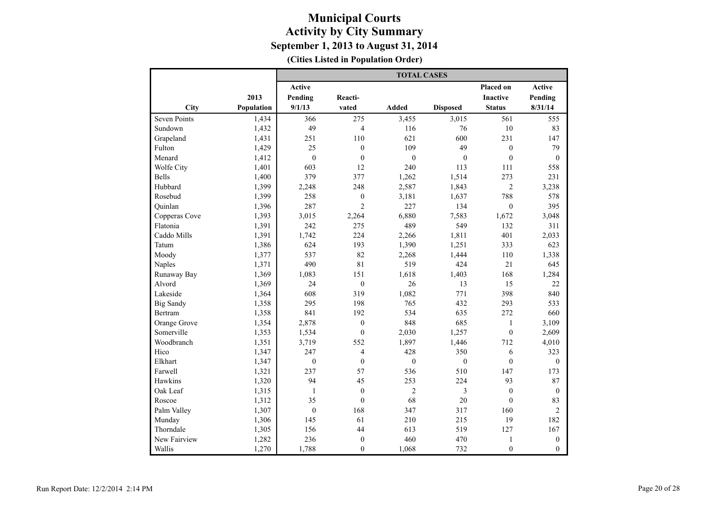|                     |            | <b>TOTAL CASES</b> |                  |                |                 |                  |                  |  |  |  |
|---------------------|------------|--------------------|------------------|----------------|-----------------|------------------|------------------|--|--|--|
|                     |            | <b>Active</b>      |                  |                |                 | Placed on        | <b>Active</b>    |  |  |  |
|                     | 2013       | Pending            | Reacti-          |                |                 | <b>Inactive</b>  | Pending          |  |  |  |
| City                | Population | 9/1/13             | vated            | <b>Added</b>   | <b>Disposed</b> | <b>Status</b>    | 8/31/14          |  |  |  |
| <b>Seven Points</b> | 1,434      | 366                | 275              | 3,455          | 3,015           | 561              | 555              |  |  |  |
| Sundown             | 1,432      | 49                 | $\overline{4}$   | 116            | 76              | 10               | 83               |  |  |  |
| Grapeland           | 1,431      | 251                | 110              | 621            | 600             | 231              | 147              |  |  |  |
| Fulton              | 1,429      | 25                 | $\mathbf{0}$     | 109            | 49              | $\mathbf{0}$     | 79               |  |  |  |
| Menard              | 1,412      | $\mathbf{0}$       | $\mathbf{0}$     | $\mathbf{0}$   | $\mathbf{0}$    | $\mathbf{0}$     | $\mathbf{0}$     |  |  |  |
| Wolfe City          | 1,401      | 603                | 12               | 240            | 113             | 111              | 558              |  |  |  |
| <b>Bells</b>        | 1,400      | 379                | 377              | 1,262          | 1,514           | 273              | 231              |  |  |  |
| Hubbard             | 1,399      | 2,248              | 248              | 2,587          | 1,843           | $\overline{c}$   | 3,238            |  |  |  |
| Rosebud             | 1,399      | 258                | $\boldsymbol{0}$ | 3,181          | 1,637           | 788              | 578              |  |  |  |
| Quinlan             | 1,396      | 287                | $\overline{2}$   | 227            | 134             | $\theta$         | 395              |  |  |  |
| Copperas Cove       | 1,393      | 3,015              | 2,264            | 6,880          | 7,583           | 1,672            | 3,048            |  |  |  |
| Flatonia            | 1,391      | 242                | 275              | 489            | 549             | 132              | 311              |  |  |  |
| Caddo Mills         | 1,391      | 1,742              | 224              | 2,266          | 1,811           | 401              | 2,033            |  |  |  |
| Tatum               | 1,386      | 624                | 193              | 1,390          | 1,251           | 333              | 623              |  |  |  |
| Moody               | 1,377      | 537                | 82               | 2,268          | 1,444           | 110              | 1,338            |  |  |  |
| <b>Naples</b>       | 1,371      | 490                | 81               | 519            | 424             | 21               | 645              |  |  |  |
| Runaway Bay         | 1,369      | 1,083              | 151              | 1,618          | 1,403           | 168              | 1,284            |  |  |  |
| Alvord              | 1,369      | 24                 | $\boldsymbol{0}$ | 26             | 13              | 15               | 22               |  |  |  |
| Lakeside            | 1,364      | 608                | 319              | 1,082          | 771             | 398              | 840              |  |  |  |
| <b>Big Sandy</b>    | 1,358      | 295                | 198              | 765            | 432             | 293              | 533              |  |  |  |
| Bertram             | 1,358      | 841                | 192              | 534            | 635             | 272              | 660              |  |  |  |
| Orange Grove        | 1,354      | 2,878              | $\mathbf{0}$     | 848            | 685             | 1                | 3,109            |  |  |  |
| Somerville          | 1,353      | 1,534              | $\boldsymbol{0}$ | 2,030          | 1,257           | $\boldsymbol{0}$ | 2,609            |  |  |  |
| Woodbranch          | 1,351      | 3,719              | 552              | 1,897          | 1,446           | 712              | 4,010            |  |  |  |
| Hico                | 1,347      | 247                | $\overline{4}$   | 428            | 350             | 6                | 323              |  |  |  |
| Elkhart             | 1,347      | $\boldsymbol{0}$   | $\mathbf{0}$     | $\mathbf{0}$   | $\mathbf{0}$    | $\mathbf{0}$     | $\mathbf{0}$     |  |  |  |
| Farwell             | 1,321      | 237                | 57               | 536            | 510             | 147              | 173              |  |  |  |
| Hawkins             | 1,320      | 94                 | 45               | 253            | 224             | 93               | 87               |  |  |  |
| Oak Leaf            | 1,315      | $\mathbf{1}$       | $\mathbf{0}$     | $\overline{c}$ | 3               | $\mathbf{0}$     | $\mathbf{0}$     |  |  |  |
| Roscoe              | 1,312      | 35                 | $\mathbf{0}$     | 68             | 20              | $\boldsymbol{0}$ | 83               |  |  |  |
| Palm Valley         | 1,307      | $\boldsymbol{0}$   | 168              | 347            | 317             | 160              | $\overline{c}$   |  |  |  |
| Munday              | 1,306      | 145                | 61               | 210            | 215             | 19               | 182              |  |  |  |
| Thorndale           | 1,305      | 156                | 44               | 613            | 519             | 127              | 167              |  |  |  |
| New Fairview        | 1,282      | 236                | $\boldsymbol{0}$ | 460            | 470             | $\mathbf{1}$     | $\boldsymbol{0}$ |  |  |  |
| Wallis              | 1,270      | 1,788              | $\theta$         | 1,068          | 732             | $\mathbf{0}$     | $\theta$         |  |  |  |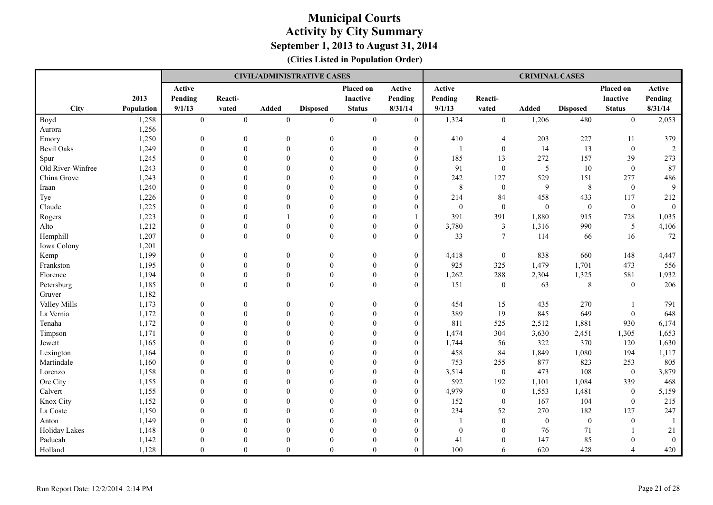|                   |            |                  |                  |                  | <b>CIVIL/ADMINISTRATIVE CASES</b> |                  |                  |                  |                  | <b>CRIMINAL CASES</b> |                  |                  |                |
|-------------------|------------|------------------|------------------|------------------|-----------------------------------|------------------|------------------|------------------|------------------|-----------------------|------------------|------------------|----------------|
|                   |            | Active           |                  |                  |                                   | Placed on        | Active           | Active           |                  |                       |                  | Placed on        | Active         |
|                   | 2013       | Pending          | Reacti-          |                  |                                   | <b>Inactive</b>  | Pending          | Pending          | Reacti-          |                       |                  | Inactive         | Pending        |
| City              | Population | 9/1/13           | vated            | Added            | <b>Disposed</b>                   | <b>Status</b>    | 8/31/14          | 9/1/13           | vated            | Added                 | <b>Disposed</b>  | <b>Status</b>    | 8/31/14        |
| Boyd              | 1,258      | $\mathbf{0}$     | $\boldsymbol{0}$ | $\mathbf{0}$     | $\boldsymbol{0}$                  | $\mathbf{0}$     | $\mathbf{0}$     | 1,324            | $\mathbf{0}$     | 1,206                 | 480              | $\mathbf{0}$     | 2,053          |
| Aurora            | 1,256      |                  |                  |                  |                                   |                  |                  |                  |                  |                       |                  |                  |                |
| Emory             | 1,250      | $\mathbf{0}$     | $\overline{0}$   | $\overline{0}$   | $\overline{0}$                    | $\boldsymbol{0}$ | $\boldsymbol{0}$ | 410              | $\overline{4}$   | 203                   | 227              | 11               | 379            |
| <b>Bevil Oaks</b> | 1,249      | $\mathbf{0}$     | $\mathbf{0}$     | $\boldsymbol{0}$ | $\boldsymbol{0}$                  | $\boldsymbol{0}$ | $\mathbf{0}$     | $\overline{1}$   | $\boldsymbol{0}$ | 14                    | 13               | $\boldsymbol{0}$ | $\overline{2}$ |
| Spur              | 1,245      | $\theta$         | $\Omega$         | $\theta$         | $\theta$                          | $\theta$         | $\overline{0}$   | 185              | 13               | 272                   | 157              | 39               | 273            |
| Old River-Winfree | 1,243      | $\theta$         | $\Omega$         | $\theta$         | $\theta$                          | $\theta$         | $\overline{0}$   | 91               | $\boldsymbol{0}$ | 5                     | 10               | $\mathbf{0}$     | 87             |
| China Grove       | 1,243      | $\overline{0}$   | $\overline{0}$   | $\theta$         | $\theta$                          | $\theta$         | $\boldsymbol{0}$ | 242              | 127              | 529                   | 151              | 277              | 486            |
| Iraan             | 1,240      | $\Omega$         | $\Omega$         | $\theta$         | $\Omega$                          | $\theta$         | $\overline{0}$   | 8                | $\boldsymbol{0}$ | 9                     | $\,$ 8 $\,$      | $\mathbf{0}$     | 9              |
| Tye               | 1,226      | $\theta$         | $\Omega$         | $\Omega$         | $\Omega$                          | $\theta$         | $\overline{0}$   | 214              | 84               | 458                   | 433              | 117              | 212            |
| Claude            | 1,225      | $\theta$         | $\theta$         | $\Omega$         | $\theta$                          | $\boldsymbol{0}$ | $\overline{0}$   | $\boldsymbol{0}$ | $\boldsymbol{0}$ | $\mathbf{0}$          | $\boldsymbol{0}$ | $\boldsymbol{0}$ | $\mathbf{0}$   |
| Rogers            | 1,223      | $\Omega$         | $\Omega$         |                  | $\theta$                          | $\theta$         |                  | 391              | 391              | 1,880                 | 915              | 728              | 1,035          |
| Alto              | 1,212      | $\theta$         | $\overline{0}$   | $\overline{0}$   | $\mathbf{0}$                      | $\boldsymbol{0}$ | $\theta$         | 3,780            | 3                | 1,316                 | 990              | 5                | 4,106          |
| Hemphill          | 1,207      | $\theta$         | $\overline{0}$   | $\boldsymbol{0}$ | $\mathbf{0}$                      | $\boldsymbol{0}$ | $\theta$         | 33               | $\tau$           | 114                   | 66               | 16               | $72\,$         |
| Iowa Colony       | 1,201      |                  |                  |                  |                                   |                  |                  |                  |                  |                       |                  |                  |                |
| Kemp              | 1,199      | $\mathbf{0}$     | $\boldsymbol{0}$ | $\boldsymbol{0}$ | $\boldsymbol{0}$                  | $\mathbf{0}$     | $\boldsymbol{0}$ | 4,418            | $\boldsymbol{0}$ | 838                   | 660              | 148              | 4,447          |
| Frankston         | 1,195      | $\boldsymbol{0}$ | $\boldsymbol{0}$ | $\boldsymbol{0}$ | $\boldsymbol{0}$                  | $\boldsymbol{0}$ | $\boldsymbol{0}$ | 925              | 325              | 1,479                 | 1,701            | 473              | 556            |
| Florence          | 1,194      | $\mathbf{0}$     | $\boldsymbol{0}$ | $\boldsymbol{0}$ | $\boldsymbol{0}$                  | $\boldsymbol{0}$ | $\overline{0}$   | 1,262            | 288              | 2,304                 | 1,325            | 581              | 1,932          |
| Petersburg        | 1,185      | $\theta$         | $\mathbf{0}$     | $\boldsymbol{0}$ | $\mathbf{0}$                      | $\boldsymbol{0}$ | $\overline{0}$   | 151              | $\boldsymbol{0}$ | 63                    | 8                | $\mathbf{0}$     | 206            |
| Gruver            | 1,182      |                  |                  |                  |                                   |                  |                  |                  |                  |                       |                  |                  |                |
| Valley Mills      | 1,173      | $\mathbf{0}$     | $\overline{0}$   | $\boldsymbol{0}$ | $\theta$                          | $\boldsymbol{0}$ | $\boldsymbol{0}$ | 454              | 15               | 435                   | 270              |                  | 791            |
| La Vernia         | 1,172      | $\mathbf{0}$     | $\overline{0}$   | $\overline{0}$   | $\theta$                          | $\mathbf{0}$     | $\overline{0}$   | 389              | 19               | 845                   | 649              | $\mathbf{0}$     | 648            |
| Tenaha            | 1,172      | $\mathbf{0}$     | $\overline{0}$   | $\mathbf{0}$     | $\theta$                          | $\mathbf{0}$     | $\boldsymbol{0}$ | 811              | 525              | 2,512                 | 1,881            | 930              | 6,174          |
| Timpson           | 1,171      | $\overline{0}$   | $\mathbf{0}$     | $\theta$         | $\theta$                          | $\boldsymbol{0}$ | $\overline{0}$   | 1,474            | 304              | 3,630                 | 2,451            | 1,305            | 1,653          |
| Jewett            | 1,165      | $\Omega$         | $\Omega$         | $\Omega$         | $\Omega$                          | $\Omega$         | $\Omega$         | 1,744            | 56               | 322                   | 370              | 120              | 1,630          |
| Lexington         | 1,164      | $\Omega$         | $\Omega$         | $\Omega$         | $\theta$                          | $\theta$         | $\overline{0}$   | 458              | 84               | 1,849                 | 1,080            | 194              | 1,117          |
| Martindale        | 1,160      | $\Omega$         | $\theta$         | $\Omega$         | $\theta$                          | $\Omega$         | $\theta$         | 753              | 255              | 877                   | 823              | 253              | 805            |
| Lorenzo           | 1,158      | $\theta$         | $\mathbf{0}$     | $\theta$         | $\theta$                          | $\theta$         | $\theta$         | 3,514            | $\boldsymbol{0}$ | 473                   | 108              | $\mathbf{0}$     | 3,879          |
| Ore City          | 1,155      | $\theta$         | $\Omega$         | $\theta$         | $\theta$                          | $\theta$         | $\Omega$         | 592              | 192              | 1,101                 | 1,084            | 339              | 468            |
| Calvert           | 1,155      | $\mathbf{0}$     | $\overline{0}$   | $\boldsymbol{0}$ | $\theta$                          | $\boldsymbol{0}$ | $\overline{0}$   | 4,979            | $\boldsymbol{0}$ | 1,553                 | 1,481            | $\mathbf{0}$     | 5,159          |
| Knox City         | 1,152      | $\overline{0}$   | $\mathbf{0}$     | $\theta$         | $\theta$                          | $\boldsymbol{0}$ | $\boldsymbol{0}$ | 152              | $\boldsymbol{0}$ | 167                   | 104              | $\boldsymbol{0}$ | 215            |
| La Coste          | 1,150      | $\theta$         | $\Omega$         | $\Omega$         | $\Omega$                          | $\theta$         | $\overline{0}$   | 234              | 52               | 270                   | 182              | 127              | 247            |
| Anton             | 1,149      | $\Omega$         | $\Omega$         | $\Omega$         | $\theta$                          | $\theta$         | $\overline{0}$   | $\overline{1}$   | $\mathbf{0}$     | $\mathbf{0}$          | $\boldsymbol{0}$ | $\mathbf{0}$     |                |
| Holiday Lakes     | 1,148      | $\Omega$         | $\theta$         | $\Omega$         | $\theta$                          | $\Omega$         | $\boldsymbol{0}$ | $\mathbf{0}$     | $\overline{0}$   | 76                    | 71               |                  | 21             |
| Paducah           | 1,142      | $\theta$         | $\Omega$         | $\theta$         | $\Omega$                          | $\theta$         | $\overline{0}$   | 41               | $\theta$         | 147                   | 85               | $\Omega$         | $\mathbf{0}$   |
| Holland           | 1,128      | $\theta$         | $\theta$         | $\theta$         | $\theta$                          | $\theta$         | $\theta$         | 100              | 6                | 620                   | 428              | 4                | 420            |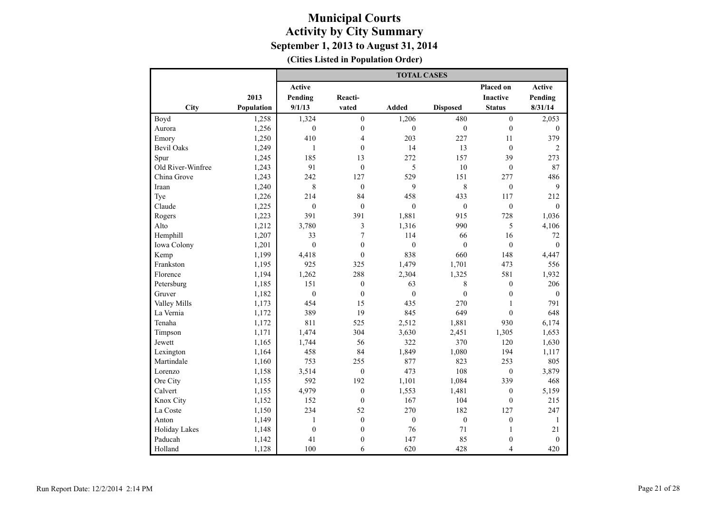|                      |            | <b>TOTAL CASES</b> |                         |                  |                  |                  |                |  |  |  |
|----------------------|------------|--------------------|-------------------------|------------------|------------------|------------------|----------------|--|--|--|
|                      |            | <b>Active</b>      |                         |                  |                  | Placed on        | <b>Active</b>  |  |  |  |
|                      | 2013       | Pending            | Reacti-                 |                  |                  | <b>Inactive</b>  | Pending        |  |  |  |
| City                 | Population | 9/1/13             | vated                   | Added            | <b>Disposed</b>  | <b>Status</b>    | 8/31/14        |  |  |  |
| Boyd                 | 1,258      | 1,324              | $\boldsymbol{0}$        | 1,206            | 480              | $\boldsymbol{0}$ | 2,053          |  |  |  |
| Aurora               | 1,256      | $\boldsymbol{0}$   | $\boldsymbol{0}$        | $\mathbf{0}$     | $\boldsymbol{0}$ | $\mathbf{0}$     | $\mathbf{0}$   |  |  |  |
| Emory                | 1,250      | 410                | $\overline{4}$          | 203              | 227              | 11               | 379            |  |  |  |
| <b>Bevil Oaks</b>    | 1,249      | $\mathbf{1}$       | $\mathbf{0}$            | 14               | 13               | $\overline{0}$   | $\overline{2}$ |  |  |  |
| Spur                 | 1,245      | 185                | 13                      | 272              | 157              | 39               | 273            |  |  |  |
| Old River-Winfree    | 1,243      | 91                 | $\mathbf{0}$            | 5                | 10               | $\overline{0}$   | 87             |  |  |  |
| China Grove          | 1,243      | 242                | 127                     | 529              | 151              | 277              | 486            |  |  |  |
| Iraan                | 1,240      | $\,8\,$            | $\boldsymbol{0}$        | 9                | 8                | $\boldsymbol{0}$ | 9              |  |  |  |
| Tye                  | 1,226      | 214                | 84                      | 458              | 433              | 117              | 212            |  |  |  |
| Claude               | 1,225      | $\boldsymbol{0}$   | $\mathbf{0}$            | $\mathbf{0}$     | $\boldsymbol{0}$ | $\overline{0}$   | $\mathbf{0}$   |  |  |  |
| Rogers               | 1,223      | 391                | 391                     | 1,881            | 915              | 728              | 1,036          |  |  |  |
| Alto                 | 1,212      | 3,780              | $\overline{\mathbf{3}}$ | 1,316            | 990              | 5                | 4,106          |  |  |  |
| Hemphill             | 1,207      | 33                 | 7                       | 114              | 66               | 16               | 72             |  |  |  |
| Iowa Colony          | 1,201      | $\theta$           | $\mathbf{0}$            | $\mathbf{0}$     | $\theta$         | $\mathbf{0}$     | $\theta$       |  |  |  |
| Kemp                 | 1,199      | 4,418              | $\mathbf{0}$            | 838              | 660              | 148              | 4,447          |  |  |  |
| Frankston            | 1,195      | 925                | 325                     | 1,479            | 1,701            | 473              | 556            |  |  |  |
| Florence             | 1,194      | 1,262              | 288                     | 2,304            | 1,325            | 581              | 1,932          |  |  |  |
| Petersburg           | 1,185      | 151                | $\mathbf{0}$            | 63               | $\,$ 8 $\,$      | $\mathbf{0}$     | 206            |  |  |  |
| Gruver               | 1,182      | $\boldsymbol{0}$   | $\boldsymbol{0}$        | $\boldsymbol{0}$ | $\mathbf{0}$     | $\boldsymbol{0}$ | $\mathbf{0}$   |  |  |  |
| Valley Mills         | 1,173      | 454                | 15                      | 435              | 270              | $\mathbf{1}$     | 791            |  |  |  |
| La Vernia            | 1,172      | 389                | 19                      | 845              | 649              | $\mathbf{0}$     | 648            |  |  |  |
| Tenaha               | 1,172      | 811                | 525                     | 2,512            | 1,881            | 930              | 6,174          |  |  |  |
| Timpson              | 1,171      | 1,474              | 304                     | 3,630            | 2,451            | 1,305            | 1,653          |  |  |  |
| Jewett               | 1,165      | 1,744              | 56                      | 322              | 370              | 120              | 1,630          |  |  |  |
| Lexington            | 1,164      | 458                | 84                      | 1,849            | 1,080            | 194              | 1,117          |  |  |  |
| Martindale           | 1,160      | 753                | 255                     | 877              | 823              | 253              | 805            |  |  |  |
| Lorenzo              | 1,158      | 3,514              | $\mathbf{0}$            | 473              | 108              | $\mathbf{0}$     | 3,879          |  |  |  |
| Ore City             | 1,155      | 592                | 192                     | 1,101            | 1,084            | 339              | 468            |  |  |  |
| Calvert              | 1,155      | 4,979              | $\mathbf{0}$            | 1,553            | 1,481            | $\overline{0}$   | 5,159          |  |  |  |
| Knox City            | 1,152      | 152                | $\boldsymbol{0}$        | 167              | 104              | $\boldsymbol{0}$ | 215            |  |  |  |
| La Coste             | 1,150      | 234                | 52                      | 270              | 182              | 127              | 247            |  |  |  |
| Anton                | 1,149      | $\mathbf{1}$       | $\boldsymbol{0}$        | $\boldsymbol{0}$ | $\boldsymbol{0}$ | $\boldsymbol{0}$ | $\mathbf{1}$   |  |  |  |
| <b>Holiday Lakes</b> | 1,148      | $\boldsymbol{0}$   | $\boldsymbol{0}$        | 76               | 71               | $\,1\,$          | 21             |  |  |  |
| Paducah              | 1,142      | 41                 | $\mathbf{0}$            | 147              | 85               | $\mathbf{0}$     | $\theta$       |  |  |  |
| Holland              | 1,128      | 100                | 6                       | 620              | 428              | $\overline{4}$   | 420            |  |  |  |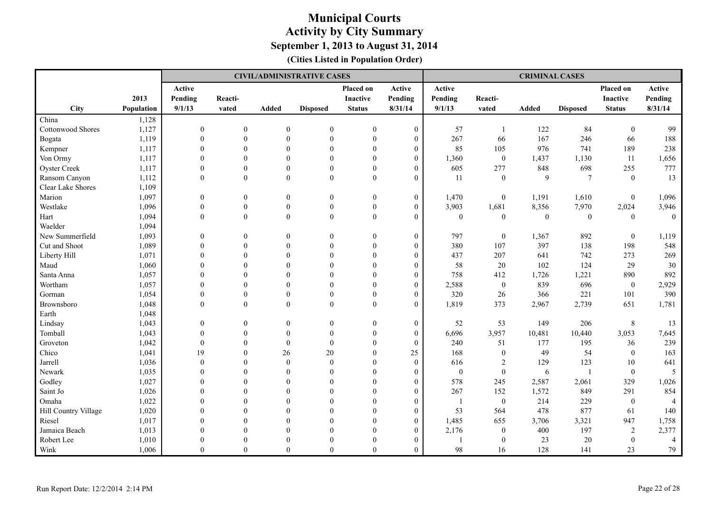|                      |            |                  |                  |                  | <b>CIVIL/ADMINISTRATIVE CASES</b> |                  |                  |                  |                  | <b>CRIMINAL CASES</b> |                 |                  |                |
|----------------------|------------|------------------|------------------|------------------|-----------------------------------|------------------|------------------|------------------|------------------|-----------------------|-----------------|------------------|----------------|
|                      |            | Active           |                  |                  |                                   | <b>Placed on</b> | Active           | Active           |                  |                       |                 | Placed on        | Active         |
|                      | 2013       | Pending          | Reacti-          |                  |                                   | <b>Inactive</b>  | Pending          | Pending          | Reacti-          |                       |                 | <b>Inactive</b>  | Pending        |
| City                 | Population | 9/1/13           | vated            | Added            | <b>Disposed</b>                   | <b>Status</b>    | 8/31/14          | 9/1/13           | vated            | Added                 | <b>Disposed</b> | <b>Status</b>    | 8/31/14        |
| China                | 1,128      |                  |                  |                  |                                   |                  |                  |                  |                  |                       |                 |                  |                |
| Cottonwood Shores    | 1,127      | $\boldsymbol{0}$ | $\mathbf{0}$     | $\overline{0}$   | $\mathbf{0}$                      | $\boldsymbol{0}$ | $\mathbf{0}$     | 57               | $\mathbf{1}$     | 122                   | 84              | $\mathbf{0}$     | 99             |
| Bogata               | 1,119      | $\theta$         | $\theta$         | $\boldsymbol{0}$ | $\mathbf{0}$                      | $\boldsymbol{0}$ | $\boldsymbol{0}$ | 267              | 66               | 167                   | 246             | 66               | 188            |
| Kempner              | 1,117      | $\theta$         | $\mathbf{0}$     | $\Omega$         | $\mathbf{0}$                      | $\mathbf{0}$     | $\boldsymbol{0}$ | 85               | 105              | 976                   | 741             | 189              | 238            |
| Von Ormy             | 1,117      | $\Omega$         | $\theta$         | $\Omega$         | $\theta$                          | $\theta$         | $\overline{0}$   | 1,360            | $\boldsymbol{0}$ | 1,437                 | 1,130           | 11               | 1,656          |
| <b>Oyster Creek</b>  | 1,117      | $\Omega$         | $\theta$         | $\Omega$         | $\mathbf{0}$                      | $\theta$         | $\overline{0}$   | 605              | 277              | 848                   | 698             | 255              | 777            |
| Ransom Canyon        | 1,112      | $\Omega$         | $\mathbf{0}$     | $\mathbf{0}$     | $\mathbf{0}$                      | $\mathbf{0}$     | $\overline{0}$   | 11               | $\boldsymbol{0}$ | 9                     | $\tau$          | $\mathbf{0}$     | 13             |
| Clear Lake Shores    | 1,109      |                  |                  |                  |                                   |                  |                  |                  |                  |                       |                 |                  |                |
| Marion               | 1,097      | $\mathbf{0}$     | $\mathbf{0}$     | $\overline{0}$   | $\overline{0}$                    | $\boldsymbol{0}$ | $\boldsymbol{0}$ | 1,470            | $\boldsymbol{0}$ | 1,191                 | 1,610           | $\boldsymbol{0}$ | 1,096          |
| Westlake             | 1,096      | $\mathbf{0}$     | $\mathbf{0}$     | $\boldsymbol{0}$ | $\boldsymbol{0}$                  | $\boldsymbol{0}$ | $\boldsymbol{0}$ | 3,903            | 1,681            | 8,356                 | 7,970           | 2,024            | 3,946          |
| Hart                 | 1,094      | $\theta$         | $\theta$         | $\theta$         | $\theta$                          | $\theta$         | $\overline{0}$   | $\mathbf{0}$     | $\theta$         | $\theta$              | $\mathbf{0}$    | $\theta$         | $\theta$       |
| Waelder              | 1,094      |                  |                  |                  |                                   |                  |                  |                  |                  |                       |                 |                  |                |
| New Summerfield      | 1,093      | $\mathbf{0}$     | $\mathbf{0}$     | $\mathbf{0}$     | $\mathbf{0}$                      | $\mathbf{0}$     | $\boldsymbol{0}$ | 797              | $\boldsymbol{0}$ | 1,367                 | 892             | $\boldsymbol{0}$ | 1,119          |
| Cut and Shoot        | 1,089      | $\mathbf{0}$     | $\Omega$         | $\mathbf{0}$     | $\mathbf{0}$                      | $\boldsymbol{0}$ | $\boldsymbol{0}$ | 380              | 107              | 397                   | 138             | 198              | 548            |
| Liberty Hill         | 1,071      | $\mathbf{0}$     | $\theta$         | $\theta$         | $\mathbf{0}$                      | $\mathbf{0}$     | $\overline{0}$   | 437              | 207              | 641                   | 742             | 273              | 269            |
| Maud                 | 1,060      | $\mathbf{0}$     | $\theta$         | $\theta$         | $\mathbf{0}$                      | $\mathbf{0}$     | $\boldsymbol{0}$ | 58               | 20               | 102                   | 124             | 29               | 30             |
| Santa Anna           | 1,057      | $\mathbf{0}$     | $\theta$         | $\Omega$         | $\theta$                          | $\theta$         | $\boldsymbol{0}$ | 758              | 412              | 1,726                 | 1,221           | 890              | 892            |
| Wortham              | 1,057      | $\Omega$         | $\Omega$         | $\Omega$         | $\theta$                          | $\Omega$         | $\overline{0}$   | 2,588            | $\boldsymbol{0}$ | 839                   | 696             | $\mathbf{0}$     | 2,929          |
| Gorman               | 1,054      | $\Omega$         | $\mathbf{0}$     | $\Omega$         | $\mathbf{0}$                      | $\theta$         | $\boldsymbol{0}$ | 320              | 26               | 366                   | 221             | 101              | 390            |
| Brownsboro           | 1,048      | $\theta$         | $\boldsymbol{0}$ | $\theta$         | $\mathbf{0}$                      | $\boldsymbol{0}$ | $\overline{0}$   | 1,819            | 373              | 2,967                 | 2,739           | 651              | 1,781          |
| Earth                | 1,048      |                  |                  |                  |                                   |                  |                  |                  |                  |                       |                 |                  |                |
| Lindsay              | 1,043      | $\mathbf{0}$     | $\theta$         | $\theta$         | $\theta$                          | $\mathbf{0}$     | $\overline{0}$   | 52               | 53               | 149                   | 206             | 8                | 13             |
| Tomball              | 1,043      | $\boldsymbol{0}$ | $\mathbf{0}$     | $\boldsymbol{0}$ | $\mathbf{0}$                      | $\boldsymbol{0}$ | $\boldsymbol{0}$ | 6,696            | 3,957            | 10,481                | 10,440          | 3,053            | 7,645          |
| Groveton             | 1,042      | $\boldsymbol{0}$ | $\theta$         | $\theta$         | $\boldsymbol{0}$                  | $\boldsymbol{0}$ | $\boldsymbol{0}$ | 240              | 51               | 177                   | 195             | 36               | 239            |
| Chico                | 1,041      | 19               | $\Omega$         | 26               | 20                                | $\Omega$         | 25               | 168              | $\boldsymbol{0}$ | 49                    | 54              | $\mathbf{0}$     | 163            |
| Jarrell              | 1,036      | $\theta$         | $\theta$         | $\theta$         | $\mathbf{0}$                      | $\Omega$         | $\mathbf{0}$     | 616              | $\overline{2}$   | 129                   | 123             | 10               | 641            |
| Newark               | 1,035      | $\theta$         | $\theta$         | $\Omega$         | $\mathbf{0}$                      | $\theta$         | $\overline{0}$   | $\boldsymbol{0}$ | $\overline{0}$   | 6                     |                 | $\mathbf{0}$     | 5              |
| Godley               | 1,027      | $\Omega$         | $\Omega$         | $\Omega$         | $\theta$                          | $\Omega$         | $\overline{0}$   | 578              | 245              | 2,587                 | 2,061           | 329              | 1,026          |
| Saint Jo             | 1,026      | $\Omega$         | $\Omega$         | $\Omega$         | $\theta$                          | $\theta$         | $\overline{0}$   | 267              | 152              | 1,572                 | 849             | 291              | 854            |
| Omaha                | 1,022      | $\mathbf{0}$     | $\theta$         | $\theta$         | $\mathbf{0}$                      | $\theta$         | $\boldsymbol{0}$ | $\overline{1}$   | $\boldsymbol{0}$ | 214                   | 229             | $\boldsymbol{0}$ | $\overline{4}$ |
| Hill Country Village | 1,020      | $\Omega$         | $\theta$         | $\Omega$         | $\theta$                          | $\theta$         | $\overline{0}$   | 53               | 564              | 478                   | 877             | 61               | 140            |
| Riesel               | 1,017      | $\Omega$         | $\Omega$         | $\Omega$         | $\theta$                          | $\Omega$         | $\overline{0}$   | 1,485            | 655              | 3,706                 | 3,321           | 947              | 1,758          |
| Jamaica Beach        | 1,013      | $\Omega$         | $\Omega$         | $\Omega$         | $\Omega$                          | $\Omega$         | $\overline{0}$   | 2,176            | $\boldsymbol{0}$ | 400                   | 197             | $\sqrt{2}$       | 2,377          |
| Robert Lee           | 1,010      | $\Omega$         | $\Omega$         | $\Omega$         | $\Omega$                          | $\Omega$         | $\overline{0}$   |                  | $\theta$         | 23                    | 20              | $\mathbf{0}$     | $\overline{4}$ |
| Wink                 | 1,006      | $\Omega$         | $\Omega$         | $\Omega$         | $\Omega$                          | $\Omega$         | $\theta$         | 98               | 16               | 128                   | 141             | 23               | 79             |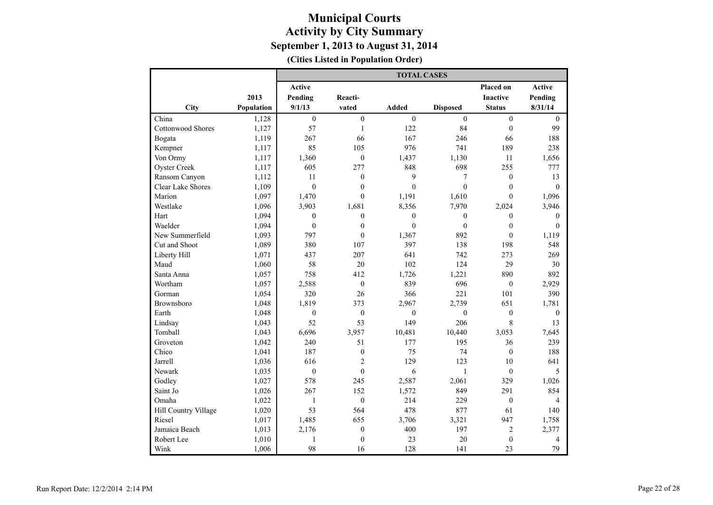|                          |            |                  |                  | <b>TOTAL CASES</b> |                  |                  |                |
|--------------------------|------------|------------------|------------------|--------------------|------------------|------------------|----------------|
|                          |            | <b>Active</b>    |                  |                    |                  | Placed on        | <b>Active</b>  |
|                          | 2013       | Pending          | Reacti-          |                    |                  | <b>Inactive</b>  | Pending        |
| City                     | Population | 9/1/13           | vated            | Added              | <b>Disposed</b>  | <b>Status</b>    | 8/31/14        |
| China                    | 1,128      | $\boldsymbol{0}$ | $\overline{0}$   | $\boldsymbol{0}$   | $\boldsymbol{0}$ | $\mathbf{0}$     | $\mathbf{0}$   |
| <b>Cottonwood Shores</b> | 1,127      | 57               | $\mathbf{1}$     | 122                | 84               | $\overline{0}$   | 99             |
| Bogata                   | 1,119      | 267              | 66               | 167                | 246              | 66               | 188            |
| Kempner                  | 1,117      | 85               | 105              | 976                | 741              | 189              | 238            |
| Von Ormy                 | 1,117      | 1,360            | $\boldsymbol{0}$ | 1,437              | 1,130            | 11               | 1,656          |
| <b>Oyster Creek</b>      | 1,117      | 605              | 277              | 848                | 698              | 255              | 777            |
| Ransom Canyon            | 1,112      | 11               | $\boldsymbol{0}$ | 9                  | $\tau$           | $\boldsymbol{0}$ | 13             |
| <b>Clear Lake Shores</b> | 1,109      | $\boldsymbol{0}$ | $\boldsymbol{0}$ | $\overline{0}$     | $\boldsymbol{0}$ | $\boldsymbol{0}$ | $\mathbf{0}$   |
| Marion                   | 1,097      | 1,470            | $\theta$         | 1,191              | 1,610            | $\theta$         | 1,096          |
| Westlake                 | 1,096      | 3,903            | 1,681            | 8,356              | 7,970            | 2,024            | 3,946          |
| Hart                     | 1,094      | $\boldsymbol{0}$ | $\mathbf{0}$     | $\boldsymbol{0}$   | $\boldsymbol{0}$ | $\boldsymbol{0}$ | $\mathbf{0}$   |
| Waelder                  | 1,094      | $\boldsymbol{0}$ | $\mathbf{0}$     | $\boldsymbol{0}$   | $\boldsymbol{0}$ | $\mathbf{0}$     | $\mathbf{0}$   |
| New Summerfield          | 1,093      | 797              | $\mathbf{0}$     | 1,367              | 892              | $\theta$         | 1,119          |
| Cut and Shoot            | 1,089      | 380              | 107              | 397                | 138              | 198              | 548            |
| Liberty Hill             | 1,071      | 437              | 207              | 641                | 742              | 273              | 269            |
| Maud                     | 1,060      | 58               | 20               | 102                | 124              | 29               | 30             |
| Santa Anna               | 1,057      | 758              | 412              | 1,726              | 1,221            | 890              | 892            |
| Wortham                  | 1,057      | 2,588            | $\overline{0}$   | 839                | 696              | $\boldsymbol{0}$ | 2,929          |
| Gorman                   | 1,054      | 320              | 26               | 366                | 221              | 101              | 390            |
| Brownsboro               | 1,048      | 1,819            | 373              | 2,967              | 2,739            | 651              | 1,781          |
| Earth                    | 1,048      | $\mathbf{0}$     | $\mathbf{0}$     | $\mathbf{0}$       | $\mathbf{0}$     | $\mathbf{0}$     | $\mathbf{0}$   |
| Lindsay                  | 1,043      | 52               | 53               | 149                | 206              | 8                | 13             |
| Tomball                  | 1.043      | 6,696            | 3,957            | 10,481             | 10,440           | 3.053            | 7,645          |
| Groveton                 | 1,042      | 240              | 51               | 177                | 195              | 36               | 239            |
| Chico                    | 1,041      | 187              | $\boldsymbol{0}$ | 75                 | 74               | $\overline{0}$   | 188            |
| Jarrell                  | 1,036      | 616              | $\overline{2}$   | 129                | 123              | 10               | 641            |
| Newark                   | 1,035      | $\mathbf{0}$     | $\mathbf{0}$     | 6                  | $\mathbf{1}$     | $\overline{0}$   | 5              |
| Godley                   | 1,027      | 578              | 245              | 2,587              | 2,061            | 329              | 1,026          |
| Saint Jo                 | 1,026      | 267              | 152              | 1,572              | 849              | 291              | 854            |
| Omaha                    | 1,022      | $\mathbf{1}$     | $\boldsymbol{0}$ | 214                | 229              | $\boldsymbol{0}$ | 4              |
| Hill Country Village     | 1,020      | 53               | 564              | 478                | 877              | 61               | 140            |
| Riesel                   | 1,017      | 1,485            | 655              | 3,706              | 3,321            | 947              | 1,758          |
| Jamaica Beach            | 1,013      | 2,176            | $\boldsymbol{0}$ | 400                | 197              | $\overline{2}$   | 2,377          |
| Robert Lee               | 1,010      | 1                | $\overline{0}$   | 23                 | 20               | $\mathbf{0}$     | $\overline{4}$ |
| Wink                     | 1,006      | 98               | 16               | 128                | 141              | 23               | 79             |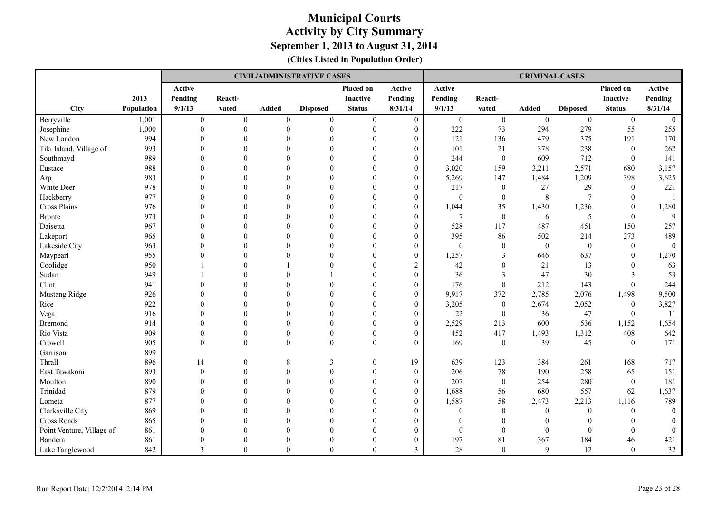|                           |            |              |              |                  | <b>CIVIL/ADMINISTRATIVE CASES</b> |                  |                  |                  |                  | <b>CRIMINAL CASES</b> |                  |                  |                |
|---------------------------|------------|--------------|--------------|------------------|-----------------------------------|------------------|------------------|------------------|------------------|-----------------------|------------------|------------------|----------------|
|                           |            | Active       |              |                  |                                   | Placed on        | Active           | Active           |                  |                       |                  | Placed on        | Active         |
|                           | 2013       | Pending      | Reacti-      |                  |                                   | <b>Inactive</b>  | Pending          | Pending          | Reacti-          |                       |                  | <b>Inactive</b>  | Pending        |
| City                      | Population | 9/1/13       | vated        | <b>Added</b>     | <b>Disposed</b>                   | <b>Status</b>    | 8/31/14          | 9/1/13           | vated            | <b>Added</b>          | <b>Disposed</b>  | <b>Status</b>    | 8/31/14        |
| Berryville                | 1,001      | $\mathbf{0}$ | $\mathbf{0}$ | $\boldsymbol{0}$ | $\mathbf{0}$                      | $\boldsymbol{0}$ | $\mathbf{0}$     | $\boldsymbol{0}$ | $\boldsymbol{0}$ | $\mathbf{0}$          | $\overline{0}$   | $\mathbf{0}$     | $\mathbf{0}$   |
| Josephine                 | 1,000      | $\mathbf{0}$ | $\mathbf{0}$ | $\theta$         | $\boldsymbol{0}$                  | $\boldsymbol{0}$ | $\boldsymbol{0}$ | 222              | 73               | 294                   | 279              | 55               | 255            |
| New London                | 994        | $\Omega$     | $\theta$     | $\Omega$         | $\theta$                          | $\Omega$         | $\overline{0}$   | 121              | 136              | 479                   | 375              | 191              | 170            |
| Tiki Island, Village of   | 993        | $\Omega$     | $\theta$     | $\Omega$         | $\theta$                          | $\Omega$         | $\overline{0}$   | 101              | 21               | 378                   | 238              | $\mathbf{0}$     | 262            |
| Southmayd                 | 989        | $\Omega$     | $\theta$     | $\Omega$         | $\theta$                          | $\theta$         | $\boldsymbol{0}$ | 244              | $\boldsymbol{0}$ | 609                   | 712              | $\mathbf{0}$     | 141            |
| Eustace                   | 988        | $\Omega$     | $\Omega$     | $\Omega$         | $\theta$                          | $\Omega$         | $\overline{0}$   | 3,020            | 159              | 3,211                 | 2,571            | 680              | 3,157          |
| Arp                       | 983        | $\Omega$     | $\theta$     | $\Omega$         | $\mathbf{0}$                      | $\theta$         | $\boldsymbol{0}$ | 5,269            | 147              | 1,484                 | 1,209            | 398              | 3,625          |
| White Deer                | 978        | $\theta$     | $\Omega$     | $\Omega$         | $\theta$                          | $\theta$         | $\overline{0}$   | 217              | $\boldsymbol{0}$ | 27                    | 29               | $\mathbf{0}$     | 221            |
| Hackberry                 | 977        | $\theta$     | $\theta$     | $\Omega$         | $\Omega$                          | $\Omega$         | $\boldsymbol{0}$ | $\boldsymbol{0}$ | $\overline{0}$   | 8                     | $\overline{7}$   | $\mathbf{0}$     |                |
| Cross Plains              | 976        | $\theta$     | $\theta$     | $\Omega$         | $\theta$                          | $\Omega$         | $\boldsymbol{0}$ | 1,044            | 35               | 1,430                 | 1,236            | $\mathbf{0}$     | 1,280          |
| <b>Bronte</b>             | 973        | $\Omega$     | $\Omega$     | $\Omega$         | $\theta$                          | $\Omega$         | $\overline{0}$   | $7\phantom{.0}$  | $\mathbf{0}$     | 6                     | 5                | $\theta$         | 9              |
| Daisetta                  | 967        | $\theta$     | $\theta$     | $\Omega$         | $\theta$                          | $\theta$         | $\overline{0}$   | 528              | 117              | 487                   | 451              | 150              | 257            |
| Lakeport                  | 965        | $\Omega$     | $\Omega$     | $\Omega$         | $\mathbf{0}$                      | $\mathbf{0}$     | $\boldsymbol{0}$ | 395              | 86               | 502                   | 214              | 273              | 489            |
| Lakeside City             | 963        | $\Omega$     | $\theta$     | $\Omega$         | $\theta$                          | $\theta$         | $\overline{0}$   | $\theta$         | $\boldsymbol{0}$ | $\mathbf{0}$          | $\boldsymbol{0}$ | $\mathbf{0}$     | $\overline{0}$ |
| Maypearl                  | 955        | $\mathbf{0}$ | $\mathbf{0}$ | $\theta$         | $\mathbf{0}$                      | $\boldsymbol{0}$ | $\boldsymbol{0}$ | 1,257            | 3                | 646                   | 637              | $\mathbf{0}$     | 1,270          |
| Coolidge                  | 950        |              | $\theta$     |                  | $\Omega$                          | $\theta$         | $\overline{c}$   | 42               | $\boldsymbol{0}$ | 21                    | 13               | $\mathbf{0}$     | 63             |
| Sudan                     | 949        |              | $\Omega$     | $\Omega$         |                                   | $\Omega$         | $\boldsymbol{0}$ | 36               | 3                | 47                    | 30               | 3                | 53             |
| Clint                     | 941        | $\Omega$     | $\theta$     | $\Omega$         | $\Omega$                          | $\Omega$         | $\boldsymbol{0}$ | 176              | $\theta$         | 212                   | 143              | $\boldsymbol{0}$ | 244            |
| Mustang Ridge             | 926        | $\Omega$     | $\Omega$     | $\Omega$         | $\Omega$                          | $\Omega$         | $\overline{0}$   | 9,917            | 372              | 2,785                 | 2,076            | 1,498            | 9,500          |
| Rice                      | 922        | $\Omega$     | $\theta$     | $\Omega$         | $\theta$                          | $\Omega$         | $\boldsymbol{0}$ | 3,205            | $\boldsymbol{0}$ | 2,674                 | 2,052            | $\overline{0}$   | 3,827          |
| Vega                      | 916        | $\Omega$     | $\Omega$     | $\Omega$         | $\Omega$                          | $\Omega$         | $\boldsymbol{0}$ | 22               | $\boldsymbol{0}$ | 36                    | 47               | $\theta$         | 11             |
| <b>Bremond</b>            | 914        | $\Omega$     | $\theta$     | $\Omega$         | $\theta$                          | $\Omega$         | $\overline{0}$   | 2,529            | 213              | 600                   | 536              | 1,152            | 1,654          |
| Rio Vista                 | 909        | $\mathbf{0}$ | $\mathbf{0}$ | $\theta$         | $\boldsymbol{0}$                  | $\overline{0}$   | $\boldsymbol{0}$ | 452              | 417              | 1,493                 | 1,312            | 408              | 642            |
| Crowell                   | 905        | $\theta$     | $\theta$     | $\Omega$         | $\Omega$                          | $\theta$         | $\overline{0}$   | 169              | $\mathbf{0}$     | 39                    | 45               | $\mathbf{0}$     | 171            |
| Garrison                  | 899        |              |              |                  |                                   |                  |                  |                  |                  |                       |                  |                  |                |
| Thrall                    | 896        | 14           | $\mathbf{0}$ | 8                | 3                                 | $\theta$         | 19               | 639              | 123              | 384                   | 261              | 168              | 717            |
| East Tawakoni             | 893        | $\Omega$     | $\theta$     | $\theta$         | $\theta$                          | $\mathbf{0}$     | $\theta$         | 206              | $78\,$           | 190                   | 258              | 65               | 151            |
| Moulton                   | 890        | $\theta$     | $\theta$     | $\Omega$         | $\theta$                          | $\mathbf{0}$     | $\boldsymbol{0}$ | 207              | $\boldsymbol{0}$ | 254                   | 280              | $\mathbf{0}$     | 181            |
| Trinidad                  | 879        | $\Omega$     | $\Omega$     | $\Omega$         | $\Omega$                          | $\theta$         | $\overline{0}$   | 1,688            | 56               | 680                   | 557              | 62               | 1,637          |
| Lometa                    | 877        | $\mathbf{0}$ | $\theta$     | $\Omega$         | $\mathbf{0}$                      | $\theta$         | $\overline{0}$   | 1,587            | 58               | 2,473                 | 2,213            | 1,116            | 789            |
| Clarksville City          | 869        | $\mathbf{0}$ | $\theta$     | $\theta$         | $\theta$                          | $\overline{0}$   | $\boldsymbol{0}$ | $\boldsymbol{0}$ | $\mathbf{0}$     | $\boldsymbol{0}$      | $\boldsymbol{0}$ | $\boldsymbol{0}$ | $\overline{0}$ |
| Cross Roads               | 865        | $\Omega$     | $\theta$     | $\Omega$         | $\theta$                          | $\Omega$         | $\overline{0}$   | $\theta$         | $\theta$         | $\theta$              | $\mathbf{0}$     | $\mathbf{0}$     | $\overline{0}$ |
| Point Venture, Village of | 861        | $\Omega$     | $\Omega$     | $\Omega$         | $\theta$                          | $\Omega$         | $\overline{0}$   | $\theta$         | $\theta$         | $\theta$              | $\mathbf{0}$     | $\theta$         | $\mathbf{0}$   |
| Bandera                   | 861        | $\mathbf{0}$ | $\theta$     | $\theta$         | $\theta$                          | $\theta$         | $\boldsymbol{0}$ | 197              | 81               | 367                   | 184              | 46               | 421            |
| Lake Tanglewood           | 842        | 3            | $\theta$     | $\theta$         | $\Omega$                          | $\theta$         | 3                | 28               | $\theta$         | 9                     | 12               | $\theta$         | 32             |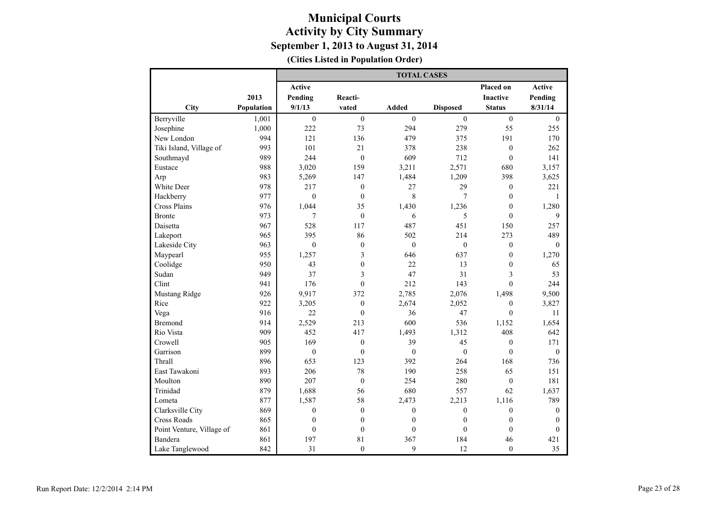|                           |            |                  |                  | <b>TOTAL CASES</b> |                  |                  |                  |
|---------------------------|------------|------------------|------------------|--------------------|------------------|------------------|------------------|
|                           |            | <b>Active</b>    |                  |                    |                  | Placed on        | <b>Active</b>    |
|                           | 2013       | Pending          | Reacti-          |                    |                  | <b>Inactive</b>  | Pending          |
| City                      | Population | 9/1/13           | vated            | Added              | <b>Disposed</b>  | <b>Status</b>    | 8/31/14          |
| Berryville                | 1,001      | $\boldsymbol{0}$ | $\overline{0}$   | $\boldsymbol{0}$   | $\mathbf{0}$     | $\boldsymbol{0}$ | $\boldsymbol{0}$ |
| Josephine                 | 1,000      | 222              | 73               | 294                | 279              | 55               | 255              |
| New London                | 994        | 121              | 136              | 479                | 375              | 191              | 170              |
| Tiki Island, Village of   | 993        | 101              | 21               | 378                | 238              | $\boldsymbol{0}$ | 262              |
| Southmayd                 | 989        | 244              | $\theta$         | 609                | 712              | $\theta$         | 141              |
| Eustace                   | 988        | 3,020            | 159              | 3,211              | 2,571            | 680              | 3,157            |
| Arp                       | 983        | 5,269            | 147              | 1,484              | 1,209            | 398              | 3,625            |
| White Deer                | 978        | 217              | $\boldsymbol{0}$ | 27                 | 29               | $\boldsymbol{0}$ | 221              |
| Hackberry                 | 977        | $\boldsymbol{0}$ | $\overline{0}$   | 8                  | 7                | $\mathbf{0}$     | $\mathbf{1}$     |
| Cross Plains              | 976        | 1.044            | 35               | 1,430              | 1,236            | $\mathbf{0}$     | 1,280            |
| <b>Bronte</b>             | 973        | 7                | $\mathbf{0}$     | 6                  | 5                | $\mathbf{0}$     | 9                |
| Daisetta                  | 967        | 528              | 117              | 487                | 451              | 150              | 257              |
| Lakeport                  | 965        | 395              | 86               | 502                | 214              | 273              | 489              |
| Lakeside City             | 963        | $\mathbf{0}$     | $\mathbf{0}$     | $\mathbf{0}$       | $\mathbf{0}$     | $\boldsymbol{0}$ | $\mathbf{0}$     |
| Maypearl                  | 955        | 1,257            | 3                | 646                | 637              | $\boldsymbol{0}$ | 1,270            |
| Coolidge                  | 950        | 43               | $\mathbf{0}$     | 22                 | 13               | $\mathbf{0}$     | 65               |
| Sudan                     | 949        | 37               | 3                | 47                 | 31               | 3                | 53               |
| Clint                     | 941        | 176              | $\mathbf{0}$     | 212                | 143              | $\theta$         | 244              |
| Mustang Ridge             | 926        | 9,917            | 372              | 2,785              | 2,076            | 1,498            | 9,500            |
| Rice                      | 922        | 3,205            | $\mathbf{0}$     | 2,674              | 2,052            | $\mathbf{0}$     | 3,827            |
| Vega                      | 916        | 22               | $\overline{0}$   | 36                 | 47               | $\theta$         | 11               |
| Bremond                   | 914        | 2,529            | 213              | 600                | 536              | 1,152            | 1,654            |
| Rio Vista                 | 909        | 452              | 417              | 1,493              | 1,312            | 408              | 642              |
| Crowell                   | 905        | 169              | $\mathbf{0}$     | 39                 | 45               | $\mathbf{0}$     | 171              |
| Garrison                  | 899        | $\boldsymbol{0}$ | $\mathbf{0}$     | $\boldsymbol{0}$   | $\mathbf{0}$     | $\overline{0}$   | $\boldsymbol{0}$ |
| Thrall                    | 896        | 653              | 123              | 392                | 264              | 168              | 736              |
| East Tawakoni             | 893        | 206              | 78               | 190                | 258              | 65               | 151              |
| Moulton                   | 890        | 207              | $\mathbf{0}$     | 254                | 280              | $\mathbf{0}$     | 181              |
| Trinidad                  | 879        | 1,688            | 56               | 680                | 557              | 62               | 1,637            |
| Lometa                    | 877        | 1,587            | 58               | 2,473              | 2,213            | 1,116            | 789              |
| Clarksville City          | 869        | $\boldsymbol{0}$ | $\boldsymbol{0}$ | $\boldsymbol{0}$   | $\boldsymbol{0}$ | $\boldsymbol{0}$ | $\mathbf{0}$     |
| Cross Roads               | 865        | $\mathbf{0}$     | $\mathbf{0}$     | $\mathbf{0}$       | $\boldsymbol{0}$ | $\mathbf{0}$     | $\mathbf{0}$     |
| Point Venture, Village of | 861        | $\mathbf{0}$     | $\boldsymbol{0}$ | $\mathbf{0}$       | $\mathbf{0}$     | $\mathbf{0}$     | $\mathbf{0}$     |
| Bandera                   | 861        | 197              | 81               | 367                | 184              | 46               | 421              |
| Lake Tanglewood           | 842        | 31               | $\mathbf{0}$     | 9                  | 12               | $\mathbf{0}$     | 35               |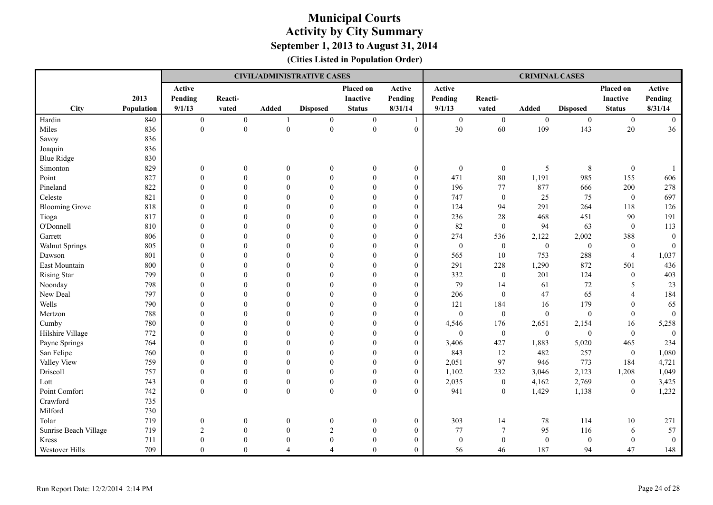|                       |            |                  |                  |                  | <b>CIVIL/ADMINISTRATIVE CASES</b> |                  |                  |                  |                  | <b>CRIMINAL CASES</b> |                  |                  |                  |
|-----------------------|------------|------------------|------------------|------------------|-----------------------------------|------------------|------------------|------------------|------------------|-----------------------|------------------|------------------|------------------|
|                       |            | Active           |                  |                  |                                   | Placed on        | Active           | Active           |                  |                       |                  | Placed on        | Active           |
|                       | 2013       | Pending          | Reacti-          |                  |                                   | <b>Inactive</b>  | Pending          | Pending          | Reacti-          |                       |                  | Inactive         | Pending          |
| City                  | Population | 9/1/13           | vated            | Added            | <b>Disposed</b>                   | <b>Status</b>    | 8/31/14          | 9/1/13           | vated            | Added                 | <b>Disposed</b>  | <b>Status</b>    | 8/31/14          |
| Hardin                | 840        | $\boldsymbol{0}$ | $\mathbf{0}$     | $\mathbf{1}$     | $\boldsymbol{0}$                  | $\boldsymbol{0}$ | $\mathbf{1}$     | $\mathbf{0}$     | $\mathbf{0}$     | $\mathbf{0}$          | $\boldsymbol{0}$ | $\mathbf{0}$     | $\mathbf{0}$     |
| Miles                 | 836        | $\boldsymbol{0}$ | $\boldsymbol{0}$ | $\boldsymbol{0}$ | $\boldsymbol{0}$                  | $\boldsymbol{0}$ | $\boldsymbol{0}$ | 30               | $60\,$           | 109                   | 143              | $20\,$           | 36               |
| Savoy                 | 836        |                  |                  |                  |                                   |                  |                  |                  |                  |                       |                  |                  |                  |
| Joaquin               | 836        |                  |                  |                  |                                   |                  |                  |                  |                  |                       |                  |                  |                  |
| <b>Blue Ridge</b>     | 830        |                  |                  |                  |                                   |                  |                  |                  |                  |                       |                  |                  |                  |
| Simonton              | 829        | $\boldsymbol{0}$ | $\boldsymbol{0}$ | $\boldsymbol{0}$ | $\mathbf{0}$                      | $\boldsymbol{0}$ | $\boldsymbol{0}$ | $\boldsymbol{0}$ | $\boldsymbol{0}$ | $\sqrt{5}$            | $\,8\,$          | $\boldsymbol{0}$ | -1               |
| Point                 | 827        | $\mathbf{0}$     | $\theta$         | $\boldsymbol{0}$ | $\theta$                          | $\boldsymbol{0}$ | $\boldsymbol{0}$ | 471              | $80\,$           | 1,191                 | 985              | 155              | 606              |
| Pineland              | 822        |                  | $\Omega$         | $\Omega$         | $\theta$                          | $\theta$         | $\boldsymbol{0}$ | 196              | $77\,$           | 877                   | 666              | 200              | 278              |
| Celeste               | 821        |                  |                  | $\Omega$         | $\theta$                          | $\Omega$         | $\boldsymbol{0}$ | 747              | $\mathbf{0}$     | 25                    | 75               | $\boldsymbol{0}$ | 697              |
| <b>Blooming Grove</b> | 818        |                  | $\Omega$         | $\Omega$         | $\Omega$                          | $\Omega$         | $\mathbf{0}$     | 124              | 94               | 291                   | 264              | 118              | 126              |
| Tioga                 | 817        |                  | $\Omega$         | $\Omega$         | $\theta$                          | $\Omega$         | $\boldsymbol{0}$ | 236              | $28\,$           | 468                   | 451              | 90               | 191              |
| O'Donnell             | 810        |                  | $\Omega$         | $\Omega$         | $\Omega$                          | $\Omega$         | $\mathbf{0}$     | 82               | $\mathbf{0}$     | 94                    | 63               | $\mathbf{0}$     | 113              |
| Garrett               | 806        | $\Omega$         | $\Omega$         | $\Omega$         | $\Omega$                          | $\Omega$         | $\mathbf{0}$     | 274              | 536              | 2,122                 | 2,002            | 388              | $\boldsymbol{0}$ |
| <b>Walnut Springs</b> | 805        |                  | $\Omega$         | $\theta$         | $\theta$                          | $\mathbf{0}$     | $\boldsymbol{0}$ | $\boldsymbol{0}$ | $\boldsymbol{0}$ | $\mathbf{0}$          | $\boldsymbol{0}$ | $\boldsymbol{0}$ | $\boldsymbol{0}$ |
| Dawson                | 801        |                  | $\theta$         | $\theta$         | $\theta$                          | $\theta$         | $\boldsymbol{0}$ | 565              | 10               | 753                   | 288              | $\overline{4}$   | 1,037            |
| East Mountain         | 800        |                  | $\Omega$         | $\Omega$         | $\theta$                          | $\Omega$         | $\mathbf{0}$     | 291              | 228              | 1,290                 | 872              | 501              | 436              |
| <b>Rising Star</b>    | 799        |                  | $\Omega$         | $\Omega$         | $\Omega$                          | $\Omega$         | $\theta$         | 332              | $\mathbf{0}$     | 201                   | 124              | $\mathbf{0}$     | 403              |
| Noonday               | 798        |                  | $\Omega$         | $\Omega$         | $\theta$                          | $\Omega$         | $\theta$         | 79               | 14               | 61                    | $72\,$           | 5                | 23               |
| New Deal              | 797        |                  | $\Omega$         | $\Omega$         | $\theta$                          | $\Omega$         | $\boldsymbol{0}$ | 206              | $\boldsymbol{0}$ | 47                    | 65               | $\overline{4}$   | 184              |
| Wells                 | 790        |                  | $\Omega$         | $\Omega$         | $\Omega$                          | $\Omega$         | $\boldsymbol{0}$ | 121              | 184              | 16                    | 179              | $\Omega$         | 65               |
| Mertzon               | 788        | $\Omega$         | $\theta$         | $\Omega$         | $\theta$                          | $\Omega$         | $\mathbf{0}$     | $\mathbf{0}$     | $\mathbf{0}$     | $\overline{0}$        | $\mathbf{0}$     | $\theta$         | $\mathbf{0}$     |
| Cumby                 | 780        |                  | $\theta$         | $\theta$         | $\theta$                          | $\theta$         | $\boldsymbol{0}$ | 4,546            | 176              | 2,651                 | 2,154            | 16               | 5,258            |
| Hilshire Village      | 772        |                  | $\theta$         | $\theta$         | $\theta$                          | $\theta$         | $\boldsymbol{0}$ | $\mathbf{0}$     | $\boldsymbol{0}$ | $\boldsymbol{0}$      | $\boldsymbol{0}$ | $\boldsymbol{0}$ | $\mathbf{0}$     |
| Payne Springs         | 764        |                  | $\Omega$         | $\Omega$         | $\Omega$                          | $\Omega$         | $\boldsymbol{0}$ | 3,406            | 427              | 1,883                 | 5,020            | 465              | 234              |
| San Felipe            | 760        |                  | $\Omega$         | $\Omega$         | $\theta$                          | $\Omega$         | $\theta$         | 843              | 12               | 482                   | 257              | $\mathbf{0}$     | 1,080            |
| Valley View           | 759        |                  | $\Omega$         | $\Omega$         | $\theta$                          | $\Omega$         | $\mathbf{0}$     | 2,051            | 97               | 946                   | 773              | 184              | 4,721            |
| Driscoll              | 757        | $\Omega$         | $\Omega$         | $\Omega$         | $\theta$                          | $\theta$         | $\boldsymbol{0}$ | 1,102            | 232              | 3,046                 | 2,123            | 1,208            | 1,049            |
| Lott                  | 743        | $\mathbf{0}$     | $\boldsymbol{0}$ | $\mathbf{0}$     | $\boldsymbol{0}$                  | $\mathbf{0}$     | $\boldsymbol{0}$ | 2,035            | $\boldsymbol{0}$ | 4,162                 | 2,769            | $\boldsymbol{0}$ | 3,425            |
| Point Comfort         | 742        | $\theta$         | $\boldsymbol{0}$ | $\theta$         | $\mathbf{0}$                      | $\boldsymbol{0}$ | $\boldsymbol{0}$ | 941              | $\overline{0}$   | 1,429                 | 1,138            | $\mathbf{0}$     | 1,232            |
| Crawford              | 735        |                  |                  |                  |                                   |                  |                  |                  |                  |                       |                  |                  |                  |
| Milford               | 730        |                  |                  |                  |                                   |                  |                  |                  |                  |                       |                  |                  |                  |
| Tolar                 | 719        | $\theta$         | $\theta$         | $\boldsymbol{0}$ | $\theta$                          | $\boldsymbol{0}$ | $\boldsymbol{0}$ | 303              | 14               | $78\,$                | 114              | $10\,$           | 271              |
| Sunrise Beach Village | 719        | $\overline{2}$   | $\Omega$         | $\Omega$         | $\overline{2}$                    | $\overline{0}$   | $\boldsymbol{0}$ | 77               | $\boldsymbol{7}$ | 95                    | 116              | 6                | 57               |
| Kress                 | 711        |                  | $\theta$         | $\Omega$         | $\theta$                          | $\theta$         | $\boldsymbol{0}$ | $\boldsymbol{0}$ | $\mathbf{0}$     | $\boldsymbol{0}$      | $\theta$         | $\mathbf{0}$     | $\boldsymbol{0}$ |
| Westover Hills        | 709        | $\Omega$         | $\theta$         | Δ                |                                   | $\Omega$         | $\mathbf{0}$     | 56               | 46               | 187                   | 94               | 47               | 148              |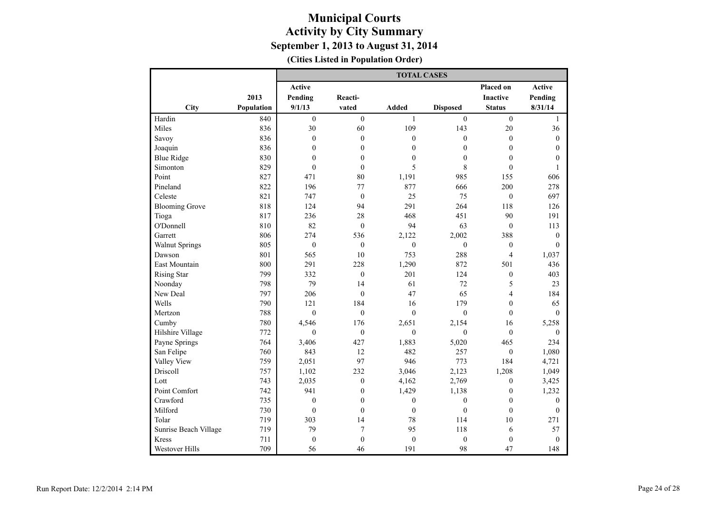|                       |            |                  |                  | <b>TOTAL CASES</b> |                  |                          |                  |
|-----------------------|------------|------------------|------------------|--------------------|------------------|--------------------------|------------------|
|                       |            | <b>Active</b>    |                  |                    |                  | Placed on                | Active           |
|                       | 2013       | Pending          | Reacti-          |                    |                  | <b>Inactive</b>          | Pending          |
| City                  | Population | 9/1/13           | vated            | Added              | <b>Disposed</b>  | <b>Status</b>            | 8/31/14          |
| Hardin                | 840        | $\mathbf{0}$     | $\theta$         | $\mathbf{1}$       | $\theta$         | $\mathbf{0}$             | $\mathbf{1}$     |
| Miles                 | 836        | 30               | 60               | 109                | 143              | 20                       | 36               |
| Savoy                 | 836        | $\boldsymbol{0}$ | $\boldsymbol{0}$ | $\mathbf{0}$       | $\mathbf{0}$     | $\boldsymbol{0}$         | $\boldsymbol{0}$ |
| Joaquin               | 836        | $\mathbf{0}$     | $\mathbf{0}$     | $\mathbf{0}$       | $\overline{0}$   | $\mathbf{0}$             | $\mathbf{0}$     |
| <b>Blue Ridge</b>     | 830        | $\mathbf{0}$     | $\mathbf{0}$     | $\mathbf{0}$       | $\mathbf{0}$     | $\mathbf{0}$             | $\mathbf{0}$     |
| Simonton              | 829        | $\mathbf{0}$     | $\mathbf{0}$     | 5                  | 8                | $\boldsymbol{0}$         | $\mathbf{1}$     |
| Point                 | 827        | 471              | 80               | 1,191              | 985              | 155                      | 606              |
| Pineland              | 822        | 196              | 77               | 877                | 666              | 200                      | 278              |
| Celeste               | 821        | 747              | $\boldsymbol{0}$ | 25                 | 75               | $\boldsymbol{0}$         | 697              |
| <b>Blooming Grove</b> | 818        | 124              | 94               | 291                | 264              | 118                      | 126              |
| Tioga                 | 817        | 236              | 28               | 468                | 451              | 90                       | 191              |
| O'Donnell             | 810        | 82               | $\mathbf{0}$     | 94                 | 63               | $\mathbf{0}$             | 113              |
| Garrett               | 806        | 274              | 536              | 2,122              | 2,002            | 388                      | $\theta$         |
| <b>Walnut Springs</b> | 805        | $\mathbf{0}$     | $\mathbf{0}$     | $\mathbf{0}$       | $\mathbf{0}$     | $\mathbf{0}$             | $\Omega$         |
| Dawson                | 801        | 565              | 10               | 753                | 288              | $\overline{4}$           | 1,037            |
| <b>East Mountain</b>  | 800        | 291              | 228              | 1,290              | 872              | 501                      | 436              |
| <b>Rising Star</b>    | 799        | 332              | $\mathbf{0}$     | 201                | 124              | $\boldsymbol{0}$         | 403              |
| Noonday               | 798        | 79               | 14               | 61                 | 72               | 5                        | 23               |
| New Deal              | 797        | 206              | $\overline{0}$   | 47                 | 65               | $\overline{\mathcal{L}}$ | 184              |
| Wells                 | 790        | 121              | 184              | 16                 | 179              | $\mathbf{0}$             | 65               |
| Mertzon               | 788        | $\theta$         | $\mathbf{0}$     | $\mathbf{0}$       | $\boldsymbol{0}$ | $\boldsymbol{0}$         | $\boldsymbol{0}$ |
| Cumby                 | 780        | 4,546            | 176              | 2,651              | 2,154            | 16                       | 5,258            |
| Hilshire Village      | 772        | $\theta$         | $\boldsymbol{0}$ | $\mathbf{0}$       | $\mathbf{0}$     | $\boldsymbol{0}$         | $\overline{0}$   |
| Payne Springs         | 764        | 3,406            | 427              | 1,883              | 5,020            | 465                      | 234              |
| San Felipe            | 760        | 843              | 12               | 482                | 257              | $\mathbf{0}$             | 1,080            |
| Valley View           | 759        | 2,051            | 97               | 946                | 773              | 184                      | 4,721            |
| Driscoll              | 757        | 1,102            | 232              | 3,046              | 2,123            | 1,208                    | 1,049            |
| Lott                  | 743        | 2,035            | $\boldsymbol{0}$ | 4,162              | 2,769            | $\boldsymbol{0}$         | 3,425            |
| Point Comfort         | 742        | 941              | $\mathbf{0}$     | 1,429              | 1,138            | $\mathbf{0}$             | 1,232            |
| Crawford              | 735        | $\boldsymbol{0}$ | $\boldsymbol{0}$ | $\boldsymbol{0}$   | $\boldsymbol{0}$ | $\boldsymbol{0}$         | $\overline{0}$   |
| Milford               | 730        | $\boldsymbol{0}$ | $\boldsymbol{0}$ | $\boldsymbol{0}$   | $\boldsymbol{0}$ | $\boldsymbol{0}$         | $\boldsymbol{0}$ |
| Tolar                 | 719        | 303              | 14               | 78                 | 114              | 10                       | 271              |
| Sunrise Beach Village | 719        | 79               | $\overline{7}$   | 95                 | 118              | 6                        | 57               |
| <b>Kress</b>          | 711        | $\boldsymbol{0}$ | $\boldsymbol{0}$ | $\boldsymbol{0}$   | $\boldsymbol{0}$ | $\boldsymbol{0}$         | $\boldsymbol{0}$ |
| <b>Westover Hills</b> | 709        | 56               | 46               | 191                | 98               | 47                       | 148              |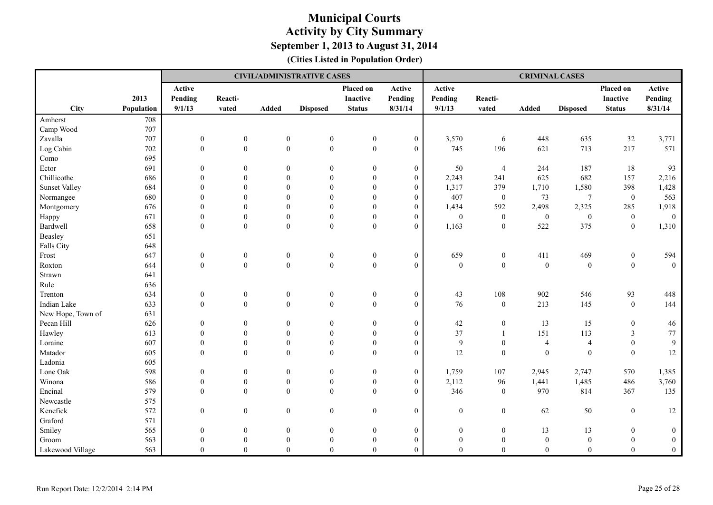|                      |            |                   | <b>CIVIL/ADMINISTRATIVE CASES</b> |                  |                  |                              |                   | <b>CRIMINAL CASES</b> |                  |                  |                  |                       |                   |
|----------------------|------------|-------------------|-----------------------------------|------------------|------------------|------------------------------|-------------------|-----------------------|------------------|------------------|------------------|-----------------------|-------------------|
|                      | 2013       | Active<br>Pending | Reacti-                           |                  |                  | Placed on<br><b>Inactive</b> | Active<br>Pending | Active<br>Pending     | Reacti-          |                  |                  | Placed on<br>Inactive | Active<br>Pending |
| City                 | Population | 9/1/13            | vated                             | Added            | <b>Disposed</b>  | <b>Status</b>                | 8/31/14           | 9/1/13                | vated            | Added            | <b>Disposed</b>  | <b>Status</b>         | 8/31/14           |
| Amherst              | 708        |                   |                                   |                  |                  |                              |                   |                       |                  |                  |                  |                       |                   |
| Camp Wood            | 707        |                   |                                   |                  |                  |                              |                   |                       |                  |                  |                  |                       |                   |
| Zavalla              | 707        | $\boldsymbol{0}$  | $\boldsymbol{0}$                  | $\boldsymbol{0}$ | $\boldsymbol{0}$ | $\boldsymbol{0}$             | $\boldsymbol{0}$  | 3,570                 | 6                | 448              | 635              | 32                    | 3,771             |
| Log Cabin            | 702        | $\boldsymbol{0}$  | $\boldsymbol{0}$                  | $\boldsymbol{0}$ | $\boldsymbol{0}$ | $\boldsymbol{0}$             | $\mathbf{0}$      | 745                   | 196              | 621              | 713              | 217                   | 571               |
| Como                 | 695        |                   |                                   |                  |                  |                              |                   |                       |                  |                  |                  |                       |                   |
| Ector                | 691        | $\mathbf{0}$      | $\mathbf{0}$                      | $\mathbf{0}$     | $\mathbf{0}$     | $\mathbf{0}$                 | $\mathbf{0}$      | 50                    | $\overline{4}$   | 244              | 187              | 18                    | 93                |
| Chillicothe          | 686        | $\theta$          | $\Omega$                          | $\mathbf{0}$     | $\theta$         | $\mathbf{0}$                 | $\mathbf{0}$      | 2,243                 | 241              | 625              | 682              | 157                   | 2,216             |
| <b>Sunset Valley</b> | 684        | $\theta$          | $\Omega$                          | $\mathbf{0}$     | $\mathbf{0}$     | $\theta$                     | $\mathbf{0}$      | 1,317                 | 379              | 1,710            | 1,580            | 398                   | 1,428             |
| Normangee            | 680        |                   | $\theta$                          | $\Omega$         | $\theta$         | $\theta$                     | $\boldsymbol{0}$  | 407                   | $\boldsymbol{0}$ | 73               | $\overline{7}$   | $\boldsymbol{0}$      | 563               |
| Montgomery           | 676        | $\theta$          | $\Omega$                          | $\Omega$         | $\theta$         | $\mathbf{0}$                 | $\mathbf{0}$      | 1,434                 | 592              | 2,498            | 2,325            | 285                   | 1,918             |
| Happy                | 671        | $\theta$          | $\mathbf{0}$                      | $\theta$         | $\mathbf{0}$     | $\theta$                     | $\mathbf{0}$      | $\boldsymbol{0}$      | $\boldsymbol{0}$ | $\boldsymbol{0}$ | $\boldsymbol{0}$ | $\mathbf{0}$          | $\overline{0}$    |
| Bardwell             | 658        | $\theta$          | $\boldsymbol{0}$                  | $\theta$         | $\boldsymbol{0}$ | $\theta$                     | $\theta$          | 1,163                 | $\boldsymbol{0}$ | 522              | 375              | $\boldsymbol{0}$      | 1,310             |
| Beasley              | 651        |                   |                                   |                  |                  |                              |                   |                       |                  |                  |                  |                       |                   |
| Falls City           | 648        |                   |                                   |                  |                  |                              |                   |                       |                  |                  |                  |                       |                   |
| Frost                | 647        | $\boldsymbol{0}$  | $\boldsymbol{0}$                  | $\boldsymbol{0}$ | $\boldsymbol{0}$ | $\boldsymbol{0}$             | $\boldsymbol{0}$  | 659                   | $\boldsymbol{0}$ | 411              | 469              | $\boldsymbol{0}$      | 594               |
| Roxton               | 644        | $\mathbf{0}$      | $\boldsymbol{0}$                  | $\boldsymbol{0}$ | $\boldsymbol{0}$ | $\boldsymbol{0}$             | $\mathbf{0}$      | $\boldsymbol{0}$      | $\boldsymbol{0}$ | $\boldsymbol{0}$ | $\boldsymbol{0}$ | $\boldsymbol{0}$      | $\mathbf{0}$      |
| Strawn               | 641        |                   |                                   |                  |                  |                              |                   |                       |                  |                  |                  |                       |                   |
| Rule                 | 636        |                   |                                   |                  |                  |                              |                   |                       |                  |                  |                  |                       |                   |
| Trenton              | 634        | $\boldsymbol{0}$  | $\boldsymbol{0}$                  | $\boldsymbol{0}$ | $\boldsymbol{0}$ | $\boldsymbol{0}$             | $\mathbf{0}$      | 43                    | 108              | 902              | 546              | 93                    | 448               |
| Indian Lake          | 633        | $\boldsymbol{0}$  | $\boldsymbol{0}$                  | $\boldsymbol{0}$ | $\boldsymbol{0}$ | $\mathbf{0}$                 | $\boldsymbol{0}$  | 76                    | $\boldsymbol{0}$ | 213              | 145              | $\boldsymbol{0}$      | 144               |
| New Hope, Town of    | 631        |                   |                                   |                  |                  |                              |                   |                       |                  |                  |                  |                       |                   |
| Pecan Hill           | 626        | $\mathbf{0}$      | $\mathbf{0}$                      | $\overline{0}$   | $\mathbf{0}$     | $\mathbf{0}$                 | $\mathbf{0}$      | 42                    | $\boldsymbol{0}$ | 13               | 15               | $\boldsymbol{0}$      | $46\,$            |
| Hawley               | 613        | $\theta$          | $\theta$                          | $\boldsymbol{0}$ | $\mathbf{0}$     | $\boldsymbol{0}$             | $\boldsymbol{0}$  | 37                    | $\mathbf{1}$     | 151              | 113              | $\mathfrak{Z}$        | $77\,$            |
| Loraine              | 607        | $\theta$          | $\boldsymbol{0}$                  | $\boldsymbol{0}$ | $\boldsymbol{0}$ | $\boldsymbol{0}$             | $\boldsymbol{0}$  | $\overline{9}$        | $\boldsymbol{0}$ | $\overline{4}$   | $\overline{4}$   | $\boldsymbol{0}$      | $\overline{9}$    |
| Matador              | 605        | $\theta$          | $\theta$                          | $\theta$         | $\theta$         | $\theta$                     | $\theta$          | 12                    | $\mathbf{0}$     | $\mathbf{0}$     | $\theta$         | $\theta$              | 12                |
| Ladonia              | 605        |                   |                                   |                  |                  |                              |                   |                       |                  |                  |                  |                       |                   |
| Lone Oak             | 598        | $\boldsymbol{0}$  | $\boldsymbol{0}$                  | $\boldsymbol{0}$ | $\boldsymbol{0}$ | $\boldsymbol{0}$             | $\boldsymbol{0}$  | 1,759                 | 107              | 2,945            | 2,747            | 570                   | 1,385             |
| Winona               | 586        | $\mathbf{0}$      | $\boldsymbol{0}$                  | $\boldsymbol{0}$ | $\boldsymbol{0}$ | $\boldsymbol{0}$             | $\theta$          | 2,112                 | 96               | 1,441            | 1,485            | 486                   | 3,760             |
| Encinal              | 579        | $\theta$          | $\mathbf{0}$                      | $\mathbf{0}$     | $\boldsymbol{0}$ | $\overline{0}$               | $\theta$          | 346                   | $\boldsymbol{0}$ | 970              | 814              | 367                   | 135               |
| Newcastle            | 575        |                   |                                   |                  |                  |                              |                   |                       |                  |                  |                  |                       |                   |
| Kenefick             | 572        | $\boldsymbol{0}$  | $\boldsymbol{0}$                  | $\boldsymbol{0}$ | $\boldsymbol{0}$ | $\boldsymbol{0}$             | $\mathbf{0}$      | $\boldsymbol{0}$      | $\boldsymbol{0}$ | 62               | 50               | $\boldsymbol{0}$      | 12                |
| Graford              | 571        |                   |                                   |                  |                  |                              |                   |                       |                  |                  |                  |                       |                   |
| Smiley               | 565        | $\mathbf{0}$      | $\mathbf{0}$                      | $\boldsymbol{0}$ | $\boldsymbol{0}$ | $\boldsymbol{0}$             | $\boldsymbol{0}$  | $\boldsymbol{0}$      | $\boldsymbol{0}$ | 13               | 13               | $\boldsymbol{0}$      | $\boldsymbol{0}$  |
| Groom                | 563        | $\Omega$          | $\theta$                          | $\mathbf{0}$     | $\mathbf{0}$     | $\mathbf{0}$                 | $\mathbf{0}$      | $\overline{0}$        | $\boldsymbol{0}$ | $\mathbf{0}$     | $\boldsymbol{0}$ | $\mathbf{0}$          | $\boldsymbol{0}$  |
| Lakewood Village     | 563        | $\Omega$          | $\mathbf{0}$                      | $\theta$         | $\mathbf{0}$     | $\theta$                     | $\mathbf{0}$      | $\theta$              | $\overline{0}$   | $\overline{0}$   | $\mathbf{0}$     | $\theta$              | $\boldsymbol{0}$  |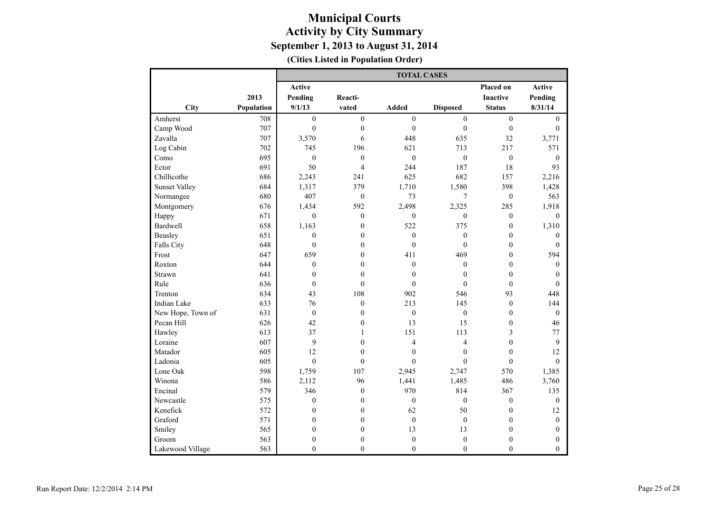|                      |            | <b>TOTAL CASES</b> |                  |                  |                  |                         |                  |  |  |  |
|----------------------|------------|--------------------|------------------|------------------|------------------|-------------------------|------------------|--|--|--|
|                      |            | Active             |                  |                  |                  | Placed on               | Active           |  |  |  |
|                      | 2013       | Pending            | Reacti-          |                  |                  | Inactive                | Pending          |  |  |  |
| City                 | Population | 9/1/13             | vated            | <b>Added</b>     | <b>Disposed</b>  | <b>Status</b>           | 8/31/14          |  |  |  |
| Amherst              | 708        | $\mathbf{0}$       | $\overline{0}$   | $\mathbf{0}$     | $\boldsymbol{0}$ | $\boldsymbol{0}$        | $\boldsymbol{0}$ |  |  |  |
| Camp Wood            | 707        | $\boldsymbol{0}$   | $\boldsymbol{0}$ | $\overline{0}$   | $\boldsymbol{0}$ | $\boldsymbol{0}$        | $\boldsymbol{0}$ |  |  |  |
| Zavalla              | 707        | 3,570              | 6                | 448              | 635              | 32                      | 3,771            |  |  |  |
| Log Cabin            | 702        | 745                | 196              | 621              | 713              | 217                     | 571              |  |  |  |
| Como                 | 695        | $\boldsymbol{0}$   | $\boldsymbol{0}$ | $\overline{0}$   | $\boldsymbol{0}$ | $\boldsymbol{0}$        | $\boldsymbol{0}$ |  |  |  |
| Ector                | 691        | 50                 | $\overline{4}$   | 244              | 187              | 18                      | 93               |  |  |  |
| Chillicothe          | 686        | 2,243              | 241              | 625              | 682              | 157                     | 2,216            |  |  |  |
| <b>Sunset Valley</b> | 684        | 1,317              | 379              | 1,710            | 1,580            | 398                     | 1,428            |  |  |  |
| Normangee            | 680        | 407                | $\boldsymbol{0}$ | 73               | 7                | $\boldsymbol{0}$        | 563              |  |  |  |
| Montgomery           | 676        | 1,434              | 592              | 2,498            | 2,325            | 285                     | 1,918            |  |  |  |
| Happy                | 671        | $\boldsymbol{0}$   | $\boldsymbol{0}$ | $\boldsymbol{0}$ | $\boldsymbol{0}$ | $\boldsymbol{0}$        | $\mathbf{0}$     |  |  |  |
| <b>Bardwell</b>      | 658        | 1,163              | $\mathbf{0}$     | 522              | 375              | $\mathbf{0}$            | 1,310            |  |  |  |
| Beasley              | 651        | $\mathbf{0}$       | $\mathbf{0}$     | $\boldsymbol{0}$ | $\boldsymbol{0}$ | $\mathbf{0}$            | $\mathbf{0}$     |  |  |  |
| Falls City           | 648        | $\mathbf{0}$       | $\mathbf{0}$     | $\boldsymbol{0}$ | $\mathbf{0}$     | $\mathbf{0}$            | $\theta$         |  |  |  |
| Frost                | 647        | 659                | $\mathbf{0}$     | 411              | 469              | $\mathbf{0}$            | 594              |  |  |  |
| Roxton               | 644        | $\boldsymbol{0}$   | $\boldsymbol{0}$ | $\mathbf{0}$     | $\boldsymbol{0}$ | $\boldsymbol{0}$        | $\boldsymbol{0}$ |  |  |  |
| Strawn               | 641        | $\boldsymbol{0}$   | $\boldsymbol{0}$ | $\boldsymbol{0}$ | $\boldsymbol{0}$ | $\boldsymbol{0}$        | $\boldsymbol{0}$ |  |  |  |
| Rule                 | 636        | $\mathbf{0}$       | $\theta$         | $\mathbf{0}$     | $\theta$         | $\mathbf{0}$            | $\theta$         |  |  |  |
| Trenton              | 634        | 43                 | 108              | 902              | 546              | 93                      | 448              |  |  |  |
| Indian Lake          | 633        | 76                 | $\boldsymbol{0}$ | 213              | 145              | $\boldsymbol{0}$        | 144              |  |  |  |
| New Hope, Town of    | 631        | $\boldsymbol{0}$   | $\mathbf{0}$     | $\mathbf{0}$     | $\mathbf{0}$     | $\mathbf{0}$            | $\mathbf{0}$     |  |  |  |
| Pecan Hill           | 626        | 42                 | $\mathbf{0}$     | 13               | 15               | $\mathbf{0}$            | 46               |  |  |  |
| Hawley               | 613        | 37                 | $\mathbf{1}$     | 151              | 113              | $\overline{\mathbf{3}}$ | 77               |  |  |  |
| Loraine              | 607        | 9                  | $\mathbf{0}$     | $\overline{4}$   | $\overline{4}$   | $\mathbf{0}$            | 9                |  |  |  |
| Matador              | 605        | 12                 | $\boldsymbol{0}$ | $\boldsymbol{0}$ | $\boldsymbol{0}$ | $\overline{0}$          | 12               |  |  |  |
| Ladonia              | 605        | $\theta$           | $\mathbf{0}$     | $\theta$         | $\theta$         | $\mathbf{0}$            | $\theta$         |  |  |  |
| Lone Oak             | 598        | 1,759              | 107              | 2,945            | 2,747            | 570                     | 1,385            |  |  |  |
| Winona               | 586        | 2,112              | 96               | 1,441            | 1,485            | 486                     | 3,760            |  |  |  |
| Encinal              | 579        | 346                | $\mathbf{0}$     | 970              | 814              | 367                     | 135              |  |  |  |
| Newcastle            | 575        | $\boldsymbol{0}$   | $\mathbf{0}$     | $\boldsymbol{0}$ | $\boldsymbol{0}$ | $\boldsymbol{0}$        | $\mathbf{0}$     |  |  |  |
| Kenefick             | 572        | $\boldsymbol{0}$   | $\boldsymbol{0}$ | 62               | 50               | $\boldsymbol{0}$        | 12               |  |  |  |
| Graford              | 571        | $\mathbf{0}$       | $\boldsymbol{0}$ | $\boldsymbol{0}$ | $\boldsymbol{0}$ | $\boldsymbol{0}$        | $\boldsymbol{0}$ |  |  |  |
| Smiley               | 565        | $\mathbf{0}$       | $\boldsymbol{0}$ | 13               | 13               | $\boldsymbol{0}$        | $\mathbf{0}$     |  |  |  |
| Groom                | 563        | $\boldsymbol{0}$   | $\boldsymbol{0}$ | $\boldsymbol{0}$ | $\boldsymbol{0}$ | $\boldsymbol{0}$        | $\mathbf{0}$     |  |  |  |
| Lakewood Village     | 563        | $\theta$           | $\theta$         | $\theta$         | $\overline{0}$   | $\mathbf{0}$            | $\theta$         |  |  |  |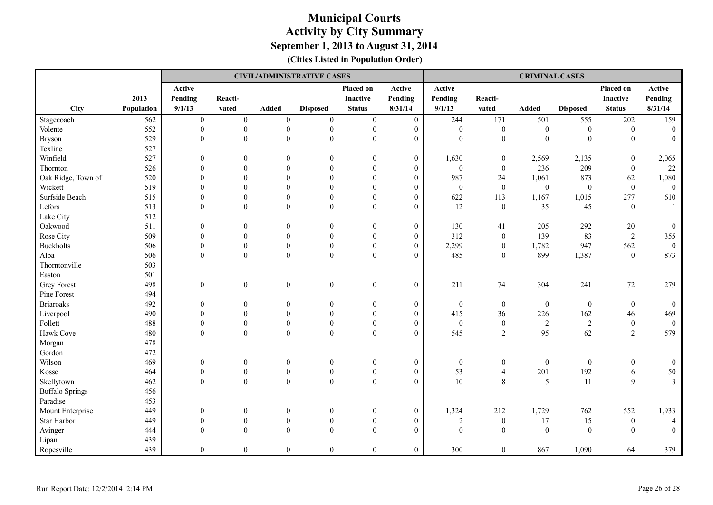|                        |            |                  | <b>CIVIL/ADMINISTRATIVE CASES</b> |                  |                  |                  |                  | <b>CRIMINAL CASES</b> |                  |                  |                  |                  |                |
|------------------------|------------|------------------|-----------------------------------|------------------|------------------|------------------|------------------|-----------------------|------------------|------------------|------------------|------------------|----------------|
|                        |            | Active           |                                   |                  |                  | Placed on        | Active           | Active                |                  |                  |                  | Placed on        | Active         |
|                        | 2013       | Pending          | Reacti-                           |                  |                  | Inactive         | Pending          | Pending               | Reacti-          |                  |                  | <b>Inactive</b>  | Pending        |
| <b>City</b>            | Population | 9/1/13           | vated                             | <b>Added</b>     | <b>Disposed</b>  | <b>Status</b>    | 8/31/14          | 9/1/13                | vated            | <b>Added</b>     | <b>Disposed</b>  | <b>Status</b>    | 8/31/14        |
| Stagecoach             | 562        | $\boldsymbol{0}$ | $\mathbf{0}$                      | $\mathbf{0}$     | $\mathbf{0}$     | $\boldsymbol{0}$ | $\boldsymbol{0}$ | 244                   | 171              | 501              | 555              | 202              | 159            |
| Volente                | 552        | $\mathbf{0}$     | $\boldsymbol{0}$                  | $\mathbf{0}$     | $\boldsymbol{0}$ | $\boldsymbol{0}$ | $\boldsymbol{0}$ | $\mathbf{0}$          | $\boldsymbol{0}$ | $\mathbf{0}$     | $\boldsymbol{0}$ | $\mathbf{0}$     | $\overline{0}$ |
| <b>Bryson</b>          | 529        | $\overline{0}$   | $\overline{0}$                    | $\mathbf{0}$     | $\mathbf{0}$     | $\mathbf{0}$     | $\boldsymbol{0}$ | $\mathbf{0}$          | $\mathbf{0}$     | $\mathbf{0}$     | $\mathbf{0}$     | $\overline{0}$   | $\overline{0}$ |
| Texline                | 527        |                  |                                   |                  |                  |                  |                  |                       |                  |                  |                  |                  |                |
| Winfield               | 527        | $\mathbf{0}$     | $\mathbf{0}$                      | $\theta$         | $\Omega$         | $\boldsymbol{0}$ | $\boldsymbol{0}$ | 1,630                 | $\boldsymbol{0}$ | 2,569            | 2,135            | $\boldsymbol{0}$ | 2,065          |
| Thornton               | 526        | $\mathbf{0}$     | $\theta$                          | $\mathbf{0}$     | $\theta$         | $\boldsymbol{0}$ | $\boldsymbol{0}$ | $\boldsymbol{0}$      | $\boldsymbol{0}$ | 236              | 209              | $\boldsymbol{0}$ | 22             |
| Oak Ridge, Town of     | 520        | $\Omega$         | $\theta$                          | $\Omega$         | $\theta$         | $\mathbf{0}$     | $\overline{0}$   | 987                   | 24               | 1,061            | 873              | 62               | 1,080          |
| Wickett                | 519        | $\mathbf{0}$     | $\mathbf{0}$                      | $\theta$         | $\mathbf{0}$     | $\boldsymbol{0}$ | $\boldsymbol{0}$ | $\boldsymbol{0}$      | $\boldsymbol{0}$ | $\boldsymbol{0}$ | $\boldsymbol{0}$ | $\boldsymbol{0}$ | $\overline{0}$ |
| Surfside Beach         | 515        | $\theta$         | $\mathbf{0}$                      | $\theta$         | $\mathbf{0}$     | $\mathbf{0}$     | $\boldsymbol{0}$ | 622                   | 113              | 1,167            | 1,015            | 277              | 610            |
| Lefors                 | 513        | $\mathbf{0}$     | $\theta$                          | $\mathbf{0}$     | $\mathbf{0}$     | $\mathbf{0}$     | $\overline{0}$   | 12                    | $\boldsymbol{0}$ | 35               | 45               | $\overline{0}$   | $\overline{1}$ |
| Lake City              | 512        |                  |                                   |                  |                  |                  |                  |                       |                  |                  |                  |                  |                |
| Oakwood                | 511        | $\mathbf{0}$     | $\mathbf{0}$                      | $\boldsymbol{0}$ | $\overline{0}$   | $\boldsymbol{0}$ | $\boldsymbol{0}$ | 130                   | 41               | 205              | 292              | 20               | $\mathbf{0}$   |
| Rose City              | 509        | $\mathbf{0}$     | $\mathbf{0}$                      | $\boldsymbol{0}$ | $\mathbf{0}$     | $\boldsymbol{0}$ | $\boldsymbol{0}$ | 312                   | $\boldsymbol{0}$ | 139              | 83               | $\overline{2}$   | 355            |
| <b>Buckholts</b>       | 506        | $\theta$         | $\overline{0}$                    | $\mathbf{0}$     | $\mathbf{0}$     | $\mathbf{0}$     | $\overline{0}$   | 2,299                 | $\boldsymbol{0}$ | 1,782            | 947              | 562              | $\mathbf{0}$   |
| Alba                   | 506        | $\mathbf{0}$     | $\mathbf{0}$                      | $\boldsymbol{0}$ | $\boldsymbol{0}$ | $\boldsymbol{0}$ | $\boldsymbol{0}$ | 485                   | $\boldsymbol{0}$ | 899              | 1,387            | $\mathbf{0}$     | 873            |
| Thorntonville          | 503        |                  |                                   |                  |                  |                  |                  |                       |                  |                  |                  |                  |                |
| Easton                 | 501        |                  |                                   |                  |                  |                  |                  |                       |                  |                  |                  |                  |                |
| <b>Grey Forest</b>     | 498        | $\boldsymbol{0}$ | $\boldsymbol{0}$                  | $\boldsymbol{0}$ | $\boldsymbol{0}$ | $\boldsymbol{0}$ | $\boldsymbol{0}$ | 211                   | 74               | 304              | 241              | $72\,$           | 279            |
| Pine Forest            | 494        |                  |                                   |                  |                  |                  |                  |                       |                  |                  |                  |                  |                |
| <b>Briaroaks</b>       | 492        | $\boldsymbol{0}$ | $\mathbf{0}$                      | $\boldsymbol{0}$ | $\boldsymbol{0}$ | $\boldsymbol{0}$ | $\boldsymbol{0}$ | $\boldsymbol{0}$      | $\boldsymbol{0}$ | $\boldsymbol{0}$ | $\boldsymbol{0}$ | $\boldsymbol{0}$ | $\overline{0}$ |
| Liverpool              | 490        | $\Omega$         | $\theta$                          | $\mathbf{0}$     | $\mathbf{0}$     | $\mathbf{0}$     | $\boldsymbol{0}$ | 415                   | 36               | 226              | 162              | 46               | 469            |
| Follett                | 488        | $\mathbf{0}$     | $\overline{0}$                    | $\boldsymbol{0}$ | $\boldsymbol{0}$ | $\mathbf{0}$     | $\boldsymbol{0}$ | $\boldsymbol{0}$      | $\boldsymbol{0}$ | $\sqrt{2}$       | $\sqrt{2}$       | $\mathbf{0}$     | $\mathbf{0}$   |
| Hawk Cove              | 480        | $\theta$         | $\theta$                          | $\theta$         | $\mathbf{0}$     | $\boldsymbol{0}$ | $\overline{0}$   | 545                   | 2                | 95               | 62               | $\overline{2}$   | 579            |
| Morgan                 | 478        |                  |                                   |                  |                  |                  |                  |                       |                  |                  |                  |                  |                |
| Gordon                 | 472        |                  |                                   |                  |                  |                  |                  |                       |                  |                  |                  |                  |                |
| Wilson                 | 469        | $\boldsymbol{0}$ | $\boldsymbol{0}$                  | $\boldsymbol{0}$ | $\boldsymbol{0}$ | $\boldsymbol{0}$ | $\boldsymbol{0}$ | $\boldsymbol{0}$      | $\boldsymbol{0}$ | $\boldsymbol{0}$ | $\mathbf{0}$     | $\boldsymbol{0}$ | $\overline{0}$ |
| Kosse                  | 464        | $\mathbf{0}$     | $\boldsymbol{0}$                  | $\boldsymbol{0}$ | $\boldsymbol{0}$ | $\boldsymbol{0}$ | $\boldsymbol{0}$ | 53                    | $\overline{4}$   | 201              | 192              | 6                | $50\,$         |
| Skellytown             | 462        | $\theta$         | $\theta$                          | $\theta$         | $\theta$         | $\boldsymbol{0}$ | $\theta$         | 10                    | 8                | 5                | 11               | $\mathbf Q$      | $\mathfrak{Z}$ |
| <b>Buffalo Springs</b> | 456        |                  |                                   |                  |                  |                  |                  |                       |                  |                  |                  |                  |                |
| Paradise               | 453        |                  |                                   |                  |                  |                  |                  |                       |                  |                  |                  |                  |                |
| Mount Enterprise       | 449        | $\boldsymbol{0}$ | $\boldsymbol{0}$                  | $\boldsymbol{0}$ | $\mathbf{0}$     | $\boldsymbol{0}$ | $\boldsymbol{0}$ | 1,324                 | 212              | 1,729            | 762              | 552              | 1,933          |
| Star Harbor            | 449        | $\boldsymbol{0}$ | $\boldsymbol{0}$                  | $\boldsymbol{0}$ | $\boldsymbol{0}$ | $\boldsymbol{0}$ | $\boldsymbol{0}$ | $\sqrt{2}$            | $\boldsymbol{0}$ | 17               | 15               | $\boldsymbol{0}$ | $\overline{4}$ |
| Avinger                | 444        | $\theta$         | $\mathbf{0}$                      | $\mathbf{0}$     | $\mathbf{0}$     | $\boldsymbol{0}$ | $\overline{0}$   | $\boldsymbol{0}$      | $\boldsymbol{0}$ | $\mathbf{0}$     | $\boldsymbol{0}$ | $\mathbf{0}$     | $\overline{0}$ |
| Lipan                  | 439        |                  |                                   |                  |                  |                  |                  |                       |                  |                  |                  |                  |                |
| Ropesville             | 439        | $\overline{0}$   | $\mathbf{0}$                      | $\boldsymbol{0}$ | $\mathbf{0}$     | $\boldsymbol{0}$ | $\boldsymbol{0}$ | 300                   | $\overline{0}$   | 867              | 1,090            | 64               | 379            |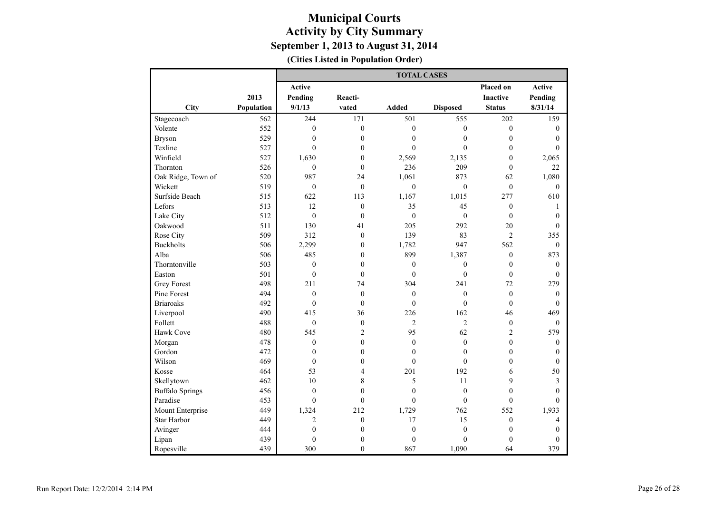|                        |            | <b>TOTAL CASES</b> |                  |                  |                  |                  |                  |  |  |  |
|------------------------|------------|--------------------|------------------|------------------|------------------|------------------|------------------|--|--|--|
|                        |            | Active             |                  |                  |                  | Placed on        | Active           |  |  |  |
|                        | 2013       | Pending            | Reacti-          |                  |                  | <b>Inactive</b>  | Pending          |  |  |  |
| City                   | Population | 9/1/13             | vated            | Added            | <b>Disposed</b>  | <b>Status</b>    | 8/31/14          |  |  |  |
| Stagecoach             | 562        | 244                | 171              | 501              | 555              | 202              | 159              |  |  |  |
| Volente                | 552        | $\mathbf{0}$       | $\boldsymbol{0}$ | $\mathbf{0}$     | $\mathbf{0}$     | $\boldsymbol{0}$ | $\boldsymbol{0}$ |  |  |  |
| <b>Bryson</b>          | 529        | $\boldsymbol{0}$   | $\boldsymbol{0}$ | $\mathbf{0}$     | $\mathbf{0}$     | $\overline{0}$   | $\mathbf{0}$     |  |  |  |
| Texline                | 527        | $\mathbf{0}$       | $\boldsymbol{0}$ | $\theta$         | $\mathbf{0}$     | $\boldsymbol{0}$ | $\mathbf{0}$     |  |  |  |
| Winfield               | 527        | 1,630              | $\mathbf{0}$     | 2,569            | 2,135            | $\overline{0}$   | 2,065            |  |  |  |
| Thornton               | 526        | $\overline{0}$     | $\mathbf{0}$     | 236              | 209              | $\mathbf{0}$     | 22               |  |  |  |
| Oak Ridge, Town of     | 520        | 987                | 24               | 1,061            | 873              | 62               | 1,080            |  |  |  |
| Wickett                | 519        | $\mathbf{0}$       | $\mathbf{0}$     | $\mathbf{0}$     | $\mathbf{0}$     | $\mathbf{0}$     | $\mathbf{0}$     |  |  |  |
| Surfside Beach         | 515        | 622                | 113              | 1,167            | 1,015            | 277              | 610              |  |  |  |
| Lefors                 | 513        | 12                 | $\mathbf{0}$     | 35               | 45               | $\boldsymbol{0}$ | 1                |  |  |  |
| Lake City              | 512        | $\overline{0}$     | $\mathbf{0}$     | $\mathbf{0}$     | $\theta$         | $\overline{0}$   | $\theta$         |  |  |  |
| Oakwood                | 511        | 130                | 41               | 205              | 292              | 20               | $\theta$         |  |  |  |
| Rose City              | 509        | 312                | $\mathbf{0}$     | 139              | 83               | $\overline{c}$   | 355              |  |  |  |
| <b>Buckholts</b>       | 506        | 2,299              | $\boldsymbol{0}$ | 1,782            | 947              | 562              | $\mathbf{0}$     |  |  |  |
| Alba                   | 506        | 485                | $\boldsymbol{0}$ | 899              | 1,387            | $\boldsymbol{0}$ | 873              |  |  |  |
| Thorntonville          | 503        | $\boldsymbol{0}$   | $\boldsymbol{0}$ | $\boldsymbol{0}$ | $\boldsymbol{0}$ | $\boldsymbol{0}$ | $\boldsymbol{0}$ |  |  |  |
| Easton                 | 501        | $\boldsymbol{0}$   | $\mathbf{0}$     | $\mathbf{0}$     | $\boldsymbol{0}$ | $\boldsymbol{0}$ | $\mathbf{0}$     |  |  |  |
| <b>Grey Forest</b>     | 498        | 211                | 74               | 304              | 241              | 72               | 279              |  |  |  |
| Pine Forest            | 494        | $\mathbf{0}$       | $\boldsymbol{0}$ | $\mathbf{0}$     | $\boldsymbol{0}$ | $\boldsymbol{0}$ | $\mathbf{0}$     |  |  |  |
| <b>Briaroaks</b>       | 492        | $\overline{0}$     | $\mathbf{0}$     | $\mathbf{0}$     | $\mathbf{0}$     | $\mathbf{0}$     | $\mathbf{0}$     |  |  |  |
| Liverpool              | 490        | 415                | 36               | 226              | 162              | 46               | 469              |  |  |  |
| Follett                | 488        | $\mathbf{0}$       | $\boldsymbol{0}$ | $\overline{2}$   | $\overline{2}$   | $\boldsymbol{0}$ | $\mathbf{0}$     |  |  |  |
| Hawk Cove              | 480        | 545                | $\overline{c}$   | 95               | 62               | $\overline{c}$   | 579              |  |  |  |
| Morgan                 | 478        | $\overline{0}$     | $\mathbf{0}$     | $\mathbf{0}$     | $\mathbf{0}$     | $\overline{0}$   | $\mathbf{0}$     |  |  |  |
| Gordon                 | 472        | $\theta$           | $\mathbf{0}$     | $\mathbf{0}$     | $\mathbf{0}$     | $\overline{0}$   | $\theta$         |  |  |  |
| Wilson                 | 469        | $\overline{0}$     | $\boldsymbol{0}$ | $\theta$         | $\mathbf{0}$     | $\overline{0}$   | $\mathbf{0}$     |  |  |  |
| Kosse                  | 464        | 53                 | $\overline{4}$   | 201              | 192              | 6                | 50               |  |  |  |
| Skellytown             | 462        | 10                 | 8                | 5                | 11               | 9                | 3                |  |  |  |
| <b>Buffalo Springs</b> | 456        | $\overline{0}$     | $\mathbf{0}$     | $\mathbf{0}$     | $\mathbf{0}$     | $\overline{0}$   | $\theta$         |  |  |  |
| Paradise               | 453        | $\mathbf{0}$       | $\boldsymbol{0}$ | $\mathbf{0}$     | $\boldsymbol{0}$ | $\boldsymbol{0}$ | $\mathbf{0}$     |  |  |  |
| Mount Enterprise       | 449        | 1,324              | 212              | 1,729            | 762              | 552              | 1,933            |  |  |  |
| Star Harbor            | 449        | $\overline{2}$     | $\boldsymbol{0}$ | 17               | 15               | $\boldsymbol{0}$ | $\overline{4}$   |  |  |  |
| Avinger                | 444        | $\overline{0}$     | $\boldsymbol{0}$ | $\boldsymbol{0}$ | $\boldsymbol{0}$ | $\boldsymbol{0}$ | $\mathbf{0}$     |  |  |  |
| Lipan                  | 439        | $\overline{0}$     | $\mathbf{0}$     | $\theta$         | $\theta$         | $\theta$         | $\theta$         |  |  |  |
| Ropesville             | 439        | 300                | $\theta$         | 867              | 1,090            | 64               | 379              |  |  |  |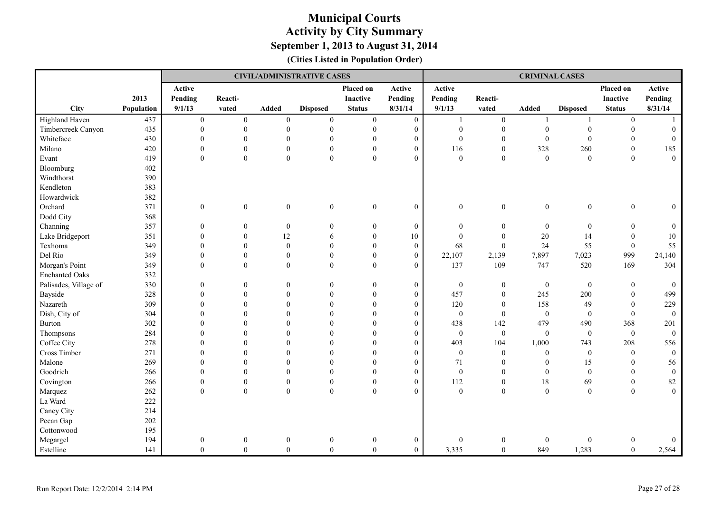|                       |            |                  | <b>CIVIL/ADMINISTRATIVE CASES</b> |                  |                  |                  |                  | <b>CRIMINAL CASES</b> |                  |                  |                  |                  |                  |
|-----------------------|------------|------------------|-----------------------------------|------------------|------------------|------------------|------------------|-----------------------|------------------|------------------|------------------|------------------|------------------|
|                       |            | Active           |                                   |                  |                  | Placed on        | Active           | Active                |                  |                  |                  | Placed on        | Active           |
|                       | 2013       | Pending          | Reacti-                           |                  |                  | <b>Inactive</b>  | Pending          | Pending               | Reacti-          |                  |                  | <b>Inactive</b>  | Pending          |
| <b>City</b>           | Population | 9/1/13           | vated                             | Added            | <b>Disposed</b>  | <b>Status</b>    | 8/31/14          | 9/1/13                | vated            | Added            | <b>Disposed</b>  | <b>Status</b>    | 8/31/14          |
| Highland Haven        | 437        | $\mathbf{0}$     | $\boldsymbol{0}$                  | $\mathbf{0}$     | $\boldsymbol{0}$ | $\mathbf{0}$     | $\boldsymbol{0}$ | 1                     | $\boldsymbol{0}$ | $\overline{1}$   | $\mathbf{1}$     | $\boldsymbol{0}$ | $\overline{1}$   |
| Timbercreek Canyon    | 435        | $\theta$         | $\boldsymbol{0}$                  | $\mathbf{0}$     | $\boldsymbol{0}$ | $\mathbf{0}$     | $\mathbf{0}$     | $\boldsymbol{0}$      | $\boldsymbol{0}$ | $\boldsymbol{0}$ | $\mathbf{0}$     | $\boldsymbol{0}$ | $\mathbf{0}$     |
| Whiteface             | 430        | $\theta$         | $\boldsymbol{0}$                  | $\theta$         | $\mathbf{0}$     | $\mathbf{0}$     | $\mathbf{0}$     | $\overline{0}$        | $\mathbf{0}$     | $\mathbf{0}$     | $\mathbf{0}$     | $\mathbf{0}$     | $\mathbf{0}$     |
| Milano                | 420        | $\theta$         | $\boldsymbol{0}$                  | $\mathbf{0}$     | $\boldsymbol{0}$ | $\mathbf{0}$     | $\boldsymbol{0}$ | 116                   | $\boldsymbol{0}$ | 328              | 260              | $\mathbf{0}$     | 185              |
| Evant                 | 419        | $\theta$         | $\boldsymbol{0}$                  | $\boldsymbol{0}$ | $\boldsymbol{0}$ | $\boldsymbol{0}$ | $\boldsymbol{0}$ | $\boldsymbol{0}$      | $\boldsymbol{0}$ | $\boldsymbol{0}$ | $\boldsymbol{0}$ | $\theta$         | $\mathbf{0}$     |
| Bloomburg             | 402        |                  |                                   |                  |                  |                  |                  |                       |                  |                  |                  |                  |                  |
| Windthorst            | 390        |                  |                                   |                  |                  |                  |                  |                       |                  |                  |                  |                  |                  |
| Kendleton             | 383        |                  |                                   |                  |                  |                  |                  |                       |                  |                  |                  |                  |                  |
| Howardwick            | 382        |                  |                                   |                  |                  |                  |                  |                       |                  |                  |                  |                  |                  |
| Orchard               | 371        | $\boldsymbol{0}$ | $\boldsymbol{0}$                  | $\mathbf{0}$     | $\boldsymbol{0}$ | $\boldsymbol{0}$ | $\overline{0}$   | $\boldsymbol{0}$      | $\boldsymbol{0}$ | $\boldsymbol{0}$ | $\boldsymbol{0}$ | $\mathbf{0}$     | $\overline{0}$   |
| Dodd City             | 368        |                  |                                   |                  |                  |                  |                  |                       |                  |                  |                  |                  |                  |
| Channing              | 357        | $\mathbf{0}$     | $\mathbf{0}$                      | $\boldsymbol{0}$ | $\overline{0}$   | $\mathbf{0}$     | $\boldsymbol{0}$ | $\boldsymbol{0}$      | $\boldsymbol{0}$ | $\boldsymbol{0}$ | $\boldsymbol{0}$ | $\mathbf{0}$     | $\mathbf{0}$     |
| Lake Bridgeport       | 351        | $\mathbf{0}$     | $\mathbf{0}$                      | 12               | 6                | $\mathbf{0}$     | 10               | $\boldsymbol{0}$      | $\boldsymbol{0}$ | 20               | 14               | $\mathbf{0}$     | $10\,$           |
| Texhoma               | 349        | $\theta$         | $\overline{0}$                    | $\mathbf{0}$     | $\overline{0}$   | $\mathbf{0}$     | $\overline{0}$   | 68                    | $\mathbf{0}$     | 24               | 55               | $\mathbf{0}$     | 55               |
| Del Rio               | 349        | $\mathbf{0}$     | $\boldsymbol{0}$                  | $\mathbf{0}$     | $\mathbf{0}$     | $\mathbf{0}$     | $\overline{0}$   | 22,107                | 2,139            | 7,897            | 7,023            | 999              | 24,140           |
| Morgan's Point        | 349        | $\theta$         | $\boldsymbol{0}$                  | $\mathbf{0}$     | $\boldsymbol{0}$ | $\mathbf{0}$     | $\overline{0}$   | 137                   | 109              | 747              | 520              | 169              | 304              |
| <b>Enchanted Oaks</b> | 332        |                  |                                   |                  |                  |                  |                  |                       |                  |                  |                  |                  |                  |
| Palisades, Village of | 330        | $\mathbf{0}$     | $\overline{0}$                    | $\overline{0}$   | $\mathbf{0}$     | $\mathbf{0}$     | $\boldsymbol{0}$ | $\boldsymbol{0}$      | $\boldsymbol{0}$ | $\mathbf{0}$     | $\mathbf{0}$     | $\mathbf{0}$     | $\overline{0}$   |
| Bayside               | 328        | $\theta$         | $\Omega$                          | $\theta$         | $\theta$         | $\theta$         | $\mathbf{0}$     | 457                   | $\mathbf{0}$     | 245              | 200              | $\mathbf{0}$     | 499              |
| Nazareth              | 309        | $\theta$         | $\theta$                          | $\theta$         | $\overline{0}$   | $\theta$         | $\mathbf{0}$     | 120                   | $\mathbf{0}$     | 158              | 49               | $\mathbf{0}$     | 229              |
| Dish, City of         | 304        | $\mathbf{0}$     | $\overline{0}$                    | $\mathbf{0}$     | $\overline{0}$   | $\mathbf{0}$     | $\boldsymbol{0}$ | $\boldsymbol{0}$      | $\mathbf{0}$     | $\mathbf{0}$     | $\boldsymbol{0}$ | $\boldsymbol{0}$ | $\boldsymbol{0}$ |
| <b>Burton</b>         | 302        | $\theta$         | $\Omega$                          | $\Omega$         | $\theta$         | $\theta$         | $\overline{0}$   | 438                   | 142              | 479              | 490              | 368              | 201              |
| Thompsons             | 284        | $\mathbf{0}$     | $\Omega$                          | $\overline{0}$   | $\mathbf{0}$     | $\mathbf{0}$     | $\boldsymbol{0}$ | $\boldsymbol{0}$      | $\mathbf{0}$     | $\mathbf{0}$     | $\mathbf{0}$     | $\mathbf{0}$     | $\overline{0}$   |
| Coffee City           | 278        | $\theta$         | $\Omega$                          | $\theta$         | $\theta$         | $\theta$         | $\mathbf{0}$     | 403                   | 104              | 1,000            | 743              | 208              | 556              |
| Cross Timber          | 271        | $\mathbf{0}$     | $\mathbf{0}$                      | $\theta$         | $\overline{0}$   | $\mathbf{0}$     | $\boldsymbol{0}$ | $\boldsymbol{0}$      | $\boldsymbol{0}$ | $\mathbf{0}$     | $\boldsymbol{0}$ | $\mathbf{0}$     | $\mathbf{0}$     |
| Malone                | 269        | $\Omega$         | $\theta$                          | $\Omega$         | $\theta$         | $\theta$         | $\mathbf{0}$     | 71                    | $\theta$         | $\theta$         | 15               | $\theta$         | 56               |
| Goodrich              | 266        | $\theta$         | $\Omega$                          | $\theta$         | $\mathbf{0}$     | $\theta$         | $\mathbf{0}$     | $\overline{0}$        | $\mathbf{0}$     | $\mathbf{0}$     | $\mathbf{0}$     | $\theta$         | $\mathbf{0}$     |
| Covington             | 266        | $\mathbf{0}$     | $\boldsymbol{0}$                  | $\mathbf{0}$     | $\boldsymbol{0}$ | $\mathbf{0}$     | $\overline{0}$   | 112                   | $\boldsymbol{0}$ | 18               | 69               | $\boldsymbol{0}$ | 82               |
| Marquez               | 262        | $\boldsymbol{0}$ | $\boldsymbol{0}$                  | $\mathbf{0}$     | $\boldsymbol{0}$ | $\mathbf{0}$     | $\overline{0}$   | $\boldsymbol{0}$      | $\boldsymbol{0}$ | $\boldsymbol{0}$ | $\boldsymbol{0}$ | $\boldsymbol{0}$ | $\mathbf{0}$     |
| La Ward               | 222        |                  |                                   |                  |                  |                  |                  |                       |                  |                  |                  |                  |                  |
| Caney City            | 214        |                  |                                   |                  |                  |                  |                  |                       |                  |                  |                  |                  |                  |
| Pecan Gap             | 202        |                  |                                   |                  |                  |                  |                  |                       |                  |                  |                  |                  |                  |
| Cottonwood            | 195        |                  |                                   |                  |                  |                  |                  |                       |                  |                  |                  |                  |                  |
| Megargel              | 194        | $\boldsymbol{0}$ | $\overline{0}$                    | $\boldsymbol{0}$ | $\boldsymbol{0}$ | $\boldsymbol{0}$ | $\boldsymbol{0}$ | $\boldsymbol{0}$      | $\boldsymbol{0}$ | $\boldsymbol{0}$ | $\theta$         | $\boldsymbol{0}$ | $\overline{0}$   |
| Estelline             | 141        | $\theta$         | $\mathbf{0}$                      | $\overline{0}$   | $\overline{0}$   | $\overline{0}$   | $\overline{0}$   | 3,335                 | $\mathbf{0}$     | 849              | 1,283            | $\theta$         | 2,564            |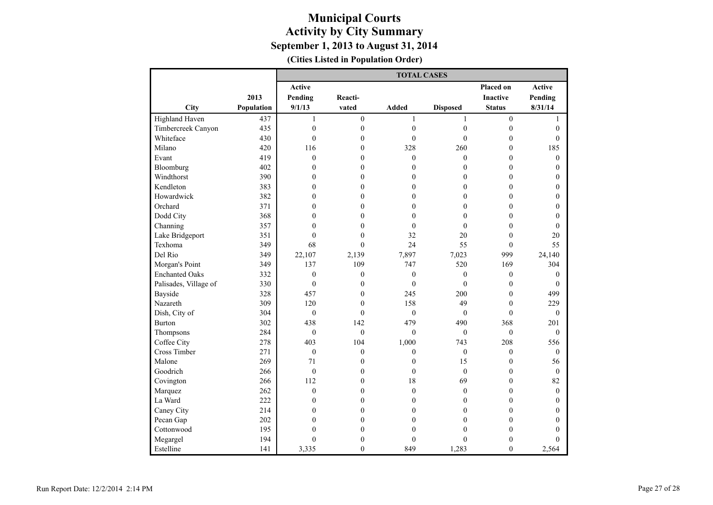|                       |            | <b>TOTAL CASES</b> |                  |                  |                  |                  |                  |  |  |  |
|-----------------------|------------|--------------------|------------------|------------------|------------------|------------------|------------------|--|--|--|
|                       |            | Active             |                  |                  |                  | <b>Placed on</b> | Active           |  |  |  |
|                       | 2013       | Pending            | Reacti-          |                  |                  | <b>Inactive</b>  | Pending          |  |  |  |
| City                  | Population | 9/1/13             | vated            | <b>Added</b>     | <b>Disposed</b>  | <b>Status</b>    | 8/31/14          |  |  |  |
| Highland Haven        | 437        | $\mathbf{1}$       | $\overline{0}$   | 1                | $\mathbf{1}$     | $\boldsymbol{0}$ | $\mathbf{1}$     |  |  |  |
| Timbercreek Canyon    | 435        | $\overline{0}$     | $\boldsymbol{0}$ | $\boldsymbol{0}$ | $\boldsymbol{0}$ | $\boldsymbol{0}$ | $\mathbf{0}$     |  |  |  |
| Whiteface             | 430        | $\theta$           | $\overline{0}$   | $\theta$         | $\theta$         | $\mathbf{0}$     | $\theta$         |  |  |  |
| Milano                | 420        | 116                | $\overline{0}$   | 328              | 260              | $\mathbf{0}$     | 185              |  |  |  |
| Evant                 | 419        | $\mathbf{0}$       | $\overline{0}$   | $\mathbf{0}$     | $\mathbf{0}$     | $\mathbf{0}$     | $\mathbf{0}$     |  |  |  |
| Bloomburg             | 402        | $\theta$           | $\theta$         | $\theta$         | $\mathbf{0}$     | $\theta$         | $\theta$         |  |  |  |
| Windthorst            | 390        | $\mathbf{0}$       | $\overline{0}$   | $\mathbf{0}$     | $\mathbf{0}$     | $\mathbf{0}$     | $\boldsymbol{0}$ |  |  |  |
| Kendleton             | 383        | $\mathbf{0}$       | $\boldsymbol{0}$ | $\mathbf{0}$     | $\boldsymbol{0}$ | $\mathbf{0}$     | $\mathbf{0}$     |  |  |  |
| Howardwick            | 382        | $\mathbf{0}$       | $\overline{0}$   | $\mathbf{0}$     | $\mathbf{0}$     | $\overline{0}$   | $\mathbf{0}$     |  |  |  |
| Orchard               | 371        | $\theta$           | $\overline{0}$   | $\theta$         | $\mathbf{0}$     | $\theta$         | $\mathbf{0}$     |  |  |  |
| Dodd City             | 368        | $\mathbf{0}$       | $\overline{0}$   | $\mathbf{0}$     | $\boldsymbol{0}$ | $\overline{0}$   | $\mathbf{0}$     |  |  |  |
| Channing              | 357        | $\theta$           | $\theta$         | $\theta$         | $\mathbf{0}$     | $\theta$         | $\theta$         |  |  |  |
| Lake Bridgeport       | 351        | $\mathbf{0}$       | $\theta$         | 32               | 20               | $\mathbf{0}$     | 20               |  |  |  |
| Texhoma               | 349        | 68                 | $\theta$         | 24               | 55               | $\mathbf{0}$     | 55               |  |  |  |
| Del Rio               | 349        | 22,107             | 2,139            | 7,897            | 7,023            | 999              | 24,140           |  |  |  |
| Morgan's Point        | 349        | 137                | 109              | 747              | 520              | 169              | 304              |  |  |  |
| <b>Enchanted Oaks</b> | 332        | $\boldsymbol{0}$   | $\boldsymbol{0}$ | $\boldsymbol{0}$ | $\boldsymbol{0}$ | $\boldsymbol{0}$ | $\boldsymbol{0}$ |  |  |  |
| Palisades, Village of | 330        | $\mathbf{0}$       | $\overline{0}$   | $\overline{0}$   | $\overline{0}$   | $\mathbf{0}$     | $\mathbf{0}$     |  |  |  |
| Bayside               | 328        | 457                | $\boldsymbol{0}$ | 245              | 200              | $\mathbf{0}$     | 499              |  |  |  |
| Nazareth              | 309        | 120                | $\theta$         | 158              | 49               | $\theta$         | 229              |  |  |  |
| Dish, City of         | 304        | $\mathbf{0}$       | $\theta$         | $\mathbf{0}$     | $\mathbf{0}$     | $\theta$         | $\mathbf{0}$     |  |  |  |
| Burton                | 302        | 438                | 142              | 479              | 490              | 368              | 201              |  |  |  |
| Thompsons             | 284        | $\mathbf{0}$       | $\theta$         | $\theta$         | $\mathbf{0}$     | $\theta$         | $\mathbf{0}$     |  |  |  |
| Coffee City           | 278        | 403                | 104              | 1,000            | 743              | 208              | 556              |  |  |  |
| Cross Timber          | 271        | $\mathbf{0}$       | $\overline{0}$   | $\mathbf{0}$     | $\boldsymbol{0}$ | $\boldsymbol{0}$ | $\mathbf{0}$     |  |  |  |
| Malone                | 269        | 71                 | $\overline{0}$   | $\mathbf{0}$     | 15               | $\mathbf{0}$     | 56               |  |  |  |
| Goodrich              | 266        | $\mathbf{0}$       | $\overline{0}$   | $\theta$         | $\boldsymbol{0}$ | $\mathbf{0}$     | $\mathbf{0}$     |  |  |  |
| Covington             | 266        | 112                | $\overline{0}$   | 18               | 69               | $\mathbf{0}$     | 82               |  |  |  |
| Marquez               | 262        | $\theta$           | $\theta$         | $\theta$         | $\mathbf{0}$     | $\theta$         | $\theta$         |  |  |  |
| La Ward               | 222        | $\mathbf{0}$       | $\boldsymbol{0}$ | $\theta$         | $\boldsymbol{0}$ | $\theta$         | $\mathbf{0}$     |  |  |  |
| Caney City            | 214        | $\boldsymbol{0}$   | $\boldsymbol{0}$ | $\mathbf{0}$     | $\boldsymbol{0}$ | $\boldsymbol{0}$ | $\boldsymbol{0}$ |  |  |  |
| Pecan Gap             | 202        | $\mathbf{0}$       | $\overline{0}$   | $\mathbf{0}$     | $\mathbf{0}$     | $\overline{0}$   | $\mathbf{0}$     |  |  |  |
| Cottonwood            | 195        | $\boldsymbol{0}$   | $\overline{0}$   | $\mathbf{0}$     | $\boldsymbol{0}$ | $\mathbf{0}$     | $\theta$         |  |  |  |
| Megargel              | 194        | $\overline{0}$     | $\boldsymbol{0}$ | $\mathbf{0}$     | $\mathbf{0}$     | $\overline{0}$   | $\theta$         |  |  |  |
| Estelline             | 141        | 3,335              | $\theta$         | 849              | 1,283            | $\theta$         | 2,564            |  |  |  |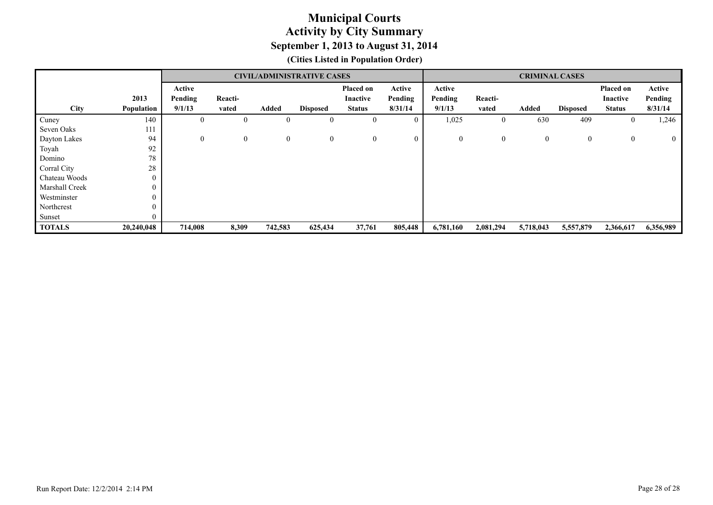|                |              |                  |              |                  | <b>CIVIL/ADMINISTRATIVE CASES</b> |                  |                  |                |              |                |                 |                 |              |
|----------------|--------------|------------------|--------------|------------------|-----------------------------------|------------------|------------------|----------------|--------------|----------------|-----------------|-----------------|--------------|
|                |              | Active           |              |                  |                                   | Placed on        | Active           | Active         |              |                |                 | Placed on       | Active       |
|                | 2013         | Pending          | Reacti-      |                  |                                   | Inactive         | Pending          | Pending        | Reacti-      |                |                 | <b>Inactive</b> | Pending      |
| City           | Population   | 9/1/13           | vated        | Added            | <b>Disposed</b>                   | <b>Status</b>    | 8/31/14          | 9/1/13         | vated        | <b>Added</b>   | <b>Disposed</b> | <b>Status</b>   | 8/31/14      |
| Cuney          | 140          | $\boldsymbol{0}$ | $\bf{0}$     | $\theta$         | $\boldsymbol{0}$                  | $\theta$         | $\boldsymbol{0}$ | 1,025          | $\bf{0}$     | 630            | 409             | $\theta$        | 1,246        |
| Seven Oaks     | 111          |                  |              |                  |                                   |                  |                  |                |              |                |                 |                 |              |
| Dayton Lakes   | 94           | $\theta$         | $\mathbf{0}$ | $\boldsymbol{0}$ | $\mathbf{0}$                      | $\boldsymbol{0}$ | $\mathbf{0}$     | $\overline{0}$ | $\mathbf{0}$ | $\overline{0}$ | $\mathbf{0}$    | $\mathbf{0}$    | $\mathbf{0}$ |
| Toyah          | 92           |                  |              |                  |                                   |                  |                  |                |              |                |                 |                 |              |
| Domino         | 78           |                  |              |                  |                                   |                  |                  |                |              |                |                 |                 |              |
| Corral City    | 28           |                  |              |                  |                                   |                  |                  |                |              |                |                 |                 |              |
| Chateau Woods  | $\mathbf{0}$ |                  |              |                  |                                   |                  |                  |                |              |                |                 |                 |              |
| Marshall Creek | $\theta$     |                  |              |                  |                                   |                  |                  |                |              |                |                 |                 |              |
| Westminster    | $\theta$     |                  |              |                  |                                   |                  |                  |                |              |                |                 |                 |              |
| Northcrest     | $\mathbf{0}$ |                  |              |                  |                                   |                  |                  |                |              |                |                 |                 |              |
| Sunset         |              |                  |              |                  |                                   |                  |                  |                |              |                |                 |                 |              |
| <b>TOTALS</b>  | 20,240,048   | 714,008          | 8,309        | 742,583          | 625,434                           | 37,761           | 805,448          | 6,781,160      | 2,081,294    | 5,718,043      | 5,557,879       | 2,366,617       | 6,356,989    |